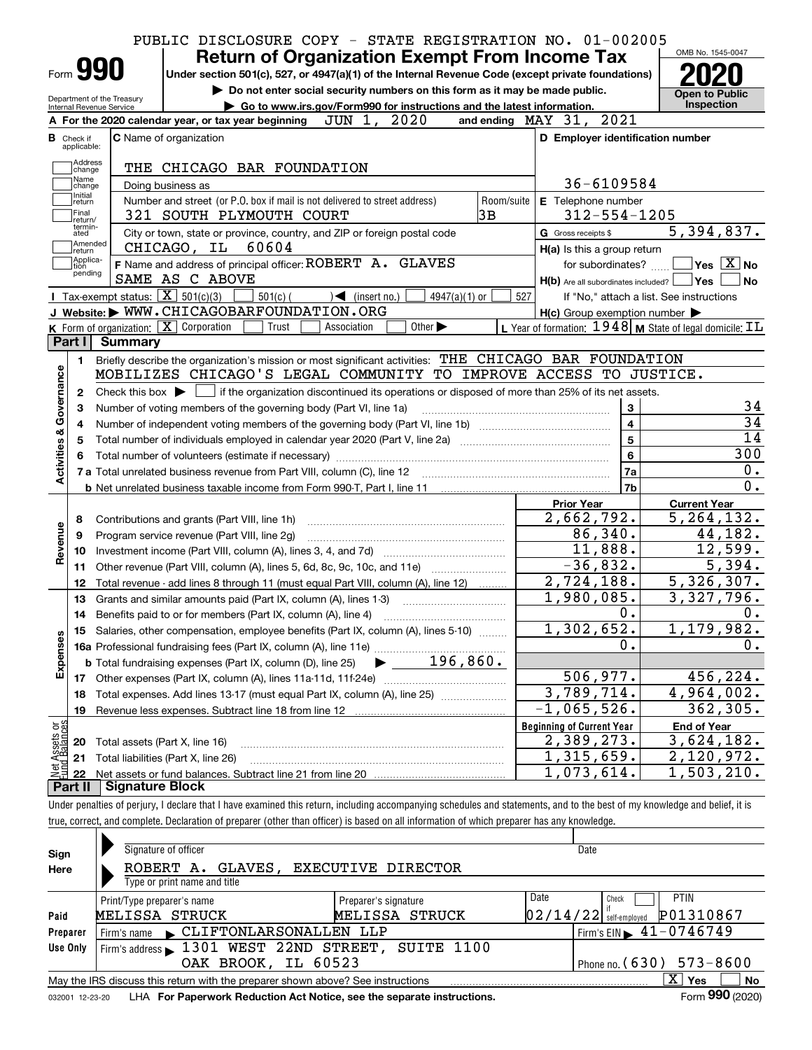|                                                                                  |                                  | PUBLIC DISCLOSURE COPY - STATE REGISTRATION NO. 01-002005  |                                               |                                                                            |                                   |                                                                                                                                             |            |                                                      |                                                     |                                                         |
|----------------------------------------------------------------------------------|----------------------------------|------------------------------------------------------------|-----------------------------------------------|----------------------------------------------------------------------------|-----------------------------------|---------------------------------------------------------------------------------------------------------------------------------------------|------------|------------------------------------------------------|-----------------------------------------------------|---------------------------------------------------------|
|                                                                                  |                                  |                                                            |                                               |                                                                            |                                   |                                                                                                                                             |            | <b>Return of Organization Exempt From Income Tax</b> |                                                     | OMB No. 1545-0047                                       |
|                                                                                  | Form 990                         |                                                            |                                               |                                                                            |                                   | Under section 501(c), 527, or 4947(a)(1) of the Internal Revenue Code (except private foundations)                                          |            |                                                      |                                                     |                                                         |
|                                                                                  |                                  | Department of the Treasury                                 |                                               |                                                                            |                                   | Do not enter social security numbers on this form as it may be made public.                                                                 |            |                                                      |                                                     | <b>Open to Public</b>                                   |
|                                                                                  | Internal Revenue Service         |                                                            |                                               |                                                                            |                                   | Go to www.irs.gov/Form990 for instructions and the latest information.                                                                      |            |                                                      |                                                     | Inspection                                              |
|                                                                                  |                                  |                                                            |                                               | A For the 2020 calendar year, or tax year beginning                        | JUN 1, 2020                       |                                                                                                                                             |            | and ending MAY 31, 2021                              |                                                     |                                                         |
|                                                                                  | <b>B</b> Check if<br>applicable: | C Name of organization                                     |                                               |                                                                            |                                   |                                                                                                                                             |            |                                                      | D Employer identification number                    |                                                         |
|                                                                                  | Address                          |                                                            |                                               | THE CHICAGO BAR FOUNDATION                                                 |                                   |                                                                                                                                             |            |                                                      |                                                     |                                                         |
|                                                                                  | change<br>Name                   |                                                            |                                               |                                                                            |                                   |                                                                                                                                             |            |                                                      | 36-6109584                                          |                                                         |
|                                                                                  | change<br>Initial                | Doing business as                                          |                                               | Number and street (or P.O. box if mail is not delivered to street address) |                                   |                                                                                                                                             | Room/suite | E Telephone number                                   |                                                     |                                                         |
|                                                                                  | return<br>Final                  |                                                            |                                               | 321 SOUTH PLYMOUTH COURT                                                   |                                   |                                                                                                                                             | 3B         |                                                      | $312 - 554 - 1205$                                  |                                                         |
|                                                                                  | return/<br>termin-<br>ated       |                                                            |                                               | City or town, state or province, country, and ZIP or foreign postal code   |                                   |                                                                                                                                             |            | G Gross receipts \$                                  |                                                     | 5,394,837.                                              |
|                                                                                  | Amended<br> return               |                                                            | CHICAGO, IL 60604                             |                                                                            |                                   |                                                                                                                                             |            |                                                      | H(a) Is this a group return                         |                                                         |
|                                                                                  | Applica-<br>tion                 |                                                            |                                               | F Name and address of principal officer: ROBERT A. GLAVES                  |                                   |                                                                                                                                             |            |                                                      | for subordinates?                                   | $\sqrt{}$ Yes $\sqrt{}$ $\overline{\rm X}$ No           |
|                                                                                  | pending                          |                                                            | SAME AS C ABOVE                               |                                                                            |                                   |                                                                                                                                             |            |                                                      |                                                     | $H(b)$ Are all subordinates included? $\Box$ Yes        |
|                                                                                  |                                  | <b>I</b> Tax-exempt status: $\boxed{\mathbf{X}}$ 501(c)(3) |                                               | $501(c)$ (                                                                 | $\sqrt{\frac{1}{1}}$ (insert no.) | $4947(a)(1)$ or                                                                                                                             |            | 527                                                  |                                                     | If "No," attach a list. See instructions                |
|                                                                                  |                                  |                                                            |                                               | J Website: WWW.CHICAGOBARFOUNDATION.ORG                                    |                                   |                                                                                                                                             |            |                                                      | $H(c)$ Group exemption number $\blacktriangleright$ |                                                         |
|                                                                                  |                                  | K Form of organization: $\boxed{\mathbf{X}}$ Corporation   |                                               | Trust                                                                      | Association                       | Other $\blacktriangleright$                                                                                                                 |            |                                                      |                                                     | L Year of formation: 1948 M State of legal domicile: IL |
|                                                                                  | Part I                           | Summary                                                    |                                               |                                                                            |                                   |                                                                                                                                             |            |                                                      |                                                     |                                                         |
|                                                                                  | 1.                               |                                                            |                                               |                                                                            |                                   | Briefly describe the organization's mission or most significant activities: THE CHICAGO BAR FOUNDATION                                      |            |                                                      |                                                     |                                                         |
|                                                                                  |                                  |                                                            |                                               |                                                                            |                                   |                                                                                                                                             |            |                                                      |                                                     |                                                         |
|                                                                                  |                                  |                                                            |                                               |                                                                            |                                   | MOBILIZES CHICAGO'S LEGAL COMMUNITY TO IMPROVE ACCESS TO JUSTICE.                                                                           |            |                                                      |                                                     |                                                         |
|                                                                                  | 2                                |                                                            |                                               |                                                                            |                                   | Check this box $\blacktriangleright$ $\Box$ if the organization discontinued its operations or disposed of more than 25% of its net assets. |            |                                                      |                                                     |                                                         |
|                                                                                  | з                                |                                                            |                                               | Number of voting members of the governing body (Part VI, line 1a)          |                                   |                                                                                                                                             |            |                                                      | 3                                                   |                                                         |
|                                                                                  |                                  |                                                            |                                               |                                                                            |                                   |                                                                                                                                             |            |                                                      | $\overline{\mathbf{4}}$                             |                                                         |
|                                                                                  |                                  |                                                            |                                               |                                                                            |                                   | Total number of individuals employed in calendar year 2020 (Part V, line 2a) manufacture controller to intervent                            |            |                                                      | $\overline{\mathbf{5}}$                             |                                                         |
|                                                                                  |                                  |                                                            |                                               |                                                                            |                                   |                                                                                                                                             |            |                                                      | $6\phantom{a}$                                      | 300                                                     |
|                                                                                  |                                  |                                                            |                                               |                                                                            |                                   |                                                                                                                                             |            |                                                      | 7a                                                  |                                                         |
|                                                                                  |                                  |                                                            |                                               |                                                                            |                                   |                                                                                                                                             |            |                                                      | 7 <sub>b</sub>                                      |                                                         |
|                                                                                  |                                  |                                                            |                                               |                                                                            |                                   |                                                                                                                                             |            | <b>Prior Year</b>                                    |                                                     | <b>Current Year</b>                                     |
|                                                                                  | 8                                |                                                            | Contributions and grants (Part VIII, line 1h) |                                                                            |                                   |                                                                                                                                             |            | 2,662,792.                                           |                                                     | $\overline{5,264,132}$ .                                |
|                                                                                  | 9                                |                                                            | Program service revenue (Part VIII, line 2g)  |                                                                            |                                   |                                                                                                                                             |            |                                                      | 86,340.                                             | 44,182.                                                 |
|                                                                                  | 10                               |                                                            |                                               |                                                                            |                                   |                                                                                                                                             |            |                                                      | 11,888.                                             | 12,599.                                                 |
|                                                                                  | 11                               |                                                            |                                               |                                                                            |                                   |                                                                                                                                             |            |                                                      | $-36,832.$                                          | 5,394.                                                  |
|                                                                                  | 12                               |                                                            |                                               |                                                                            |                                   | Total revenue - add lines 8 through 11 (must equal Part VIII, column (A), line 12)                                                          |            | 2,724,188.                                           |                                                     | $\overline{5,326,307}$ .                                |
|                                                                                  | 13                               |                                                            |                                               | Grants and similar amounts paid (Part IX, column (A), lines 1-3)           |                                   |                                                                                                                                             |            | 1,980,085.                                           |                                                     | 3,327,796.                                              |
|                                                                                  | 14                               |                                                            |                                               | Benefits paid to or for members (Part IX, column (A), line 4)              |                                   |                                                                                                                                             |            |                                                      | 0.                                                  |                                                         |
|                                                                                  |                                  |                                                            |                                               |                                                                            |                                   | 15 Salaries, other compensation, employee benefits (Part IX, column (A), lines 5-10)                                                        |            | 1,302,652.                                           |                                                     | 1,179,982.                                              |
|                                                                                  |                                  |                                                            |                                               |                                                                            |                                   |                                                                                                                                             |            |                                                      | 0.                                                  |                                                         |
|                                                                                  |                                  |                                                            |                                               |                                                                            |                                   |                                                                                                                                             |            |                                                      |                                                     |                                                         |
|                                                                                  |                                  |                                                            |                                               |                                                                            |                                   |                                                                                                                                             |            |                                                      | 506, 977.                                           | 456, 224.                                               |
|                                                                                  | 18                               |                                                            |                                               |                                                                            |                                   | Total expenses. Add lines 13-17 (must equal Part IX, column (A), line 25)                                                                   |            | $\overline{3,789}$ , 714.                            |                                                     | $\overline{4,964,002}$ .                                |
|                                                                                  | 19                               |                                                            |                                               |                                                                            |                                   |                                                                                                                                             |            | $-1,065,526.$                                        |                                                     | 362, 305.                                               |
|                                                                                  |                                  |                                                            |                                               |                                                                            |                                   |                                                                                                                                             |            | <b>Beginning of Current Year</b>                     |                                                     | <b>End of Year</b>                                      |
|                                                                                  | 20                               | Total assets (Part X, line 16)                             |                                               |                                                                            |                                   |                                                                                                                                             |            | 2,389,273.                                           |                                                     | 3,624,182.                                              |
| Activities & Governance<br>Revenue<br>Expenses<br>Net Assets or<br>Fund Balances | 21<br>22                         |                                                            | Total liabilities (Part X, line 26)           |                                                                            |                                   |                                                                                                                                             |            | 1,315,659.<br>1,073,614.                             |                                                     | 2,120,972.<br>$\overline{1}$ , 503, 210.                |

true, correct, and complete. Declaration of preparer (other than officer) is based on all information of which preparer has any knowledge.

| Sign            | Signature of officer                                                            | Date                         |                                             |           |
|-----------------|---------------------------------------------------------------------------------|------------------------------|---------------------------------------------|-----------|
| Here            | EXECUTIVE DIRECTOR<br>GLAVES,<br>ROBERT A.                                      |                              |                                             |           |
|                 | Type or print name and title                                                    |                              |                                             |           |
|                 | Print/Type preparer's name                                                      | Preparer's signature         | Date<br><b>PTIN</b><br>Check                |           |
| Paid            | MELISSA STRUCK                                                                  | MELISSA STRUCK               | P01310867<br>$02/14/22$ self-employed       |           |
| Preparer        | CLIFTONLARSONALLEN LLP<br>Firm's name                                           |                              | Firm's EIN $\blacktriangleright$ 41-0746749 |           |
| Use Only        | Firm's address 1301 WEST 22ND STREET, SUITE 1100                                |                              |                                             |           |
|                 | OAK BROOK, IL 60523                                                             | Phone no. $(630)$ $573-8600$ |                                             |           |
|                 | May the IRS discuss this return with the preparer shown above? See instructions |                              | x<br>Yes                                    | <b>No</b> |
| 032001 12-23-20 | LHA For Paperwork Reduction Act Notice, see the separate instructions.          |                              | Form 990 (2020)                             |           |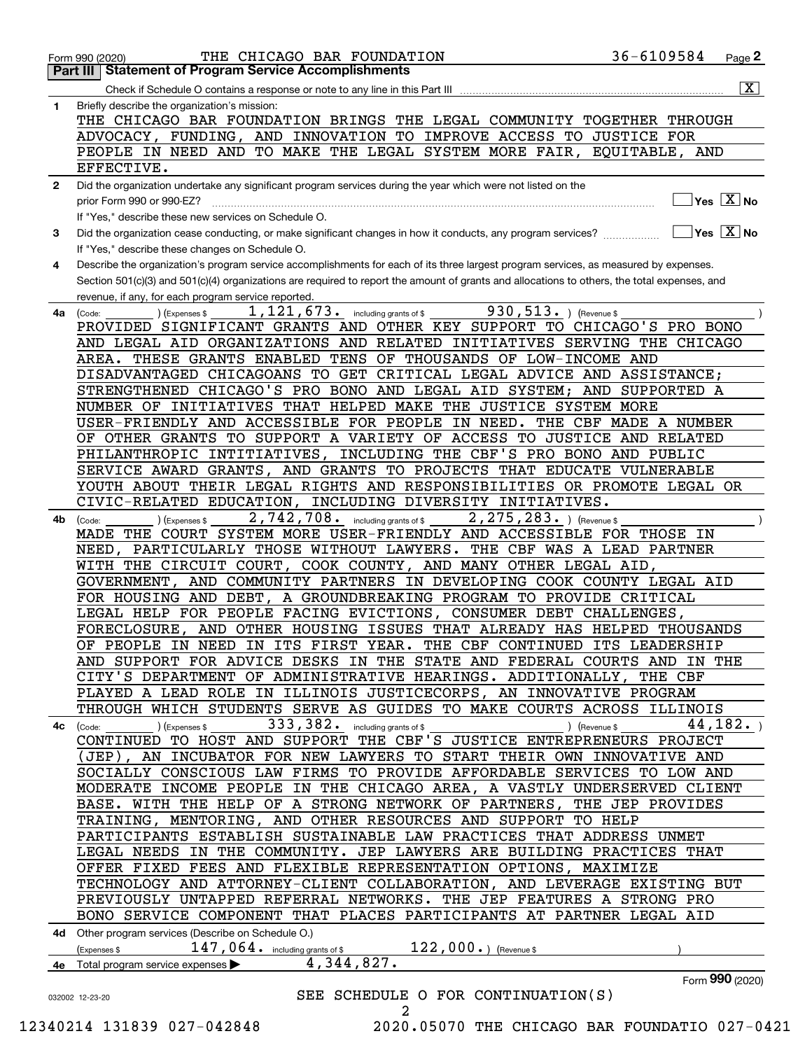|              | 36-6109584<br>THE CHICAGO BAR FOUNDATION<br>Page $2$<br>Form 990 (2020)                                                                                         |
|--------------|-----------------------------------------------------------------------------------------------------------------------------------------------------------------|
|              | Part III   Statement of Program Service Accomplishments                                                                                                         |
|              | $\boxed{\mathbf{X}}$                                                                                                                                            |
| 1.           | Briefly describe the organization's mission:                                                                                                                    |
|              | THE CHICAGO BAR FOUNDATION BRINGS THE LEGAL COMMUNITY TOGETHER THROUGH                                                                                          |
|              | ADVOCACY, FUNDING, AND INNOVATION TO IMPROVE ACCESS TO JUSTICE FOR                                                                                              |
|              | PEOPLE IN NEED AND TO MAKE THE LEGAL SYSTEM MORE FAIR, EQUITABLE, AND                                                                                           |
|              | EFFECTIVE.                                                                                                                                                      |
| $\mathbf{2}$ | Did the organization undertake any significant program services during the year which were not listed on the                                                    |
|              | $\sqrt{}$ Yes $\sqrt{X}$ No<br>prior Form 990 or 990-EZ?                                                                                                        |
|              | If "Yes," describe these new services on Schedule O.                                                                                                            |
| 3            | $\overline{\ }$ Yes $\overline{\phantom{X}}$ No<br>Did the organization cease conducting, or make significant changes in how it conducts, any program services? |
|              | If "Yes," describe these changes on Schedule O.                                                                                                                 |
| 4            | Describe the organization's program service accomplishments for each of its three largest program services, as measured by expenses.                            |
|              | Section 501(c)(3) and 501(c)(4) organizations are required to report the amount of grants and allocations to others, the total expenses, and                    |
|              | revenue, if any, for each program service reported.                                                                                                             |
| 4a           | 930, 513. ) (Revenue \$<br>$1,121,673$ $\cdot$ including grants of \$<br>(Expenses \$<br>(Code:                                                                 |
|              | PROVIDED SIGNIFICANT GRANTS AND OTHER KEY SUPPORT TO CHICAGO'S PRO BONO                                                                                         |
|              | AND LEGAL AID ORGANIZATIONS AND RELATED INITIATIVES SERVING THE CHICAGO                                                                                         |
|              | AREA. THESE GRANTS ENABLED TENS OF THOUSANDS OF LOW-INCOME AND                                                                                                  |
|              | DISADVANTAGED CHICAGOANS TO GET CRITICAL LEGAL ADVICE AND ASSISTANCE;                                                                                           |
|              | STRENGTHENED CHICAGO'S PRO BONO AND LEGAL AID SYSTEM; AND SUPPORTED A                                                                                           |
|              | NUMBER OF INITIATIVES THAT HELPED MAKE THE JUSTICE SYSTEM MORE                                                                                                  |
|              | USER-FRIENDLY AND ACCESSIBLE FOR PEOPLE IN NEED. THE CBF MADE A NUMBER                                                                                          |
|              | OF OTHER GRANTS TO SUPPORT A VARIETY OF ACCESS TO JUSTICE AND RELATED                                                                                           |
|              | PHILANTHROPIC INTITIATIVES, INCLUDING THE CBF'S PRO BONO AND PUBLIC                                                                                             |
|              |                                                                                                                                                                 |
|              | SERVICE AWARD GRANTS, AND GRANTS TO PROJECTS THAT EDUCATE VULNERABLE                                                                                            |
|              | YOUTH ABOUT THEIR LEGAL RIGHTS AND RESPONSIBILITIES OR PROMOTE LEGAL OR                                                                                         |
|              | CIVIC-RELATED EDUCATION, INCLUDING DIVERSITY INITIATIVES.                                                                                                       |
| 4b           | 2, 275, 283. ) (Revenue \$<br>2,742,708. including grants of \$<br>(Expenses \$<br>(Code:                                                                       |
|              | MADE THE COURT SYSTEM MORE USER-FRIENDLY AND ACCESSIBLE FOR THOSE IN                                                                                            |
|              | NEED, PARTICULARLY THOSE WITHOUT LAWYERS. THE CBF WAS A LEAD PARTNER                                                                                            |
|              | WITH THE CIRCUIT COURT, COOK COUNTY, AND MANY OTHER LEGAL AID,                                                                                                  |
|              | GOVERNMENT, AND COMMUNITY PARTNERS IN DEVELOPING COOK COUNTY LEGAL AID                                                                                          |
|              | FOR HOUSING AND DEBT, A GROUNDBREAKING PROGRAM TO PROVIDE CRITICAL                                                                                              |
|              | LEGAL HELP FOR PEOPLE FACING EVICTIONS, CONSUMER DEBT CHALLENGES,                                                                                               |
|              | FORECLOSURE, AND OTHER HOUSING ISSUES THAT ALREADY HAS HELPED THOUSANDS                                                                                         |
|              | OF PEOPLE IN NEED IN ITS FIRST YEAR. THE CBF CONTINUED ITS LEADERSHIP                                                                                           |
|              | AND SUPPORT FOR ADVICE DESKS IN THE STATE AND FEDERAL COURTS AND IN THE                                                                                         |
|              | CITY'S DEPARTMENT OF ADMINISTRATIVE HEARINGS. ADDITIONALLY, THE CBF                                                                                             |
|              | PLAYED A LEAD ROLE IN ILLINOIS JUSTICECORPS, AN INNOVATIVE PROGRAM                                                                                              |
|              | THROUGH WHICH STUDENTS SERVE AS GUIDES TO MAKE COURTS ACROSS ILLINOIS                                                                                           |
|              | 333, 382. including grants of \$<br>44, 182.<br>) (Expenses \$<br>4c (Code:<br>) (Revenue \$                                                                    |
|              | CONTINUED TO HOST AND SUPPORT THE CBF'S JUSTICE ENTREPRENEURS PROJECT                                                                                           |
|              | (JEP), AN INCUBATOR FOR NEW LAWYERS TO START THEIR OWN INNOVATIVE AND                                                                                           |
|              | SOCIALLY CONSCIOUS LAW FIRMS TO PROVIDE AFFORDABLE SERVICES TO LOW AND                                                                                          |
|              | MODERATE INCOME PEOPLE IN THE CHICAGO AREA, A VASTLY UNDERSERVED CLIENT                                                                                         |
|              | BASE. WITH THE HELP OF A STRONG NETWORK OF PARTNERS, THE JEP PROVIDES                                                                                           |
|              | TRAINING, MENTORING, AND OTHER RESOURCES AND SUPPORT TO HELP                                                                                                    |
|              | PARTICIPANTS ESTABLISH SUSTAINABLE LAW PRACTICES THAT ADDRESS UNMET                                                                                             |
|              | LEGAL NEEDS IN THE COMMUNITY. JEP LAWYERS ARE BUILDING PRACTICES THAT                                                                                           |
|              | OFFER FIXED FEES AND FLEXIBLE REPRESENTATION OPTIONS, MAXIMIZE                                                                                                  |
|              | TECHNOLOGY AND ATTORNEY-CLIENT COLLABORATION, AND LEVERAGE EXISTING BUT                                                                                         |
|              | PREVIOUSLY UNTAPPED REFERRAL NETWORKS. THE JEP FEATURES A STRONG PRO                                                                                            |
|              | BONO SERVICE COMPONENT THAT PLACES PARTICIPANTS AT PARTNER LEGAL AID                                                                                            |
|              | 4d Other program services (Describe on Schedule O.)                                                                                                             |
|              | $122,000.$ (Revenue \$<br>$147$ , $064$ $\cdot$ including grants of \$<br>Expenses \$                                                                           |
| 4е           | 4,344,827.<br>Total program service expenses >                                                                                                                  |
|              | Form 990 (2020)                                                                                                                                                 |
|              | SEE SCHEDULE O FOR CONTINUATION(S)<br>032002 12-23-20                                                                                                           |
|              | 2                                                                                                                                                               |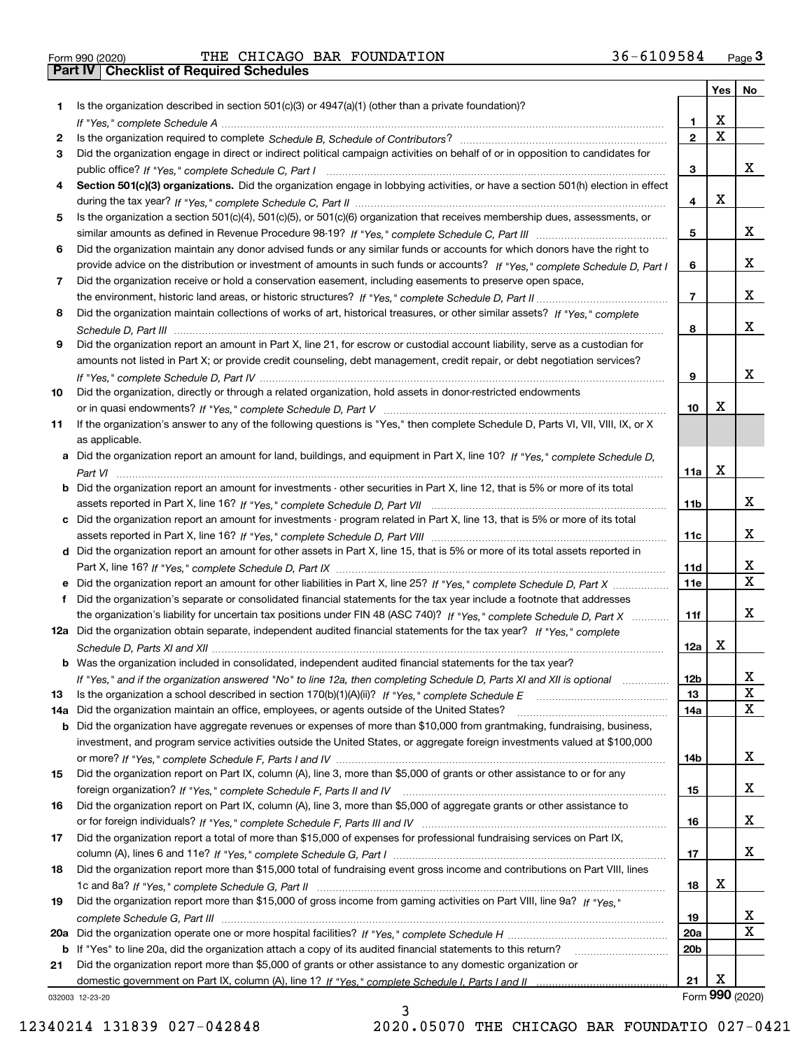|  | Form 990 (2020) |
|--|-----------------|

|     |                                                                                                                                       |                 | Yes                     | No                           |
|-----|---------------------------------------------------------------------------------------------------------------------------------------|-----------------|-------------------------|------------------------------|
| 1   | Is the organization described in section $501(c)(3)$ or $4947(a)(1)$ (other than a private foundation)?                               |                 |                         |                              |
|     |                                                                                                                                       | 1               | X                       |                              |
| 2   |                                                                                                                                       | $\overline{2}$  | $\overline{\mathbf{x}}$ |                              |
| 3   | Did the organization engage in direct or indirect political campaign activities on behalf of or in opposition to candidates for       |                 |                         |                              |
|     |                                                                                                                                       | 3               |                         | x                            |
| 4   | Section 501(c)(3) organizations. Did the organization engage in lobbying activities, or have a section 501(h) election in effect      |                 |                         |                              |
|     |                                                                                                                                       | 4               | X                       |                              |
| 5   | Is the organization a section 501(c)(4), 501(c)(5), or 501(c)(6) organization that receives membership dues, assessments, or          |                 |                         |                              |
|     |                                                                                                                                       | 5               |                         | x                            |
| 6   | Did the organization maintain any donor advised funds or any similar funds or accounts for which donors have the right to             |                 |                         | x                            |
|     | provide advice on the distribution or investment of amounts in such funds or accounts? If "Yes," complete Schedule D, Part I          | 6               |                         |                              |
| 7   | Did the organization receive or hold a conservation easement, including easements to preserve open space,                             |                 |                         | x                            |
|     |                                                                                                                                       | $\overline{7}$  |                         |                              |
| 8   | Did the organization maintain collections of works of art, historical treasures, or other similar assets? If "Yes," complete          | 8               |                         | X                            |
| 9   | Did the organization report an amount in Part X, line 21, for escrow or custodial account liability, serve as a custodian for         |                 |                         |                              |
|     | amounts not listed in Part X; or provide credit counseling, debt management, credit repair, or debt negotiation services?             |                 |                         |                              |
|     |                                                                                                                                       | 9               |                         | x                            |
| 10  | Did the organization, directly or through a related organization, hold assets in donor-restricted endowments                          |                 |                         |                              |
|     |                                                                                                                                       | 10              | х                       |                              |
| 11  | If the organization's answer to any of the following questions is "Yes," then complete Schedule D, Parts VI, VII, VIII, IX, or X      |                 |                         |                              |
|     | as applicable.                                                                                                                        |                 |                         |                              |
|     | a Did the organization report an amount for land, buildings, and equipment in Part X, line 10? If "Yes." complete Schedule D.         |                 |                         |                              |
|     |                                                                                                                                       | 11a             | X                       |                              |
|     | <b>b</b> Did the organization report an amount for investments - other securities in Part X, line 12, that is 5% or more of its total |                 |                         |                              |
|     |                                                                                                                                       | 11b             |                         | x                            |
|     | Did the organization report an amount for investments - program related in Part X, line 13, that is 5% or more of its total           |                 |                         |                              |
|     |                                                                                                                                       | 11c             |                         | x                            |
|     | d Did the organization report an amount for other assets in Part X, line 15, that is 5% or more of its total assets reported in       |                 |                         |                              |
|     |                                                                                                                                       | 11d             |                         | x                            |
|     | e Did the organization report an amount for other liabilities in Part X, line 25? If "Yes," complete Schedule D, Part X               | 11e             |                         | $\overline{\mathbf{x}}$      |
| f   | Did the organization's separate or consolidated financial statements for the tax year include a footnote that addresses               |                 |                         |                              |
|     | the organization's liability for uncertain tax positions under FIN 48 (ASC 740)? If "Yes," complete Schedule D, Part X                | 11f             |                         | x                            |
|     | 12a Did the organization obtain separate, independent audited financial statements for the tax year? If "Yes," complete               |                 |                         |                              |
|     |                                                                                                                                       | 12a             | Х                       |                              |
|     | <b>b</b> Was the organization included in consolidated, independent audited financial statements for the tax year?                    |                 |                         |                              |
|     | If "Yes," and if the organization answered "No" to line 12a, then completing Schedule D, Parts XI and XII is optional                 | 12b             |                         | Δ.                           |
| 13  |                                                                                                                                       | 13              |                         | X                            |
| 14a | Did the organization maintain an office, employees, or agents outside of the United States?                                           | 14a             |                         | $\mathbf x$                  |
| b   | Did the organization have aggregate revenues or expenses of more than \$10,000 from grantmaking, fundraising, business,               |                 |                         |                              |
|     | investment, and program service activities outside the United States, or aggregate foreign investments valued at \$100,000            |                 |                         |                              |
|     |                                                                                                                                       | 14b             |                         | x                            |
| 15  | Did the organization report on Part IX, column (A), line 3, more than \$5,000 of grants or other assistance to or for any             |                 |                         |                              |
|     |                                                                                                                                       | 15              |                         | X                            |
| 16  | Did the organization report on Part IX, column (A), line 3, more than \$5,000 of aggregate grants or other assistance to              |                 |                         |                              |
|     |                                                                                                                                       | 16              |                         | X                            |
| 17  | Did the organization report a total of more than \$15,000 of expenses for professional fundraising services on Part IX,               |                 |                         |                              |
|     |                                                                                                                                       | 17              |                         | x                            |
| 18  | Did the organization report more than \$15,000 total of fundraising event gross income and contributions on Part VIII, lines          |                 |                         |                              |
|     |                                                                                                                                       | 18              | х                       |                              |
| 19  | Did the organization report more than \$15,000 of gross income from gaming activities on Part VIII, line 9a? If "Yes."                |                 |                         |                              |
|     |                                                                                                                                       | 19              |                         | X<br>$\overline{\mathbf{x}}$ |
| 20a |                                                                                                                                       | 20a             |                         |                              |
|     | b If "Yes" to line 20a, did the organization attach a copy of its audited financial statements to this return?                        | 20 <sub>b</sub> |                         |                              |
| 21  | Did the organization report more than \$5,000 of grants or other assistance to any domestic organization or                           | 21              | X                       |                              |
|     |                                                                                                                                       |                 | Form 990 (2020)         |                              |
|     | 032003 12-23-20                                                                                                                       |                 |                         |                              |

3

032003 12-23-20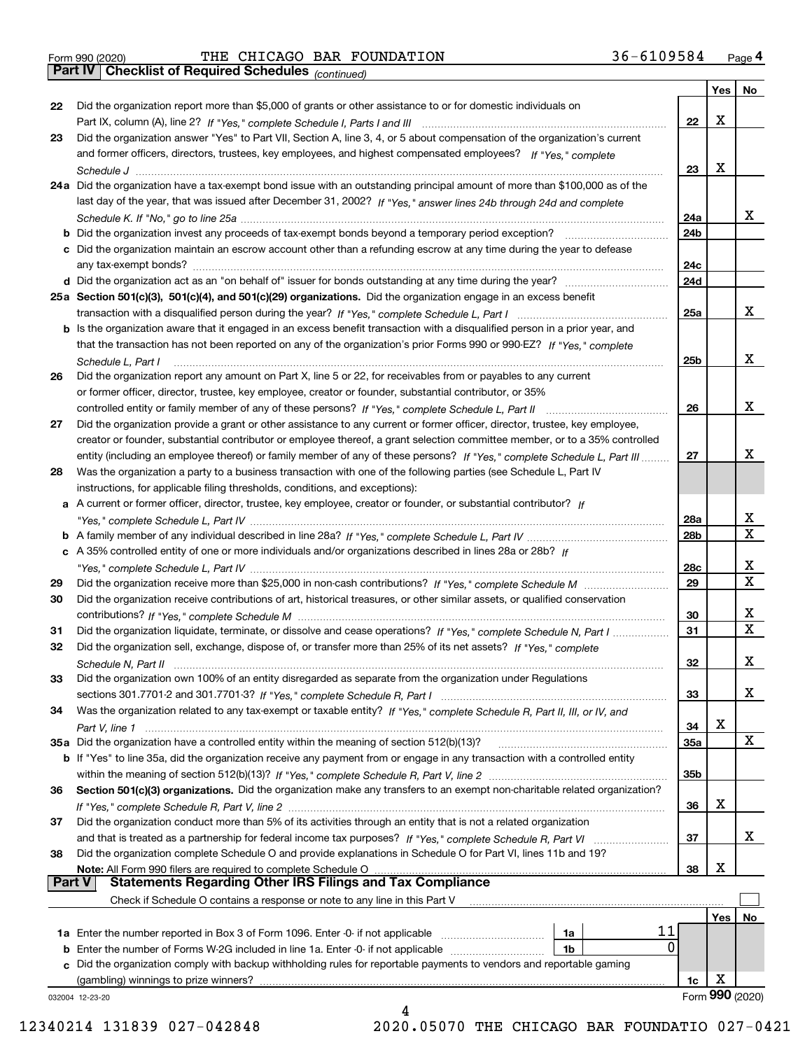|  | Form 990 (2020) |
|--|-----------------|
|  |                 |

*(continued)*

|               |                                                                                                                                       |            | Yes | No               |
|---------------|---------------------------------------------------------------------------------------------------------------------------------------|------------|-----|------------------|
| 22            | Did the organization report more than \$5,000 of grants or other assistance to or for domestic individuals on                         |            |     |                  |
|               |                                                                                                                                       | 22         | X   |                  |
| 23            | Did the organization answer "Yes" to Part VII, Section A, line 3, 4, or 5 about compensation of the organization's current            |            |     |                  |
|               | and former officers, directors, trustees, key employees, and highest compensated employees? If "Yes," complete                        |            |     |                  |
|               |                                                                                                                                       | 23         | X   |                  |
|               | 24a Did the organization have a tax-exempt bond issue with an outstanding principal amount of more than \$100,000 as of the           |            |     |                  |
|               | last day of the year, that was issued after December 31, 2002? If "Yes," answer lines 24b through 24d and complete                    |            |     |                  |
|               |                                                                                                                                       | 24a        |     | x                |
|               | <b>b</b> Did the organization invest any proceeds of tax-exempt bonds beyond a temporary period exception?                            | 24b        |     |                  |
|               | c Did the organization maintain an escrow account other than a refunding escrow at any time during the year to defease                |            |     |                  |
|               | any tax-exempt bonds?                                                                                                                 | 24c        |     |                  |
|               |                                                                                                                                       | 24d        |     |                  |
|               | 25a Section 501(c)(3), 501(c)(4), and 501(c)(29) organizations. Did the organization engage in an excess benefit                      |            |     |                  |
|               |                                                                                                                                       | 25a        |     | x                |
|               | b Is the organization aware that it engaged in an excess benefit transaction with a disqualified person in a prior year, and          |            |     |                  |
|               | that the transaction has not been reported on any of the organization's prior Forms 990 or 990-EZ? If "Yes," complete                 |            |     |                  |
|               |                                                                                                                                       | 25b        |     | х                |
|               | Schedule L. Part I<br>Did the organization report any amount on Part X, line 5 or 22, for receivables from or payables to any current |            |     |                  |
| 26            |                                                                                                                                       |            |     |                  |
|               | or former officer, director, trustee, key employee, creator or founder, substantial contributor, or 35%                               |            |     | х                |
|               |                                                                                                                                       | 26         |     |                  |
| 27            | Did the organization provide a grant or other assistance to any current or former officer, director, trustee, key employee,           |            |     |                  |
|               | creator or founder, substantial contributor or employee thereof, a grant selection committee member, or to a 35% controlled           |            |     | x                |
|               | entity (including an employee thereof) or family member of any of these persons? If "Yes," complete Schedule L, Part III              | 27         |     |                  |
| 28            | Was the organization a party to a business transaction with one of the following parties (see Schedule L, Part IV                     |            |     |                  |
|               | instructions, for applicable filing thresholds, conditions, and exceptions):                                                          |            |     |                  |
|               | a A current or former officer, director, trustee, key employee, creator or founder, or substantial contributor? If                    |            |     |                  |
|               |                                                                                                                                       | 28a        |     | x<br>$\mathbf x$ |
|               |                                                                                                                                       | 28b        |     |                  |
|               | c A 35% controlled entity of one or more individuals and/or organizations described in lines 28a or 28b? If                           |            |     |                  |
|               |                                                                                                                                       | 28c        |     | x<br>$\mathbf X$ |
| 29            |                                                                                                                                       | 29         |     |                  |
| 30            | Did the organization receive contributions of art, historical treasures, or other similar assets, or qualified conservation           |            |     |                  |
|               |                                                                                                                                       | 30         |     | х<br>$\mathbf X$ |
| 31            | Did the organization liquidate, terminate, or dissolve and cease operations? If "Yes," complete Schedule N, Part I                    | 31         |     |                  |
| 32            | Did the organization sell, exchange, dispose of, or transfer more than 25% of its net assets? If "Yes," complete                      |            |     |                  |
|               | Schedule N, Part II                                                                                                                   | 32         |     | х                |
| 33            | Did the organization own 100% of an entity disregarded as separate from the organization under Regulations                            |            |     |                  |
|               |                                                                                                                                       | 33         |     | х                |
| 34            | Was the organization related to any tax-exempt or taxable entity? If "Yes," complete Schedule R, Part II, III, or IV, and             |            |     |                  |
|               | Part V, line 1                                                                                                                        | 34         | X   |                  |
|               | 35a Did the organization have a controlled entity within the meaning of section 512(b)(13)?                                           | <b>35a</b> |     | X                |
|               | b If "Yes" to line 35a, did the organization receive any payment from or engage in any transaction with a controlled entity           |            |     |                  |
|               |                                                                                                                                       | 35b        |     |                  |
| 36            | Section 501(c)(3) organizations. Did the organization make any transfers to an exempt non-charitable related organization?            |            |     |                  |
|               |                                                                                                                                       | 36         | X   |                  |
| 37            | Did the organization conduct more than 5% of its activities through an entity that is not a related organization                      |            |     |                  |
|               | and that is treated as a partnership for federal income tax purposes? If "Yes," complete Schedule R, Part VI                          | 37         |     | x                |
| 38            | Did the organization complete Schedule O and provide explanations in Schedule O for Part VI, lines 11b and 19?                        |            |     |                  |
|               | Note: All Form 990 filers are required to complete Schedule O                                                                         | 38         | X   |                  |
| <b>Part V</b> | <b>Statements Regarding Other IRS Filings and Tax Compliance</b>                                                                      |            |     |                  |
|               | Check if Schedule O contains a response or note to any line in this Part V                                                            |            |     |                  |
|               |                                                                                                                                       |            | Yes | No               |
|               | 11<br>1a                                                                                                                              |            |     |                  |
|               | 0<br><b>b</b> Enter the number of Forms W-2G included in line 1a. Enter -0- if not applicable<br>1b                                   |            |     |                  |
|               | c Did the organization comply with backup withholding rules for reportable payments to vendors and reportable gaming                  |            |     |                  |
|               | (gambling) winnings to prize winners?                                                                                                 | 1c         | Χ   |                  |
|               | 032004 12-23-20                                                                                                                       |            |     | Form 990 (2020)  |
|               |                                                                                                                                       |            |     |                  |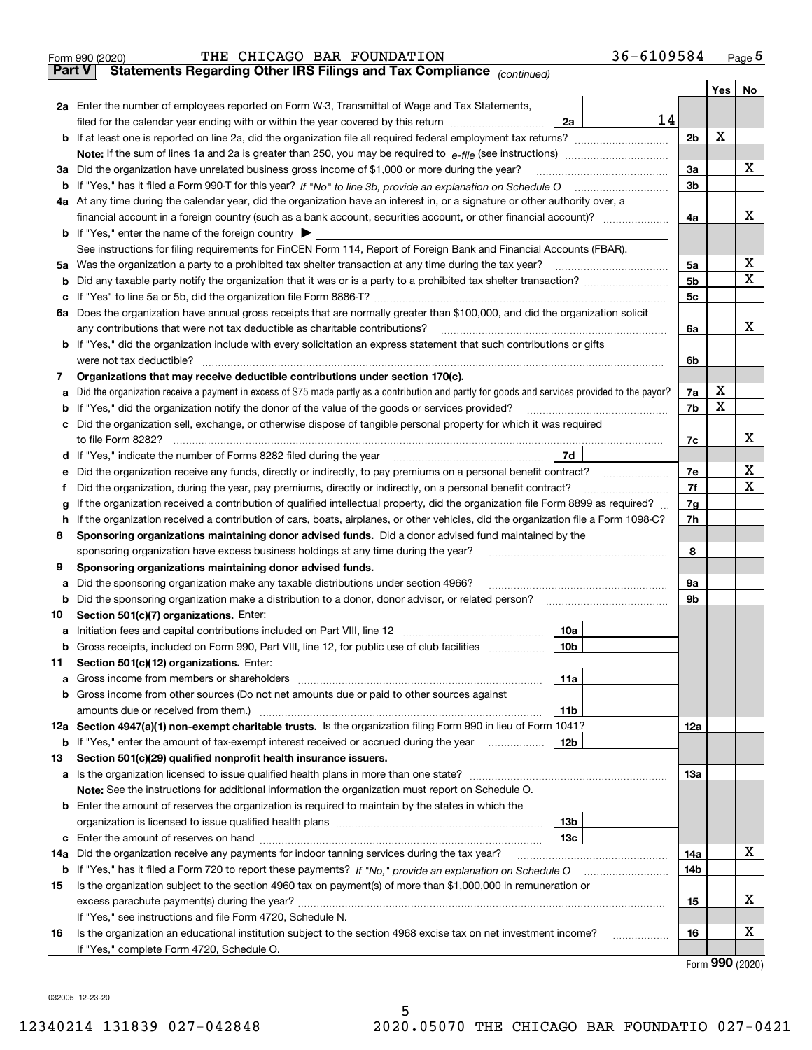|               | 36-6109584<br>THE CHICAGO BAR FOUNDATION<br>Form 990 (2020)                                                                                     |                |                     | $_{\text{Page}}$ 5 |
|---------------|-------------------------------------------------------------------------------------------------------------------------------------------------|----------------|---------------------|--------------------|
| <b>Part V</b> | Statements Regarding Other IRS Filings and Tax Compliance (continued)                                                                           |                |                     |                    |
|               |                                                                                                                                                 |                | Yes                 | No                 |
|               | 2a Enter the number of employees reported on Form W-3, Transmittal of Wage and Tax Statements,                                                  |                |                     |                    |
|               | filed for the calendar year ending with or within the year covered by this return<br>2a                                                         | 14             |                     |                    |
|               |                                                                                                                                                 | 2 <sub>b</sub> | х                   |                    |
|               |                                                                                                                                                 |                |                     |                    |
| За            | Did the organization have unrelated business gross income of \$1,000 or more during the year?                                                   | 3a             |                     | x                  |
| b             |                                                                                                                                                 | 3 <sub>b</sub> |                     |                    |
|               | 4a At any time during the calendar year, did the organization have an interest in, or a signature or other authority over, a                    |                |                     |                    |
|               |                                                                                                                                                 | 4a             |                     | х                  |
|               | <b>b</b> If "Yes," enter the name of the foreign country $\blacktriangleright$                                                                  |                |                     |                    |
|               | See instructions for filing requirements for FinCEN Form 114, Report of Foreign Bank and Financial Accounts (FBAR).                             |                |                     |                    |
| 5a            | Was the organization a party to a prohibited tax shelter transaction at any time during the tax year?                                           | 5a             |                     | х                  |
| b             |                                                                                                                                                 | 5b             |                     | X                  |
| с             |                                                                                                                                                 | 5c             |                     |                    |
|               | 6a Does the organization have annual gross receipts that are normally greater than \$100,000, and did the organization solicit                  |                |                     |                    |
|               | any contributions that were not tax deductible as charitable contributions?                                                                     | 6a             |                     | x                  |
|               | <b>b</b> If "Yes," did the organization include with every solicitation an express statement that such contributions or gifts                   |                |                     |                    |
|               | were not tax deductible?                                                                                                                        | 6b             |                     |                    |
| 7             | Organizations that may receive deductible contributions under section 170(c).                                                                   |                |                     |                    |
| а             | Did the organization receive a payment in excess of \$75 made partly as a contribution and partly for goods and services provided to the payor? | 7a             | х                   |                    |
| b             | If "Yes," did the organization notify the donor of the value of the goods or services provided?                                                 | 7b             | X                   |                    |
|               | Did the organization sell, exchange, or otherwise dispose of tangible personal property for which it was required                               |                |                     |                    |
|               |                                                                                                                                                 | 7c             |                     | х                  |
| d             | 7d                                                                                                                                              |                |                     |                    |
| е             |                                                                                                                                                 | 7e             |                     | х                  |
| f             | Did the organization, during the year, pay premiums, directly or indirectly, on a personal benefit contract?                                    | 7f             |                     | X                  |
| g             | If the organization received a contribution of qualified intellectual property, did the organization file Form 8899 as required?                | 7g             |                     |                    |
| h             | If the organization received a contribution of cars, boats, airplanes, or other vehicles, did the organization file a Form 1098-C?              | 7h             |                     |                    |
| 8             | Sponsoring organizations maintaining donor advised funds. Did a donor advised fund maintained by the                                            |                |                     |                    |
|               | sponsoring organization have excess business holdings at any time during the year?<br>Sponsoring organizations maintaining donor advised funds. | 8              |                     |                    |
| 9             | Did the sponsoring organization make any taxable distributions under section 4966?                                                              | 9а             |                     |                    |
| а<br>b        | Did the sponsoring organization make a distribution to a donor, donor advisor, or related person?                                               | 9b             |                     |                    |
| 10            | Section 501(c)(7) organizations. Enter:                                                                                                         |                |                     |                    |
| а             | 10a<br>Initiation fees and capital contributions included on Part VIII, line 12 [111] [11] [12] [11] [12] [11] [12] [                           |                |                     |                    |
|               | 10b <br>Gross receipts, included on Form 990, Part VIII, line 12, for public use of club facilities                                             |                |                     |                    |
| 11            | Section 501(c)(12) organizations. Enter:                                                                                                        |                |                     |                    |
| а             | Gross income from members or shareholders<br>11a                                                                                                |                |                     |                    |
| b             | Gross income from other sources (Do not net amounts due or paid to other sources against                                                        |                |                     |                    |
|               | 11 <sub>b</sub><br>amounts due or received from them.)                                                                                          |                |                     |                    |
|               | 12a Section 4947(a)(1) non-exempt charitable trusts. Is the organization filing Form 990 in lieu of Form 1041?                                  | <b>12a</b>     |                     |                    |
|               | 12b<br><b>b</b> If "Yes," enter the amount of tax-exempt interest received or accrued during the year <i>manument</i>                           |                |                     |                    |
| 13            | Section 501(c)(29) qualified nonprofit health insurance issuers.                                                                                |                |                     |                    |
| a             | Is the organization licensed to issue qualified health plans in more than one state?                                                            | <b>13a</b>     |                     |                    |
|               | Note: See the instructions for additional information the organization must report on Schedule O.                                               |                |                     |                    |
| b             | Enter the amount of reserves the organization is required to maintain by the states in which the                                                |                |                     |                    |
|               | 13 <sub>b</sub>                                                                                                                                 |                |                     |                    |
| с             | 13 <sub>c</sub>                                                                                                                                 |                |                     |                    |
| 14a           | Did the organization receive any payments for indoor tanning services during the tax year?                                                      | 14a            |                     | x                  |
|               | <b>b</b> If "Yes," has it filed a Form 720 to report these payments? If "No," provide an explanation on Schedule O                              | 14b            |                     |                    |
| 15            | Is the organization subject to the section 4960 tax on payment(s) of more than \$1,000,000 in remuneration or                                   |                |                     |                    |
|               |                                                                                                                                                 | 15             |                     | х                  |
|               | If "Yes," see instructions and file Form 4720, Schedule N.                                                                                      |                |                     |                    |
| 16            | Is the organization an educational institution subject to the section 4968 excise tax on net investment income?                                 | 16             |                     | х                  |
|               | If "Yes," complete Form 4720, Schedule O.                                                                                                       |                | $000 \, \text{mod}$ |                    |

Form (2020) **990**

032005 12-23-20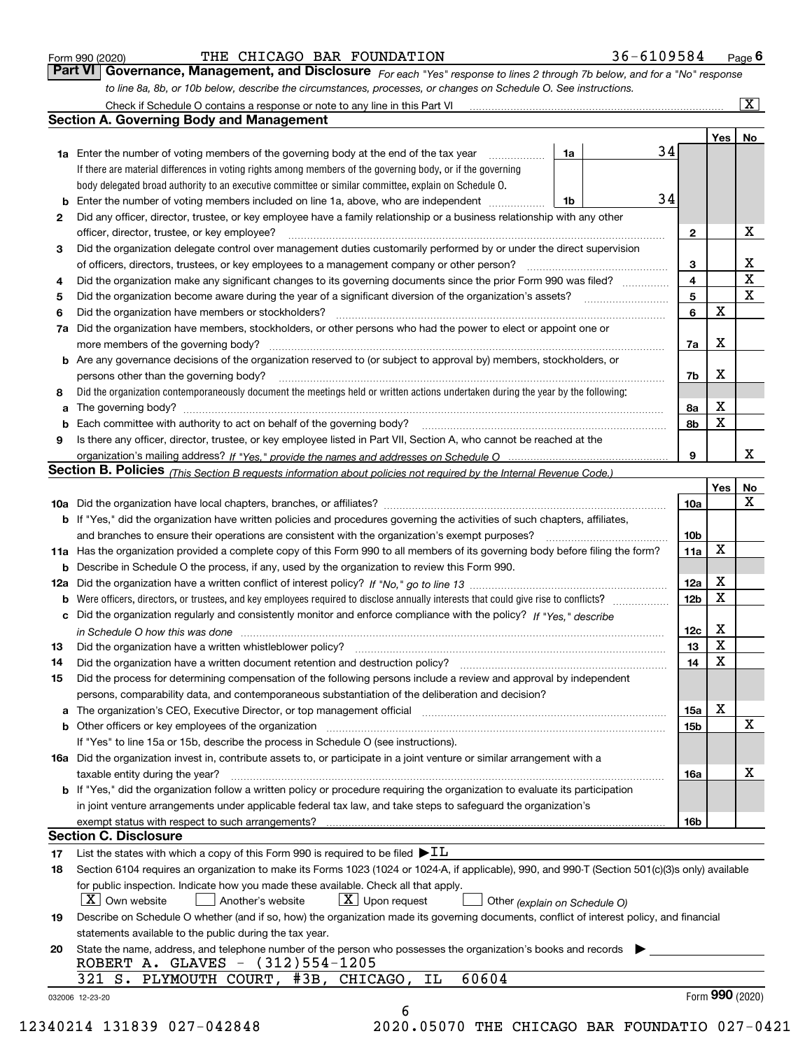|  | Form 990 (2020) |
|--|-----------------|
|  |                 |

#### THE CHICAGO BAR FOUNDATION 36-6109584

*For each "Yes" response to lines 2 through 7b below, and for a "No" response to line 8a, 8b, or 10b below, describe the circumstances, processes, or changes on Schedule O. See instructions.* Form 990 (2020) **CONVERT CHICAGO BAR FOUNDATION** 36 – 610 9584 Page 6<br>**Part VI Governance, Management, and Disclosure** For each "Yes" response to lines 2 through 7b below, and for a "No" response

|     | Check if Schedule O contains a response or note to any line in this Part VI                                                                                                                                                                                                                                                                                                                                                  |    |    |                 |     | $\mathbf{x}$    |
|-----|------------------------------------------------------------------------------------------------------------------------------------------------------------------------------------------------------------------------------------------------------------------------------------------------------------------------------------------------------------------------------------------------------------------------------|----|----|-----------------|-----|-----------------|
|     | <b>Section A. Governing Body and Management</b>                                                                                                                                                                                                                                                                                                                                                                              |    |    |                 |     |                 |
|     |                                                                                                                                                                                                                                                                                                                                                                                                                              |    |    |                 | Yes | No              |
|     | 1a Enter the number of voting members of the governing body at the end of the tax year                                                                                                                                                                                                                                                                                                                                       | 1a | 34 |                 |     |                 |
|     | If there are material differences in voting rights among members of the governing body, or if the governing                                                                                                                                                                                                                                                                                                                  |    |    |                 |     |                 |
|     | body delegated broad authority to an executive committee or similar committee, explain on Schedule O.                                                                                                                                                                                                                                                                                                                        |    |    |                 |     |                 |
| b   | Enter the number of voting members included on line 1a, above, who are independent                                                                                                                                                                                                                                                                                                                                           | 1b | 34 |                 |     |                 |
| 2   | Did any officer, director, trustee, or key employee have a family relationship or a business relationship with any other                                                                                                                                                                                                                                                                                                     |    |    |                 |     |                 |
|     | officer, director, trustee, or key employee?                                                                                                                                                                                                                                                                                                                                                                                 |    |    | 2               |     | х               |
| 3   | Did the organization delegate control over management duties customarily performed by or under the direct supervision                                                                                                                                                                                                                                                                                                        |    |    |                 |     |                 |
|     | of officers, directors, trustees, or key employees to a management company or other person?                                                                                                                                                                                                                                                                                                                                  |    |    | з               |     | x               |
| 4   | Did the organization make any significant changes to its governing documents since the prior Form 990 was filed?                                                                                                                                                                                                                                                                                                             |    |    | 4               |     | $\mathbf X$     |
| 5   |                                                                                                                                                                                                                                                                                                                                                                                                                              |    |    | 5               |     | X               |
| 6   | Did the organization have members or stockholders?                                                                                                                                                                                                                                                                                                                                                                           |    |    | 6               | х   |                 |
| 7a  | Did the organization have members, stockholders, or other persons who had the power to elect or appoint one or                                                                                                                                                                                                                                                                                                               |    |    |                 |     |                 |
|     | more members of the governing body?                                                                                                                                                                                                                                                                                                                                                                                          |    |    | 7a              | x   |                 |
|     | <b>b</b> Are any governance decisions of the organization reserved to (or subject to approval by) members, stockholders, or                                                                                                                                                                                                                                                                                                  |    |    |                 |     |                 |
|     | persons other than the governing body?                                                                                                                                                                                                                                                                                                                                                                                       |    |    | 7b              | х   |                 |
| 8   | Did the organization contemporaneously document the meetings held or written actions undertaken during the year by the following:                                                                                                                                                                                                                                                                                            |    |    |                 |     |                 |
|     |                                                                                                                                                                                                                                                                                                                                                                                                                              |    |    |                 | X   |                 |
| a   | The governing body? [11] matter and the contract of the contract of the contract of the contract of the contract of the contract of the contract of the contract of the contract of the contract of the contract of the contra                                                                                                                                                                                               |    |    | 8а<br>8b        | X   |                 |
| b   |                                                                                                                                                                                                                                                                                                                                                                                                                              |    |    |                 |     |                 |
| 9   | Is there any officer, director, trustee, or key employee listed in Part VII, Section A, who cannot be reached at the                                                                                                                                                                                                                                                                                                         |    |    |                 |     | x               |
|     |                                                                                                                                                                                                                                                                                                                                                                                                                              |    |    | 9               |     |                 |
|     | Section B. Policies <sub>(This</sub> Section B requests information about policies not required by the Internal Revenue Code.)                                                                                                                                                                                                                                                                                               |    |    |                 |     |                 |
|     |                                                                                                                                                                                                                                                                                                                                                                                                                              |    |    |                 | Yes | No              |
|     |                                                                                                                                                                                                                                                                                                                                                                                                                              |    |    | 10a             |     | x               |
|     | <b>b</b> If "Yes," did the organization have written policies and procedures governing the activities of such chapters, affiliates,                                                                                                                                                                                                                                                                                          |    |    |                 |     |                 |
|     | and branches to ensure their operations are consistent with the organization's exempt purposes?                                                                                                                                                                                                                                                                                                                              |    |    | 10 <sub>b</sub> |     |                 |
|     | 11a Has the organization provided a complete copy of this Form 990 to all members of its governing body before filing the form?                                                                                                                                                                                                                                                                                              |    |    | 11a             | X   |                 |
| b   | Describe in Schedule O the process, if any, used by the organization to review this Form 990.                                                                                                                                                                                                                                                                                                                                |    |    |                 |     |                 |
| 12a |                                                                                                                                                                                                                                                                                                                                                                                                                              |    |    | 12a             | X   |                 |
| b   |                                                                                                                                                                                                                                                                                                                                                                                                                              |    |    | 12 <sub>b</sub> | X   |                 |
| c   | Did the organization regularly and consistently monitor and enforce compliance with the policy? If "Yes." describe                                                                                                                                                                                                                                                                                                           |    |    |                 |     |                 |
|     | in Schedule O how this was done measured and contain an account of the state of the state of the state of the                                                                                                                                                                                                                                                                                                                |    |    | 12c             | X   |                 |
| 13  | Did the organization have a written whistleblower policy?                                                                                                                                                                                                                                                                                                                                                                    |    |    | 13              | X   |                 |
| 14  | Did the organization have a written document retention and destruction policy?                                                                                                                                                                                                                                                                                                                                               |    |    | 14              | X   |                 |
| 15  | Did the process for determining compensation of the following persons include a review and approval by independent                                                                                                                                                                                                                                                                                                           |    |    |                 |     |                 |
|     | persons, comparability data, and contemporaneous substantiation of the deliberation and decision?                                                                                                                                                                                                                                                                                                                            |    |    |                 |     |                 |
| a   | The organization's CEO, Executive Director, or top management official manufactured content of the organization's CEO, Executive Director, or top management official                                                                                                                                                                                                                                                        |    |    | 15a             | X   |                 |
| b   |                                                                                                                                                                                                                                                                                                                                                                                                                              |    |    | 15b             |     | х               |
|     | If "Yes" to line 15a or 15b, describe the process in Schedule O (see instructions).                                                                                                                                                                                                                                                                                                                                          |    |    |                 |     |                 |
|     | 16a Did the organization invest in, contribute assets to, or participate in a joint venture or similar arrangement with a                                                                                                                                                                                                                                                                                                    |    |    |                 |     |                 |
|     | taxable entity during the year?                                                                                                                                                                                                                                                                                                                                                                                              |    |    | 16a             |     | х               |
|     | b If "Yes," did the organization follow a written policy or procedure requiring the organization to evaluate its participation                                                                                                                                                                                                                                                                                               |    |    |                 |     |                 |
|     | in joint venture arrangements under applicable federal tax law, and take steps to safequard the organization's                                                                                                                                                                                                                                                                                                               |    |    |                 |     |                 |
|     | exempt status with respect to such arrangements?                                                                                                                                                                                                                                                                                                                                                                             |    |    | 16b             |     |                 |
|     | <b>Section C. Disclosure</b>                                                                                                                                                                                                                                                                                                                                                                                                 |    |    |                 |     |                 |
| 17  | List the states with which a copy of this Form 990 is required to be filed $\blacktriangleright$ IL                                                                                                                                                                                                                                                                                                                          |    |    |                 |     |                 |
| 18  | Section 6104 requires an organization to make its Forms 1023 (1024 or 1024-A, if applicable), 990, and 990-T (Section 501(c)(3)s only) available                                                                                                                                                                                                                                                                             |    |    |                 |     |                 |
|     | for public inspection. Indicate how you made these available. Check all that apply.                                                                                                                                                                                                                                                                                                                                          |    |    |                 |     |                 |
|     | $X$ Own website<br>$X$ Upon request<br>Another's website<br>Other (explain on Schedule O)                                                                                                                                                                                                                                                                                                                                    |    |    |                 |     |                 |
| 19  | Describe on Schedule O whether (and if so, how) the organization made its governing documents, conflict of interest policy, and financial                                                                                                                                                                                                                                                                                    |    |    |                 |     |                 |
|     | statements available to the public during the tax year.                                                                                                                                                                                                                                                                                                                                                                      |    |    |                 |     |                 |
| 20  | State the name, address, and telephone number of the person who possesses the organization's books and records                                                                                                                                                                                                                                                                                                               |    |    |                 |     |                 |
|     | ROBERT A. GLAVES - (312)554-1205                                                                                                                                                                                                                                                                                                                                                                                             |    |    |                 |     |                 |
|     | 60604<br>PLYMOUTH COURT, #3B, CHICAGO,<br>321 S.<br>IL                                                                                                                                                                                                                                                                                                                                                                       |    |    |                 |     |                 |
|     |                                                                                                                                                                                                                                                                                                                                                                                                                              |    |    |                 |     | Form 990 (2020) |
|     | 032006 12-23-20<br>6<br>$\begin{smallmatrix} A\cap\cap\{1,1\} & A\cap\{1,2\}\cap\{1,3\}\end{smallmatrix} \quad \begin{smallmatrix} \cap\cap\{1,2\} & A\cap\{1,3\} & A\cap\{1,3\} & A\cap\{1,4\} & A\cap\{1,5\} & A\cap\{1,6\} & A\cap\{1,6\} & A\cap\{1,6\} & A\cap\{1,6\} & A\cap\{1,6\} & A\cap\{1,6\} & A\cap\{1,6\} & A\cap\{1,6\} & A\cap\{1,6\} & A\cap\{1,6\} & A\cap\$<br>2020 05070 mur cutango pap roundamio 027 0 |    |    |                 |     |                 |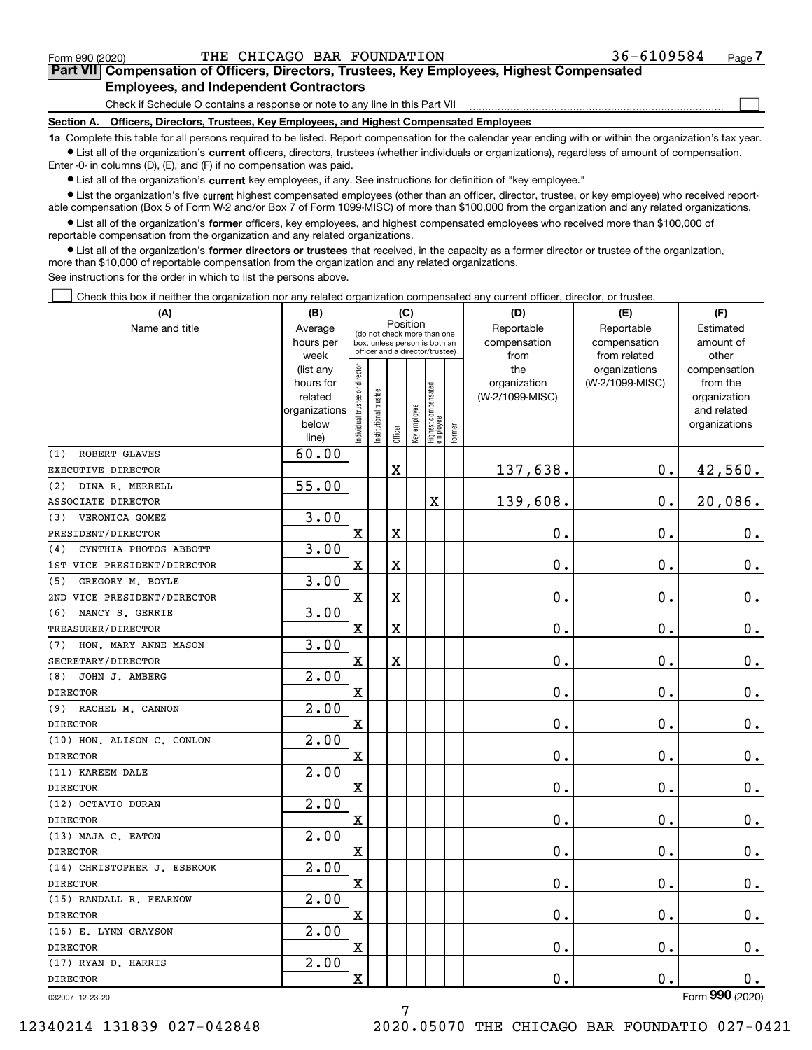$\mathcal{L}^{\text{max}}$ 

# **7Part VII Compensation of Officers, Directors, Trustees, Key Employees, Highest Compensated Employees, and Independent Contractors**

Check if Schedule O contains a response or note to any line in this Part VII

**Section A. Officers, Directors, Trustees, Key Employees, and Highest Compensated Employees**

**1a**  Complete this table for all persons required to be listed. Report compensation for the calendar year ending with or within the organization's tax year. **•** List all of the organization's current officers, directors, trustees (whether individuals or organizations), regardless of amount of compensation.

Enter -0- in columns (D), (E), and (F) if no compensation was paid.

 $\bullet$  List all of the organization's  $\,$ current key employees, if any. See instructions for definition of "key employee."

**•** List the organization's five current highest compensated employees (other than an officer, director, trustee, or key employee) who received reportable compensation (Box 5 of Form W-2 and/or Box 7 of Form 1099-MISC) of more than \$100,000 from the organization and any related organizations.

**•** List all of the organization's former officers, key employees, and highest compensated employees who received more than \$100,000 of reportable compensation from the organization and any related organizations.

**former directors or trustees**  ¥ List all of the organization's that received, in the capacity as a former director or trustee of the organization, more than \$10,000 of reportable compensation from the organization and any related organizations.

See instructions for the order in which to list the persons above.

Check this box if neither the organization nor any related organization compensated any current officer, director, or trustee.  $\mathcal{L}^{\text{max}}$ 

| (A)                          | (C)<br>(B)<br>Position |                                                                                                 |                       |                         |              |                                  |        | (D)                 | (E)                              | (F)                      |
|------------------------------|------------------------|-------------------------------------------------------------------------------------------------|-----------------------|-------------------------|--------------|----------------------------------|--------|---------------------|----------------------------------|--------------------------|
| Name and title               | Average                |                                                                                                 |                       |                         |              |                                  |        | Reportable          | Reportable                       | Estimated                |
|                              | hours per              | (do not check more than one<br>box, unless person is both an<br>officer and a director/trustee) |                       |                         |              |                                  |        | compensation        | compensation                     | amount of                |
|                              | week                   |                                                                                                 |                       |                         |              |                                  |        | from                | from related                     | other                    |
|                              | (list any<br>hours for |                                                                                                 |                       |                         |              |                                  |        | the<br>organization | organizations<br>(W-2/1099-MISC) | compensation<br>from the |
|                              | related                |                                                                                                 |                       |                         |              |                                  |        | (W-2/1099-MISC)     |                                  | organization             |
|                              | organizations          |                                                                                                 |                       |                         |              |                                  |        |                     |                                  | and related              |
|                              | below                  | ndividual trustee or director                                                                   | Institutional trustee |                         | Key employee |                                  |        |                     |                                  | organizations            |
|                              | line)                  |                                                                                                 |                       | Officer                 |              | Highest compensated<br> employee | Former |                     |                                  |                          |
| ROBERT GLAVES<br>(1)         | 60.00                  |                                                                                                 |                       |                         |              |                                  |        |                     |                                  |                          |
| EXECUTIVE DIRECTOR           |                        |                                                                                                 |                       | $\mathbf X$             |              |                                  |        | 137,638.            | $\mathbf 0$ .                    | 42,560.                  |
| DINA R. MERRELL<br>(2)       | 55.00                  |                                                                                                 |                       |                         |              |                                  |        |                     |                                  |                          |
| ASSOCIATE DIRECTOR           |                        |                                                                                                 |                       |                         |              | X                                |        | 139,608.            | $\mathbf 0$ .                    | 20,086.                  |
| VERONICA GOMEZ<br>(3)        | 3.00                   |                                                                                                 |                       |                         |              |                                  |        |                     |                                  |                          |
| PRESIDENT/DIRECTOR           |                        | $\rm X$                                                                                         |                       | $\mathbf X$             |              |                                  |        | 0.                  | 0.                               | $\mathbf 0$ .            |
| CYNTHIA PHOTOS ABBOTT<br>(4) | 3.00                   |                                                                                                 |                       |                         |              |                                  |        |                     |                                  |                          |
| 1ST VICE PRESIDENT/DIRECTOR  |                        | $\overline{\mathbf{X}}$                                                                         |                       | $\rm X$                 |              |                                  |        | 0.                  | 0.                               | $\mathbf 0$ .            |
| (5)<br>GREGORY M. BOYLE      | 3.00                   |                                                                                                 |                       |                         |              |                                  |        |                     |                                  |                          |
| 2ND VICE PRESIDENT/DIRECTOR  |                        | $\overline{\mathbf{X}}$                                                                         |                       | $\overline{\mathbf{X}}$ |              |                                  |        | 0.                  | 0.                               | $0_{.}$                  |
| (6)<br>NANCY S. GERRIE       | 3.00                   |                                                                                                 |                       |                         |              |                                  |        |                     |                                  |                          |
| TREASURER/DIRECTOR           |                        | $\overline{\mathbf{X}}$                                                                         |                       | $\mathbf X$             |              |                                  |        | $\mathbf 0$ .       | 0.                               | $\mathbf 0$ .            |
| (7)<br>HON. MARY ANNE MASON  | 3.00                   |                                                                                                 |                       |                         |              |                                  |        |                     |                                  |                          |
| SECRETARY/DIRECTOR           |                        | $\overline{\text{X}}$                                                                           |                       | X                       |              |                                  |        | $\mathbf 0$ .       | 0.                               | $0_{.}$                  |
| JOHN J. AMBERG<br>(8)        | 2.00                   |                                                                                                 |                       |                         |              |                                  |        |                     |                                  |                          |
| <b>DIRECTOR</b>              |                        | $\overline{\mathbf{X}}$                                                                         |                       |                         |              |                                  |        | 0.                  | $\mathbf 0$ .                    | $\mathbf 0$ .            |
| (9)<br>RACHEL M. CANNON      | 2.00                   |                                                                                                 |                       |                         |              |                                  |        |                     |                                  |                          |
| <b>DIRECTOR</b>              |                        | $\overline{\mathbf{X}}$                                                                         |                       |                         |              |                                  |        | 0.                  | 0.                               | $\mathbf 0$ .            |
| (10) HON. ALISON C. CONLON   | 2.00                   |                                                                                                 |                       |                         |              |                                  |        |                     |                                  |                          |
| <b>DIRECTOR</b>              |                        | $\overline{\text{X}}$                                                                           |                       |                         |              |                                  |        | 0.                  | 0.                               | 0.                       |
| (11) KAREEM DALE             | 2.00                   |                                                                                                 |                       |                         |              |                                  |        |                     |                                  |                          |
| <b>DIRECTOR</b>              |                        | $\overline{\mathbf{X}}$                                                                         |                       |                         |              |                                  |        | 0.                  | 0.                               | $\mathbf 0$ .            |
| (12) OCTAVIO DURAN           | 2.00                   |                                                                                                 |                       |                         |              |                                  |        |                     |                                  |                          |
| <b>DIRECTOR</b>              |                        | $\overline{\text{X}}$                                                                           |                       |                         |              |                                  |        | 0.                  | 0.                               | $0_{.}$                  |
| (13) MAJA C. EATON           | 2.00                   |                                                                                                 |                       |                         |              |                                  |        |                     |                                  |                          |
| <b>DIRECTOR</b>              |                        | X                                                                                               |                       |                         |              |                                  |        | 0.                  | 0.                               | $0_{.}$                  |
| (14) CHRISTOPHER J. ESBROOK  | 2.00                   |                                                                                                 |                       |                         |              |                                  |        |                     |                                  |                          |
| <b>DIRECTOR</b>              |                        | $\overline{\text{X}}$                                                                           |                       |                         |              |                                  |        | $\mathbf 0$ .       | 0.                               | 0.                       |
| (15) RANDALL R. FEARNOW      | 2.00                   |                                                                                                 |                       |                         |              |                                  |        |                     |                                  |                          |
| <b>DIRECTOR</b>              |                        | $\mathbf X$                                                                                     |                       |                         |              |                                  |        | 0.                  | 0.                               | 0.                       |
| (16) E. LYNN GRAYSON         | 2.00                   |                                                                                                 |                       |                         |              |                                  |        |                     |                                  |                          |
| <b>DIRECTOR</b>              |                        | $\rm X$                                                                                         |                       |                         |              |                                  |        | 0.                  | 0.                               | $0 \cdot$                |
| (17) RYAN D. HARRIS          | $\overline{2.00}$      |                                                                                                 |                       |                         |              |                                  |        |                     |                                  |                          |
| <b>DIRECTOR</b>              |                        | $\rm X$                                                                                         |                       |                         |              |                                  |        | 0.                  | $\mathbf 0$ .                    | 0.<br>$\overline{2}$     |

032007 12-23-20

Form (2020) **990**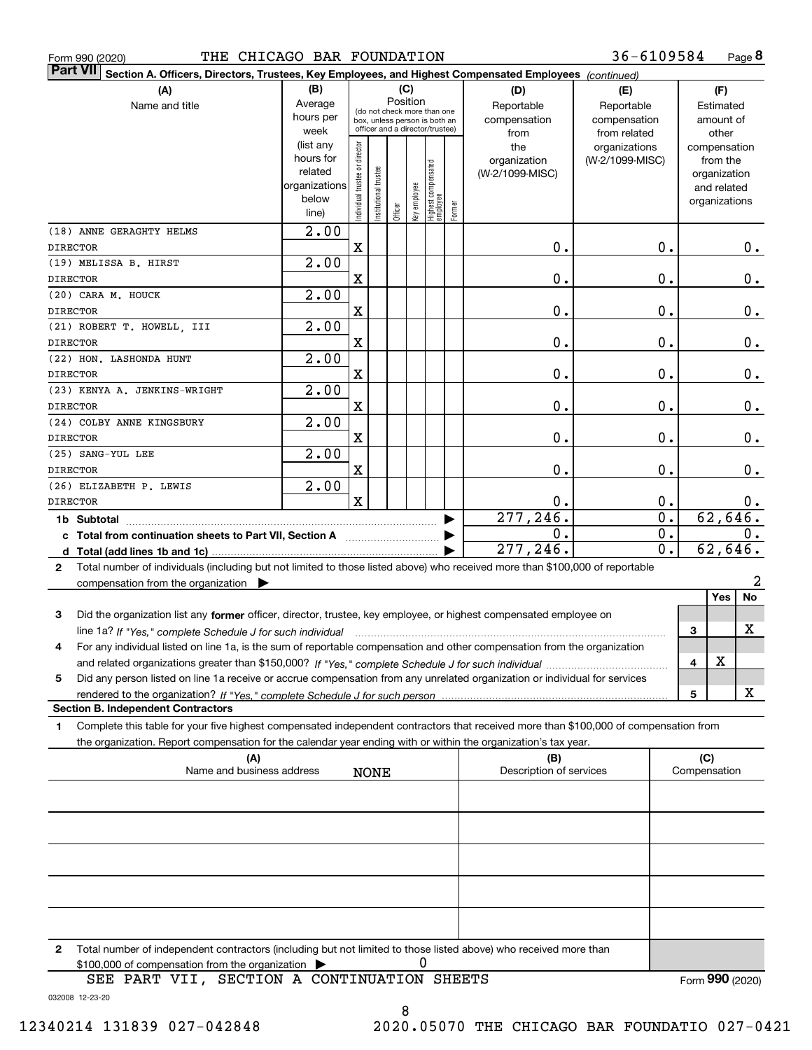| THE CHICAGO BAR FOUNDATION<br>Form 990 (2020)                                                                                                |                   |                                |                      |         |              |                                                              |        |                         | 36-6109584       |              | Page 8         |
|----------------------------------------------------------------------------------------------------------------------------------------------|-------------------|--------------------------------|----------------------|---------|--------------|--------------------------------------------------------------|--------|-------------------------|------------------|--------------|----------------|
| <b>Part VII</b><br>Section A. Officers, Directors, Trustees, Key Employees, and Highest Compensated Employees (continued)                    |                   |                                |                      |         |              |                                                              |        |                         |                  |              |                |
| (A)                                                                                                                                          | (B)               |                                |                      |         | (C)          |                                                              |        | (D)                     | (E)              |              | (F)            |
| Name and title                                                                                                                               | Average           |                                |                      |         | Position     |                                                              |        | Reportable              | Reportable       |              | Estimated      |
|                                                                                                                                              | hours per         |                                |                      |         |              | (do not check more than one<br>box, unless person is both an |        | compensation            | compensation     |              | amount of      |
|                                                                                                                                              | week              |                                |                      |         |              | officer and a director/trustee)                              |        | from                    | from related     |              | other          |
|                                                                                                                                              | (list any         |                                |                      |         |              |                                                              |        | the                     | organizations    |              | compensation   |
|                                                                                                                                              | hours for         |                                |                      |         |              |                                                              |        | organization            | (W-2/1099-MISC)  |              | from the       |
|                                                                                                                                              | related           |                                |                      |         |              |                                                              |        | (W-2/1099-MISC)         |                  |              | organization   |
|                                                                                                                                              | organizations     |                                |                      |         |              |                                                              |        |                         |                  |              | and related    |
|                                                                                                                                              | below             | Individual trustee or director | nstitutional trustee |         | Key employee |                                                              |        |                         |                  |              | organizations  |
|                                                                                                                                              | line)             |                                |                      | Officer |              | Highest compensated<br> employee                             | Former |                         |                  |              |                |
| (18) ANNE GERAGHTY HELMS                                                                                                                     | $\overline{2.00}$ |                                |                      |         |              |                                                              |        |                         |                  |              |                |
| <b>DIRECTOR</b>                                                                                                                              |                   | $\mathbf X$                    |                      |         |              |                                                              |        | $\mathbf 0$ .           | 0.               |              | $0$ .          |
| (19) MELISSA B. HIRST                                                                                                                        | $\overline{2.00}$ |                                |                      |         |              |                                                              |        |                         |                  |              |                |
| <b>DIRECTOR</b>                                                                                                                              |                   | $\mathbf X$                    |                      |         |              |                                                              |        | 0.                      | 0.               |              | $0$ .          |
| (20) CARA M. HOUCK                                                                                                                           | $\overline{2.00}$ |                                |                      |         |              |                                                              |        |                         |                  |              |                |
| <b>DIRECTOR</b>                                                                                                                              |                   | $\mathbf X$                    |                      |         |              |                                                              |        | $\mathbf 0$ .           | 0.               |              | 0.             |
| (21) ROBERT T. HOWELL, III                                                                                                                   | $\overline{2.00}$ |                                |                      |         |              |                                                              |        |                         |                  |              |                |
| <b>DIRECTOR</b>                                                                                                                              |                   | $\mathbf X$                    |                      |         |              |                                                              |        | $\mathbf 0$ .           | 0.               |              | 0.             |
| (22) HON. LASHONDA HUNT                                                                                                                      | $\overline{2.00}$ |                                |                      |         |              |                                                              |        |                         |                  |              |                |
| <b>DIRECTOR</b>                                                                                                                              |                   | $\mathbf X$                    |                      |         |              |                                                              |        | $\mathbf 0$ .           | 0.               |              | 0.             |
| (23) KENYA A. JENKINS-WRIGHT                                                                                                                 | 2.00              |                                |                      |         |              |                                                              |        |                         |                  |              |                |
| <b>DIRECTOR</b>                                                                                                                              |                   | $\mathbf X$                    |                      |         |              |                                                              |        | $\mathbf 0$ .           | 0.               |              | 0.             |
| (24) COLBY ANNE KINGSBURY                                                                                                                    | $\overline{2.00}$ |                                |                      |         |              |                                                              |        |                         |                  |              |                |
| <b>DIRECTOR</b>                                                                                                                              |                   | $\mathbf X$                    |                      |         |              |                                                              |        | $\mathbf 0$ .           | 0.               |              | 0.             |
| (25) SANG-YUL LEE                                                                                                                            | $\overline{2.00}$ |                                |                      |         |              |                                                              |        |                         |                  |              |                |
| <b>DIRECTOR</b>                                                                                                                              |                   | X                              |                      |         |              |                                                              |        | $\mathbf 0$ .           | 0.               |              | $0$ .          |
| (26) ELIZABETH P. LEWIS                                                                                                                      | $\overline{2.00}$ |                                |                      |         |              |                                                              |        |                         |                  |              |                |
| <b>DIRECTOR</b>                                                                                                                              |                   | $\mathbf x$                    |                      |         |              |                                                              |        | 0.                      | 0.               |              | 0.             |
|                                                                                                                                              |                   |                                |                      |         |              |                                                              |        | 277, 246.               | $\overline{0}$ . |              | 62,646.        |
|                                                                                                                                              |                   |                                |                      |         |              |                                                              |        | 0.                      | $\overline{0}$ . |              | 0.             |
| c Total from continuation sheets to Part VII, Section A                                                                                      |                   |                                |                      |         |              |                                                              |        | 277,246.                | $\overline{0}$ . |              | 62,646.        |
|                                                                                                                                              |                   |                                |                      |         |              |                                                              |        |                         |                  |              |                |
| Total number of individuals (including but not limited to those listed above) who received more than \$100,000 of reportable<br>$\mathbf{2}$ |                   |                                |                      |         |              |                                                              |        |                         |                  |              |                |
| compensation from the organization $\blacktriangleright$                                                                                     |                   |                                |                      |         |              |                                                              |        |                         |                  |              | 2<br>Yes<br>No |
|                                                                                                                                              |                   |                                |                      |         |              |                                                              |        |                         |                  |              |                |
| 3<br>Did the organization list any former officer, director, trustee, key employee, or highest compensated employee on                       |                   |                                |                      |         |              |                                                              |        |                         |                  |              |                |
|                                                                                                                                              |                   |                                |                      |         |              |                                                              |        |                         |                  | 3            | X              |
| For any individual listed on line 1a, is the sum of reportable compensation and other compensation from the organization                     |                   |                                |                      |         |              |                                                              |        |                         |                  |              |                |
|                                                                                                                                              |                   |                                |                      |         |              |                                                              |        |                         |                  | 4            | X              |
| Did any person listed on line 1a receive or accrue compensation from any unrelated organization or individual for services<br>5              |                   |                                |                      |         |              |                                                              |        |                         |                  |              |                |
| rendered to the organization? If "Yes." complete Schedule J for such person.                                                                 |                   |                                |                      |         |              |                                                              |        |                         |                  | 5            | x              |
| <b>Section B. Independent Contractors</b>                                                                                                    |                   |                                |                      |         |              |                                                              |        |                         |                  |              |                |
| Complete this table for your five highest compensated independent contractors that received more than \$100,000 of compensation from<br>1    |                   |                                |                      |         |              |                                                              |        |                         |                  |              |                |
| the organization. Report compensation for the calendar year ending with or within the organization's tax year.                               |                   |                                |                      |         |              |                                                              |        |                         |                  |              |                |
| (A)                                                                                                                                          |                   |                                |                      |         |              |                                                              |        | (B)                     |                  | (C)          |                |
| Name and business address                                                                                                                    |                   |                                | <b>NONE</b>          |         |              |                                                              |        | Description of services |                  | Compensation |                |
|                                                                                                                                              |                   |                                |                      |         |              |                                                              |        |                         |                  |              |                |
|                                                                                                                                              |                   |                                |                      |         |              |                                                              |        |                         |                  |              |                |
|                                                                                                                                              |                   |                                |                      |         |              |                                                              |        |                         |                  |              |                |
|                                                                                                                                              |                   |                                |                      |         |              |                                                              |        |                         |                  |              |                |
|                                                                                                                                              |                   |                                |                      |         |              |                                                              |        |                         |                  |              |                |
|                                                                                                                                              |                   |                                |                      |         |              |                                                              |        |                         |                  |              |                |
|                                                                                                                                              |                   |                                |                      |         |              |                                                              |        |                         |                  |              |                |
|                                                                                                                                              |                   |                                |                      |         |              |                                                              |        |                         |                  |              |                |
|                                                                                                                                              |                   |                                |                      |         |              |                                                              |        |                         |                  |              |                |
|                                                                                                                                              |                   |                                |                      |         |              |                                                              |        |                         |                  |              |                |
| Total number of independent contractors (including but not limited to those listed above) who received more than<br>2                        |                   |                                |                      |         |              |                                                              |        |                         |                  |              |                |

 $$100,000$  of compensation from the organization  $\qquad \blacktriangleright$   $\qquad \qquad 0$ 

032008 12-23-20 SEE PART VII, SECTION A CONTINUATION SHEETS Form (2020) **990**

8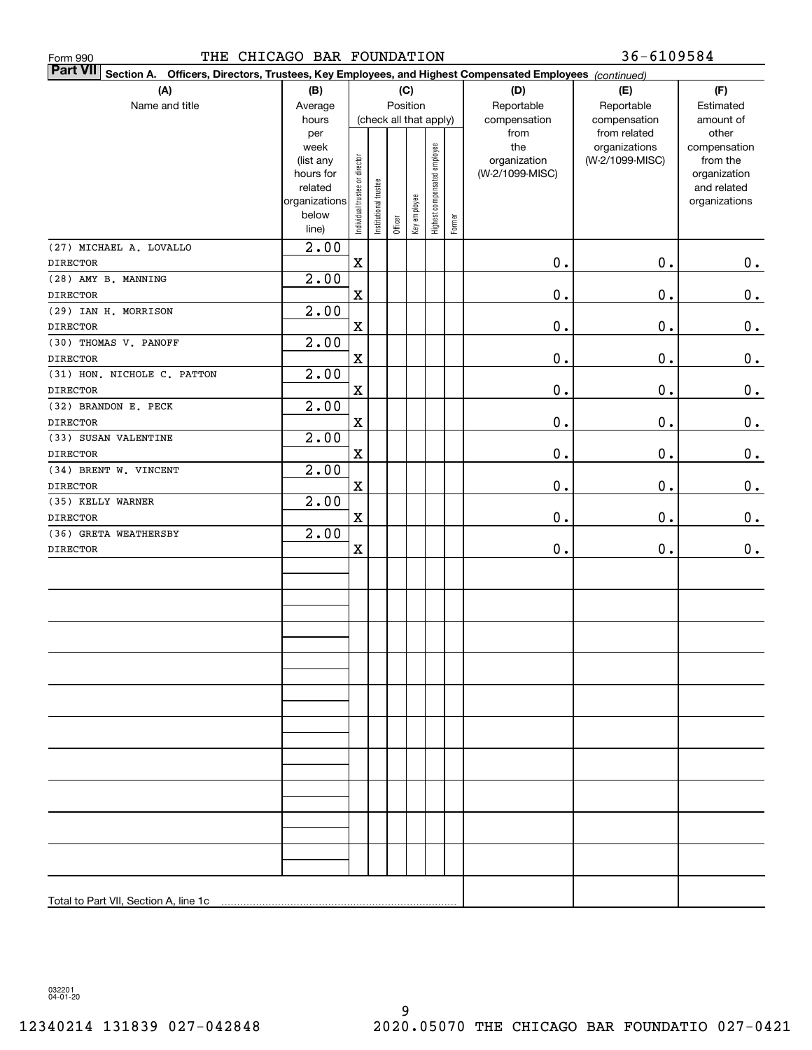| THE CHICAGO BAR FOUNDATION<br>Form 990                                                                                    |                        |                                |                                           |         |              |                              |        |                      | 36-6109584                   |                    |
|---------------------------------------------------------------------------------------------------------------------------|------------------------|--------------------------------|-------------------------------------------|---------|--------------|------------------------------|--------|----------------------|------------------------------|--------------------|
| <b>Part VII</b><br>Section A. Officers, Directors, Trustees, Key Employees, and Highest Compensated Employees (continued) |                        |                                |                                           |         |              |                              |        |                      |                              |                    |
| (A)                                                                                                                       | (B)                    |                                | (C)<br>Position<br>(check all that apply) |         |              |                              |        | (D)                  | (E)                          | (F)                |
| Name and title                                                                                                            | Average                |                                |                                           |         |              |                              |        | Reportable           | Reportable                   | Estimated          |
|                                                                                                                           | hours<br>per           |                                |                                           |         |              |                              |        | compensation<br>from | compensation<br>from related | amount of<br>other |
|                                                                                                                           | week                   |                                |                                           |         |              |                              |        | the                  | organizations                | compensation       |
|                                                                                                                           | (list any              |                                |                                           |         |              |                              |        | organization         | (W-2/1099-MISC)              | from the           |
|                                                                                                                           | hours for              |                                |                                           |         |              |                              |        | (W-2/1099-MISC)      |                              | organization       |
|                                                                                                                           | related                |                                |                                           |         |              |                              |        |                      |                              | and related        |
|                                                                                                                           | organizations<br>below |                                |                                           |         | Key employee |                              |        |                      |                              | organizations      |
|                                                                                                                           | line)                  | Individual trustee or director | Institutional trustee                     | Officer |              | Highest compensated employee | Former |                      |                              |                    |
| (27) MICHAEL A. LOVALLO                                                                                                   | $\overline{2.00}$      |                                |                                           |         |              |                              |        |                      |                              |                    |
| <b>DIRECTOR</b>                                                                                                           |                        | $\mathbf X$                    |                                           |         |              |                              |        | 0.                   | 0.                           | 0.                 |
| (28) AMY B. MANNING                                                                                                       | 2.00                   |                                |                                           |         |              |                              |        |                      |                              |                    |
| <b>DIRECTOR</b>                                                                                                           |                        | $\mathbf X$                    |                                           |         |              |                              |        | $\mathbf 0$ .        | 0.                           | 0.                 |
| (29) IAN H. MORRISON                                                                                                      | 2.00                   |                                |                                           |         |              |                              |        |                      |                              |                    |
| <b>DIRECTOR</b>                                                                                                           |                        | $\mathbf X$                    |                                           |         |              |                              |        | $\mathbf 0$ .        | 0.                           | $\mathbf 0$ .      |
| (30) THOMAS V. PANOFF                                                                                                     | 2.00                   |                                |                                           |         |              |                              |        |                      |                              |                    |
| <b>DIRECTOR</b>                                                                                                           |                        | $\mathbf X$                    |                                           |         |              |                              |        | $\mathbf 0$ .        | 0.                           | $0_{.}$            |
| (31) HON. NICHOLE C. PATTON                                                                                               | 2.00                   |                                |                                           |         |              |                              |        |                      |                              |                    |
| <b>DIRECTOR</b>                                                                                                           |                        | $\mathbf X$                    |                                           |         |              |                              |        | $\mathbf 0$ .        | 0.                           | $0_{.}$            |
| (32) BRANDON E. PECK                                                                                                      | 2.00                   |                                |                                           |         |              |                              |        |                      |                              |                    |
| <b>DIRECTOR</b>                                                                                                           |                        | $\mathbf X$                    |                                           |         |              |                              |        | $\mathbf 0$ .        | 0.                           | $0_{.}$            |
| (33) SUSAN VALENTINE                                                                                                      | 2.00                   |                                |                                           |         |              |                              |        |                      |                              |                    |
| <b>DIRECTOR</b>                                                                                                           |                        | $\mathbf X$                    |                                           |         |              |                              |        | $\mathbf 0$ .        | 0.                           | $0_{.}$            |
| (34) BRENT W. VINCENT                                                                                                     | 2.00                   |                                |                                           |         |              |                              |        |                      |                              |                    |
| <b>DIRECTOR</b>                                                                                                           |                        | $\mathbf X$                    |                                           |         |              |                              |        | $\mathbf 0$ .        | 0.                           | $0_{.}$            |
| (35) KELLY WARNER                                                                                                         | 2.00                   |                                |                                           |         |              |                              |        |                      |                              |                    |
| <b>DIRECTOR</b><br>(36) GRETA WEATHERSBY                                                                                  | 2.00                   | $\mathbf X$                    |                                           |         |              |                              |        | 0.                   | 0.                           | 0.                 |
| <b>DIRECTOR</b>                                                                                                           |                        | X                              |                                           |         |              |                              |        | 0.                   | 0.                           | 0.                 |
|                                                                                                                           |                        |                                |                                           |         |              |                              |        |                      |                              |                    |
|                                                                                                                           |                        |                                |                                           |         |              |                              |        |                      |                              |                    |
|                                                                                                                           |                        |                                |                                           |         |              |                              |        |                      |                              |                    |
|                                                                                                                           |                        |                                |                                           |         |              |                              |        |                      |                              |                    |
|                                                                                                                           |                        |                                |                                           |         |              |                              |        |                      |                              |                    |
|                                                                                                                           |                        |                                |                                           |         |              |                              |        |                      |                              |                    |
|                                                                                                                           |                        |                                |                                           |         |              |                              |        |                      |                              |                    |
|                                                                                                                           |                        |                                |                                           |         |              |                              |        |                      |                              |                    |
|                                                                                                                           |                        |                                |                                           |         |              |                              |        |                      |                              |                    |
|                                                                                                                           |                        |                                |                                           |         |              |                              |        |                      |                              |                    |
|                                                                                                                           |                        |                                |                                           |         |              |                              |        |                      |                              |                    |
|                                                                                                                           |                        |                                |                                           |         |              |                              |        |                      |                              |                    |
|                                                                                                                           |                        |                                |                                           |         |              |                              |        |                      |                              |                    |
|                                                                                                                           |                        |                                |                                           |         |              |                              |        |                      |                              |                    |
|                                                                                                                           |                        |                                |                                           |         |              |                              |        |                      |                              |                    |
|                                                                                                                           |                        |                                |                                           |         |              |                              |        |                      |                              |                    |
|                                                                                                                           |                        |                                |                                           |         |              |                              |        |                      |                              |                    |
|                                                                                                                           |                        |                                |                                           |         |              |                              |        |                      |                              |                    |
|                                                                                                                           |                        |                                |                                           |         |              |                              |        |                      |                              |                    |
|                                                                                                                           |                        |                                |                                           |         |              |                              |        |                      |                              |                    |
|                                                                                                                           |                        |                                |                                           |         |              |                              |        |                      |                              |                    |
|                                                                                                                           |                        |                                |                                           |         |              |                              |        |                      |                              |                    |

032201 04-01-20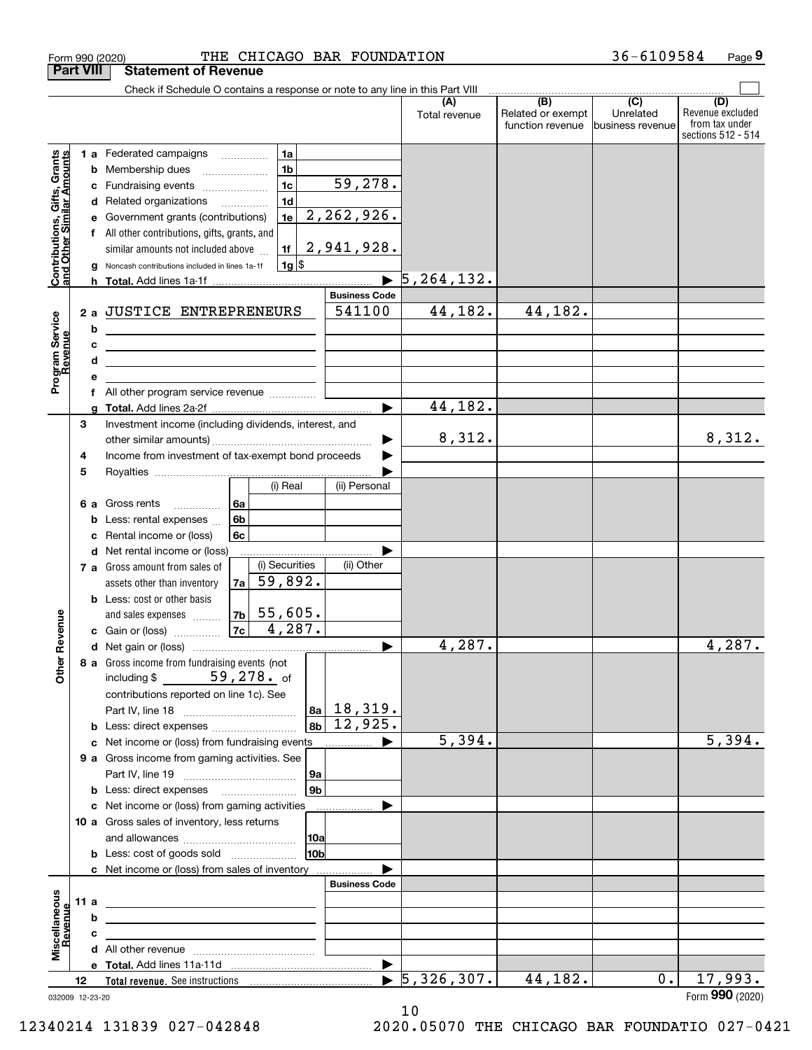|                                                           |                  | THE CHICAGO BAR FOUNDATION<br>Form 990 (2020)                                                                                                                                                                                                                                                                           |                                |                                  |                                                     | 36-6109584                    | Page 9                                                          |
|-----------------------------------------------------------|------------------|-------------------------------------------------------------------------------------------------------------------------------------------------------------------------------------------------------------------------------------------------------------------------------------------------------------------------|--------------------------------|----------------------------------|-----------------------------------------------------|-------------------------------|-----------------------------------------------------------------|
|                                                           | <b>Part VIII</b> | <b>Statement of Revenue</b>                                                                                                                                                                                                                                                                                             |                                |                                  |                                                     |                               |                                                                 |
|                                                           |                  | Check if Schedule O contains a response or note to any line in this Part VIII                                                                                                                                                                                                                                           |                                |                                  | $\overline{(\mathsf{B})}$ $\overline{(\mathsf{C})}$ |                               |                                                                 |
|                                                           |                  |                                                                                                                                                                                                                                                                                                                         |                                | (A)<br>Total revenue             | Related or exempt<br>function revenue               | Unrelated<br>business revenue | (D)<br>Revenue excluded<br>from tax under<br>sections 512 - 514 |
|                                                           |                  | 1 a Federated campaigns<br>1a                                                                                                                                                                                                                                                                                           |                                |                                  |                                                     |                               |                                                                 |
| Contributions, Gifts, Grants<br>and Other Similar Amounts |                  | 1 <sub>b</sub><br><b>b</b> Membership dues<br>$\ldots \ldots \ldots \ldots \ldots$                                                                                                                                                                                                                                      |                                |                                  |                                                     |                               |                                                                 |
|                                                           | с                | 1 <sub>c</sub><br>Fundraising events                                                                                                                                                                                                                                                                                    | 59,278.                        |                                  |                                                     |                               |                                                                 |
|                                                           |                  | 1 <sub>d</sub><br>d Related organizations                                                                                                                                                                                                                                                                               |                                |                                  |                                                     |                               |                                                                 |
|                                                           | е                | 1e<br>Government grants (contributions)                                                                                                                                                                                                                                                                                 | 2,262,926.                     |                                  |                                                     |                               |                                                                 |
|                                                           |                  | f All other contributions, gifts, grants, and                                                                                                                                                                                                                                                                           |                                |                                  |                                                     |                               |                                                                 |
|                                                           |                  | 1f<br>similar amounts not included above                                                                                                                                                                                                                                                                                | 2,941,928.                     |                                  |                                                     |                               |                                                                 |
|                                                           | g                | $1g$ \$<br>Noncash contributions included in lines 1a-1f                                                                                                                                                                                                                                                                |                                |                                  |                                                     |                               |                                                                 |
|                                                           |                  |                                                                                                                                                                                                                                                                                                                         |                                | 5, 264, 132.                     |                                                     |                               |                                                                 |
|                                                           |                  | JUSTICE ENTREPRENEURS                                                                                                                                                                                                                                                                                                   | <b>Business Code</b><br>541100 | 44,182.                          | 44,182.                                             |                               |                                                                 |
| Program Service<br>Revenue                                | 2a               |                                                                                                                                                                                                                                                                                                                         |                                |                                  |                                                     |                               |                                                                 |
|                                                           | b<br>c           | <u> 1989 - Johann Barn, mars eta bainar eta idazlea (</u>                                                                                                                                                                                                                                                               |                                |                                  |                                                     |                               |                                                                 |
|                                                           | d                | <u>and the state of the state of the state of the state of the state of the state of the state of the state of the state of the state of the state of the state of the state of the state of the state of the state of the state</u><br>the contract of the contract of the contract of the contract of the contract of |                                |                                  |                                                     |                               |                                                                 |
|                                                           | е                |                                                                                                                                                                                                                                                                                                                         |                                |                                  |                                                     |                               |                                                                 |
|                                                           | f                | All other program service revenue                                                                                                                                                                                                                                                                                       |                                |                                  |                                                     |                               |                                                                 |
|                                                           | a                |                                                                                                                                                                                                                                                                                                                         |                                | 44,182.                          |                                                     |                               |                                                                 |
|                                                           | 3                | Investment income (including dividends, interest, and                                                                                                                                                                                                                                                                   |                                |                                  |                                                     |                               |                                                                 |
|                                                           |                  |                                                                                                                                                                                                                                                                                                                         |                                | 8,312.                           |                                                     |                               | 8,312.                                                          |
|                                                           | 4                | Income from investment of tax-exempt bond proceeds                                                                                                                                                                                                                                                                      |                                |                                  |                                                     |                               |                                                                 |
|                                                           | 5                |                                                                                                                                                                                                                                                                                                                         |                                |                                  |                                                     |                               |                                                                 |
|                                                           |                  | (i) Real                                                                                                                                                                                                                                                                                                                | (ii) Personal                  |                                  |                                                     |                               |                                                                 |
|                                                           |                  | 6a<br>6 a Gross rents<br>6b                                                                                                                                                                                                                                                                                             |                                |                                  |                                                     |                               |                                                                 |
|                                                           | b                | Less: rental expenses<br>Rental income or (loss)<br>6c                                                                                                                                                                                                                                                                  |                                |                                  |                                                     |                               |                                                                 |
|                                                           | c                | <b>d</b> Net rental income or (loss)                                                                                                                                                                                                                                                                                    |                                |                                  |                                                     |                               |                                                                 |
|                                                           |                  | (i) Securities<br>7 a Gross amount from sales of                                                                                                                                                                                                                                                                        | (ii) Other                     |                                  |                                                     |                               |                                                                 |
|                                                           |                  | $\sqrt{59,892}$ .<br>7a<br>assets other than inventory                                                                                                                                                                                                                                                                  |                                |                                  |                                                     |                               |                                                                 |
|                                                           |                  | <b>b</b> Less: cost or other basis                                                                                                                                                                                                                                                                                      |                                |                                  |                                                     |                               |                                                                 |
|                                                           |                  | $ 7b $ 55,605.<br>and sales expenses                                                                                                                                                                                                                                                                                    |                                |                                  |                                                     |                               |                                                                 |
| evenue                                                    |                  | 4,287.<br>7c<br>c Gain or (loss)                                                                                                                                                                                                                                                                                        |                                |                                  |                                                     |                               |                                                                 |
|                                                           |                  |                                                                                                                                                                                                                                                                                                                         |                                | 4,287.                           |                                                     |                               | 4,287.                                                          |
| Other <sub>R</sub>                                        |                  | 8 a Gross income from fundraising events (not                                                                                                                                                                                                                                                                           |                                |                                  |                                                     |                               |                                                                 |
|                                                           |                  | including \$ $59,278$ of                                                                                                                                                                                                                                                                                                |                                |                                  |                                                     |                               |                                                                 |
|                                                           |                  | contributions reported on line 1c). See                                                                                                                                                                                                                                                                                 |                                |                                  |                                                     |                               |                                                                 |
|                                                           |                  |                                                                                                                                                                                                                                                                                                                         | $ a_2 $ 18, 319.               |                                  |                                                     |                               |                                                                 |
|                                                           |                  | <b>b</b> Less: direct expenses <i>manually contained</i>                                                                                                                                                                                                                                                                | $ 8b $ 12,925.                 |                                  |                                                     |                               |                                                                 |
|                                                           |                  | c Net income or (loss) from fundraising events                                                                                                                                                                                                                                                                          |                                | 5,394.                           |                                                     |                               | 5,394.                                                          |
|                                                           |                  | 9 a Gross income from gaming activities. See                                                                                                                                                                                                                                                                            |                                |                                  |                                                     |                               |                                                                 |
|                                                           |                  | 9a<br>9b<br><b>b</b> Less: direct expenses <b>manually</b>                                                                                                                                                                                                                                                              |                                |                                  |                                                     |                               |                                                                 |
|                                                           |                  | c Net income or (loss) from gaming activities                                                                                                                                                                                                                                                                           | .                              |                                  |                                                     |                               |                                                                 |
|                                                           |                  | 10 a Gross sales of inventory, less returns                                                                                                                                                                                                                                                                             |                                |                                  |                                                     |                               |                                                                 |
|                                                           |                  | 10a                                                                                                                                                                                                                                                                                                                     |                                |                                  |                                                     |                               |                                                                 |
|                                                           |                  | 10 <sub>b</sub><br><b>b</b> Less: cost of goods sold                                                                                                                                                                                                                                                                    |                                |                                  |                                                     |                               |                                                                 |
|                                                           |                  | c Net income or (loss) from sales of inventory                                                                                                                                                                                                                                                                          |                                |                                  |                                                     |                               |                                                                 |
|                                                           |                  |                                                                                                                                                                                                                                                                                                                         | <b>Business Code</b>           |                                  |                                                     |                               |                                                                 |
|                                                           | 11 a             | <u> 1989 - Johann John Stein, fransk politik (f. 1989)</u>                                                                                                                                                                                                                                                              |                                |                                  |                                                     |                               |                                                                 |
| Miscellaneous<br>Revenue                                  | b                | the contract of the contract of the contract of the contract of the contract of                                                                                                                                                                                                                                         |                                |                                  |                                                     |                               |                                                                 |
|                                                           | с                | the control of the control of the control of the control of the control of                                                                                                                                                                                                                                              |                                |                                  |                                                     |                               |                                                                 |
|                                                           |                  |                                                                                                                                                                                                                                                                                                                         |                                |                                  |                                                     |                               |                                                                 |
|                                                           |                  |                                                                                                                                                                                                                                                                                                                         | $\blacktriangleright$          | $\blacktriangleright$ 5,326,307. | 44,182.                                             | $0$ .                         | 17,993.                                                         |
|                                                           | 12               |                                                                                                                                                                                                                                                                                                                         |                                |                                  |                                                     |                               | Form 990 (2020)                                                 |
|                                                           | 032009 12-23-20  |                                                                                                                                                                                                                                                                                                                         |                                |                                  |                                                     |                               |                                                                 |

10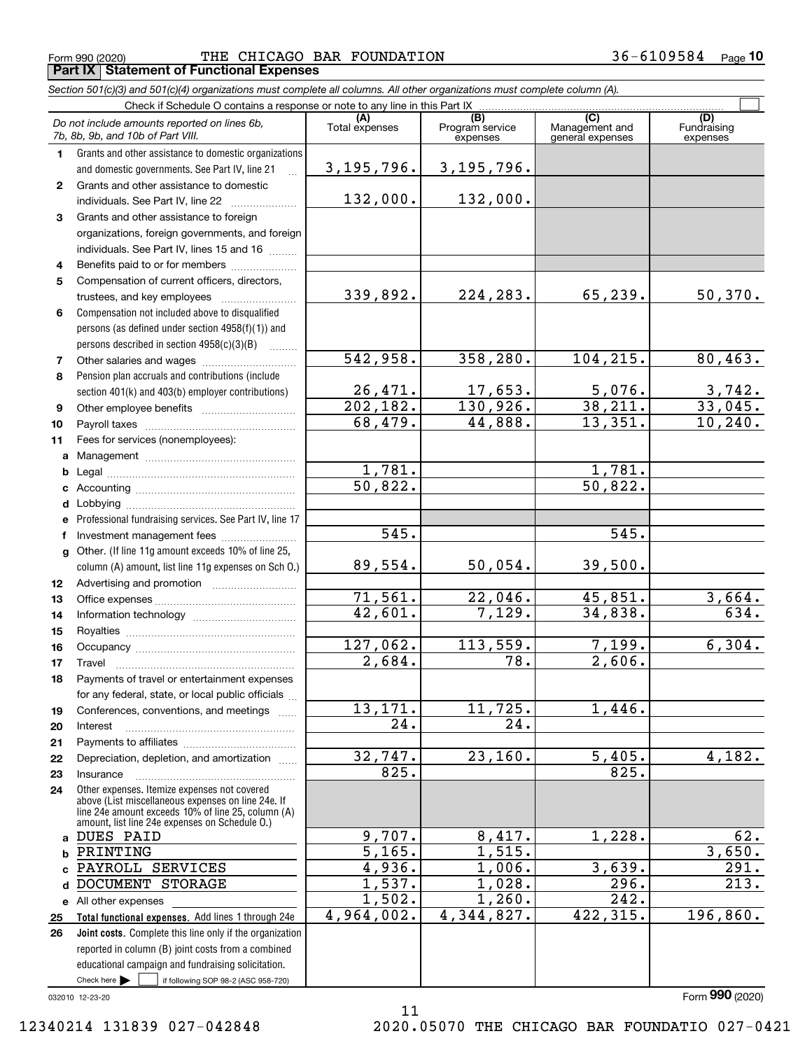Form 990 (2020) Page **Part IX Statement of Functional Expenses** THE CHICAGO BAR FOUNDATION 36-6109584

| Section 501(c)(3) and 501(c)(4) organizations must complete all columns. All other organizations must complete column (A). |  |  |
|----------------------------------------------------------------------------------------------------------------------------|--|--|
|                                                                                                                            |  |  |

|              | Do not include amounts reported on lines 6b,<br>7b, 8b, 9b, and 10b of Part VIII.                              | (A)<br>Total expenses | (B)<br>Program service<br>expenses | (C)<br>Management and<br>general expenses | (D)<br>Fundraising<br>expenses |
|--------------|----------------------------------------------------------------------------------------------------------------|-----------------------|------------------------------------|-------------------------------------------|--------------------------------|
| 1.           | Grants and other assistance to domestic organizations                                                          |                       |                                    |                                           |                                |
|              | and domestic governments. See Part IV, line 21                                                                 | 3, 195, 796.          | 3, 195, 796.                       |                                           |                                |
| $\mathbf{2}$ | Grants and other assistance to domestic                                                                        |                       |                                    |                                           |                                |
|              | individuals. See Part IV, line 22                                                                              | 132,000.              | 132,000.                           |                                           |                                |
| 3            | Grants and other assistance to foreign                                                                         |                       |                                    |                                           |                                |
|              | organizations, foreign governments, and foreign                                                                |                       |                                    |                                           |                                |
|              | individuals. See Part IV, lines 15 and 16                                                                      |                       |                                    |                                           |                                |
| 4            | Benefits paid to or for members                                                                                |                       |                                    |                                           |                                |
| 5            | Compensation of current officers, directors,                                                                   |                       |                                    |                                           |                                |
|              | trustees, and key employees                                                                                    | 339,892.              | 224,283.                           | 65,239.                                   | 50,370.                        |
| 6            | Compensation not included above to disqualified                                                                |                       |                                    |                                           |                                |
|              | persons (as defined under section 4958(f)(1)) and                                                              |                       |                                    |                                           |                                |
|              | persons described in section 4958(c)(3)(B)                                                                     |                       |                                    |                                           |                                |
| 7            |                                                                                                                | 542,958.              | 358,280.                           | 104, 215.                                 | 80, 463.                       |
| 8            | Pension plan accruals and contributions (include                                                               |                       |                                    |                                           |                                |
|              | section 401(k) and 403(b) employer contributions)                                                              | 26,471.<br>202, 182.  | 17,653.<br>130,926.                | 5,076.<br>38,211.                         | $\frac{3,742}{33,045}$ .       |
| 9            |                                                                                                                | 68,479.               | 44,888.                            | 13,351.                                   | 10, 240.                       |
| 10<br>11     | Fees for services (nonemployees):                                                                              |                       |                                    |                                           |                                |
| a            |                                                                                                                |                       |                                    |                                           |                                |
| b            |                                                                                                                | 1,781.                |                                    | 1,781.                                    |                                |
| c            |                                                                                                                | $\overline{50,822}$ . |                                    | 50,822.                                   |                                |
| d            |                                                                                                                |                       |                                    |                                           |                                |
| e            | Professional fundraising services. See Part IV, line 17                                                        |                       |                                    |                                           |                                |
| f            | Investment management fees                                                                                     | 545.                  |                                    | 545.                                      |                                |
| g            | Other. (If line 11g amount exceeds 10% of line 25,                                                             |                       |                                    |                                           |                                |
|              | column (A) amount, list line 11g expenses on Sch O.)                                                           | 89,554.               | 50,054.                            | 39,500.                                   |                                |
| 12           |                                                                                                                |                       |                                    |                                           |                                |
| 13           |                                                                                                                | 71,561.               | 22,046.                            | 45,851.                                   | 3,664.                         |
| 14           |                                                                                                                | 42,601.               | 7,129.                             | 34,838.                                   | 634.                           |
| 15           |                                                                                                                |                       |                                    |                                           |                                |
| 16           |                                                                                                                | 127,062.<br>2,684.    | 113,559.<br>$\overline{78}$ .      | 7,199.<br>2,606.                          | 6,304.                         |
| 17           | Travel                                                                                                         |                       |                                    |                                           |                                |
| 18           | Payments of travel or entertainment expenses<br>for any federal, state, or local public officials              |                       |                                    |                                           |                                |
| 19           | Conferences, conventions, and meetings                                                                         | 13,171.               | 11,725.                            | 1,446.                                    |                                |
| 20           | Interest                                                                                                       | 24.                   | 24.                                |                                           |                                |
| 21           |                                                                                                                |                       |                                    |                                           |                                |
| 22           | Depreciation, depletion, and amortization                                                                      | 32,747.               | 23,160.                            | 5,405.                                    | 4,182.                         |
| 23           | Insurance                                                                                                      | 825.                  |                                    | 825.                                      |                                |
| 24           | Other expenses. Itemize expenses not covered                                                                   |                       |                                    |                                           |                                |
|              | above (List miscellaneous expenses on line 24e. If<br>line 24e amount exceeds 10% of line 25, column (A)       |                       |                                    |                                           |                                |
|              | amount, list line 24e expenses on Schedule O.)                                                                 |                       |                                    |                                           |                                |
|              | a DUES PAID                                                                                                    | 9,707.                | 8,417.                             | 1,228.                                    | 62.                            |
| b            | PRINTING                                                                                                       | 5,165.                | 1,515.                             |                                           | 3,650.                         |
| c.           | PAYROLL SERVICES                                                                                               | 4,936.                | 1,006.                             | 3,639.                                    | 291.                           |
| d            | DOCUMENT STORAGE                                                                                               | 1,537.                | 1,028.                             | $\overline{296}$ .                        | 213.                           |
|              | e All other expenses                                                                                           | 1,502.<br>4,964,002.  | 1,260.<br>4,344,827.               | $\overline{242}$ .<br>422, 315.           | 196,860.                       |
| 25           | Total functional expenses. Add lines 1 through 24e                                                             |                       |                                    |                                           |                                |
| 26           | Joint costs. Complete this line only if the organization<br>reported in column (B) joint costs from a combined |                       |                                    |                                           |                                |
|              | educational campaign and fundraising solicitation.                                                             |                       |                                    |                                           |                                |
|              | Check here $\blacktriangleright$<br>if following SOP 98-2 (ASC 958-720)                                        |                       |                                    |                                           |                                |
|              |                                                                                                                |                       |                                    |                                           |                                |

11

032010 12-23-20

12340214 131839 027-042848 2020.05070 THE CHICAGO BAR FOUNDATIO 027-0421

Form (2020) **990**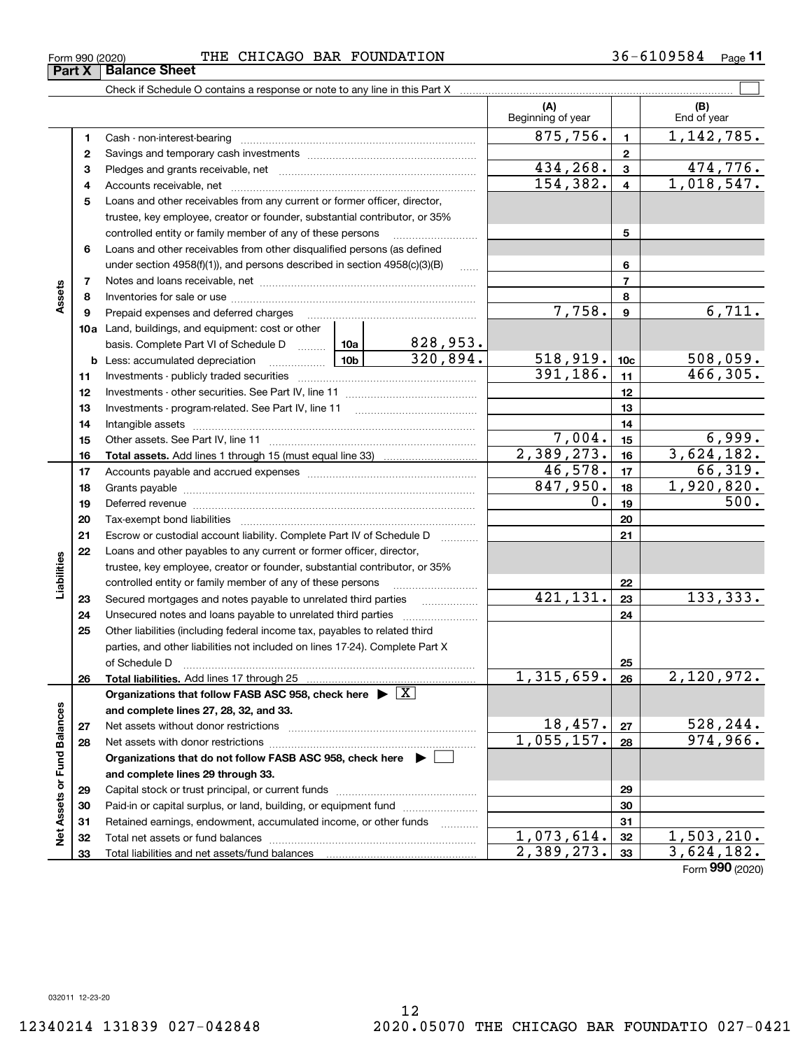Form (2020) **990**

#### $_{\rm Form}$  990 (2020) THE CHICAGO BAR FOUNDATION 36-6109584  $_{\rm Page}$ **Part X** | Balance Sheet

|                                                      |          |                                                                                                                                                                                                                                |  |                                                                                                                  | (A)<br>Beginning of year |                                                                                                                                                                                                                                                                                                                                                                                  | (B)<br>End of year |
|------------------------------------------------------|----------|--------------------------------------------------------------------------------------------------------------------------------------------------------------------------------------------------------------------------------|--|------------------------------------------------------------------------------------------------------------------|--------------------------|----------------------------------------------------------------------------------------------------------------------------------------------------------------------------------------------------------------------------------------------------------------------------------------------------------------------------------------------------------------------------------|--------------------|
|                                                      | 1        | Cash - non-interest-bearing                                                                                                                                                                                                    |  |                                                                                                                  |                          | $\mathbf{1}$                                                                                                                                                                                                                                                                                                                                                                     | 1, 142, 785.       |
|                                                      | 2        |                                                                                                                                                                                                                                |  |                                                                                                                  |                          | $\mathbf{2}$                                                                                                                                                                                                                                                                                                                                                                     |                    |
|                                                      | 3        |                                                                                                                                                                                                                                |  | $\mathbf{3}$                                                                                                     | 474,776.                 |                                                                                                                                                                                                                                                                                                                                                                                  |                    |
|                                                      | 4        |                                                                                                                                                                                                                                |  |                                                                                                                  |                          | 875,756.<br>434,268.<br>154, 382.<br>$\overline{\mathbf{4}}$<br>5<br>6<br>$\overline{7}$<br>8<br>7,758.<br>$\boldsymbol{9}$<br>518,919.<br>10 <sub>c</sub><br>391, 186.<br>11<br>12<br>13<br>14<br>7,004.<br>15<br>16<br>46,578.<br>17<br>847,950.<br>18<br>0.<br>19<br>20<br>21<br>22<br>421, 131.<br>23<br>24<br>25<br>26<br>18,457.<br>27<br>28<br>29<br>30<br>31<br>32<br>33 | 1,018,547.         |
|                                                      | 5        | Loans and other receivables from any current or former officer, director,                                                                                                                                                      |  | $\ldots$<br>828,953.<br>320,894.<br>2,389,273.<br>.<br>1,315,659.<br>1,055,157.<br>.<br>1,073,614.<br>2,389,273. |                          |                                                                                                                                                                                                                                                                                                                                                                                  |                    |
| Assets<br>Liabilities<br>Net Assets or Fund Balances |          | trustee, key employee, creator or founder, substantial contributor, or 35%                                                                                                                                                     |  |                                                                                                                  |                          |                                                                                                                                                                                                                                                                                                                                                                                  |                    |
|                                                      |          | controlled entity or family member of any of these persons                                                                                                                                                                     |  |                                                                                                                  |                          |                                                                                                                                                                                                                                                                                                                                                                                  |                    |
|                                                      | 6        | Loans and other receivables from other disqualified persons (as defined                                                                                                                                                        |  |                                                                                                                  |                          |                                                                                                                                                                                                                                                                                                                                                                                  |                    |
|                                                      |          | under section $4958(f)(1)$ , and persons described in section $4958(c)(3)(B)$                                                                                                                                                  |  |                                                                                                                  |                          |                                                                                                                                                                                                                                                                                                                                                                                  |                    |
|                                                      | 7        |                                                                                                                                                                                                                                |  |                                                                                                                  |                          |                                                                                                                                                                                                                                                                                                                                                                                  |                    |
|                                                      | 8        |                                                                                                                                                                                                                                |  |                                                                                                                  |                          |                                                                                                                                                                                                                                                                                                                                                                                  |                    |
|                                                      | 9        | Prepaid expenses and deferred charges                                                                                                                                                                                          |  |                                                                                                                  |                          |                                                                                                                                                                                                                                                                                                                                                                                  | 6,711.             |
|                                                      |          | 10a Land, buildings, and equipment: cost or other                                                                                                                                                                              |  |                                                                                                                  |                          |                                                                                                                                                                                                                                                                                                                                                                                  |                    |
|                                                      |          | basis. Complete Part VI of Schedule D  10a                                                                                                                                                                                     |  |                                                                                                                  |                          |                                                                                                                                                                                                                                                                                                                                                                                  |                    |
|                                                      |          | <b>b</b> Less: accumulated depreciation                                                                                                                                                                                        |  |                                                                                                                  |                          |                                                                                                                                                                                                                                                                                                                                                                                  | 508,059.           |
|                                                      | 11       |                                                                                                                                                                                                                                |  |                                                                                                                  |                          |                                                                                                                                                                                                                                                                                                                                                                                  | 466,305.           |
|                                                      | 12       |                                                                                                                                                                                                                                |  |                                                                                                                  |                          |                                                                                                                                                                                                                                                                                                                                                                                  |                    |
|                                                      | 13       |                                                                                                                                                                                                                                |  |                                                                                                                  |                          |                                                                                                                                                                                                                                                                                                                                                                                  |                    |
|                                                      | 14       |                                                                                                                                                                                                                                |  |                                                                                                                  |                          |                                                                                                                                                                                                                                                                                                                                                                                  |                    |
|                                                      | 15       |                                                                                                                                                                                                                                |  |                                                                                                                  |                          |                                                                                                                                                                                                                                                                                                                                                                                  | 6,999.             |
|                                                      | 16       |                                                                                                                                                                                                                                |  |                                                                                                                  |                          |                                                                                                                                                                                                                                                                                                                                                                                  | 3,624,182.         |
|                                                      | 17       |                                                                                                                                                                                                                                |  |                                                                                                                  | 66, 319.                 |                                                                                                                                                                                                                                                                                                                                                                                  |                    |
|                                                      | 18       |                                                                                                                                                                                                                                |  |                                                                                                                  | 1,920,820.               |                                                                                                                                                                                                                                                                                                                                                                                  |                    |
|                                                      | 19       | Deferred revenue manual contracts and contracts are all the contracts and contracts are contracted and contracts are contracted and contract are contracted and contract are contracted and contract are contracted and contra |  |                                                                                                                  |                          | 500.                                                                                                                                                                                                                                                                                                                                                                             |                    |
|                                                      | 20       |                                                                                                                                                                                                                                |  |                                                                                                                  |                          |                                                                                                                                                                                                                                                                                                                                                                                  |                    |
|                                                      | 21       | Escrow or custodial account liability. Complete Part IV of Schedule D                                                                                                                                                          |  |                                                                                                                  |                          |                                                                                                                                                                                                                                                                                                                                                                                  |                    |
|                                                      | 22       | Loans and other payables to any current or former officer, director,                                                                                                                                                           |  |                                                                                                                  |                          |                                                                                                                                                                                                                                                                                                                                                                                  |                    |
|                                                      |          | trustee, key employee, creator or founder, substantial contributor, or 35%                                                                                                                                                     |  |                                                                                                                  |                          |                                                                                                                                                                                                                                                                                                                                                                                  |                    |
|                                                      |          | controlled entity or family member of any of these persons                                                                                                                                                                     |  |                                                                                                                  |                          |                                                                                                                                                                                                                                                                                                                                                                                  |                    |
|                                                      | 23       | Secured mortgages and notes payable to unrelated third parties                                                                                                                                                                 |  |                                                                                                                  |                          |                                                                                                                                                                                                                                                                                                                                                                                  | 133, 333.          |
|                                                      | 24       | Unsecured notes and loans payable to unrelated third parties                                                                                                                                                                   |  |                                                                                                                  |                          |                                                                                                                                                                                                                                                                                                                                                                                  |                    |
|                                                      | 25       | Other liabilities (including federal income tax, payables to related third                                                                                                                                                     |  |                                                                                                                  |                          |                                                                                                                                                                                                                                                                                                                                                                                  |                    |
|                                                      |          | parties, and other liabilities not included on lines 17-24). Complete Part X                                                                                                                                                   |  |                                                                                                                  |                          |                                                                                                                                                                                                                                                                                                                                                                                  |                    |
|                                                      |          | of Schedule D <b>contract the contract of Schedule D</b>                                                                                                                                                                       |  |                                                                                                                  |                          |                                                                                                                                                                                                                                                                                                                                                                                  |                    |
|                                                      | 26       |                                                                                                                                                                                                                                |  |                                                                                                                  |                          |                                                                                                                                                                                                                                                                                                                                                                                  | 2,120,972.         |
|                                                      |          | Organizations that follow FASB ASC 958, check here $\blacktriangleright \boxed{X}$                                                                                                                                             |  |                                                                                                                  |                          |                                                                                                                                                                                                                                                                                                                                                                                  |                    |
|                                                      |          | and complete lines 27, 28, 32, and 33.                                                                                                                                                                                         |  |                                                                                                                  |                          |                                                                                                                                                                                                                                                                                                                                                                                  | 528,244.           |
|                                                      | 27       |                                                                                                                                                                                                                                |  |                                                                                                                  |                          |                                                                                                                                                                                                                                                                                                                                                                                  | 974,966.           |
|                                                      | 28       | Net assets with donor restrictions                                                                                                                                                                                             |  |                                                                                                                  |                          |                                                                                                                                                                                                                                                                                                                                                                                  |                    |
|                                                      |          | Organizations that do not follow FASB ASC 958, check here $\blacktriangleright$                                                                                                                                                |  |                                                                                                                  |                          |                                                                                                                                                                                                                                                                                                                                                                                  |                    |
|                                                      |          | and complete lines 29 through 33.                                                                                                                                                                                              |  |                                                                                                                  |                          |                                                                                                                                                                                                                                                                                                                                                                                  |                    |
|                                                      | 29       |                                                                                                                                                                                                                                |  |                                                                                                                  |                          |                                                                                                                                                                                                                                                                                                                                                                                  |                    |
|                                                      | 30       | Paid-in or capital surplus, or land, building, or equipment fund                                                                                                                                                               |  |                                                                                                                  |                          |                                                                                                                                                                                                                                                                                                                                                                                  |                    |
|                                                      | 31       | Retained earnings, endowment, accumulated income, or other funds                                                                                                                                                               |  |                                                                                                                  |                          |                                                                                                                                                                                                                                                                                                                                                                                  | 1,503,210.         |
|                                                      | 32<br>33 |                                                                                                                                                                                                                                |  |                                                                                                                  |                          |                                                                                                                                                                                                                                                                                                                                                                                  | 3,624,182.         |
|                                                      |          |                                                                                                                                                                                                                                |  |                                                                                                                  |                          |                                                                                                                                                                                                                                                                                                                                                                                  |                    |

**11**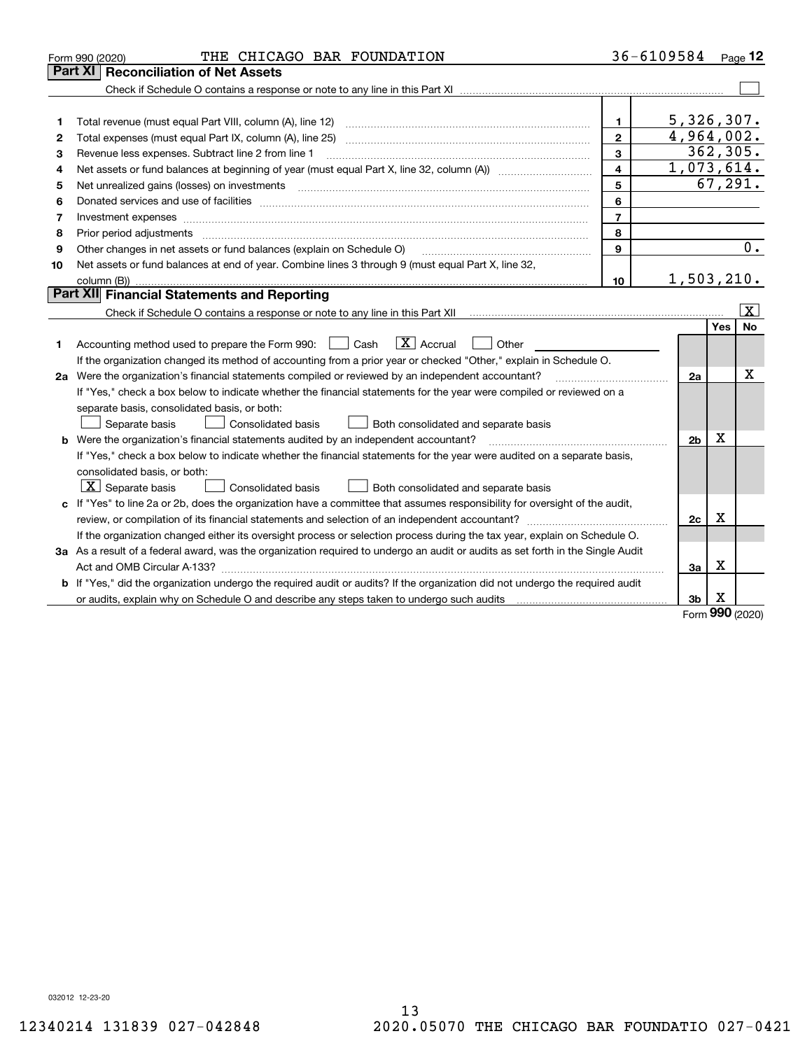|    | THE CHICAGO BAR FOUNDATION<br>Form 990 (2020)                                                                                   |                | 36-6109584 Page 12 |             |                         |
|----|---------------------------------------------------------------------------------------------------------------------------------|----------------|--------------------|-------------|-------------------------|
|    | <b>Reconciliation of Net Assets</b><br>Part XI                                                                                  |                |                    |             |                         |
|    |                                                                                                                                 |                |                    |             |                         |
|    |                                                                                                                                 |                |                    |             |                         |
| 1  |                                                                                                                                 | 1.             | 5,326,307.         |             |                         |
| 2  |                                                                                                                                 | $\overline{2}$ | 4,964,002.         |             |                         |
| 3  | Revenue less expenses. Subtract line 2 from line 1                                                                              | 3              | 362, 305.          |             |                         |
| 4  |                                                                                                                                 | 4              | 1,073,614.         |             |                         |
| 5  | Net unrealized gains (losses) on investments                                                                                    | 5              |                    | 67, 291.    |                         |
| 6  |                                                                                                                                 | 6              |                    |             |                         |
| 7  |                                                                                                                                 | $\overline{7}$ |                    |             |                         |
| 8  | Prior period adjustments                                                                                                        | 8              |                    |             |                         |
| 9  | Other changes in net assets or fund balances (explain on Schedule O)                                                            | 9              |                    |             | $\overline{0}$ .        |
| 10 | Net assets or fund balances at end of year. Combine lines 3 through 9 (must equal Part X, line 32,                              |                |                    |             |                         |
|    |                                                                                                                                 | 10             | 1,503,210.         |             |                         |
|    | Part XII Financial Statements and Reporting                                                                                     |                |                    |             |                         |
|    |                                                                                                                                 |                |                    |             | $\overline{\mathtt{x}}$ |
|    |                                                                                                                                 |                |                    | Yes         | No                      |
| 1  | $\boxed{\mathbf{X}}$ Accrual<br>Accounting method used to prepare the Form 990: <u>[</u> Cash<br>Other                          |                |                    |             |                         |
|    | If the organization changed its method of accounting from a prior year or checked "Other," explain in Schedule O.               |                |                    |             |                         |
|    | 2a Were the organization's financial statements compiled or reviewed by an independent accountant?                              |                | 2a                 |             | Χ                       |
|    | If "Yes," check a box below to indicate whether the financial statements for the year were compiled or reviewed on a            |                |                    |             |                         |
|    | separate basis, consolidated basis, or both:                                                                                    |                |                    |             |                         |
|    | Separate basis<br>Consolidated basis<br>Both consolidated and separate basis                                                    |                |                    |             |                         |
|    | <b>b</b> Were the organization's financial statements audited by an independent accountant?                                     |                | 2 <sub>b</sub>     | x           |                         |
|    | If "Yes," check a box below to indicate whether the financial statements for the year were audited on a separate basis,         |                |                    |             |                         |
|    | consolidated basis, or both:                                                                                                    |                |                    |             |                         |
|    | $\vert X \vert$ Separate basis<br>Consolidated basis<br>Both consolidated and separate basis                                    |                |                    |             |                         |
|    | c If "Yes" to line 2a or 2b, does the organization have a committee that assumes responsibility for oversight of the audit,     |                |                    |             |                         |
|    |                                                                                                                                 |                | 2c                 | х           |                         |
|    | If the organization changed either its oversight process or selection process during the tax year, explain on Schedule O.       |                |                    |             |                         |
|    | 3a As a result of a federal award, was the organization required to undergo an audit or audits as set forth in the Single Audit |                |                    |             |                         |
|    |                                                                                                                                 |                | 3a                 | x           |                         |
|    | b If "Yes," did the organization undergo the required audit or audits? If the organization did not undergo the required audit   |                |                    |             |                         |
|    | or audits, explain why on Schedule O and describe any steps taken to undergo such audits                                        |                | 3b                 | x<br>$\sim$ |                         |

Form (2020) **990**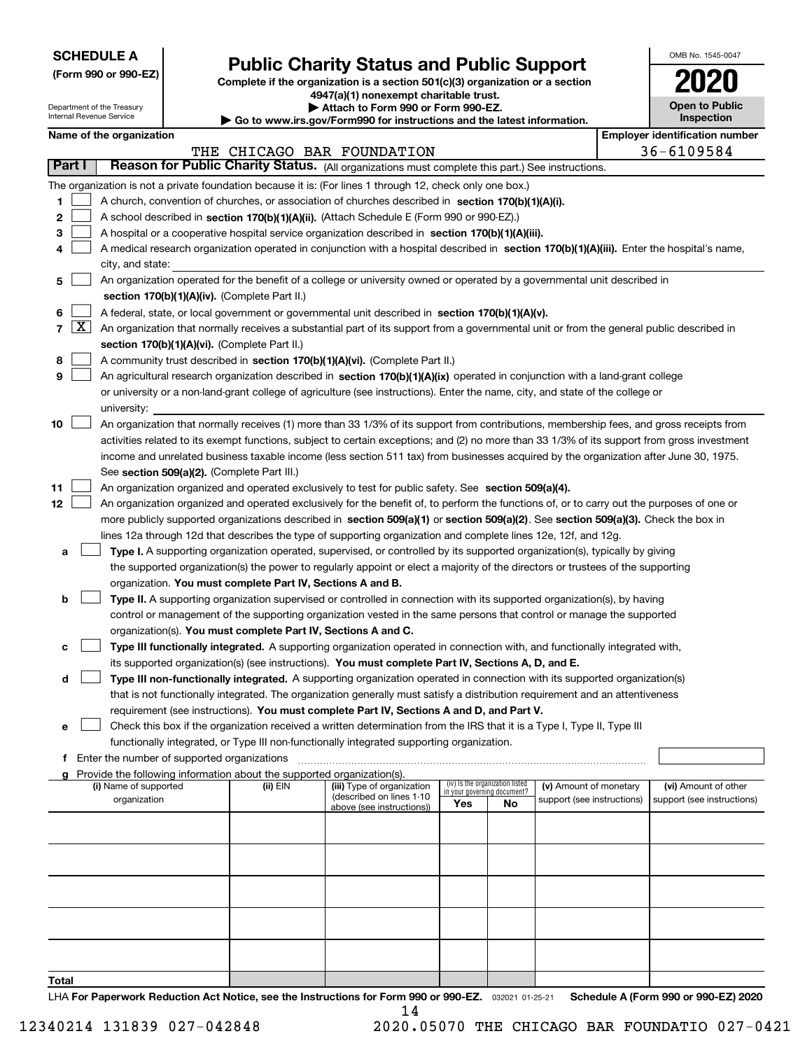| <b>SCHEDULE A</b> |
|-------------------|
|-------------------|

Department of the Treasury Internal Revenue Service

**(Form 990 or 990-EZ)**

# **Public Charity Status and Public Support**

**Complete if the organization is a section 501(c)(3) organization or a section 4947(a)(1) nonexempt charitable trust.**

| Attach to Form 990 or Form 990-EZ. |
|------------------------------------|
|                                    |

**| Go to www.irs.gov/Form990 for instructions and the latest information.**

| OMB No. 1545-0047                   |
|-------------------------------------|
| 0                                   |
| <b>Open to Public</b><br>Inspection |

|        | <b>Employer identification number</b><br>Name of the organization |                                                                                                                                               |          |                                                        |     |                                 |                                                      |  |                            |  |
|--------|-------------------------------------------------------------------|-----------------------------------------------------------------------------------------------------------------------------------------------|----------|--------------------------------------------------------|-----|---------------------------------|------------------------------------------------------|--|----------------------------|--|
|        |                                                                   |                                                                                                                                               |          | THE CHICAGO BAR FOUNDATION                             |     |                                 |                                                      |  | 36-6109584                 |  |
| Part I |                                                                   | Reason for Public Charity Status. (All organizations must complete this part.) See instructions.                                              |          |                                                        |     |                                 |                                                      |  |                            |  |
|        |                                                                   | The organization is not a private foundation because it is: (For lines 1 through 12, check only one box.)                                     |          |                                                        |     |                                 |                                                      |  |                            |  |
| 1      |                                                                   | A church, convention of churches, or association of churches described in section 170(b)(1)(A)(i).                                            |          |                                                        |     |                                 |                                                      |  |                            |  |
| 2      |                                                                   | A school described in section 170(b)(1)(A)(ii). (Attach Schedule E (Form 990 or 990-EZ).)                                                     |          |                                                        |     |                                 |                                                      |  |                            |  |
| 3      |                                                                   | A hospital or a cooperative hospital service organization described in section 170(b)(1)(A)(iii).                                             |          |                                                        |     |                                 |                                                      |  |                            |  |
| 4      |                                                                   | A medical research organization operated in conjunction with a hospital described in section 170(b)(1)(A)(iii). Enter the hospital's name,    |          |                                                        |     |                                 |                                                      |  |                            |  |
|        |                                                                   | city, and state:<br>An organization operated for the benefit of a college or university owned or operated by a governmental unit described in |          |                                                        |     |                                 |                                                      |  |                            |  |
| 5      |                                                                   |                                                                                                                                               |          |                                                        |     |                                 |                                                      |  |                            |  |
|        |                                                                   | section 170(b)(1)(A)(iv). (Complete Part II.)                                                                                                 |          |                                                        |     |                                 |                                                      |  |                            |  |
| 6      |                                                                   | A federal, state, or local government or governmental unit described in section 170(b)(1)(A)(v).                                              |          |                                                        |     |                                 |                                                      |  |                            |  |
|        | 7   X                                                             | An organization that normally receives a substantial part of its support from a governmental unit or from the general public described in     |          |                                                        |     |                                 |                                                      |  |                            |  |
|        |                                                                   | section 170(b)(1)(A)(vi). (Complete Part II.)                                                                                                 |          |                                                        |     |                                 |                                                      |  |                            |  |
| 8<br>9 |                                                                   | A community trust described in section 170(b)(1)(A)(vi). (Complete Part II.)                                                                  |          |                                                        |     |                                 |                                                      |  |                            |  |
|        |                                                                   | An agricultural research organization described in section 170(b)(1)(A)(ix) operated in conjunction with a land-grant college                 |          |                                                        |     |                                 |                                                      |  |                            |  |
|        |                                                                   | or university or a non-land-grant college of agriculture (see instructions). Enter the name, city, and state of the college or<br>university: |          |                                                        |     |                                 |                                                      |  |                            |  |
| 10     |                                                                   | An organization that normally receives (1) more than 33 1/3% of its support from contributions, membership fees, and gross receipts from      |          |                                                        |     |                                 |                                                      |  |                            |  |
|        |                                                                   | activities related to its exempt functions, subject to certain exceptions; and (2) no more than 33 1/3% of its support from gross investment  |          |                                                        |     |                                 |                                                      |  |                            |  |
|        |                                                                   | income and unrelated business taxable income (less section 511 tax) from businesses acquired by the organization after June 30, 1975.         |          |                                                        |     |                                 |                                                      |  |                            |  |
|        |                                                                   | See section 509(a)(2). (Complete Part III.)                                                                                                   |          |                                                        |     |                                 |                                                      |  |                            |  |
| 11     |                                                                   | An organization organized and operated exclusively to test for public safety. See section 509(a)(4).                                          |          |                                                        |     |                                 |                                                      |  |                            |  |
| 12     |                                                                   | An organization organized and operated exclusively for the benefit of, to perform the functions of, or to carry out the purposes of one or    |          |                                                        |     |                                 |                                                      |  |                            |  |
|        |                                                                   | more publicly supported organizations described in section 509(a)(1) or section 509(a)(2). See section 509(a)(3). Check the box in            |          |                                                        |     |                                 |                                                      |  |                            |  |
|        |                                                                   | lines 12a through 12d that describes the type of supporting organization and complete lines 12e, 12f, and 12g.                                |          |                                                        |     |                                 |                                                      |  |                            |  |
| a      |                                                                   | Type I. A supporting organization operated, supervised, or controlled by its supported organization(s), typically by giving                   |          |                                                        |     |                                 |                                                      |  |                            |  |
|        |                                                                   | the supported organization(s) the power to regularly appoint or elect a majority of the directors or trustees of the supporting               |          |                                                        |     |                                 |                                                      |  |                            |  |
|        |                                                                   | organization. You must complete Part IV, Sections A and B.                                                                                    |          |                                                        |     |                                 |                                                      |  |                            |  |
| b      |                                                                   | Type II. A supporting organization supervised or controlled in connection with its supported organization(s), by having                       |          |                                                        |     |                                 |                                                      |  |                            |  |
|        |                                                                   | control or management of the supporting organization vested in the same persons that control or manage the supported                          |          |                                                        |     |                                 |                                                      |  |                            |  |
|        |                                                                   | organization(s). You must complete Part IV, Sections A and C.                                                                                 |          |                                                        |     |                                 |                                                      |  |                            |  |
| c      |                                                                   | Type III functionally integrated. A supporting organization operated in connection with, and functionally integrated with,                    |          |                                                        |     |                                 |                                                      |  |                            |  |
|        |                                                                   | its supported organization(s) (see instructions). You must complete Part IV, Sections A, D, and E.                                            |          |                                                        |     |                                 |                                                      |  |                            |  |
| d      |                                                                   | Type III non-functionally integrated. A supporting organization operated in connection with its supported organization(s)                     |          |                                                        |     |                                 |                                                      |  |                            |  |
|        |                                                                   | that is not functionally integrated. The organization generally must satisfy a distribution requirement and an attentiveness                  |          |                                                        |     |                                 |                                                      |  |                            |  |
|        |                                                                   | requirement (see instructions). You must complete Part IV, Sections A and D, and Part V.                                                      |          |                                                        |     |                                 |                                                      |  |                            |  |
|        |                                                                   | Check this box if the organization received a written determination from the IRS that it is a Type I, Type II, Type III                       |          |                                                        |     |                                 |                                                      |  |                            |  |
|        |                                                                   | functionally integrated, or Type III non-functionally integrated supporting organization.                                                     |          |                                                        |     |                                 |                                                      |  |                            |  |
|        |                                                                   | f Enter the number of supported organizations                                                                                                 |          |                                                        |     |                                 |                                                      |  |                            |  |
|        |                                                                   | g Provide the following information about the supported organization(s).                                                                      |          |                                                        |     | (iv) Is the organization listed |                                                      |  |                            |  |
|        |                                                                   | (i) Name of supported                                                                                                                         | (ii) EIN | (iii) Type of organization<br>(described on lines 1-10 |     | in your governing document?     | (v) Amount of monetary<br>support (see instructions) |  | (vi) Amount of other       |  |
|        |                                                                   | organization                                                                                                                                  |          | above (see instructions))                              | Yes | No                              |                                                      |  | support (see instructions) |  |
|        |                                                                   |                                                                                                                                               |          |                                                        |     |                                 |                                                      |  |                            |  |
|        |                                                                   |                                                                                                                                               |          |                                                        |     |                                 |                                                      |  |                            |  |
|        |                                                                   |                                                                                                                                               |          |                                                        |     |                                 |                                                      |  |                            |  |
|        |                                                                   |                                                                                                                                               |          |                                                        |     |                                 |                                                      |  |                            |  |
|        |                                                                   |                                                                                                                                               |          |                                                        |     |                                 |                                                      |  |                            |  |
|        |                                                                   |                                                                                                                                               |          |                                                        |     |                                 |                                                      |  |                            |  |
|        |                                                                   |                                                                                                                                               |          |                                                        |     |                                 |                                                      |  |                            |  |
|        |                                                                   |                                                                                                                                               |          |                                                        |     |                                 |                                                      |  |                            |  |
|        |                                                                   |                                                                                                                                               |          |                                                        |     |                                 |                                                      |  |                            |  |

**Total**

LHA For Paperwork Reduction Act Notice, see the Instructions for Form 990 or 990-EZ. <sub>032021</sub> o1-25-21 Schedule A (Form 990 or 990-EZ) 2020 14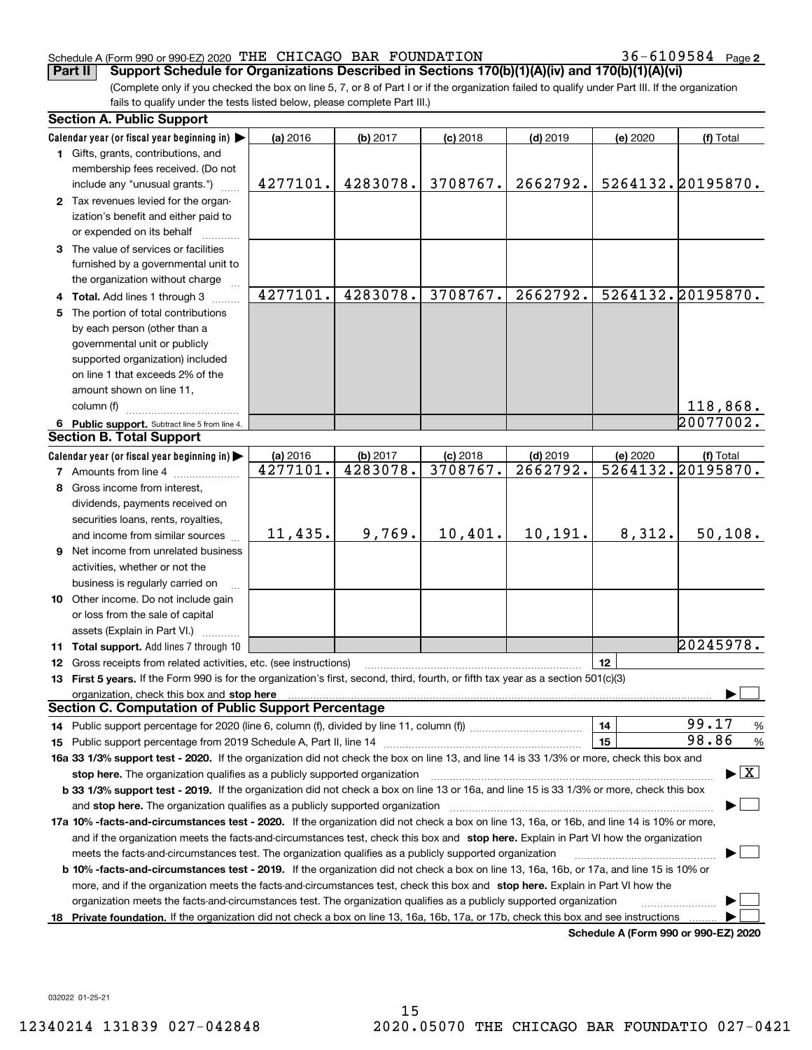#### Schedule A (Form 990 or 990-EZ) 2020 Page THE CHICAGO BAR FOUNDATION 36-6109584

36-6109584 Page 2

(Complete only if you checked the box on line 5, 7, or 8 of Part I or if the organization failed to qualify under Part III. If the organization fails to qualify under the tests listed below, please complete Part III.) **Part II** Support Schedule for Organizations Described in Sections 170(b)(1)(A)(iv) and 170(b)(1)(A)(vi)

|    | <b>Section A. Public Support</b>                                                                                                               |          |          |            |            |          |                                         |
|----|------------------------------------------------------------------------------------------------------------------------------------------------|----------|----------|------------|------------|----------|-----------------------------------------|
|    | Calendar year (or fiscal year beginning in)                                                                                                    | (a) 2016 | (b) 2017 | $(c)$ 2018 | $(d)$ 2019 | (e) 2020 | (f) Total                               |
|    | 1 Gifts, grants, contributions, and                                                                                                            |          |          |            |            |          |                                         |
|    | membership fees received. (Do not                                                                                                              |          |          |            |            |          |                                         |
|    | include any "unusual grants.")                                                                                                                 | 4277101. | 4283078. | 3708767.   | 2662792.   |          | 5264132.20195870.                       |
|    | 2 Tax revenues levied for the organ-                                                                                                           |          |          |            |            |          |                                         |
|    | ization's benefit and either paid to                                                                                                           |          |          |            |            |          |                                         |
|    | or expended on its behalf                                                                                                                      |          |          |            |            |          |                                         |
|    | 3 The value of services or facilities                                                                                                          |          |          |            |            |          |                                         |
|    | furnished by a governmental unit to                                                                                                            |          |          |            |            |          |                                         |
|    | the organization without charge                                                                                                                |          |          |            |            |          |                                         |
|    | 4 Total. Add lines 1 through 3                                                                                                                 | 4277101. | 4283078. | 3708767.   | 2662792.   |          | 5264132.20195870.                       |
|    | 5 The portion of total contributions                                                                                                           |          |          |            |            |          |                                         |
|    | by each person (other than a                                                                                                                   |          |          |            |            |          |                                         |
|    | governmental unit or publicly                                                                                                                  |          |          |            |            |          |                                         |
|    | supported organization) included                                                                                                               |          |          |            |            |          |                                         |
|    | on line 1 that exceeds 2% of the                                                                                                               |          |          |            |            |          |                                         |
|    | amount shown on line 11,                                                                                                                       |          |          |            |            |          |                                         |
|    | column (f)                                                                                                                                     |          |          |            |            |          | 118,868.                                |
|    | 6 Public support. Subtract line 5 from line 4.                                                                                                 |          |          |            |            |          | 20077002.                               |
|    | <b>Section B. Total Support</b>                                                                                                                |          |          |            |            |          |                                         |
|    | Calendar year (or fiscal year beginning in)                                                                                                    | (a) 2016 | (b) 2017 | $(c)$ 2018 | $(d)$ 2019 | (e) 2020 | (f) Total                               |
|    | <b>7</b> Amounts from line 4                                                                                                                   | 4277101. | 4283078. | 3708767.   | 2662792.   |          | 5264132.20195870.                       |
|    | 8 Gross income from interest,                                                                                                                  |          |          |            |            |          |                                         |
|    | dividends, payments received on                                                                                                                |          |          |            |            |          |                                         |
|    | securities loans, rents, royalties,                                                                                                            |          |          |            |            |          |                                         |
|    | and income from similar sources                                                                                                                | 11,435.  | 9,769.   | 10,401.    | 10, 191.   | 8,312.   | 50, 108.                                |
|    | 9 Net income from unrelated business                                                                                                           |          |          |            |            |          |                                         |
|    | activities, whether or not the                                                                                                                 |          |          |            |            |          |                                         |
|    | business is regularly carried on                                                                                                               |          |          |            |            |          |                                         |
|    | 10 Other income. Do not include gain                                                                                                           |          |          |            |            |          |                                         |
|    | or loss from the sale of capital                                                                                                               |          |          |            |            |          |                                         |
|    | assets (Explain in Part VI.)                                                                                                                   |          |          |            |            |          |                                         |
|    | 11 Total support. Add lines 7 through 10                                                                                                       |          |          |            |            |          | 20245978.                               |
|    | 12 Gross receipts from related activities, etc. (see instructions)                                                                             |          |          |            |            | 12       |                                         |
|    | 13 First 5 years. If the Form 990 is for the organization's first, second, third, fourth, or fifth tax year as a section 501(c)(3)             |          |          |            |            |          |                                         |
|    | organization, check this box and stop here                                                                                                     |          |          |            |            |          |                                         |
|    | <b>Section C. Computation of Public Support Percentage</b>                                                                                     |          |          |            |            |          |                                         |
|    |                                                                                                                                                |          |          |            |            | 14       | 99.17<br>$\frac{9}{6}$                  |
|    |                                                                                                                                                |          |          |            |            | 15       | 98.86<br>%                              |
|    | 16a 33 1/3% support test - 2020. If the organization did not check the box on line 13, and line 14 is 33 1/3% or more, check this box and      |          |          |            |            |          |                                         |
|    | stop here. The organization qualifies as a publicly supported organization                                                                     |          |          |            |            |          | $\blacktriangleright$ $\vert$ X $\vert$ |
|    | b 33 1/3% support test - 2019. If the organization did not check a box on line 13 or 16a, and line 15 is 33 1/3% or more, check this box       |          |          |            |            |          |                                         |
|    | and stop here. The organization qualifies as a publicly supported organization                                                                 |          |          |            |            |          |                                         |
|    | 17a 10% -facts-and-circumstances test - 2020. If the organization did not check a box on line 13, 16a, or 16b, and line 14 is 10% or more,     |          |          |            |            |          |                                         |
|    | and if the organization meets the facts-and-circumstances test, check this box and stop here. Explain in Part VI how the organization          |          |          |            |            |          |                                         |
|    | meets the facts-and-circumstances test. The organization qualifies as a publicly supported organization                                        |          |          |            |            |          |                                         |
|    | <b>b 10% -facts-and-circumstances test - 2019.</b> If the organization did not check a box on line 13, 16a, 16b, or 17a, and line 15 is 10% or |          |          |            |            |          |                                         |
|    | more, and if the organization meets the facts-and-circumstances test, check this box and stop here. Explain in Part VI how the                 |          |          |            |            |          |                                         |
|    | organization meets the facts-and-circumstances test. The organization qualifies as a publicly supported organization                           |          |          |            |            |          |                                         |
| 18 | Private foundation. If the organization did not check a box on line 13, 16a, 16b, 17a, or 17b, check this box and see instructions             |          |          |            |            |          |                                         |
|    |                                                                                                                                                |          |          |            |            |          | Schedule A (Form 990 or 990-F7) 2020    |

**Schedule A (Form 990 or 990-EZ) 2020**

032022 01-25-21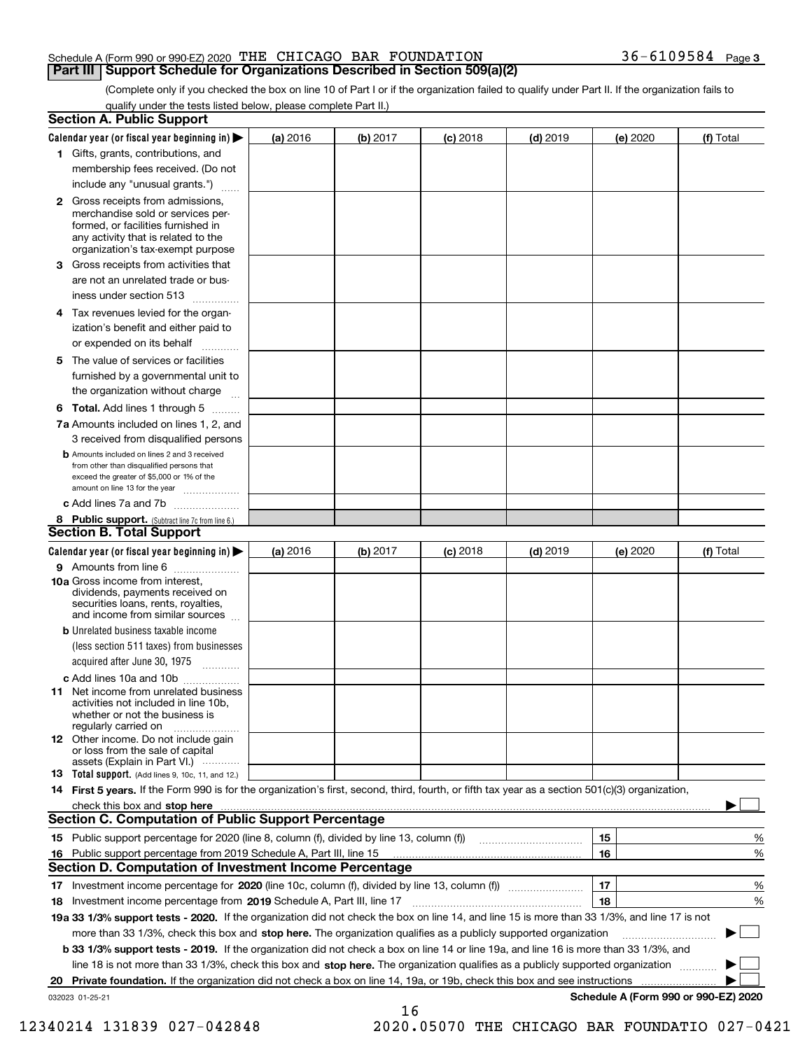#### Schedule A (Form 990 or 990-EZ) 2020 Page THE CHICAGO BAR FOUNDATION 36-6109584 **Part III Support Schedule for Organizations Described in Section 509(a)(2)**

(Complete only if you checked the box on line 10 of Part I or if the organization failed to qualify under Part II. If the organization fails to qualify under the tests listed below, please complete Part II.)

|    | <b>Section A. Public Support</b>                                                                                                                                                                                              |          |          |            |            |          |                                      |
|----|-------------------------------------------------------------------------------------------------------------------------------------------------------------------------------------------------------------------------------|----------|----------|------------|------------|----------|--------------------------------------|
|    | Calendar year (or fiscal year beginning in) $\blacktriangleright$                                                                                                                                                             | (a) 2016 | (b) 2017 | $(c)$ 2018 | $(d)$ 2019 | (e) 2020 | (f) Total                            |
|    | 1 Gifts, grants, contributions, and                                                                                                                                                                                           |          |          |            |            |          |                                      |
|    | membership fees received. (Do not                                                                                                                                                                                             |          |          |            |            |          |                                      |
|    | include any "unusual grants.")                                                                                                                                                                                                |          |          |            |            |          |                                      |
|    | 2 Gross receipts from admissions,<br>merchandise sold or services per-<br>formed, or facilities furnished in<br>any activity that is related to the<br>organization's tax-exempt purpose                                      |          |          |            |            |          |                                      |
|    | 3 Gross receipts from activities that<br>are not an unrelated trade or bus-                                                                                                                                                   |          |          |            |            |          |                                      |
|    | iness under section 513                                                                                                                                                                                                       |          |          |            |            |          |                                      |
|    | 4 Tax revenues levied for the organ-                                                                                                                                                                                          |          |          |            |            |          |                                      |
|    | ization's benefit and either paid to<br>or expended on its behalf<br>.                                                                                                                                                        |          |          |            |            |          |                                      |
|    | 5 The value of services or facilities                                                                                                                                                                                         |          |          |            |            |          |                                      |
|    | furnished by a governmental unit to                                                                                                                                                                                           |          |          |            |            |          |                                      |
|    | the organization without charge                                                                                                                                                                                               |          |          |            |            |          |                                      |
|    | <b>6 Total.</b> Add lines 1 through 5                                                                                                                                                                                         |          |          |            |            |          |                                      |
|    | 7a Amounts included on lines 1, 2, and                                                                                                                                                                                        |          |          |            |            |          |                                      |
|    | 3 received from disqualified persons                                                                                                                                                                                          |          |          |            |            |          |                                      |
|    | <b>b</b> Amounts included on lines 2 and 3 received<br>from other than disqualified persons that<br>exceed the greater of \$5,000 or 1% of the<br>amount on line 13 for the year                                              |          |          |            |            |          |                                      |
|    | c Add lines 7a and 7b                                                                                                                                                                                                         |          |          |            |            |          |                                      |
|    | 8 Public support. (Subtract line 7c from line 6.)                                                                                                                                                                             |          |          |            |            |          |                                      |
|    | <b>Section B. Total Support</b>                                                                                                                                                                                               |          |          |            |            |          |                                      |
|    | Calendar year (or fiscal year beginning in) $\blacktriangleright$                                                                                                                                                             | (a) 2016 | (b) 2017 | $(c)$ 2018 | $(d)$ 2019 | (e) 2020 | (f) Total                            |
|    | 9 Amounts from line 6                                                                                                                                                                                                         |          |          |            |            |          |                                      |
|    | 10a Gross income from interest,<br>dividends, payments received on<br>securities loans, rents, royalties,<br>and income from similar sources                                                                                  |          |          |            |            |          |                                      |
|    | <b>b</b> Unrelated business taxable income<br>(less section 511 taxes) from businesses                                                                                                                                        |          |          |            |            |          |                                      |
|    | acquired after June 30, 1975                                                                                                                                                                                                  |          |          |            |            |          |                                      |
|    | c Add lines 10a and 10b<br>11 Net income from unrelated business<br>activities not included in line 10b,<br>whether or not the business is<br>regularly carried on                                                            |          |          |            |            |          |                                      |
|    | 12 Other income. Do not include gain<br>or loss from the sale of capital<br>assets (Explain in Part VI.)                                                                                                                      |          |          |            |            |          |                                      |
|    | <b>13</b> Total support. (Add lines 9, 10c, 11, and 12.)                                                                                                                                                                      |          |          |            |            |          |                                      |
|    | 14 First 5 years. If the Form 990 is for the organization's first, second, third, fourth, or fifth tax year as a section 501(c)(3) organization,                                                                              |          |          |            |            |          |                                      |
|    | check this box and stop here with the continuum control to the control of the state of the state of the control of the state of the control of the control of the control of the control of the control of the control of the |          |          |            |            |          |                                      |
|    | <b>Section C. Computation of Public Support Percentage</b>                                                                                                                                                                    |          |          |            |            |          |                                      |
|    | 15 Public support percentage for 2020 (line 8, column (f), divided by line 13, column (f))                                                                                                                                    |          |          |            |            | 15       | %                                    |
|    | 16 Public support percentage from 2019 Schedule A, Part III, line 15                                                                                                                                                          |          |          |            |            | 16       | %                                    |
|    | <b>Section D. Computation of Investment Income Percentage</b>                                                                                                                                                                 |          |          |            |            |          |                                      |
|    | 17 Investment income percentage for 2020 (line 10c, column (f), divided by line 13, column (f))                                                                                                                               |          |          |            |            | 17       | %                                    |
|    | <b>18</b> Investment income percentage from <b>2019</b> Schedule A, Part III, line 17                                                                                                                                         |          |          |            |            | 18       | %                                    |
|    | 19a 33 1/3% support tests - 2020. If the organization did not check the box on line 14, and line 15 is more than 33 1/3%, and line 17 is not                                                                                  |          |          |            |            |          |                                      |
|    | more than 33 1/3%, check this box and stop here. The organization qualifies as a publicly supported organization                                                                                                              |          |          |            |            |          | ▶                                    |
|    | b 33 1/3% support tests - 2019. If the organization did not check a box on line 14 or line 19a, and line 16 is more than 33 1/3%, and                                                                                         |          |          |            |            |          |                                      |
|    | line 18 is not more than 33 1/3%, check this box and stop here. The organization qualifies as a publicly supported organization                                                                                               |          |          |            |            |          |                                      |
| 20 | <b>Private foundation.</b> If the organization did not check a box on line 14, 19a, or 19b, check this box and see instructions                                                                                               |          |          |            |            |          |                                      |
|    | 032023 01-25-21                                                                                                                                                                                                               |          | 16       |            |            |          | Schedule A (Form 990 or 990-EZ) 2020 |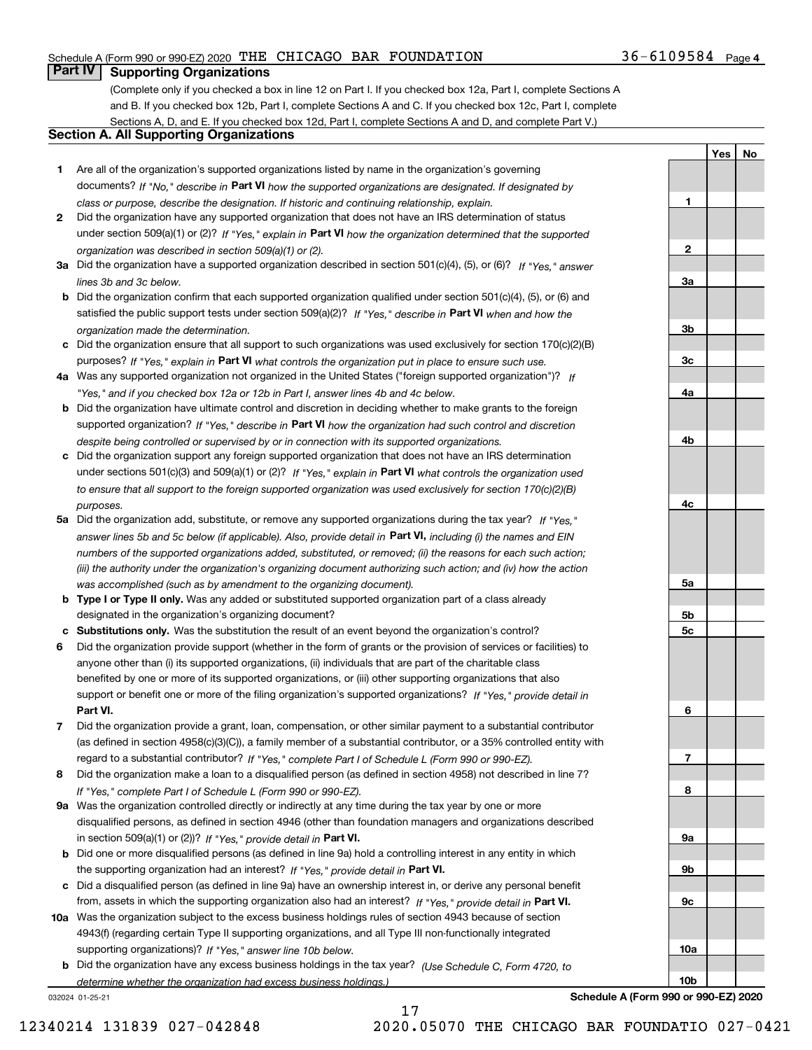#### Schedule A (Form 990 or 990-EZ) 2020 Page THE CHICAGO BAR FOUNDATION 36-6109584

## **Part IV Supporting Organizations**

(Complete only if you checked a box in line 12 on Part I. If you checked box 12a, Part I, complete Sections A and B. If you checked box 12b, Part I, complete Sections A and C. If you checked box 12c, Part I, complete Sections A, D, and E. If you checked box 12d, Part I, complete Sections A and D, and complete Part V.)

#### **Section A. All Supporting Organizations**

- **1** Are all of the organization's supported organizations listed by name in the organization's governing documents? If "No," describe in **Part VI** how the supported organizations are designated. If designated by *class or purpose, describe the designation. If historic and continuing relationship, explain.*
- **2** Did the organization have any supported organization that does not have an IRS determination of status under section 509(a)(1) or (2)? If "Yes," explain in Part VI how the organization determined that the supported *organization was described in section 509(a)(1) or (2).*
- **3a** Did the organization have a supported organization described in section 501(c)(4), (5), or (6)? If "Yes," answer *lines 3b and 3c below.*
- **b** Did the organization confirm that each supported organization qualified under section 501(c)(4), (5), or (6) and satisfied the public support tests under section 509(a)(2)? If "Yes," describe in **Part VI** when and how the *organization made the determination.*
- **c**Did the organization ensure that all support to such organizations was used exclusively for section 170(c)(2)(B) purposes? If "Yes," explain in **Part VI** what controls the organization put in place to ensure such use.
- **4a***If* Was any supported organization not organized in the United States ("foreign supported organization")? *"Yes," and if you checked box 12a or 12b in Part I, answer lines 4b and 4c below.*
- **b** Did the organization have ultimate control and discretion in deciding whether to make grants to the foreign supported organization? If "Yes," describe in **Part VI** how the organization had such control and discretion *despite being controlled or supervised by or in connection with its supported organizations.*
- **c** Did the organization support any foreign supported organization that does not have an IRS determination under sections 501(c)(3) and 509(a)(1) or (2)? If "Yes," explain in **Part VI** what controls the organization used *to ensure that all support to the foreign supported organization was used exclusively for section 170(c)(2)(B) purposes.*
- **5a** Did the organization add, substitute, or remove any supported organizations during the tax year? If "Yes," answer lines 5b and 5c below (if applicable). Also, provide detail in **Part VI,** including (i) the names and EIN *numbers of the supported organizations added, substituted, or removed; (ii) the reasons for each such action; (iii) the authority under the organization's organizing document authorizing such action; and (iv) how the action was accomplished (such as by amendment to the organizing document).*
- **b** Type I or Type II only. Was any added or substituted supported organization part of a class already designated in the organization's organizing document?
- **cSubstitutions only.**  Was the substitution the result of an event beyond the organization's control?
- **6** Did the organization provide support (whether in the form of grants or the provision of services or facilities) to **Part VI.** *If "Yes," provide detail in* support or benefit one or more of the filing organization's supported organizations? anyone other than (i) its supported organizations, (ii) individuals that are part of the charitable class benefited by one or more of its supported organizations, or (iii) other supporting organizations that also
- **7**Did the organization provide a grant, loan, compensation, or other similar payment to a substantial contributor *If "Yes," complete Part I of Schedule L (Form 990 or 990-EZ).* regard to a substantial contributor? (as defined in section 4958(c)(3)(C)), a family member of a substantial contributor, or a 35% controlled entity with
- **8** Did the organization make a loan to a disqualified person (as defined in section 4958) not described in line 7? *If "Yes," complete Part I of Schedule L (Form 990 or 990-EZ).*
- **9a** Was the organization controlled directly or indirectly at any time during the tax year by one or more in section 509(a)(1) or (2))? If "Yes," *provide detail in* <code>Part VI.</code> disqualified persons, as defined in section 4946 (other than foundation managers and organizations described
- **b** Did one or more disqualified persons (as defined in line 9a) hold a controlling interest in any entity in which the supporting organization had an interest? If "Yes," provide detail in P**art VI**.
- **c**Did a disqualified person (as defined in line 9a) have an ownership interest in, or derive any personal benefit from, assets in which the supporting organization also had an interest? If "Yes," provide detail in P**art VI.**
- **10a** Was the organization subject to the excess business holdings rules of section 4943 because of section supporting organizations)? If "Yes," answer line 10b below. 4943(f) (regarding certain Type II supporting organizations, and all Type III non-functionally integrated
- **b** Did the organization have any excess business holdings in the tax year? (Use Schedule C, Form 4720, to *determine whether the organization had excess business holdings.)*

17

032024 01-25-21

**Schedule A (Form 990 or 990-EZ) 2020**

**1**

**2**

**YesNo**

**3a3b3c4a4b4c5a 5b5c6789a 9b9c10a10b**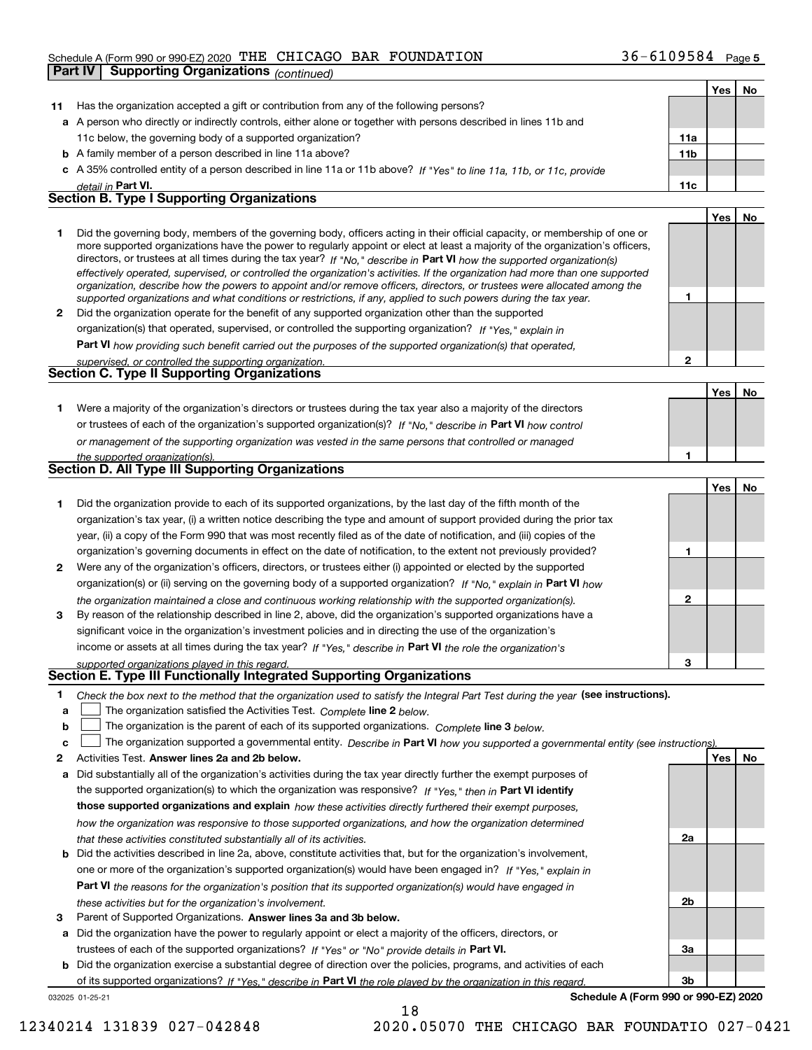#### Schedule A (Form 990 or 990-EZ) 2020 Page THE CHICAGO BAR FOUNDATION 36-6109584

|    | Part IV | <b>Supporting Organizations (continued)</b>                                                                                                                                                                                                                                                                                                                                                                                                                                                                                                                                                                                                          |                 |     |    |
|----|---------|------------------------------------------------------------------------------------------------------------------------------------------------------------------------------------------------------------------------------------------------------------------------------------------------------------------------------------------------------------------------------------------------------------------------------------------------------------------------------------------------------------------------------------------------------------------------------------------------------------------------------------------------------|-----------------|-----|----|
|    |         |                                                                                                                                                                                                                                                                                                                                                                                                                                                                                                                                                                                                                                                      |                 | Yes | No |
| 11 |         | Has the organization accepted a gift or contribution from any of the following persons?                                                                                                                                                                                                                                                                                                                                                                                                                                                                                                                                                              |                 |     |    |
|    |         | a A person who directly or indirectly controls, either alone or together with persons described in lines 11b and                                                                                                                                                                                                                                                                                                                                                                                                                                                                                                                                     |                 |     |    |
|    |         | 11c below, the governing body of a supported organization?                                                                                                                                                                                                                                                                                                                                                                                                                                                                                                                                                                                           | 11a             |     |    |
|    |         | <b>b</b> A family member of a person described in line 11a above?                                                                                                                                                                                                                                                                                                                                                                                                                                                                                                                                                                                    | 11 <sub>b</sub> |     |    |
|    |         | c A 35% controlled entity of a person described in line 11a or 11b above? If "Yes" to line 11a, 11b, or 11c, provide                                                                                                                                                                                                                                                                                                                                                                                                                                                                                                                                 |                 |     |    |
|    |         | detail in Part VI.                                                                                                                                                                                                                                                                                                                                                                                                                                                                                                                                                                                                                                   | 11c             |     |    |
|    |         | <b>Section B. Type I Supporting Organizations</b>                                                                                                                                                                                                                                                                                                                                                                                                                                                                                                                                                                                                    |                 |     |    |
|    |         |                                                                                                                                                                                                                                                                                                                                                                                                                                                                                                                                                                                                                                                      |                 | Yes | No |
| 1  |         | Did the governing body, members of the governing body, officers acting in their official capacity, or membership of one or<br>more supported organizations have the power to regularly appoint or elect at least a majority of the organization's officers,<br>directors, or trustees at all times during the tax year? If "No," describe in Part VI how the supported organization(s)<br>effectively operated, supervised, or controlled the organization's activities. If the organization had more than one supported<br>organization, describe how the powers to appoint and/or remove officers, directors, or trustees were allocated among the | 1               |     |    |
| 2  |         | supported organizations and what conditions or restrictions, if any, applied to such powers during the tax year.<br>Did the organization operate for the benefit of any supported organization other than the supported                                                                                                                                                                                                                                                                                                                                                                                                                              |                 |     |    |
|    |         | organization(s) that operated, supervised, or controlled the supporting organization? If "Yes," explain in                                                                                                                                                                                                                                                                                                                                                                                                                                                                                                                                           |                 |     |    |
|    |         |                                                                                                                                                                                                                                                                                                                                                                                                                                                                                                                                                                                                                                                      |                 |     |    |
|    |         | Part VI how providing such benefit carried out the purposes of the supported organization(s) that operated,                                                                                                                                                                                                                                                                                                                                                                                                                                                                                                                                          | $\mathbf{2}$    |     |    |
|    |         | supervised, or controlled the supporting organization.<br><b>Section C. Type II Supporting Organizations</b>                                                                                                                                                                                                                                                                                                                                                                                                                                                                                                                                         |                 |     |    |
|    |         |                                                                                                                                                                                                                                                                                                                                                                                                                                                                                                                                                                                                                                                      |                 | Yes | No |
| 1  |         | Were a majority of the organization's directors or trustees during the tax year also a majority of the directors                                                                                                                                                                                                                                                                                                                                                                                                                                                                                                                                     |                 |     |    |
|    |         | or trustees of each of the organization's supported organization(s)? If "No," describe in Part VI how control                                                                                                                                                                                                                                                                                                                                                                                                                                                                                                                                        |                 |     |    |
|    |         | or management of the supporting organization was vested in the same persons that controlled or managed                                                                                                                                                                                                                                                                                                                                                                                                                                                                                                                                               |                 |     |    |
|    |         | the supported organization(s).                                                                                                                                                                                                                                                                                                                                                                                                                                                                                                                                                                                                                       | 1               |     |    |
|    |         | Section D. All Type III Supporting Organizations                                                                                                                                                                                                                                                                                                                                                                                                                                                                                                                                                                                                     |                 |     |    |
|    |         |                                                                                                                                                                                                                                                                                                                                                                                                                                                                                                                                                                                                                                                      |                 | Yes | No |
| 1  |         | Did the organization provide to each of its supported organizations, by the last day of the fifth month of the                                                                                                                                                                                                                                                                                                                                                                                                                                                                                                                                       |                 |     |    |
|    |         | organization's tax year, (i) a written notice describing the type and amount of support provided during the prior tax                                                                                                                                                                                                                                                                                                                                                                                                                                                                                                                                |                 |     |    |
|    |         | year, (ii) a copy of the Form 990 that was most recently filed as of the date of notification, and (iii) copies of the                                                                                                                                                                                                                                                                                                                                                                                                                                                                                                                               |                 |     |    |
|    |         | organization's governing documents in effect on the date of notification, to the extent not previously provided?                                                                                                                                                                                                                                                                                                                                                                                                                                                                                                                                     | 1               |     |    |
| 2  |         | Were any of the organization's officers, directors, or trustees either (i) appointed or elected by the supported                                                                                                                                                                                                                                                                                                                                                                                                                                                                                                                                     |                 |     |    |
|    |         | organization(s) or (ii) serving on the governing body of a supported organization? If "No," explain in Part VI how                                                                                                                                                                                                                                                                                                                                                                                                                                                                                                                                   |                 |     |    |
|    |         | the organization maintained a close and continuous working relationship with the supported organization(s).                                                                                                                                                                                                                                                                                                                                                                                                                                                                                                                                          | $\mathbf{2}$    |     |    |
| 3  |         | By reason of the relationship described in line 2, above, did the organization's supported organizations have a                                                                                                                                                                                                                                                                                                                                                                                                                                                                                                                                      |                 |     |    |
|    |         | significant voice in the organization's investment policies and in directing the use of the organization's                                                                                                                                                                                                                                                                                                                                                                                                                                                                                                                                           |                 |     |    |
|    |         | income or assets at all times during the tax year? If "Yes," describe in Part VI the role the organization's                                                                                                                                                                                                                                                                                                                                                                                                                                                                                                                                         |                 |     |    |
|    |         | supported organizations played in this regard.                                                                                                                                                                                                                                                                                                                                                                                                                                                                                                                                                                                                       | з               |     |    |
|    |         | Section E. Type III Functionally Integrated Supporting Organizations                                                                                                                                                                                                                                                                                                                                                                                                                                                                                                                                                                                 |                 |     |    |
| 1  |         | Check the box next to the method that the organization used to satisfy the Integral Part Test during the year (see instructions).                                                                                                                                                                                                                                                                                                                                                                                                                                                                                                                    |                 |     |    |
| a  |         | The organization satisfied the Activities Test. Complete line 2 below.                                                                                                                                                                                                                                                                                                                                                                                                                                                                                                                                                                               |                 |     |    |
| b  |         | The organization is the parent of each of its supported organizations. Complete line 3 below.                                                                                                                                                                                                                                                                                                                                                                                                                                                                                                                                                        |                 |     |    |
| c  |         | The organization supported a governmental entity. Describe in Part VI how you supported a governmental entity (see instructions)                                                                                                                                                                                                                                                                                                                                                                                                                                                                                                                     |                 |     |    |
| 2  |         | Activities Test. Answer lines 2a and 2b below.                                                                                                                                                                                                                                                                                                                                                                                                                                                                                                                                                                                                       |                 | Yes | No |
| а  |         | Did substantially all of the organization's activities during the tax year directly further the exempt purposes of                                                                                                                                                                                                                                                                                                                                                                                                                                                                                                                                   |                 |     |    |
|    |         | the supported organization(s) to which the organization was responsive? If "Yes," then in Part VI identify                                                                                                                                                                                                                                                                                                                                                                                                                                                                                                                                           |                 |     |    |
|    |         | those supported organizations and explain how these activities directly furthered their exempt purposes,                                                                                                                                                                                                                                                                                                                                                                                                                                                                                                                                             |                 |     |    |
|    |         | how the organization was responsive to those supported organizations, and how the organization determined                                                                                                                                                                                                                                                                                                                                                                                                                                                                                                                                            |                 |     |    |
|    |         | that these activities constituted substantially all of its activities.                                                                                                                                                                                                                                                                                                                                                                                                                                                                                                                                                                               | 2a              |     |    |
| b  |         | Did the activities described in line 2a, above, constitute activities that, but for the organization's involvement,                                                                                                                                                                                                                                                                                                                                                                                                                                                                                                                                  |                 |     |    |
|    |         | one or more of the organization's supported organization(s) would have been engaged in? If "Yes," explain in                                                                                                                                                                                                                                                                                                                                                                                                                                                                                                                                         |                 |     |    |

**3** Parent of Supported Organizations. Answer lines 3a and 3b below. *these activities but for the organization's involvement.*

**a** Did the organization have the power to regularly appoint or elect a majority of the officers, directors, or trustees of each of the supported organizations? If "Yes" or "No" provide details in **Part VI.** 

**Part VI**  *the reasons for the organization's position that its supported organization(s) would have engaged in*

**b** Did the organization exercise a substantial degree of direction over the policies, programs, and activities of each of its supported organizations? If "Yes," describe in Part VI the role played by the organization in this regard.

18

032025 01-25-21

**Schedule A (Form 990 or 990-EZ) 2020**

**2b**

**3a**

**3b**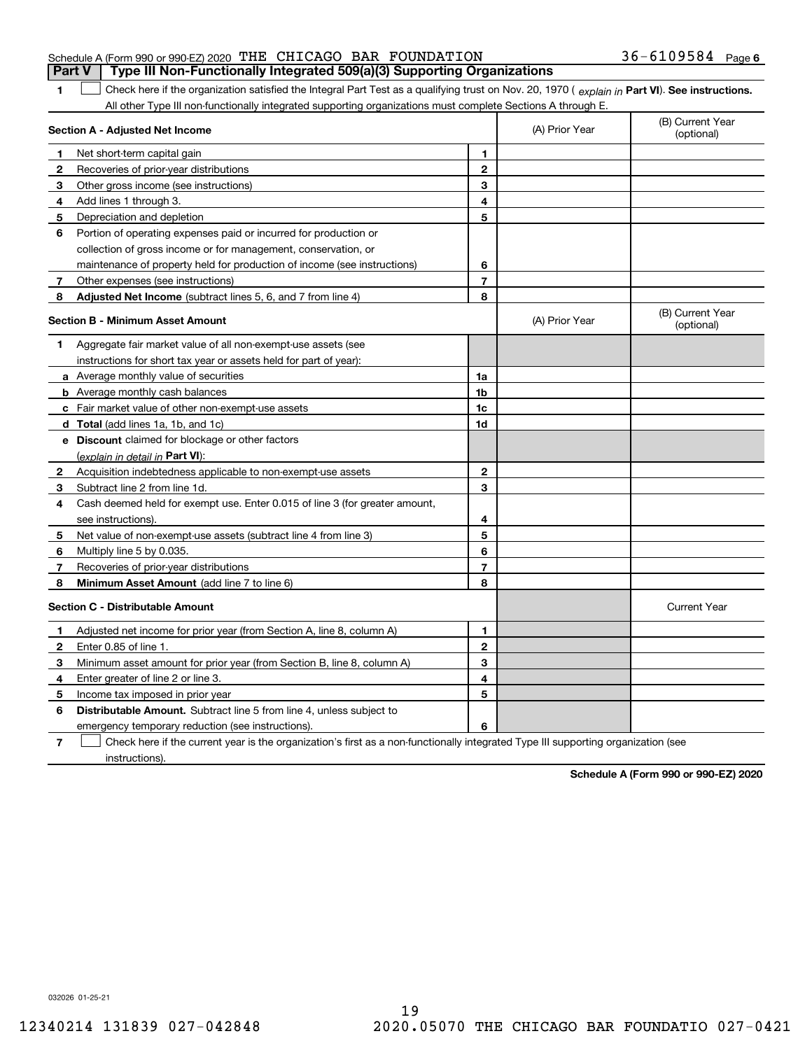| Schedule A (Form 990 or 990-EZ) 2020 『HE CHICAGO BAR FOUNDATION                  |  |  | $36 - 6109584$ Page 6 |  |
|----------------------------------------------------------------------------------|--|--|-----------------------|--|
| Part V   Type III Non-Functionally Integrated 509(a)(3) Supporting Organizations |  |  |                       |  |

1 Check here if the organization satisfied the Integral Part Test as a qualifying trust on Nov. 20, 1970 (explain in Part VI). See instructions. All other Type III non-functionally integrated supporting organizations must complete Sections A through E.

|   | Section A - Adjusted Net Income                                                                                                   | (A) Prior Year | (B) Current Year<br>(optional) |                                |
|---|-----------------------------------------------------------------------------------------------------------------------------------|----------------|--------------------------------|--------------------------------|
| 1 | Net short-term capital gain                                                                                                       | 1              |                                |                                |
| 2 | Recoveries of prior-year distributions                                                                                            | $\overline{2}$ |                                |                                |
| 3 | Other gross income (see instructions)                                                                                             | 3              |                                |                                |
| 4 | Add lines 1 through 3.                                                                                                            | 4              |                                |                                |
| 5 | Depreciation and depletion                                                                                                        | 5              |                                |                                |
| 6 | Portion of operating expenses paid or incurred for production or                                                                  |                |                                |                                |
|   | collection of gross income or for management, conservation, or                                                                    |                |                                |                                |
|   | maintenance of property held for production of income (see instructions)                                                          | 6              |                                |                                |
| 7 | Other expenses (see instructions)                                                                                                 | $\overline{7}$ |                                |                                |
| 8 | Adjusted Net Income (subtract lines 5, 6, and 7 from line 4)                                                                      | 8              |                                |                                |
|   | <b>Section B - Minimum Asset Amount</b>                                                                                           |                | (A) Prior Year                 | (B) Current Year<br>(optional) |
| 1 | Aggregate fair market value of all non-exempt-use assets (see                                                                     |                |                                |                                |
|   | instructions for short tax year or assets held for part of year):                                                                 |                |                                |                                |
|   | <b>a</b> Average monthly value of securities                                                                                      | 1a             |                                |                                |
|   | <b>b</b> Average monthly cash balances                                                                                            | 1b             |                                |                                |
|   | c Fair market value of other non-exempt-use assets                                                                                | 1c             |                                |                                |
|   | <b>d</b> Total (add lines 1a, 1b, and 1c)                                                                                         | 1d             |                                |                                |
|   | e Discount claimed for blockage or other factors                                                                                  |                |                                |                                |
|   | (explain in detail in Part VI):                                                                                                   |                |                                |                                |
| 2 | Acquisition indebtedness applicable to non-exempt-use assets                                                                      | $\mathbf{2}$   |                                |                                |
| 3 | Subtract line 2 from line 1d.                                                                                                     | 3              |                                |                                |
| 4 | Cash deemed held for exempt use. Enter 0.015 of line 3 (for greater amount,                                                       |                |                                |                                |
|   | see instructions).                                                                                                                | 4              |                                |                                |
| 5 | Net value of non-exempt-use assets (subtract line 4 from line 3)                                                                  | 5              |                                |                                |
| 6 | Multiply line 5 by 0.035.                                                                                                         | 6              |                                |                                |
| 7 | Recoveries of prior-year distributions                                                                                            | $\overline{7}$ |                                |                                |
| 8 | <b>Minimum Asset Amount</b> (add line 7 to line 6)                                                                                | 8              |                                |                                |
|   | <b>Section C - Distributable Amount</b>                                                                                           |                |                                | <b>Current Year</b>            |
| 1 | Adjusted net income for prior year (from Section A, line 8, column A)                                                             | 1              |                                |                                |
| 2 | Enter 0.85 of line 1.                                                                                                             | $\overline{2}$ |                                |                                |
| 3 | Minimum asset amount for prior year (from Section B, line 8, column A)                                                            | 3              |                                |                                |
| 4 | Enter greater of line 2 or line 3.                                                                                                | 4              |                                |                                |
| 5 | Income tax imposed in prior year                                                                                                  | 5              |                                |                                |
| 6 | <b>Distributable Amount.</b> Subtract line 5 from line 4, unless subject to                                                       |                |                                |                                |
|   | emergency temporary reduction (see instructions).                                                                                 | 6              |                                |                                |
| 7 | Check here if the current year is the organization's first as a non-functionally integrated Type III supporting organization (see |                |                                |                                |

instructions).

**Schedule A (Form 990 or 990-EZ) 2020**

032026 01-25-21

**1**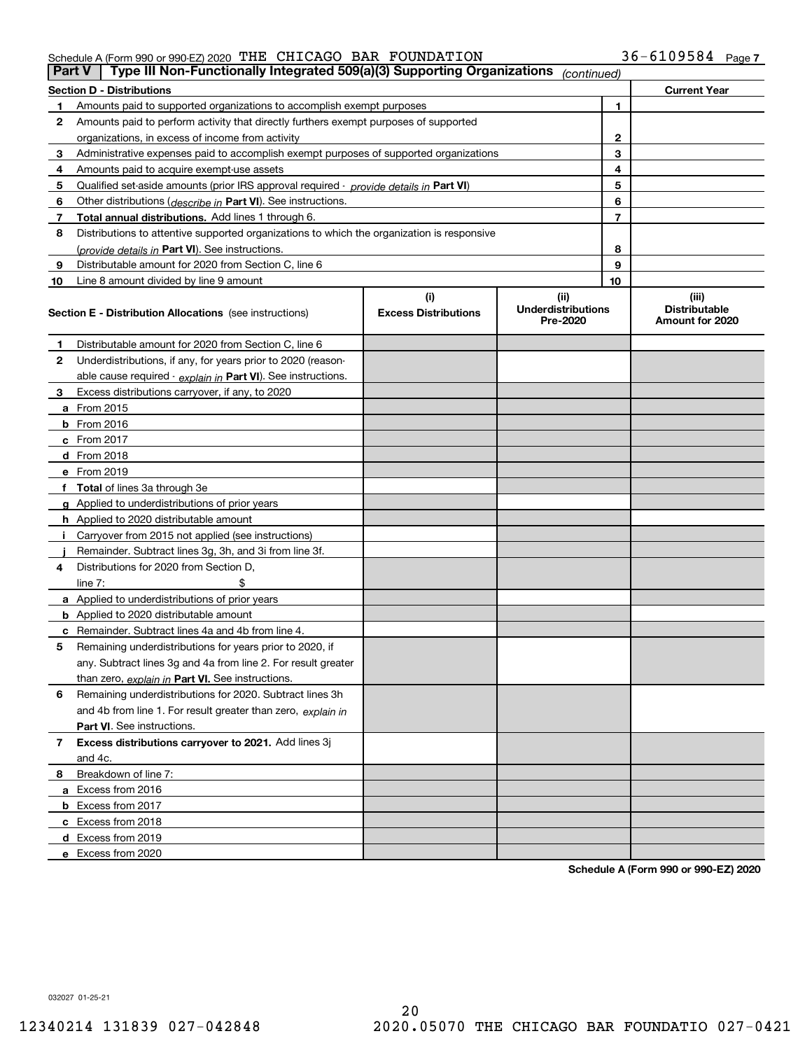#### Schedule A (Form 990 or 990-EZ) 2020 Page THE CHICAGO BAR FOUNDATION 36-6109584

|    | Type III Non-Functionally Integrated 509(a)(3) Supporting Organizations<br>Part V<br>(continued) |                             |                                       |    |                                         |  |  |  |
|----|--------------------------------------------------------------------------------------------------|-----------------------------|---------------------------------------|----|-----------------------------------------|--|--|--|
|    | <b>Section D - Distributions</b>                                                                 |                             |                                       |    | <b>Current Year</b>                     |  |  |  |
|    | Amounts paid to supported organizations to accomplish exempt purposes                            |                             |                                       | 1  |                                         |  |  |  |
| 2  | Amounts paid to perform activity that directly furthers exempt purposes of supported             |                             |                                       |    |                                         |  |  |  |
|    | organizations, in excess of income from activity                                                 |                             | 2                                     |    |                                         |  |  |  |
| 3  | Administrative expenses paid to accomplish exempt purposes of supported organizations            |                             | 3                                     |    |                                         |  |  |  |
| 4  | Amounts paid to acquire exempt-use assets                                                        |                             |                                       | 4  |                                         |  |  |  |
| 5  | Qualified set aside amounts (prior IRS approval required - provide details in Part VI)           |                             |                                       | 5  |                                         |  |  |  |
| 6  | Other distributions ( <i>describe in</i> Part VI). See instructions.                             |                             |                                       | 6  |                                         |  |  |  |
| 7  | Total annual distributions. Add lines 1 through 6.                                               |                             |                                       | 7  |                                         |  |  |  |
| 8  | Distributions to attentive supported organizations to which the organization is responsive       |                             |                                       |    |                                         |  |  |  |
|    | (provide details in Part VI). See instructions.                                                  |                             |                                       | 8  |                                         |  |  |  |
| 9  | Distributable amount for 2020 from Section C, line 6                                             |                             |                                       | 9  |                                         |  |  |  |
| 10 | Line 8 amount divided by line 9 amount                                                           |                             |                                       | 10 |                                         |  |  |  |
|    |                                                                                                  | (i)                         | (ii)                                  |    | (iii)                                   |  |  |  |
|    | <b>Section E - Distribution Allocations</b> (see instructions)                                   | <b>Excess Distributions</b> | <b>Underdistributions</b><br>Pre-2020 |    | <b>Distributable</b><br>Amount for 2020 |  |  |  |
| 1  | Distributable amount for 2020 from Section C, line 6                                             |                             |                                       |    |                                         |  |  |  |
| 2  | Underdistributions, if any, for years prior to 2020 (reason-                                     |                             |                                       |    |                                         |  |  |  |
|    | able cause required - explain in Part VI). See instructions.                                     |                             |                                       |    |                                         |  |  |  |
| 3  | Excess distributions carryover, if any, to 2020                                                  |                             |                                       |    |                                         |  |  |  |
|    | a From 2015                                                                                      |                             |                                       |    |                                         |  |  |  |
|    | $b$ From 2016                                                                                    |                             |                                       |    |                                         |  |  |  |
|    | c From $2017$                                                                                    |                             |                                       |    |                                         |  |  |  |
|    | <b>d</b> From 2018                                                                               |                             |                                       |    |                                         |  |  |  |
|    | e From 2019                                                                                      |                             |                                       |    |                                         |  |  |  |
|    | f Total of lines 3a through 3e                                                                   |                             |                                       |    |                                         |  |  |  |
|    | g Applied to underdistributions of prior years                                                   |                             |                                       |    |                                         |  |  |  |
|    | <b>h</b> Applied to 2020 distributable amount                                                    |                             |                                       |    |                                         |  |  |  |
|    | Carryover from 2015 not applied (see instructions)                                               |                             |                                       |    |                                         |  |  |  |
|    | Remainder. Subtract lines 3g, 3h, and 3i from line 3f.                                           |                             |                                       |    |                                         |  |  |  |
| 4  | Distributions for 2020 from Section D.                                                           |                             |                                       |    |                                         |  |  |  |
|    | line $7:$                                                                                        |                             |                                       |    |                                         |  |  |  |
|    | a Applied to underdistributions of prior years                                                   |                             |                                       |    |                                         |  |  |  |
|    | <b>b</b> Applied to 2020 distributable amount                                                    |                             |                                       |    |                                         |  |  |  |
|    | <b>c</b> Remainder. Subtract lines 4a and 4b from line 4.                                        |                             |                                       |    |                                         |  |  |  |
| 5  | Remaining underdistributions for years prior to 2020, if                                         |                             |                                       |    |                                         |  |  |  |
|    | any. Subtract lines 3g and 4a from line 2. For result greater                                    |                             |                                       |    |                                         |  |  |  |
|    | than zero, explain in Part VI. See instructions.                                                 |                             |                                       |    |                                         |  |  |  |
| 6  | Remaining underdistributions for 2020. Subtract lines 3h                                         |                             |                                       |    |                                         |  |  |  |
|    | and 4b from line 1. For result greater than zero, explain in                                     |                             |                                       |    |                                         |  |  |  |
|    | <b>Part VI.</b> See instructions.                                                                |                             |                                       |    |                                         |  |  |  |
| 7  | Excess distributions carryover to 2021. Add lines 3j                                             |                             |                                       |    |                                         |  |  |  |
|    | and 4c.                                                                                          |                             |                                       |    |                                         |  |  |  |
| 8  | Breakdown of line 7:                                                                             |                             |                                       |    |                                         |  |  |  |
|    | a Excess from 2016                                                                               |                             |                                       |    |                                         |  |  |  |
|    | <b>b</b> Excess from 2017                                                                        |                             |                                       |    |                                         |  |  |  |
|    | c Excess from 2018                                                                               |                             |                                       |    |                                         |  |  |  |
|    | d Excess from 2019                                                                               |                             |                                       |    |                                         |  |  |  |
|    | e Excess from 2020                                                                               |                             |                                       |    |                                         |  |  |  |

**Schedule A (Form 990 or 990-EZ) 2020**

032027 01-25-21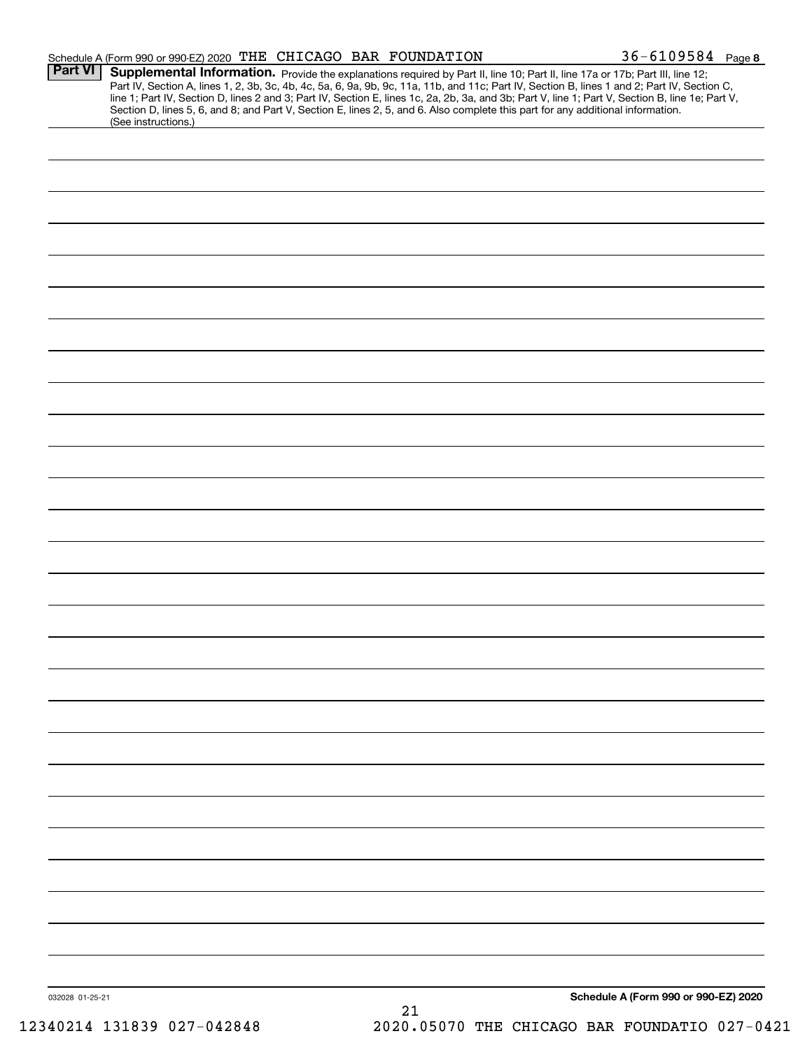|                 | Schedule A (Form 990 or 990-EZ) 2020 THE CHICAGO BAR FOUNDATION                                                                                        |    | 36-6109584 Page 8                                                                                                                                                                                                                                                             |
|-----------------|--------------------------------------------------------------------------------------------------------------------------------------------------------|----|-------------------------------------------------------------------------------------------------------------------------------------------------------------------------------------------------------------------------------------------------------------------------------|
| <b>Part VI</b>  |                                                                                                                                                        |    | Supplemental Information. Provide the explanations required by Part II, line 10; Part II, line 17a or 17b; Part III, line 12;<br>Part IV, Section A, lines 1, 2, 3b, 3c, 4b, 4c, 5a, 6, 9a, 9b, 9c, 11a, 11b, and 11c; Part IV, Section B, lines 1 and 2; Part IV, Section C, |
|                 | Section D, lines 5, 6, and 8; and Part V, Section E, lines 2, 5, and 6. Also complete this part for any additional information.<br>(See instructions.) |    | line 1; Part IV, Section D, lines 2 and 3; Part IV, Section E, lines 1c, 2a, 2b, 3a, and 3b; Part V, line 1; Part V, Section B, line 1e; Part V,                                                                                                                              |
|                 |                                                                                                                                                        |    |                                                                                                                                                                                                                                                                               |
|                 |                                                                                                                                                        |    |                                                                                                                                                                                                                                                                               |
|                 |                                                                                                                                                        |    |                                                                                                                                                                                                                                                                               |
|                 |                                                                                                                                                        |    |                                                                                                                                                                                                                                                                               |
|                 |                                                                                                                                                        |    |                                                                                                                                                                                                                                                                               |
|                 |                                                                                                                                                        |    |                                                                                                                                                                                                                                                                               |
|                 |                                                                                                                                                        |    |                                                                                                                                                                                                                                                                               |
|                 |                                                                                                                                                        |    |                                                                                                                                                                                                                                                                               |
|                 |                                                                                                                                                        |    |                                                                                                                                                                                                                                                                               |
|                 |                                                                                                                                                        |    |                                                                                                                                                                                                                                                                               |
|                 |                                                                                                                                                        |    |                                                                                                                                                                                                                                                                               |
|                 |                                                                                                                                                        |    |                                                                                                                                                                                                                                                                               |
|                 |                                                                                                                                                        |    |                                                                                                                                                                                                                                                                               |
|                 |                                                                                                                                                        |    |                                                                                                                                                                                                                                                                               |
|                 |                                                                                                                                                        |    |                                                                                                                                                                                                                                                                               |
|                 |                                                                                                                                                        |    |                                                                                                                                                                                                                                                                               |
|                 |                                                                                                                                                        |    |                                                                                                                                                                                                                                                                               |
|                 |                                                                                                                                                        |    |                                                                                                                                                                                                                                                                               |
|                 |                                                                                                                                                        |    |                                                                                                                                                                                                                                                                               |
|                 |                                                                                                                                                        |    |                                                                                                                                                                                                                                                                               |
|                 |                                                                                                                                                        |    |                                                                                                                                                                                                                                                                               |
|                 |                                                                                                                                                        |    |                                                                                                                                                                                                                                                                               |
|                 |                                                                                                                                                        |    |                                                                                                                                                                                                                                                                               |
|                 |                                                                                                                                                        |    |                                                                                                                                                                                                                                                                               |
|                 |                                                                                                                                                        |    |                                                                                                                                                                                                                                                                               |
|                 |                                                                                                                                                        |    |                                                                                                                                                                                                                                                                               |
|                 |                                                                                                                                                        |    |                                                                                                                                                                                                                                                                               |
|                 |                                                                                                                                                        |    |                                                                                                                                                                                                                                                                               |
| 032028 01-25-21 |                                                                                                                                                        | 21 | Schedule A (Form 990 or 990-EZ) 2020                                                                                                                                                                                                                                          |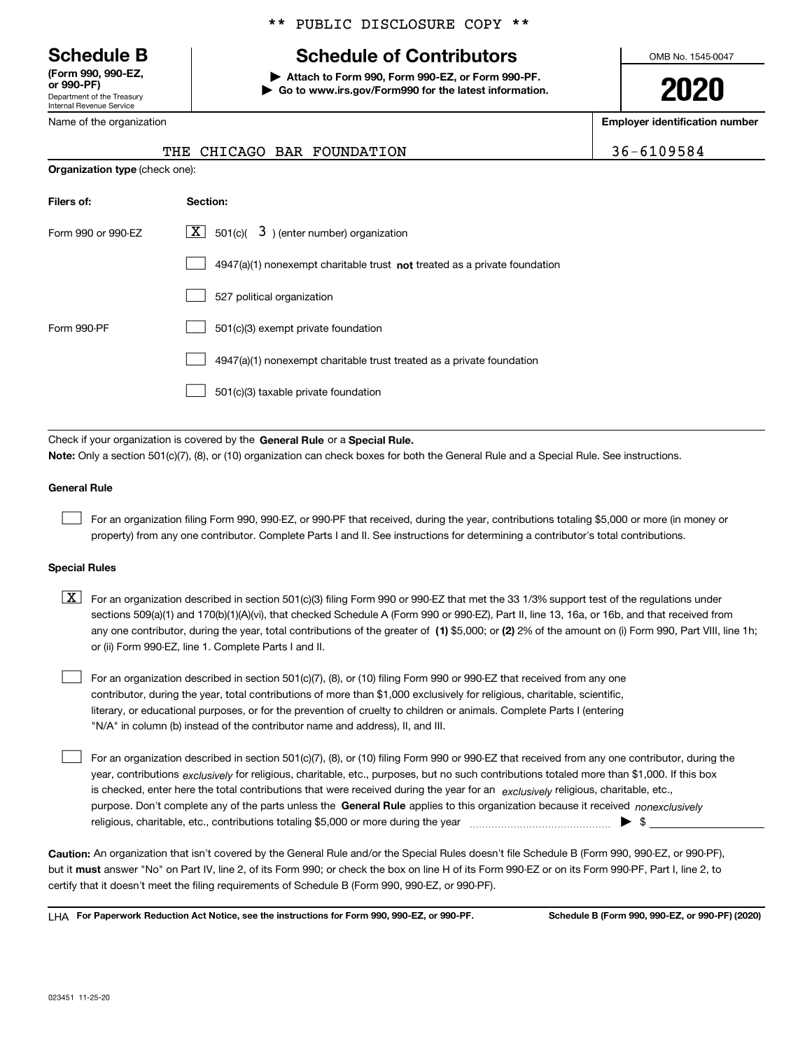Department of the Treasury Internal Revenue Service **(Form 990, 990-EZ, or 990-PF)**

Name of the organization

#### \*\* PUBLIC DISCLOSURE COPY \*\*

# **Schedule B Schedule of Contributors**

**| Attach to Form 990, Form 990-EZ, or Form 990-PF. | Go to www.irs.gov/Form990 for the latest information.** OMB No. 1545-0047

**2020**

**Employer identification number**

|  |  |  |  | THE CHICAGO BAR FOUNDATION | 36-6109584 |
|--|--|--|--|----------------------------|------------|
|--|--|--|--|----------------------------|------------|

| <b>Organization type (check one):</b> |                                                                           |  |  |  |  |  |  |
|---------------------------------------|---------------------------------------------------------------------------|--|--|--|--|--|--|
| Filers of:                            | <b>Section:</b>                                                           |  |  |  |  |  |  |
| Form 990 or 990-EZ                    | $X$ 501(c)( 3) (enter number) organization                                |  |  |  |  |  |  |
|                                       | 4947(a)(1) nonexempt charitable trust not treated as a private foundation |  |  |  |  |  |  |
|                                       | 527 political organization                                                |  |  |  |  |  |  |
| Form 990-PF                           | 501(c)(3) exempt private foundation                                       |  |  |  |  |  |  |
|                                       | 4947(a)(1) nonexempt charitable trust treated as a private foundation     |  |  |  |  |  |  |
|                                       | 501(c)(3) taxable private foundation                                      |  |  |  |  |  |  |

Check if your organization is covered by the **General Rule** or a **Special Rule. Note:**  Only a section 501(c)(7), (8), or (10) organization can check boxes for both the General Rule and a Special Rule. See instructions.

#### **General Rule**

 $\mathcal{L}^{\text{max}}$ 

For an organization filing Form 990, 990-EZ, or 990-PF that received, during the year, contributions totaling \$5,000 or more (in money or property) from any one contributor. Complete Parts I and II. See instructions for determining a contributor's total contributions.

#### **Special Rules**

any one contributor, during the year, total contributions of the greater of  $\,$  (1) \$5,000; or **(2)** 2% of the amount on (i) Form 990, Part VIII, line 1h;  $\boxed{\textbf{X}}$  For an organization described in section 501(c)(3) filing Form 990 or 990-EZ that met the 33 1/3% support test of the regulations under sections 509(a)(1) and 170(b)(1)(A)(vi), that checked Schedule A (Form 990 or 990-EZ), Part II, line 13, 16a, or 16b, and that received from or (ii) Form 990-EZ, line 1. Complete Parts I and II.

For an organization described in section 501(c)(7), (8), or (10) filing Form 990 or 990-EZ that received from any one contributor, during the year, total contributions of more than \$1,000 exclusively for religious, charitable, scientific, literary, or educational purposes, or for the prevention of cruelty to children or animals. Complete Parts I (entering "N/A" in column (b) instead of the contributor name and address), II, and III.  $\mathcal{L}^{\text{max}}$ 

purpose. Don't complete any of the parts unless the **General Rule** applies to this organization because it received *nonexclusively* year, contributions <sub>exclusively</sub> for religious, charitable, etc., purposes, but no such contributions totaled more than \$1,000. If this box is checked, enter here the total contributions that were received during the year for an  $\;$ exclusively religious, charitable, etc., For an organization described in section 501(c)(7), (8), or (10) filing Form 990 or 990-EZ that received from any one contributor, during the religious, charitable, etc., contributions totaling \$5,000 or more during the year  $\Box$ — $\Box$   $\Box$  $\mathcal{L}^{\text{max}}$ 

**Caution:**  An organization that isn't covered by the General Rule and/or the Special Rules doesn't file Schedule B (Form 990, 990-EZ, or 990-PF),  **must** but it answer "No" on Part IV, line 2, of its Form 990; or check the box on line H of its Form 990-EZ or on its Form 990-PF, Part I, line 2, to certify that it doesn't meet the filing requirements of Schedule B (Form 990, 990-EZ, or 990-PF).

**For Paperwork Reduction Act Notice, see the instructions for Form 990, 990-EZ, or 990-PF. Schedule B (Form 990, 990-EZ, or 990-PF) (2020)** LHA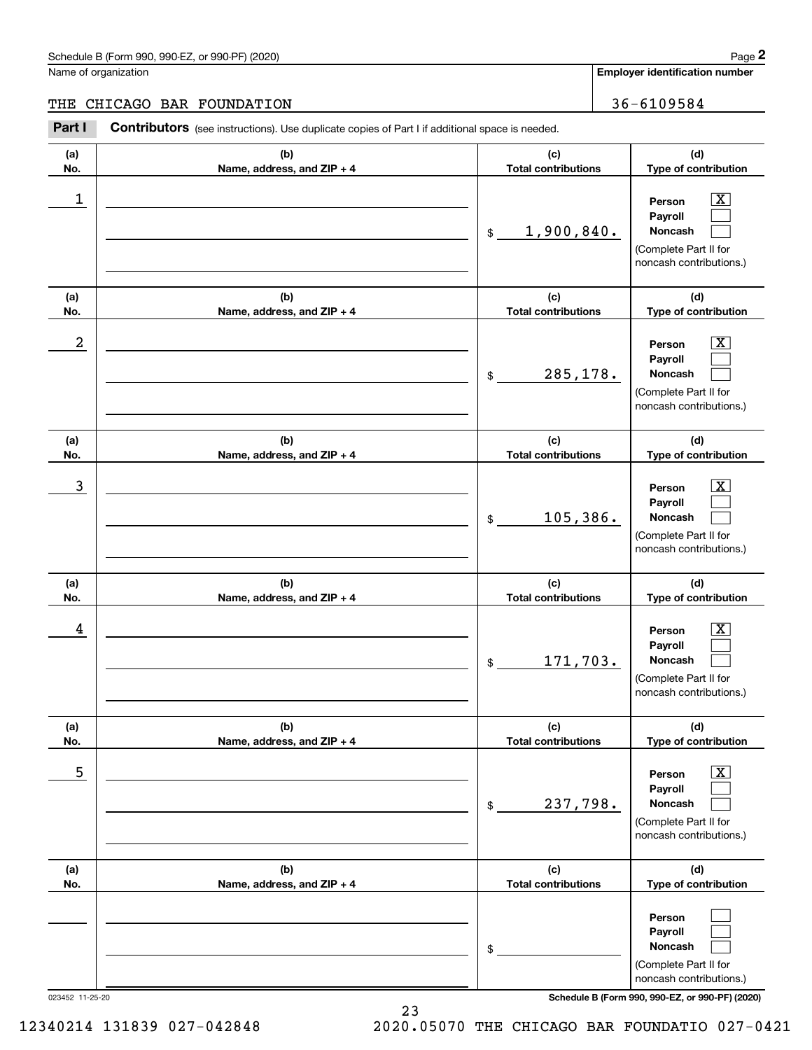# Schedule B (Form 990, 990-EZ, or 990-PF) (2020) Page 2

### THE CHICAGO BAR FOUNDATION 36-6109584

|                  | Schedule B (Form 990, 990-EZ, or 990-PF) (2020)                                                |                                   | Page 2                                                                                                      |
|------------------|------------------------------------------------------------------------------------------------|-----------------------------------|-------------------------------------------------------------------------------------------------------------|
|                  | Name of organization                                                                           |                                   | <b>Employer identification number</b>                                                                       |
| THE              | CHICAGO BAR FOUNDATION                                                                         |                                   | 36-6109584                                                                                                  |
| Part I           | Contributors (see instructions). Use duplicate copies of Part I if additional space is needed. |                                   |                                                                                                             |
| (a)<br>No.       | (b)<br>Name, address, and ZIP + 4                                                              | (c)<br><b>Total contributions</b> | (d)<br>Type of contribution                                                                                 |
| 1                |                                                                                                | 1,900,840.<br>\$                  | $\overline{\mathbf{X}}$<br>Person<br>Payroll<br>Noncash<br>(Complete Part II for<br>noncash contributions.) |
| (a)<br>No.       | (b)<br>Name, address, and ZIP + 4                                                              | (c)<br><b>Total contributions</b> | (d)<br>Type of contribution                                                                                 |
| $\boldsymbol{2}$ |                                                                                                | 285,178.<br>\$                    | $\overline{\mathbf{X}}$<br>Person<br>Payroll<br>Noncash<br>(Complete Part II for<br>noncash contributions.) |
| (a)<br>No.       | (b)<br>Name, address, and ZIP + 4                                                              | (c)<br><b>Total contributions</b> | (d)<br>Type of contribution                                                                                 |
| 3                |                                                                                                | 105,386.<br>\$                    | $\overline{\mathbf{X}}$<br>Person<br>Payroll<br>Noncash<br>(Complete Part II for<br>noncash contributions.) |
| (a)<br>No.       | (b)<br>Name, address, and ZIP + 4                                                              | (c)<br><b>Total contributions</b> | (d)<br>Type of contribution                                                                                 |
| 4                |                                                                                                | 171,703.<br>\$                    | $\mathbf{X}$<br>Person<br>Payroll<br>Noncash<br>(Complete Part II for<br>noncash contributions.)            |
| (a)<br>No.       | (b)<br>Name, address, and ZIP + 4                                                              | (c)<br><b>Total contributions</b> | (d)<br>Type of contribution                                                                                 |
| 5                |                                                                                                | 237,798.<br>\$                    | $\boxed{\text{X}}$<br>Person<br>Payroll<br>Noncash<br>(Complete Part II for<br>noncash contributions.)      |
| (a)<br>No.       | (b)<br>Name, address, and ZIP + 4                                                              | (c)<br><b>Total contributions</b> | (d)<br>Type of contribution                                                                                 |
|                  |                                                                                                | \$                                | Person<br>Payroll<br>Noncash<br>(Complete Part II for<br>noncash contributions.)                            |

023452 11-25-20 **Schedule B (Form 990, 990-EZ, or 990-PF) (2020)**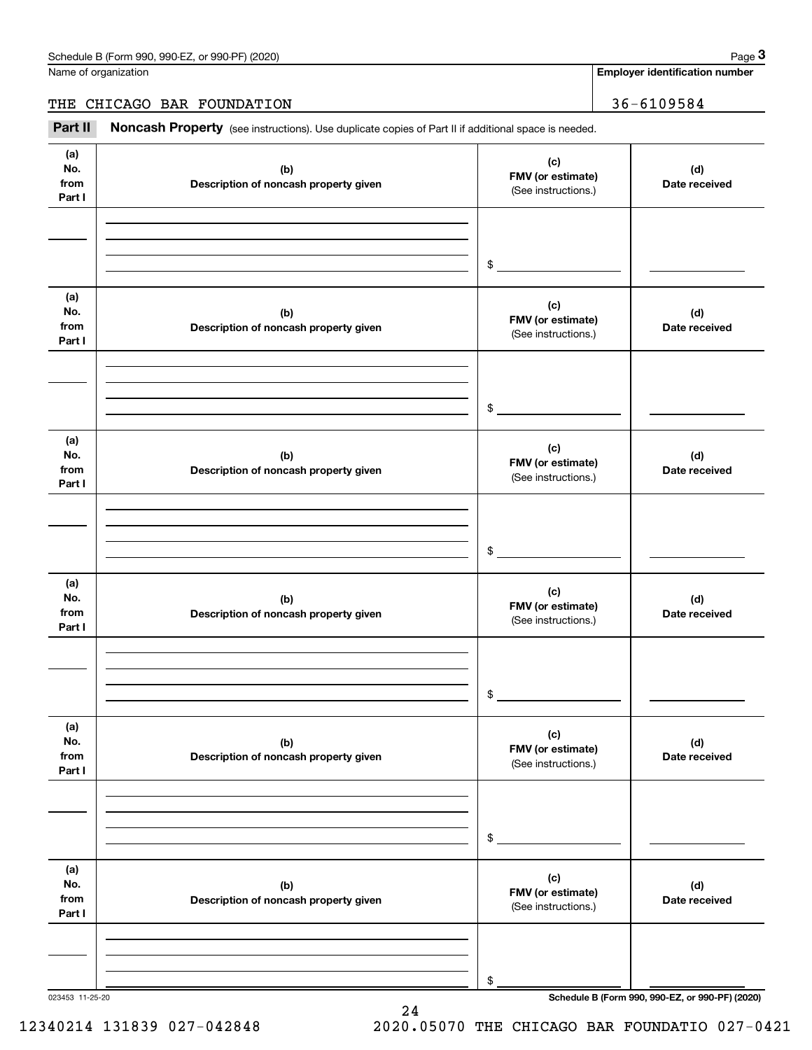Name of organization

**Employer identification number**

THE CHICAGO BAR FOUNDATION | 36-6109584

Chedule B (Form 990, 990-EZ, or 990-PF) (2020)<br>
lame of organization<br> **2899 Employer identification number<br>
2899 Employer identification number<br>
2899 Bage 3<br>
2899 Bage 3<br>
2899 Bage 3<br>
36 – 6109584<br>
2899 Bage 3** 

| (a)<br>(c)<br>No.<br>(b)<br>FMV (or estimate)<br>from<br>Description of noncash property given<br>(See instructions.)<br>Part I<br>$$\circ$$ | (d)<br>Date received                            |
|----------------------------------------------------------------------------------------------------------------------------------------------|-------------------------------------------------|
|                                                                                                                                              |                                                 |
|                                                                                                                                              |                                                 |
| (a)<br>(c)<br>No.<br>(b)<br>FMV (or estimate)<br>from<br>Description of noncash property given<br>(See instructions.)<br>Part I              | (d)<br>Date received                            |
| $\sim$                                                                                                                                       |                                                 |
| (a)<br>(c)<br>No.<br>(b)<br>FMV (or estimate)<br>from<br>Description of noncash property given<br>(See instructions.)<br>Part I              | (d)<br>Date received                            |
| $\frac{1}{2}$                                                                                                                                |                                                 |
| (a)<br>(c)<br>No.<br>(b)<br>FMV (or estimate)<br>from<br>Description of noncash property given<br>(See instructions.)<br>Part I              | (d)<br>Date received                            |
| \$                                                                                                                                           |                                                 |
| (a)<br>(c)<br>No.<br>(b)<br>FMV (or estimate)<br>from<br>Description of noncash property given<br>(See instructions.)<br>Part I              | (d)<br>Date received                            |
| \$                                                                                                                                           |                                                 |
| (a)<br>(c)<br>No.<br>(b)<br>FMV (or estimate)<br>from<br>Description of noncash property given<br>(See instructions.)<br>Part I              | (d)<br>Date received                            |
| \$<br>023453 11-25-20                                                                                                                        | Schedule B (Form 990, 990-EZ, or 990-PF) (2020) |

24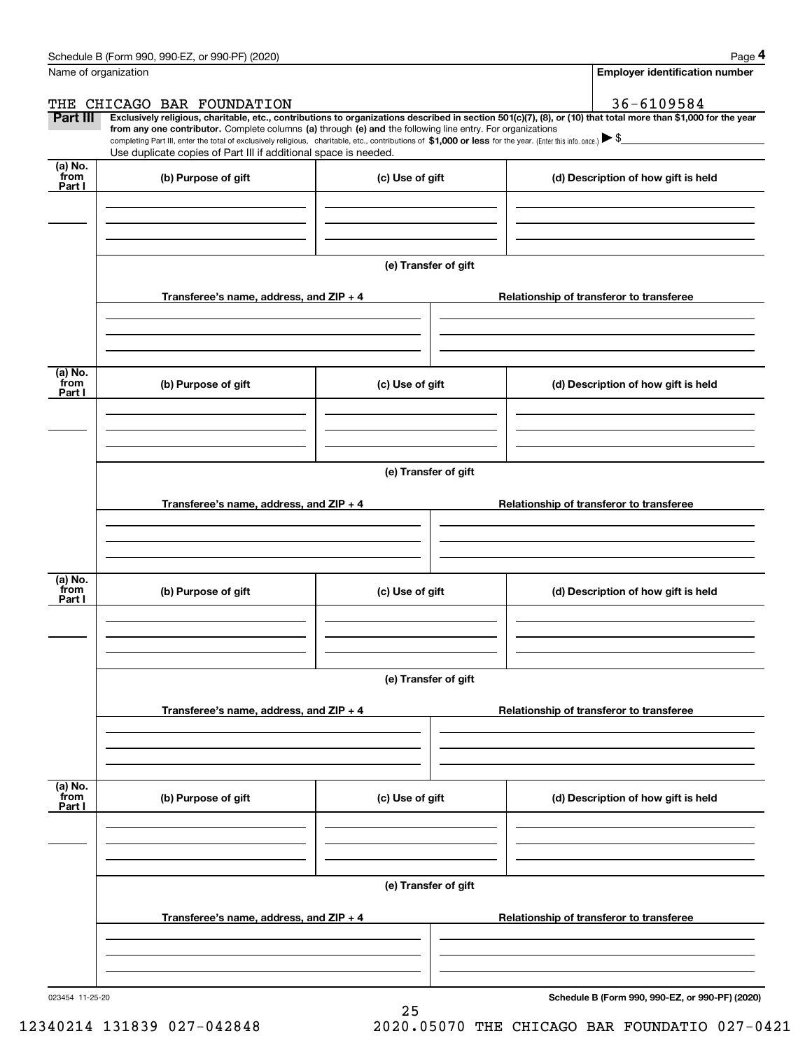|                           | Schedule B (Form 990, 990-EZ, or 990-PF) (2020)                                                                                                                                                                                                 |                                          | Page 4                                                                                                                                                         |  |  |  |  |  |
|---------------------------|-------------------------------------------------------------------------------------------------------------------------------------------------------------------------------------------------------------------------------------------------|------------------------------------------|----------------------------------------------------------------------------------------------------------------------------------------------------------------|--|--|--|--|--|
|                           | Name of organization                                                                                                                                                                                                                            |                                          | <b>Employer identification number</b>                                                                                                                          |  |  |  |  |  |
|                           | THE CHICAGO BAR FOUNDATION                                                                                                                                                                                                                      |                                          | 36-6109584                                                                                                                                                     |  |  |  |  |  |
| <b>Part III</b>           | from any one contributor. Complete columns (a) through (e) and the following line entry. For organizations                                                                                                                                      |                                          | Exclusively religious, charitable, etc., contributions to organizations described in section 501(c)(7), (8), or (10) that total more than \$1,000 for the year |  |  |  |  |  |
|                           | completing Part III, enter the total of exclusively religious, charitable, etc., contributions of \$1,000 or less for the year. (Enter this info. once.) $\triangleright$ \$<br>Use duplicate copies of Part III if additional space is needed. |                                          |                                                                                                                                                                |  |  |  |  |  |
| (a) No.<br>from<br>Part I | (b) Purpose of gift                                                                                                                                                                                                                             | (c) Use of gift                          | (d) Description of how gift is held                                                                                                                            |  |  |  |  |  |
|                           |                                                                                                                                                                                                                                                 |                                          |                                                                                                                                                                |  |  |  |  |  |
|                           |                                                                                                                                                                                                                                                 |                                          |                                                                                                                                                                |  |  |  |  |  |
|                           |                                                                                                                                                                                                                                                 | (e) Transfer of gift                     |                                                                                                                                                                |  |  |  |  |  |
|                           | Transferee's name, address, and ZIP + 4                                                                                                                                                                                                         | Relationship of transferor to transferee |                                                                                                                                                                |  |  |  |  |  |
|                           |                                                                                                                                                                                                                                                 |                                          |                                                                                                                                                                |  |  |  |  |  |
| (a) No.<br>from<br>Part I | (b) Purpose of gift                                                                                                                                                                                                                             | (c) Use of gift                          | (d) Description of how gift is held                                                                                                                            |  |  |  |  |  |
|                           |                                                                                                                                                                                                                                                 |                                          |                                                                                                                                                                |  |  |  |  |  |
|                           |                                                                                                                                                                                                                                                 |                                          |                                                                                                                                                                |  |  |  |  |  |
|                           | (e) Transfer of gift                                                                                                                                                                                                                            |                                          |                                                                                                                                                                |  |  |  |  |  |
|                           | Transferee's name, address, and ZIP + 4                                                                                                                                                                                                         |                                          | Relationship of transferor to transferee                                                                                                                       |  |  |  |  |  |
|                           |                                                                                                                                                                                                                                                 |                                          |                                                                                                                                                                |  |  |  |  |  |
| (a) No.<br>from<br>Part I | (b) Purpose of gift                                                                                                                                                                                                                             | (c) Use of gift                          | (d) Description of how gift is held                                                                                                                            |  |  |  |  |  |
|                           |                                                                                                                                                                                                                                                 |                                          |                                                                                                                                                                |  |  |  |  |  |
|                           | (e) Transfer of gift                                                                                                                                                                                                                            |                                          |                                                                                                                                                                |  |  |  |  |  |
|                           | Transferee's name, address, and ZIP + 4                                                                                                                                                                                                         |                                          | Relationship of transferor to transferee                                                                                                                       |  |  |  |  |  |
|                           |                                                                                                                                                                                                                                                 |                                          |                                                                                                                                                                |  |  |  |  |  |
| (a) No.<br>from<br>Part I | (b) Purpose of gift<br>(c) Use of gift                                                                                                                                                                                                          |                                          | (d) Description of how gift is held                                                                                                                            |  |  |  |  |  |
|                           |                                                                                                                                                                                                                                                 |                                          |                                                                                                                                                                |  |  |  |  |  |
|                           |                                                                                                                                                                                                                                                 |                                          |                                                                                                                                                                |  |  |  |  |  |
|                           |                                                                                                                                                                                                                                                 | (e) Transfer of gift                     |                                                                                                                                                                |  |  |  |  |  |
|                           | Transferee's name, address, and ZIP + 4                                                                                                                                                                                                         |                                          | Relationship of transferor to transferee                                                                                                                       |  |  |  |  |  |
|                           |                                                                                                                                                                                                                                                 |                                          |                                                                                                                                                                |  |  |  |  |  |
|                           |                                                                                                                                                                                                                                                 |                                          |                                                                                                                                                                |  |  |  |  |  |

25

**Schedule B (Form 990, 990-EZ, or 990-PF) (2020)**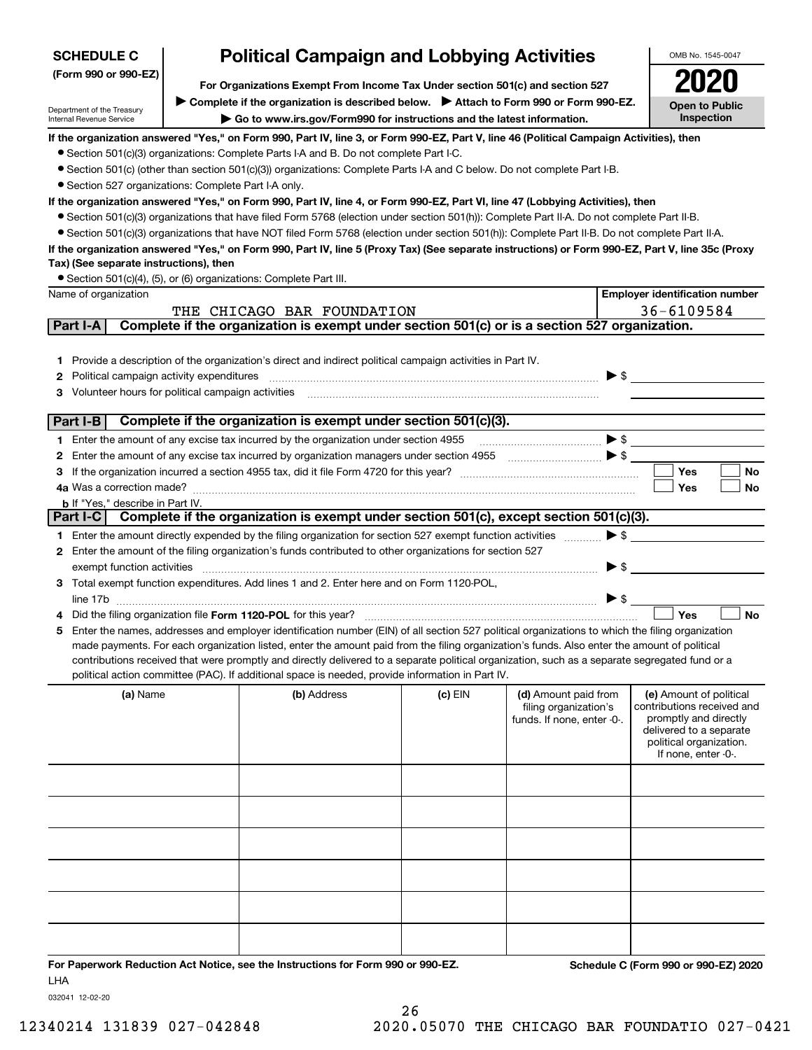| <b>SCHEDULE C</b>                                      |                                                      | <b>Political Campaign and Lobbying Activities</b>                                                                                                                                                                                                                                                   |              |                                               |                          | OMB No. 1545-0047                                     |  |  |
|--------------------------------------------------------|------------------------------------------------------|-----------------------------------------------------------------------------------------------------------------------------------------------------------------------------------------------------------------------------------------------------------------------------------------------------|--------------|-----------------------------------------------|--------------------------|-------------------------------------------------------|--|--|
| (Form 990 or 990-EZ)                                   |                                                      |                                                                                                                                                                                                                                                                                                     |              |                                               |                          |                                                       |  |  |
|                                                        |                                                      | For Organizations Exempt From Income Tax Under section 501(c) and section 527<br>Complete if the organization is described below. > Attach to Form 990 or Form 990-EZ.                                                                                                                              |              |                                               |                          |                                                       |  |  |
| Department of the Treasury<br>Internal Revenue Service |                                                      | Go to www.irs.gov/Form990 for instructions and the latest information.                                                                                                                                                                                                                              |              |                                               |                          | <b>Open to Public</b><br>Inspection                   |  |  |
|                                                        |                                                      | If the organization answered "Yes," on Form 990, Part IV, line 3, or Form 990-EZ, Part V, line 46 (Political Campaign Activities), then                                                                                                                                                             |              |                                               |                          |                                                       |  |  |
|                                                        |                                                      | • Section 501(c)(3) organizations: Complete Parts I-A and B. Do not complete Part I-C.                                                                                                                                                                                                              |              |                                               |                          |                                                       |  |  |
|                                                        |                                                      | • Section 501(c) (other than section 501(c)(3)) organizations: Complete Parts I-A and C below. Do not complete Part I-B.                                                                                                                                                                            |              |                                               |                          |                                                       |  |  |
| • Section 527 organizations: Complete Part I-A only.   |                                                      |                                                                                                                                                                                                                                                                                                     |              |                                               |                          |                                                       |  |  |
|                                                        |                                                      | If the organization answered "Yes," on Form 990, Part IV, line 4, or Form 990-EZ, Part VI, line 47 (Lobbying Activities), then                                                                                                                                                                      |              |                                               |                          |                                                       |  |  |
|                                                        |                                                      | • Section 501(c)(3) organizations that have filed Form 5768 (election under section 501(h)): Complete Part II-A. Do not complete Part II-B.                                                                                                                                                         |              |                                               |                          |                                                       |  |  |
|                                                        |                                                      | • Section 501(c)(3) organizations that have NOT filed Form 5768 (election under section 501(h)): Complete Part II-B. Do not complete Part II-A.<br>If the organization answered "Yes," on Form 990, Part IV, line 5 (Proxy Tax) (See separate instructions) or Form 990-EZ, Part V, line 35c (Proxy |              |                                               |                          |                                                       |  |  |
| Tax) (See separate instructions), then                 |                                                      |                                                                                                                                                                                                                                                                                                     |              |                                               |                          |                                                       |  |  |
|                                                        |                                                      | • Section 501(c)(4), (5), or (6) organizations: Complete Part III.                                                                                                                                                                                                                                  |              |                                               |                          |                                                       |  |  |
| Name of organization                                   |                                                      |                                                                                                                                                                                                                                                                                                     |              |                                               |                          | <b>Employer identification number</b>                 |  |  |
|                                                        |                                                      | THE CHICAGO BAR FOUNDATION                                                                                                                                                                                                                                                                          |              |                                               |                          | 36-6109584                                            |  |  |
| Part I-A                                               |                                                      | Complete if the organization is exempt under section 501(c) or is a section 527 organization.                                                                                                                                                                                                       |              |                                               |                          |                                                       |  |  |
|                                                        |                                                      |                                                                                                                                                                                                                                                                                                     |              |                                               |                          |                                                       |  |  |
|                                                        |                                                      | 1 Provide a description of the organization's direct and indirect political campaign activities in Part IV.                                                                                                                                                                                         |              |                                               |                          |                                                       |  |  |
| Political campaign activity expenditures<br>2          |                                                      |                                                                                                                                                                                                                                                                                                     |              |                                               | $\blacktriangleright$ \$ |                                                       |  |  |
| Volunteer hours for political campaign activities<br>3 |                                                      |                                                                                                                                                                                                                                                                                                     |              |                                               |                          |                                                       |  |  |
|                                                        |                                                      |                                                                                                                                                                                                                                                                                                     |              |                                               |                          |                                                       |  |  |
| Part I-B                                               |                                                      | Complete if the organization is exempt under section 501(c)(3).                                                                                                                                                                                                                                     |              |                                               |                          |                                                       |  |  |
|                                                        |                                                      | 1 Enter the amount of any excise tax incurred by the organization under section 4955                                                                                                                                                                                                                |              |                                               |                          |                                                       |  |  |
| 2                                                      |                                                      | Enter the amount of any excise tax incurred by organization managers under section 4955                                                                                                                                                                                                             |              |                                               |                          |                                                       |  |  |
| З                                                      |                                                      |                                                                                                                                                                                                                                                                                                     |              |                                               |                          | Yes<br>No                                             |  |  |
|                                                        | Yes<br>No<br><b>b</b> If "Yes," describe in Part IV. |                                                                                                                                                                                                                                                                                                     |              |                                               |                          |                                                       |  |  |
|                                                        |                                                      | Part I-C Complete if the organization is exempt under section 501(c), except section 501(c)(3).                                                                                                                                                                                                     |              |                                               |                          |                                                       |  |  |
|                                                        |                                                      | 1 Enter the amount directly expended by the filing organization for section 527 exempt function activities                                                                                                                                                                                          |              |                                               | $\blacktriangleright$ \$ |                                                       |  |  |
| 2                                                      |                                                      | Enter the amount of the filing organization's funds contributed to other organizations for section 527                                                                                                                                                                                              |              |                                               |                          |                                                       |  |  |
| exempt function activities                             |                                                      |                                                                                                                                                                                                                                                                                                     |              |                                               | $\blacktriangleright$ \$ |                                                       |  |  |
|                                                        |                                                      | 3 Total exempt function expenditures. Add lines 1 and 2. Enter here and on Form 1120-POL,                                                                                                                                                                                                           |              |                                               |                          |                                                       |  |  |
|                                                        |                                                      |                                                                                                                                                                                                                                                                                                     |              |                                               | $\triangleright$ \$      |                                                       |  |  |
|                                                        |                                                      | Did the filing organization file Form 1120-POL for this year?                                                                                                                                                                                                                                       |              |                                               |                          | Yes<br><b>No</b>                                      |  |  |
|                                                        |                                                      | 5 Enter the names, addresses and employer identification number (EIN) of all section 527 political organizations to which the filing organization                                                                                                                                                   |              |                                               |                          |                                                       |  |  |
|                                                        |                                                      | made payments. For each organization listed, enter the amount paid from the filing organization's funds. Also enter the amount of political                                                                                                                                                         |              |                                               |                          |                                                       |  |  |
|                                                        |                                                      | contributions received that were promptly and directly delivered to a separate political organization, such as a separate segregated fund or a<br>political action committee (PAC). If additional space is needed, provide information in Part IV.                                                  |              |                                               |                          |                                                       |  |  |
|                                                        |                                                      |                                                                                                                                                                                                                                                                                                     |              |                                               |                          |                                                       |  |  |
| (a) Name                                               |                                                      | (b) Address                                                                                                                                                                                                                                                                                         | $(c)$ EIN    | (d) Amount paid from<br>filing organization's |                          | (e) Amount of political<br>contributions received and |  |  |
|                                                        |                                                      |                                                                                                                                                                                                                                                                                                     |              | funds. If none, enter -0-.                    |                          | promptly and directly                                 |  |  |
|                                                        |                                                      |                                                                                                                                                                                                                                                                                                     |              |                                               |                          | delivered to a separate<br>political organization.    |  |  |
|                                                        |                                                      |                                                                                                                                                                                                                                                                                                     |              |                                               |                          | If none, enter -0-.                                   |  |  |
|                                                        |                                                      |                                                                                                                                                                                                                                                                                                     |              |                                               |                          |                                                       |  |  |
|                                                        |                                                      |                                                                                                                                                                                                                                                                                                     |              |                                               |                          |                                                       |  |  |
|                                                        |                                                      |                                                                                                                                                                                                                                                                                                     |              |                                               |                          |                                                       |  |  |
|                                                        |                                                      |                                                                                                                                                                                                                                                                                                     |              |                                               |                          |                                                       |  |  |
|                                                        |                                                      |                                                                                                                                                                                                                                                                                                     |              |                                               |                          |                                                       |  |  |
|                                                        |                                                      |                                                                                                                                                                                                                                                                                                     |              |                                               |                          |                                                       |  |  |
|                                                        |                                                      |                                                                                                                                                                                                                                                                                                     |              |                                               |                          |                                                       |  |  |
|                                                        |                                                      |                                                                                                                                                                                                                                                                                                     |              |                                               |                          |                                                       |  |  |
|                                                        |                                                      |                                                                                                                                                                                                                                                                                                     |              |                                               |                          |                                                       |  |  |
|                                                        |                                                      |                                                                                                                                                                                                                                                                                                     |              |                                               |                          |                                                       |  |  |
|                                                        |                                                      |                                                                                                                                                                                                                                                                                                     |              |                                               |                          |                                                       |  |  |
|                                                        |                                                      |                                                                                                                                                                                                                                                                                                     | $0.005$ $-7$ |                                               |                          | $0.00$ F.J. 0000                                      |  |  |

**For Paperwork Reduction Act Notice, see the Instructions for Form 990 or 990-EZ. Schedule C (Form 990 or 990-EZ) 2020** LHA

032041 12-02-20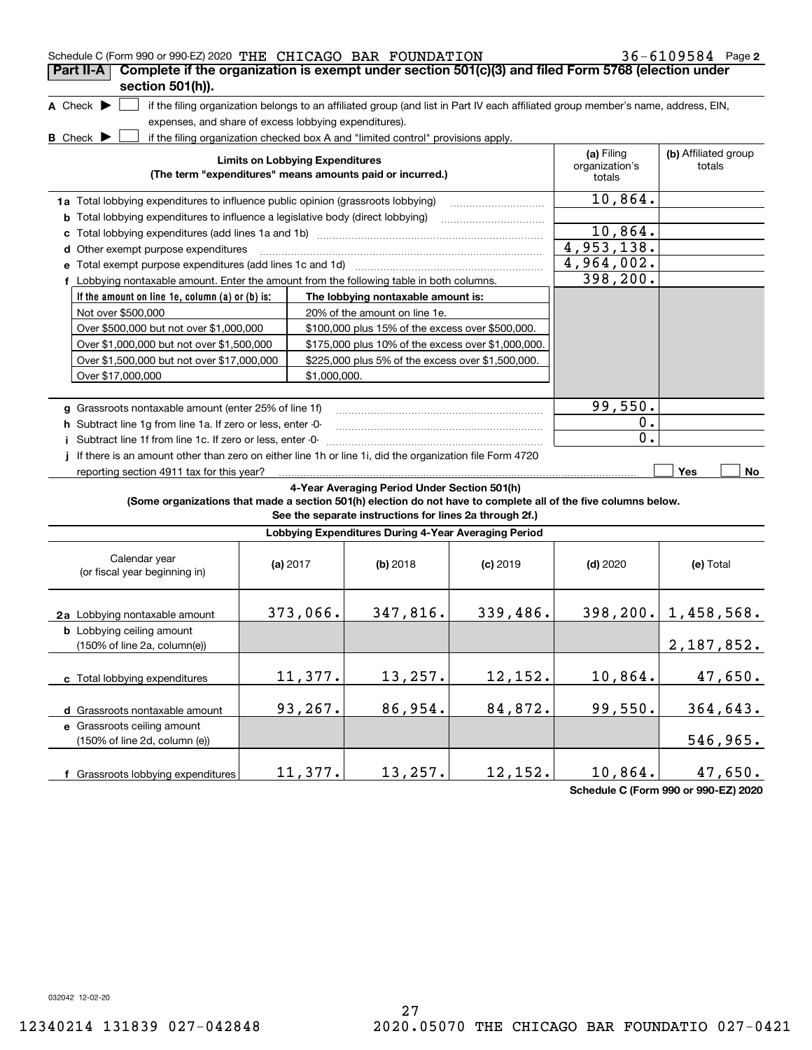| Schedule C (Form 990 or 990-EZ) 2020 THE CHICAGO BAR FOUNDATION                                                 |                                                                                                     |              |                                                                                  |            |                                                                                                                                   | $36 - 6109584$ Page 2    |  |  |  |
|-----------------------------------------------------------------------------------------------------------------|-----------------------------------------------------------------------------------------------------|--------------|----------------------------------------------------------------------------------|------------|-----------------------------------------------------------------------------------------------------------------------------------|--------------------------|--|--|--|
| Complete if the organization is exempt under section 501(c)(3) and filed Form 5768 (election under<br>Part II-A |                                                                                                     |              |                                                                                  |            |                                                                                                                                   |                          |  |  |  |
| section 501(h)).                                                                                                |                                                                                                     |              |                                                                                  |            |                                                                                                                                   |                          |  |  |  |
| A Check $\blacktriangleright$                                                                                   |                                                                                                     |              |                                                                                  |            | if the filing organization belongs to an affiliated group (and list in Part IV each affiliated group member's name, address, EIN, |                          |  |  |  |
| expenses, and share of excess lobbying expenditures).                                                           |                                                                                                     |              |                                                                                  |            |                                                                                                                                   |                          |  |  |  |
| <b>B</b> Check D                                                                                                |                                                                                                     |              | if the filing organization checked box A and "limited control" provisions apply. |            |                                                                                                                                   |                          |  |  |  |
|                                                                                                                 |                                                                                                     |              |                                                                                  |            | (a) Filing                                                                                                                        | (b) Affiliated group     |  |  |  |
|                                                                                                                 | <b>Limits on Lobbying Expenditures</b><br>(The term "expenditures" means amounts paid or incurred.) |              |                                                                                  |            |                                                                                                                                   |                          |  |  |  |
|                                                                                                                 |                                                                                                     |              |                                                                                  |            |                                                                                                                                   |                          |  |  |  |
|                                                                                                                 | 1a Total lobbying expenditures to influence public opinion (grassroots lobbying)                    |              |                                                                                  |            |                                                                                                                                   |                          |  |  |  |
| <b>b</b> Total lobbying expenditures to influence a legislative body (direct lobbying)                          |                                                                                                     |              |                                                                                  |            |                                                                                                                                   |                          |  |  |  |
| с                                                                                                               |                                                                                                     |              |                                                                                  |            | 10,864.                                                                                                                           |                          |  |  |  |
| Other exempt purpose expenditures<br>d                                                                          |                                                                                                     |              |                                                                                  |            | 4,953,138.                                                                                                                        |                          |  |  |  |
|                                                                                                                 |                                                                                                     |              |                                                                                  |            | 4,964,002.                                                                                                                        |                          |  |  |  |
| f Lobbying nontaxable amount. Enter the amount from the following table in both columns.                        |                                                                                                     |              |                                                                                  |            | 398, 200.                                                                                                                         |                          |  |  |  |
| If the amount on line 1e, column (a) or (b) is:                                                                 |                                                                                                     |              | The lobbying nontaxable amount is:                                               |            |                                                                                                                                   |                          |  |  |  |
| Not over \$500,000                                                                                              |                                                                                                     |              | 20% of the amount on line 1e.                                                    |            |                                                                                                                                   |                          |  |  |  |
| Over \$500,000 but not over \$1,000,000                                                                         |                                                                                                     |              | \$100,000 plus 15% of the excess over \$500,000.                                 |            |                                                                                                                                   |                          |  |  |  |
| Over \$1,000,000 but not over \$1,500,000                                                                       |                                                                                                     |              | \$175,000 plus 10% of the excess over \$1,000,000.                               |            |                                                                                                                                   |                          |  |  |  |
| Over \$1,500,000 but not over \$17,000,000                                                                      |                                                                                                     |              | \$225,000 plus 5% of the excess over \$1,500,000.                                |            |                                                                                                                                   |                          |  |  |  |
| Over \$17,000,000                                                                                               |                                                                                                     | \$1,000,000. |                                                                                  |            |                                                                                                                                   |                          |  |  |  |
|                                                                                                                 |                                                                                                     |              |                                                                                  |            |                                                                                                                                   |                          |  |  |  |
| 99,550.                                                                                                         |                                                                                                     |              |                                                                                  |            |                                                                                                                                   |                          |  |  |  |
| g Grassroots nontaxable amount (enter 25% of line 1f)                                                           |                                                                                                     |              |                                                                                  |            | $0$ .                                                                                                                             |                          |  |  |  |
| h Subtract line 1q from line 1a. If zero or less, enter -0-                                                     |                                                                                                     |              |                                                                                  |            | 0.                                                                                                                                |                          |  |  |  |
| i Subtract line 1f from line 1c. If zero or less, enter -0-                                                     |                                                                                                     |              |                                                                                  |            |                                                                                                                                   |                          |  |  |  |
| If there is an amount other than zero on either line 1h or line 1i, did the organization file Form 4720         |                                                                                                     |              |                                                                                  |            |                                                                                                                                   |                          |  |  |  |
| reporting section 4911 tax for this year?                                                                       |                                                                                                     |              |                                                                                  |            |                                                                                                                                   | Yes<br>No                |  |  |  |
|                                                                                                                 |                                                                                                     |              | 4-Year Averaging Period Under Section 501(h)                                     |            |                                                                                                                                   |                          |  |  |  |
| (Some organizations that made a section 501(h) election do not have to complete all of the five columns below.  |                                                                                                     |              | See the separate instructions for lines 2a through 2f.)                          |            |                                                                                                                                   |                          |  |  |  |
|                                                                                                                 |                                                                                                     |              |                                                                                  |            |                                                                                                                                   |                          |  |  |  |
|                                                                                                                 |                                                                                                     |              | Lobbying Expenditures During 4-Year Averaging Period                             |            |                                                                                                                                   |                          |  |  |  |
| Calendar year                                                                                                   |                                                                                                     |              |                                                                                  |            |                                                                                                                                   |                          |  |  |  |
| (or fiscal year beginning in)                                                                                   | (a) $2017$                                                                                          |              | (b) 2018                                                                         | $(c)$ 2019 | $(d)$ 2020                                                                                                                        | (e) Total                |  |  |  |
|                                                                                                                 |                                                                                                     |              |                                                                                  |            |                                                                                                                                   |                          |  |  |  |
|                                                                                                                 |                                                                                                     |              |                                                                                  |            |                                                                                                                                   |                          |  |  |  |
| 2a Lobbying nontaxable amount                                                                                   |                                                                                                     | 373,066.     | 347,816.                                                                         | 339,486.   |                                                                                                                                   | $398, 200.$ 1, 458, 568. |  |  |  |
| <b>b</b> Lobbying ceiling amount                                                                                |                                                                                                     |              |                                                                                  |            |                                                                                                                                   |                          |  |  |  |
| (150% of line 2a, column(e))                                                                                    |                                                                                                     |              |                                                                                  |            |                                                                                                                                   | 2,187,852.               |  |  |  |
|                                                                                                                 |                                                                                                     |              |                                                                                  |            |                                                                                                                                   |                          |  |  |  |
| c Total lobbying expenditures                                                                                   |                                                                                                     | 11,377.      | 13, 257.                                                                         | 12,152.    | 10,864.                                                                                                                           | 47,650.                  |  |  |  |
|                                                                                                                 |                                                                                                     |              |                                                                                  |            |                                                                                                                                   |                          |  |  |  |
| d Grassroots nontaxable amount                                                                                  |                                                                                                     | 93,267.      | 86,954.                                                                          | 84,872.    | 99,550.                                                                                                                           | 364,643.                 |  |  |  |
| e Grassroots ceiling amount                                                                                     |                                                                                                     |              |                                                                                  |            |                                                                                                                                   |                          |  |  |  |
| (150% of line 2d, column (e))                                                                                   |                                                                                                     |              |                                                                                  |            |                                                                                                                                   | 546,965.                 |  |  |  |
|                                                                                                                 |                                                                                                     |              |                                                                                  |            |                                                                                                                                   |                          |  |  |  |

**Schedule C (Form 990 or 990-EZ) 2020**

032042 12-02-20

**f** Grassroots lobbying expenditures

11,377.| 13,257.| 12,152.| 10,864.| 47,650.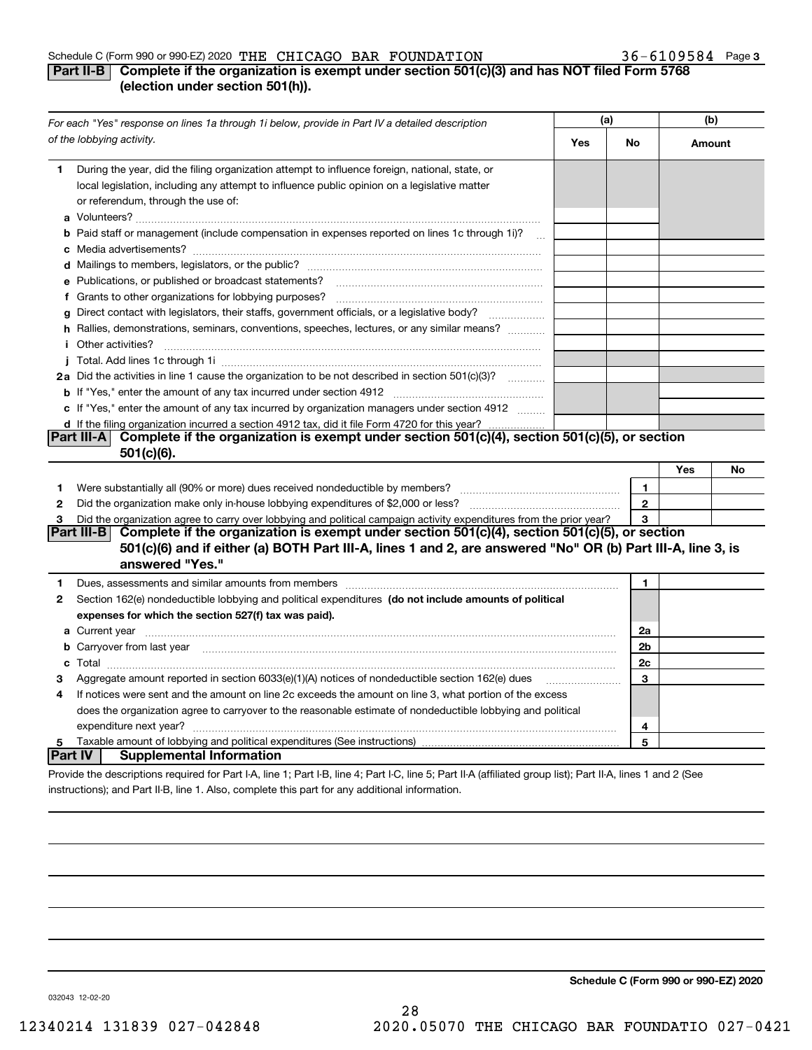#### Schedule C (Form 990 or 990-EZ) 2020  $\, {\rm THE} \,$   $\, {\rm CHICAGO} \,$   $\, {\rm BAR} \,$   $\, {\rm FOUNDATION} \,$   $\,$   $\,$   $\,$   $\,$  36  $-$  6109584  $\,$  Page

## **Part II-B Complete if the organization is exempt under section 501(c)(3) and has NOT filed Form 5768 (election under section 501(h)).**

| For each "Yes" response on lines 1a through 1i below, provide in Part IV a detailed description |                                                                                                                                                                                                                                               | (a) |              | (b)    |    |
|-------------------------------------------------------------------------------------------------|-----------------------------------------------------------------------------------------------------------------------------------------------------------------------------------------------------------------------------------------------|-----|--------------|--------|----|
|                                                                                                 | of the lobbying activity.                                                                                                                                                                                                                     | Yes | No           | Amount |    |
| 1.                                                                                              | During the year, did the filing organization attempt to influence foreign, national, state, or<br>local legislation, including any attempt to influence public opinion on a legislative matter<br>or referendum, through the use of:          |     |              |        |    |
|                                                                                                 | b Paid staff or management (include compensation in expenses reported on lines 1c through 1i)?<br>$\sim$ 100 $\sim$                                                                                                                           |     |              |        |    |
|                                                                                                 |                                                                                                                                                                                                                                               |     |              |        |    |
|                                                                                                 | e Publications, or published or broadcast statements?                                                                                                                                                                                         |     |              |        |    |
|                                                                                                 |                                                                                                                                                                                                                                               |     |              |        |    |
|                                                                                                 | g Direct contact with legislators, their staffs, government officials, or a legislative body?<br>.                                                                                                                                            |     |              |        |    |
|                                                                                                 | h Rallies, demonstrations, seminars, conventions, speeches, lectures, or any similar means?                                                                                                                                                   |     |              |        |    |
|                                                                                                 | <i>i</i> Other activities?                                                                                                                                                                                                                    |     |              |        |    |
|                                                                                                 |                                                                                                                                                                                                                                               |     |              |        |    |
|                                                                                                 | 2a Did the activities in line 1 cause the organization to be not described in section 501(c)(3)?                                                                                                                                              |     |              |        |    |
|                                                                                                 |                                                                                                                                                                                                                                               |     |              |        |    |
|                                                                                                 | c If "Yes," enter the amount of any tax incurred by organization managers under section 4912                                                                                                                                                  |     |              |        |    |
|                                                                                                 | d If the filing organization incurred a section 4912 tax, did it file Form 4720 for this year?                                                                                                                                                |     |              |        |    |
|                                                                                                 | Complete if the organization is exempt under section 501(c)(4), section 501(c)(5), or section<br><b>Part III-A</b><br>$501(c)(6)$ .                                                                                                           |     |              |        |    |
|                                                                                                 |                                                                                                                                                                                                                                               |     |              | Yes    | No |
| 1                                                                                               |                                                                                                                                                                                                                                               |     | 1            |        |    |
| 2                                                                                               |                                                                                                                                                                                                                                               |     | $\mathbf{2}$ |        |    |
| 3                                                                                               | Did the organization agree to carry over lobbying and political campaign activity expenditures from the prior year?                                                                                                                           |     | 3            |        |    |
|                                                                                                 | Complete if the organization is exempt under section 501(c)(4), section 501(c)(5), or section<br>Part III-B<br>501(c)(6) and if either (a) BOTH Part III-A, lines 1 and 2, are answered "No" OR (b) Part III-A, line 3, is<br>answered "Yes." |     |              |        |    |
| 1                                                                                               | Dues, assessments and similar amounts from members [11] matter content to assessments and similar amounts from members [11] matter content to assessments and similar amounts from members [11] matter content and the state o                |     | 1            |        |    |
| 2                                                                                               | Section 162(e) nondeductible lobbying and political expenditures (do not include amounts of political                                                                                                                                         |     |              |        |    |
|                                                                                                 | expenses for which the section 527(f) tax was paid).                                                                                                                                                                                          |     |              |        |    |
|                                                                                                 |                                                                                                                                                                                                                                               |     | 2a           |        |    |
|                                                                                                 | b Carryover from last year manufactured and continuum and continuum and continuum and continuum and continuum and continuum and continuum and continuum and continuum and continuum and continuum and continuum and continuum                 |     | 2b           |        |    |
|                                                                                                 |                                                                                                                                                                                                                                               |     | 2c           |        |    |
| з                                                                                               | Aggregate amount reported in section 6033(e)(1)(A) notices of nondeductible section 162(e) dues                                                                                                                                               |     | 3            |        |    |
| 4                                                                                               | If notices were sent and the amount on line 2c exceeds the amount on line 3, what portion of the excess                                                                                                                                       |     |              |        |    |
|                                                                                                 | does the organization agree to carryover to the reasonable estimate of nondeductible lobbying and political                                                                                                                                   |     |              |        |    |
|                                                                                                 |                                                                                                                                                                                                                                               |     | 4            |        |    |
| 5                                                                                               |                                                                                                                                                                                                                                               |     | 5            |        |    |
| <b>Part IV</b>                                                                                  | <b>Supplemental Information</b>                                                                                                                                                                                                               |     |              |        |    |
|                                                                                                 | Provide the descriptions required for Part I-A, line 1; Part I-B, line 4; Part I-C, line 5; Part II-A (affiliated group list); Part II-A, lines 1 and 2 (See                                                                                  |     |              |        |    |

instructions); and Part II-B, line 1. Also, complete this part for any additional information.

**Schedule C (Form 990 or 990-EZ) 2020**

032043 12-02-20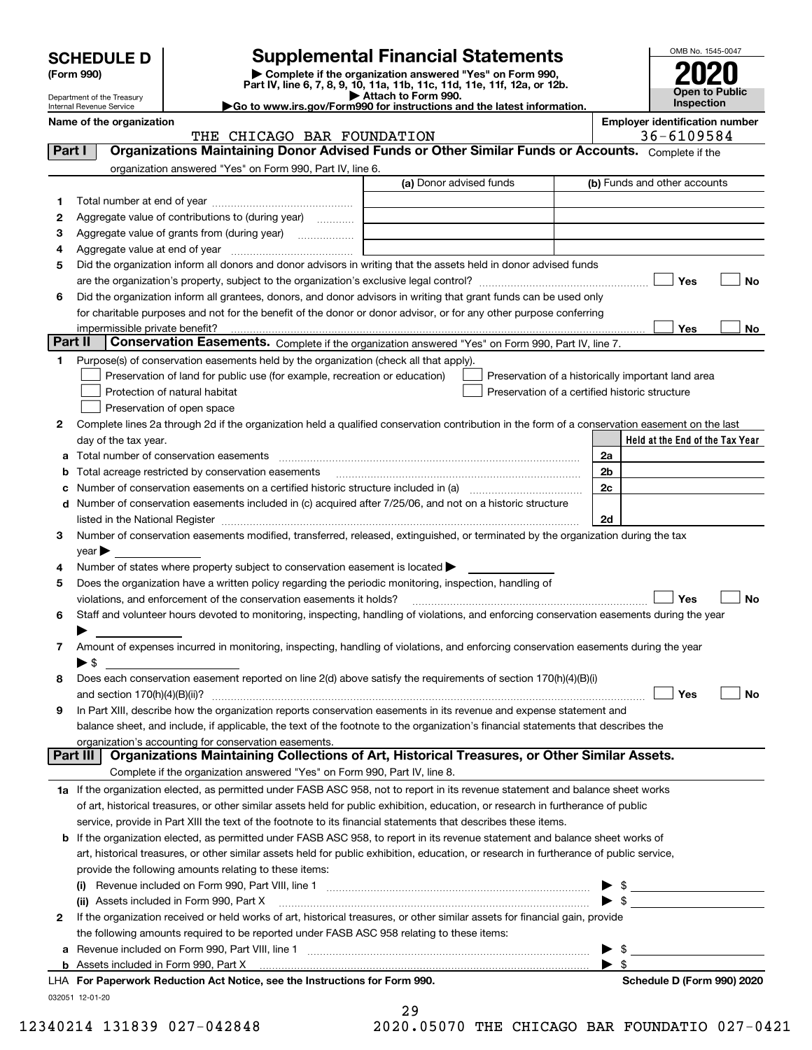| <b>SCHEDULE D</b> |  |
|-------------------|--|
|-------------------|--|

# **Supplemental Financial Statements**

**(Form 990)** (**Form 990,**<br>Part IV, line 6, 7, 8, 9, 10, 11a, 11b, 11c, 11d, 11e, 11f, 12a, or 12b.<br>Department of the Treasury **and Exercise Connect Connect Connect Connect Connect Connect Connect Connect Connect** 



Department of the Treasury Internal Revenue Service

| <b>DUDAI HINIII OI HU IIU QUUU V</b><br>► Go to www.irs.gov/Form990 for instructions and the latest information.<br>Internal Revenue Service |  | <b>Inspection</b>                     |  |
|----------------------------------------------------------------------------------------------------------------------------------------------|--|---------------------------------------|--|
| Name of the organization                                                                                                                     |  | <b>Employer identification number</b> |  |

|          | THE CHICAGO BAR FOUNDATION                                                                                                                                                                                                    |                                                | 36-6109584                                         |
|----------|-------------------------------------------------------------------------------------------------------------------------------------------------------------------------------------------------------------------------------|------------------------------------------------|----------------------------------------------------|
| Part I   | Organizations Maintaining Donor Advised Funds or Other Similar Funds or Accounts. Complete if the                                                                                                                             |                                                |                                                    |
|          | organization answered "Yes" on Form 990, Part IV, line 6.                                                                                                                                                                     |                                                |                                                    |
|          |                                                                                                                                                                                                                               | (a) Donor advised funds                        | (b) Funds and other accounts                       |
| 1        |                                                                                                                                                                                                                               |                                                |                                                    |
| 2        | Aggregate value of contributions to (during year)                                                                                                                                                                             |                                                |                                                    |
|          |                                                                                                                                                                                                                               |                                                |                                                    |
| з        |                                                                                                                                                                                                                               |                                                |                                                    |
| 4        |                                                                                                                                                                                                                               |                                                |                                                    |
| 5        | Did the organization inform all donors and donor advisors in writing that the assets held in donor advised funds                                                                                                              |                                                |                                                    |
|          |                                                                                                                                                                                                                               |                                                | Yes<br>No                                          |
| 6        | Did the organization inform all grantees, donors, and donor advisors in writing that grant funds can be used only                                                                                                             |                                                |                                                    |
|          | for charitable purposes and not for the benefit of the donor or donor advisor, or for any other purpose conferring                                                                                                            |                                                |                                                    |
|          |                                                                                                                                                                                                                               |                                                | Yes<br>No                                          |
| Part II  | Conservation Easements. Complete if the organization answered "Yes" on Form 990, Part IV, line 7.                                                                                                                             |                                                |                                                    |
| 1        | Purpose(s) of conservation easements held by the organization (check all that apply).                                                                                                                                         |                                                |                                                    |
|          | Preservation of land for public use (for example, recreation or education)                                                                                                                                                    |                                                | Preservation of a historically important land area |
|          | Protection of natural habitat                                                                                                                                                                                                 | Preservation of a certified historic structure |                                                    |
|          | Preservation of open space                                                                                                                                                                                                    |                                                |                                                    |
| 2        | Complete lines 2a through 2d if the organization held a qualified conservation contribution in the form of a conservation easement on the last                                                                                |                                                |                                                    |
|          | day of the tax year.                                                                                                                                                                                                          |                                                | Held at the End of the Tax Year                    |
| а        |                                                                                                                                                                                                                               |                                                | 2a                                                 |
| b        | Total acreage restricted by conservation easements                                                                                                                                                                            |                                                | 2b                                                 |
|          |                                                                                                                                                                                                                               |                                                | 2 <sub>c</sub>                                     |
|          | d Number of conservation easements included in (c) acquired after 7/25/06, and not on a historic structure                                                                                                                    |                                                |                                                    |
|          |                                                                                                                                                                                                                               |                                                |                                                    |
|          | listed in the National Register [111] Marshall Register [11] Marshall Register [11] Marshall Register [11] Marshall Register [11] Marshall Register [11] Marshall Register [11] Marshall Register [11] Marshall Register [11] |                                                | 2d                                                 |
| 3        | Number of conservation easements modified, transferred, released, extinguished, or terminated by the organization during the tax                                                                                              |                                                |                                                    |
|          | year                                                                                                                                                                                                                          |                                                |                                                    |
| 4        | Number of states where property subject to conservation easement is located >                                                                                                                                                 |                                                |                                                    |
| 5        | Does the organization have a written policy regarding the periodic monitoring, inspection, handling of                                                                                                                        |                                                |                                                    |
|          | violations, and enforcement of the conservation easements it holds?                                                                                                                                                           |                                                | Yes<br>No                                          |
| 6        | Staff and volunteer hours devoted to monitoring, inspecting, handling of violations, and enforcing conservation easements during the year                                                                                     |                                                |                                                    |
|          |                                                                                                                                                                                                                               |                                                |                                                    |
| 7        | Amount of expenses incurred in monitoring, inspecting, handling of violations, and enforcing conservation easements during the year                                                                                           |                                                |                                                    |
|          | $\blacktriangleright$ s                                                                                                                                                                                                       |                                                |                                                    |
| 8        | Does each conservation easement reported on line 2(d) above satisfy the requirements of section 170(h)(4)(B)(i)                                                                                                               |                                                |                                                    |
|          |                                                                                                                                                                                                                               |                                                | Yes<br>No                                          |
| 9        | In Part XIII, describe how the organization reports conservation easements in its revenue and expense statement and                                                                                                           |                                                |                                                    |
|          | balance sheet, and include, if applicable, the text of the footnote to the organization's financial statements that describes the                                                                                             |                                                |                                                    |
|          | organization's accounting for conservation easements.                                                                                                                                                                         |                                                |                                                    |
| Part III | Organizations Maintaining Collections of Art, Historical Treasures, or Other Similar Assets.                                                                                                                                  |                                                |                                                    |
|          | Complete if the organization answered "Yes" on Form 990, Part IV, line 8.                                                                                                                                                     |                                                |                                                    |
|          | 1a If the organization elected, as permitted under FASB ASC 958, not to report in its revenue statement and balance sheet works                                                                                               |                                                |                                                    |
|          | of art, historical treasures, or other similar assets held for public exhibition, education, or research in furtherance of public                                                                                             |                                                |                                                    |
|          | service, provide in Part XIII the text of the footnote to its financial statements that describes these items.                                                                                                                |                                                |                                                    |
|          | <b>b</b> If the organization elected, as permitted under FASB ASC 958, to report in its revenue statement and balance sheet works of                                                                                          |                                                |                                                    |
|          | art, historical treasures, or other similar assets held for public exhibition, education, or research in furtherance of public service,                                                                                       |                                                |                                                    |
|          | provide the following amounts relating to these items:                                                                                                                                                                        |                                                |                                                    |
|          | (i)                                                                                                                                                                                                                           |                                                | \$                                                 |
|          | (ii) Assets included in Form 990, Part X                                                                                                                                                                                      |                                                | $\blacktriangleright$ \$                           |
|          | If the organization received or held works of art, historical treasures, or other similar assets for financial gain, provide                                                                                                  |                                                |                                                    |
| 2        |                                                                                                                                                                                                                               |                                                |                                                    |
|          | the following amounts required to be reported under FASB ASC 958 relating to these items:                                                                                                                                     |                                                |                                                    |
| а        |                                                                                                                                                                                                                               |                                                | \$                                                 |
|          | <b>b</b> Assets included in Form 990, Part X                                                                                                                                                                                  |                                                | -\$                                                |
|          | LHA For Paperwork Reduction Act Notice, see the Instructions for Form 990.                                                                                                                                                    |                                                | Schedule D (Form 990) 2020                         |
|          | 032051 12-01-20                                                                                                                                                                                                               |                                                |                                                    |

|  |         | 29 |  |    |  |
|--|---------|----|--|----|--|
|  | ٬ ^ ^ ^ |    |  | ◠⊏ |  |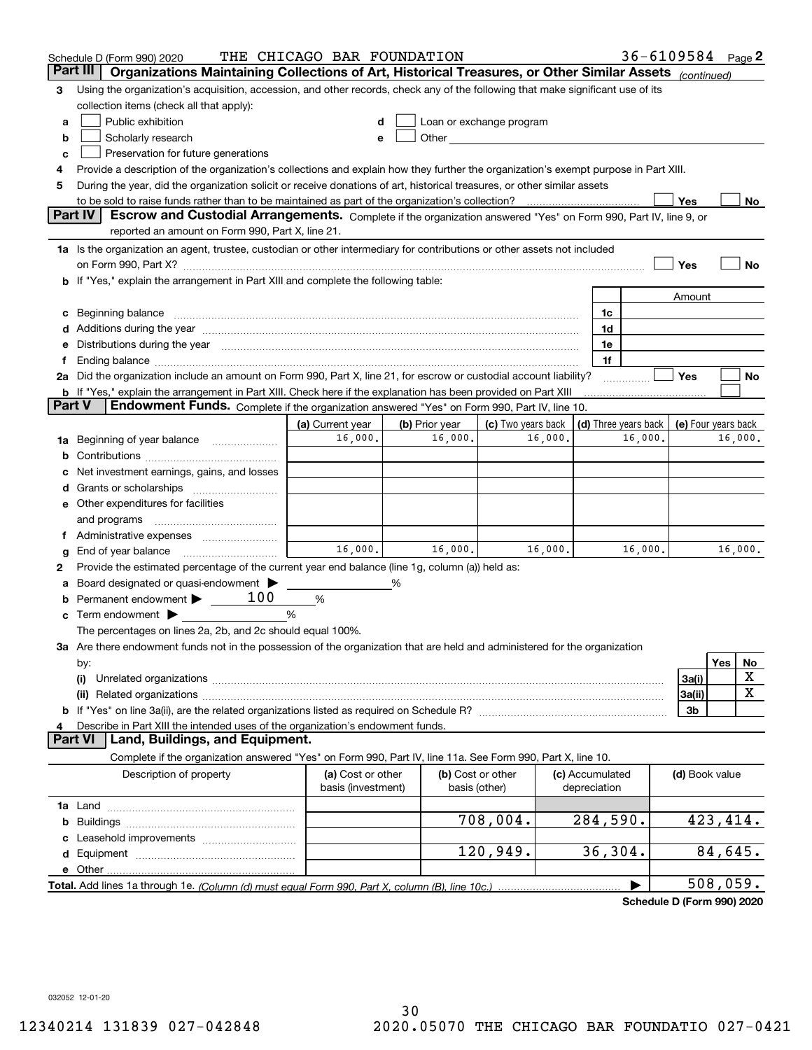|        | Schedule D (Form 990) 2020                                                                                                                                                                                                     | THE CHICAGO BAR FOUNDATION              |   |                                    |                          |         |                                 | $36 - 6109584$ Page 2 |                     |          |         |
|--------|--------------------------------------------------------------------------------------------------------------------------------------------------------------------------------------------------------------------------------|-----------------------------------------|---|------------------------------------|--------------------------|---------|---------------------------------|-----------------------|---------------------|----------|---------|
|        | Organizations Maintaining Collections of Art, Historical Treasures, or Other Similar Assets (continued)<br>Part III                                                                                                            |                                         |   |                                    |                          |         |                                 |                       |                     |          |         |
| 3      | Using the organization's acquisition, accession, and other records, check any of the following that make significant use of its                                                                                                |                                         |   |                                    |                          |         |                                 |                       |                     |          |         |
|        | collection items (check all that apply):                                                                                                                                                                                       |                                         |   |                                    |                          |         |                                 |                       |                     |          |         |
| a      | Public exhibition                                                                                                                                                                                                              |                                         |   |                                    | Loan or exchange program |         |                                 |                       |                     |          |         |
| b      | Scholarly research                                                                                                                                                                                                             | е                                       |   |                                    |                          |         |                                 |                       |                     |          |         |
| c      | Preservation for future generations                                                                                                                                                                                            |                                         |   |                                    |                          |         |                                 |                       |                     |          |         |
| 4      | Provide a description of the organization's collections and explain how they further the organization's exempt purpose in Part XIII.                                                                                           |                                         |   |                                    |                          |         |                                 |                       |                     |          |         |
| 5      | During the year, did the organization solicit or receive donations of art, historical treasures, or other similar assets                                                                                                       |                                         |   |                                    |                          |         |                                 |                       |                     |          |         |
|        | to be sold to raise funds rather than to be maintained as part of the organization's collection?                                                                                                                               |                                         |   |                                    |                          |         |                                 |                       | Yes                 |          | No      |
|        | <b>Part IV</b><br>Escrow and Custodial Arrangements. Complete if the organization answered "Yes" on Form 990, Part IV, line 9, or                                                                                              |                                         |   |                                    |                          |         |                                 |                       |                     |          |         |
|        | reported an amount on Form 990, Part X, line 21.                                                                                                                                                                               |                                         |   |                                    |                          |         |                                 |                       |                     |          |         |
|        | 1a Is the organization an agent, trustee, custodian or other intermediary for contributions or other assets not included                                                                                                       |                                         |   |                                    |                          |         |                                 |                       |                     |          |         |
|        |                                                                                                                                                                                                                                |                                         |   |                                    |                          |         |                                 |                       | Yes                 |          | No      |
|        | b If "Yes," explain the arrangement in Part XIII and complete the following table:                                                                                                                                             |                                         |   |                                    |                          |         |                                 |                       |                     |          |         |
|        |                                                                                                                                                                                                                                |                                         |   |                                    |                          |         |                                 |                       | Amount              |          |         |
|        | Beginning balance                                                                                                                                                                                                              |                                         |   |                                    |                          |         | 1c                              |                       |                     |          |         |
|        | Additions during the year manufactured and an anti-manufactured and the year manufactured and all the year manufactured and all the year manufactured and all the year manufactured and all the year manufactured and all the  |                                         |   |                                    |                          |         | 1d                              |                       |                     |          |         |
|        | Distributions during the year manufactured and continuum and continuum and continuum and continuum and continuum                                                                                                               |                                         |   |                                    |                          |         | 1e                              |                       |                     |          |         |
|        | Ending balance manufactured and contact the contract of the contract of the contract of the contract of the contract of the contract of the contract of the contract of the contract of the contract of the contract of the co |                                         |   |                                    |                          |         | 1f                              |                       |                     |          |         |
|        | 2a Did the organization include an amount on Form 990, Part X, line 21, for escrow or custodial account liability?                                                                                                             |                                         |   |                                    |                          |         |                                 |                       | Yes                 |          | No      |
| Part V | <b>b</b> If "Yes," explain the arrangement in Part XIII. Check here if the explanation has been provided on Part XIII<br>Endowment Funds. Complete if the organization answered "Yes" on Form 990, Part IV, line 10.           |                                         |   |                                    |                          |         |                                 |                       |                     |          |         |
|        |                                                                                                                                                                                                                                |                                         |   | (b) Prior year                     |                          |         | (d) Three years back            |                       |                     |          |         |
|        |                                                                                                                                                                                                                                | (a) Current year<br>16,000.             |   | 16,000.                            | (c) Two years back       | 16,000. |                                 | 16,000.               | (e) Four years back |          | 16,000. |
| 1a     | Beginning of year balance                                                                                                                                                                                                      |                                         |   |                                    |                          |         |                                 |                       |                     |          |         |
| b      | Net investment earnings, gains, and losses                                                                                                                                                                                     |                                         |   |                                    |                          |         |                                 |                       |                     |          |         |
|        |                                                                                                                                                                                                                                |                                         |   |                                    |                          |         |                                 |                       |                     |          |         |
|        | Other expenditures for facilities                                                                                                                                                                                              |                                         |   |                                    |                          |         |                                 |                       |                     |          |         |
|        | and programs                                                                                                                                                                                                                   |                                         |   |                                    |                          |         |                                 |                       |                     |          |         |
|        |                                                                                                                                                                                                                                |                                         |   |                                    |                          |         |                                 |                       |                     |          |         |
| g      | End of year balance                                                                                                                                                                                                            | 16,000.                                 |   | 16,000.                            |                          | 16,000. |                                 | 16,000.               |                     |          | 16,000. |
| 2      | Provide the estimated percentage of the current year end balance (line 1g, column (a)) held as:                                                                                                                                |                                         |   |                                    |                          |         |                                 |                       |                     |          |         |
|        | Board designated or quasi-endowment                                                                                                                                                                                            |                                         | % |                                    |                          |         |                                 |                       |                     |          |         |
|        | Permanent endowment > 100                                                                                                                                                                                                      | %                                       |   |                                    |                          |         |                                 |                       |                     |          |         |
| c      | Term endowment $\blacktriangleright$                                                                                                                                                                                           | %                                       |   |                                    |                          |         |                                 |                       |                     |          |         |
|        | The percentages on lines 2a, 2b, and 2c should equal 100%.                                                                                                                                                                     |                                         |   |                                    |                          |         |                                 |                       |                     |          |         |
|        | 3a Are there endowment funds not in the possession of the organization that are held and administered for the organization                                                                                                     |                                         |   |                                    |                          |         |                                 |                       |                     |          |         |
|        | by:                                                                                                                                                                                                                            |                                         |   |                                    |                          |         |                                 |                       |                     | Yes      | No      |
|        | (i)                                                                                                                                                                                                                            |                                         |   |                                    |                          |         |                                 |                       | 3a(i)               |          | X       |
|        |                                                                                                                                                                                                                                |                                         |   |                                    |                          |         |                                 |                       | 3a(ii)              |          | X       |
|        |                                                                                                                                                                                                                                |                                         |   |                                    |                          |         |                                 |                       | 3b                  |          |         |
|        | Describe in Part XIII the intended uses of the organization's endowment funds.                                                                                                                                                 |                                         |   |                                    |                          |         |                                 |                       |                     |          |         |
|        | Land, Buildings, and Equipment.<br>Part VI                                                                                                                                                                                     |                                         |   |                                    |                          |         |                                 |                       |                     |          |         |
|        | Complete if the organization answered "Yes" on Form 990, Part IV, line 11a. See Form 990, Part X, line 10.                                                                                                                     |                                         |   |                                    |                          |         |                                 |                       |                     |          |         |
|        | Description of property                                                                                                                                                                                                        | (a) Cost or other<br>basis (investment) |   | (b) Cost or other<br>basis (other) |                          |         | (c) Accumulated<br>depreciation |                       | (d) Book value      |          |         |
|        |                                                                                                                                                                                                                                |                                         |   |                                    |                          |         |                                 |                       |                     |          |         |
| b      |                                                                                                                                                                                                                                |                                         |   |                                    | 708,004.                 |         | 284,590.                        |                       |                     | 423,414. |         |
|        |                                                                                                                                                                                                                                |                                         |   |                                    |                          |         |                                 |                       |                     |          |         |
| d      |                                                                                                                                                                                                                                |                                         |   |                                    | 120,949.                 |         | 36, 304.                        |                       |                     | 84,645.  |         |
|        | e Other                                                                                                                                                                                                                        |                                         |   |                                    |                          |         |                                 |                       |                     |          |         |
|        |                                                                                                                                                                                                                                |                                         |   |                                    |                          |         |                                 |                       |                     | 508,059. |         |

**Schedule D (Form 990) 2020**

032052 12-01-20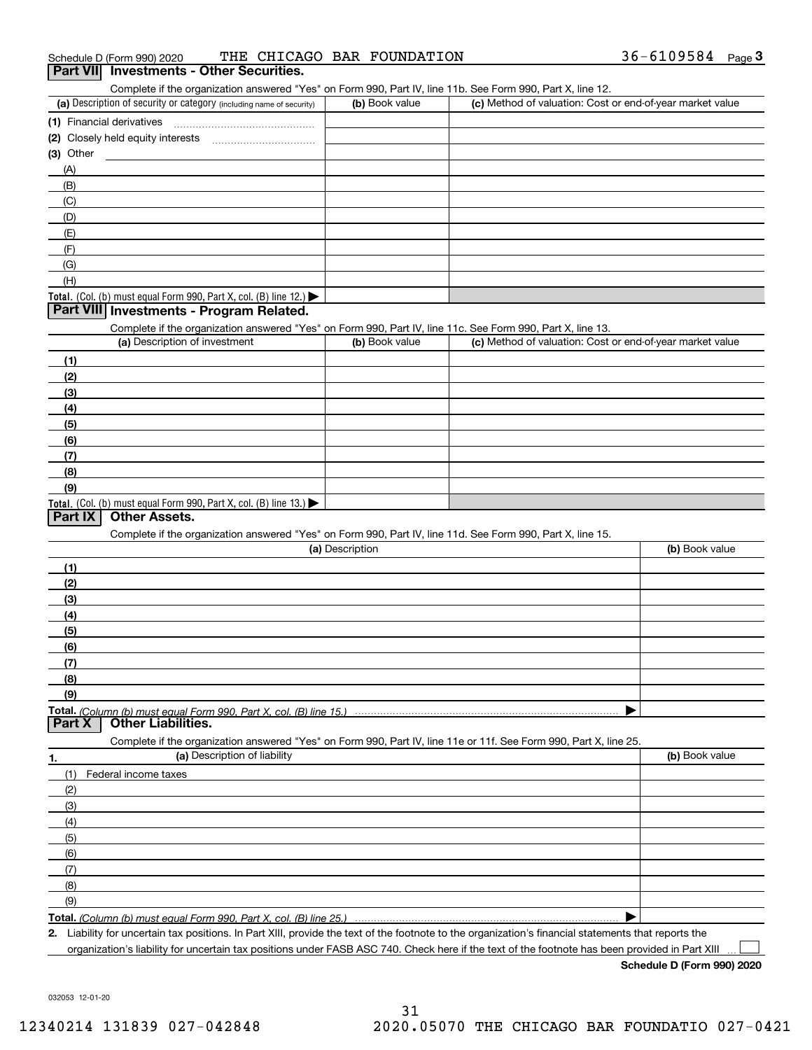| $36 - 6109584$<br>THE CHICAGO BAR FOUNDATION<br>Schedule D (Form 990) 2020 | Page |  |
|----------------------------------------------------------------------------|------|--|
|----------------------------------------------------------------------------|------|--|

#### Complete if the organization answered "Yes" on Form 990, Part IV, line 11b. See Form 990, Part X, line 12. **Part VII Investments - Other Securities.**

| Complete in the organization answered these on Form 990, Part IV, line TTD. See Form 990, Part A, line TZ. |                |                                                           |
|------------------------------------------------------------------------------------------------------------|----------------|-----------------------------------------------------------|
| (a) Description of security or category (including name of security)                                       | (b) Book value | (c) Method of valuation: Cost or end-of-year market value |
| (1) Financial derivatives                                                                                  |                |                                                           |
| (2) Closely held equity interests                                                                          |                |                                                           |
| $(3)$ Other                                                                                                |                |                                                           |
| (A)                                                                                                        |                |                                                           |
| (B)                                                                                                        |                |                                                           |
| (C)                                                                                                        |                |                                                           |
| (D)                                                                                                        |                |                                                           |
| (E)                                                                                                        |                |                                                           |
| (F)                                                                                                        |                |                                                           |
| (G)                                                                                                        |                |                                                           |
| (H)                                                                                                        |                |                                                           |
| <b>Total.</b> (Col. (b) must equal Form 990, Part X, col. (B) line 12.) $\blacktriangleright$              |                |                                                           |

#### **Part VIII Investments - Program Related.**

Complete if the organization answered "Yes" on Form 990, Part IV, line 11c. See Form 990, Part X, line 13.

| (a) Description of investment                                                                 | (b) Book value | (c) Method of valuation: Cost or end-of-year market value |
|-----------------------------------------------------------------------------------------------|----------------|-----------------------------------------------------------|
| (1)                                                                                           |                |                                                           |
| (2)                                                                                           |                |                                                           |
| $\frac{1}{2}$                                                                                 |                |                                                           |
| (4)                                                                                           |                |                                                           |
| $\frac{1}{2}$                                                                                 |                |                                                           |
| (6)                                                                                           |                |                                                           |
| (7)                                                                                           |                |                                                           |
| (8)                                                                                           |                |                                                           |
| (9)                                                                                           |                |                                                           |
| <b>Total.</b> (Col. (b) must equal Form 990, Part X, col. (B) line 13.) $\blacktriangleright$ |                |                                                           |

#### **Part IX Other Assets.**

Complete if the organization answered "Yes" on Form 990, Part IV, line 11d. See Form 990, Part X, line 15.

| (a) Description                                                                                                   | (b) Book value |
|-------------------------------------------------------------------------------------------------------------------|----------------|
| (1)                                                                                                               |                |
| (2)                                                                                                               |                |
| $\frac{1}{2}$                                                                                                     |                |
| (4)                                                                                                               |                |
| (5)                                                                                                               |                |
| (6)                                                                                                               |                |
| (7)                                                                                                               |                |
| (8)                                                                                                               |                |
| (9)                                                                                                               |                |
|                                                                                                                   |                |
| <b>Other Liabilities.</b><br>Part X                                                                               |                |
| Complete if the organization answered "Yes" on Form 990, Part IV, line 11e or 11f. See Form 990, Part X, line 25. |                |

| 1.                           | (a) Description of liability | (b) Book value |
|------------------------------|------------------------------|----------------|
| (1)                          | Federal income taxes         |                |
| (2)                          |                              |                |
| (3)                          |                              |                |
| (4)                          |                              |                |
| (5)                          |                              |                |
| (6)                          |                              |                |
| $\overline{\phantom{a}}$ (7) |                              |                |
| (8)                          |                              |                |
| (9)                          |                              |                |
|                              |                              |                |

**2.**Liability for uncertain tax positions. In Part XIII, provide the text of the footnote to the organization's financial statements that reports the

organization's liability for uncertain tax positions under FASB ASC 740. Check here if the text of the footnote has been provided in Part XIII

**Schedule D (Form 990) 2020**

 $\mathcal{L}^{\text{max}}$ 

032053 12-01-20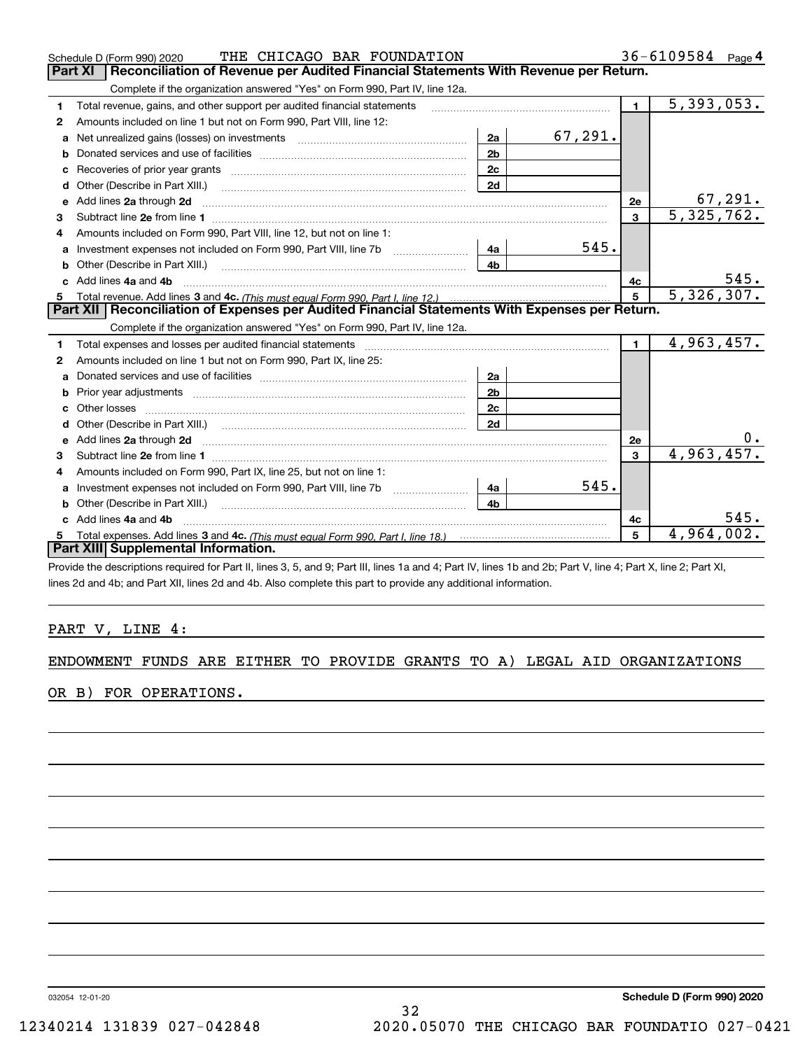|              | THE CHICAGO BAR FOUNDATION<br>Schedule D (Form 990) 2020                                                                 |                | $36 - 6109584$ Page 4 |                |              |
|--------------|--------------------------------------------------------------------------------------------------------------------------|----------------|-----------------------|----------------|--------------|
|              | Reconciliation of Revenue per Audited Financial Statements With Revenue per Return.<br><b>Part XI</b>                    |                |                       |                |              |
|              | Complete if the organization answered "Yes" on Form 990, Part IV, line 12a.                                              |                |                       |                |              |
| 1            | Total revenue, gains, and other support per audited financial statements                                                 |                |                       | $\mathbf 1$    | 5,393,053.   |
| 2            | Amounts included on line 1 but not on Form 990, Part VIII, line 12:                                                      |                |                       |                |              |
| a            | Net unrealized gains (losses) on investments [11] matter contracts and the unrealized gains (losses) on investments      | 2a             | 67,291.               |                |              |
| b            |                                                                                                                          | 2 <sub>b</sub> |                       |                |              |
| c            |                                                                                                                          | 2c             |                       |                |              |
| d            | Other (Describe in Part XIII.)                                                                                           | 2d             |                       |                |              |
| e            | Add lines 2a through 2d <b>must be a constructed as the constant of the constant of the constant of the construction</b> |                |                       | 2e             | 67,291.      |
| 3            |                                                                                                                          |                |                       | 3              | 5, 325, 762. |
| 4            | Amounts included on Form 990, Part VIII, line 12, but not on line 1:                                                     |                |                       |                |              |
|              |                                                                                                                          | - 4а           | 545.                  |                |              |
| b            |                                                                                                                          | 4 <sub>b</sub> |                       |                |              |
| $\mathbf{c}$ | Add lines 4a and 4b                                                                                                      |                |                       | 4с             | 545.         |
|              |                                                                                                                          |                |                       | $5^{\circ}$    | 5,326,307.   |
|              | Part XII   Reconciliation of Expenses per Audited Financial Statements With Expenses per Return.                         |                |                       |                |              |
|              | Complete if the organization answered "Yes" on Form 990, Part IV, line 12a.                                              |                |                       |                |              |
| 1            |                                                                                                                          |                |                       | $\blacksquare$ | 4,963,457.   |
| 2            | Amounts included on line 1 but not on Form 990, Part IX, line 25:                                                        |                |                       |                |              |
| a            |                                                                                                                          | 2a             |                       |                |              |
| b            | Prior year adjustments <i>www.www.www.www.www.www.www.www.www.</i> ww.                                                   | 2 <sub>b</sub> |                       |                |              |
|              |                                                                                                                          | 2c             |                       |                |              |
| d            |                                                                                                                          | 2d             |                       |                |              |
|              |                                                                                                                          |                |                       | 2e             | υ.           |
| 3            |                                                                                                                          |                |                       | $\mathbf{3}$   | 4,963,457.   |
| 4            | Amounts included on Form 990, Part IX, line 25, but not on line 1:                                                       |                |                       |                |              |
| a            | Investment expenses not included on Form 990, Part VIII, line 7b                                                         | 4a             | 545.                  |                |              |
| b            | Other (Describe in Part XIII.)                                                                                           | 4h             |                       |                |              |
|              | c Add lines 4a and 4b                                                                                                    |                |                       | 4с             | 545.         |
| 5            |                                                                                                                          |                |                       | 5              | 4,964,002.   |
|              | Part XIII Supplemental Information.                                                                                      |                |                       |                |              |

Provide the descriptions required for Part II, lines 3, 5, and 9; Part III, lines 1a and 4; Part IV, lines 1b and 2b; Part V, line 4; Part X, line 2; Part XI, lines 2d and 4b; and Part XII, lines 2d and 4b. Also complete this part to provide any additional information.

### PART V, LINE 4:

### ENDOWMENT FUNDS ARE EITHER TO PROVIDE GRANTS TO A) LEGAL AID ORGANIZATIONS

OR B) FOR OPERATIONS.

032054 12-01-20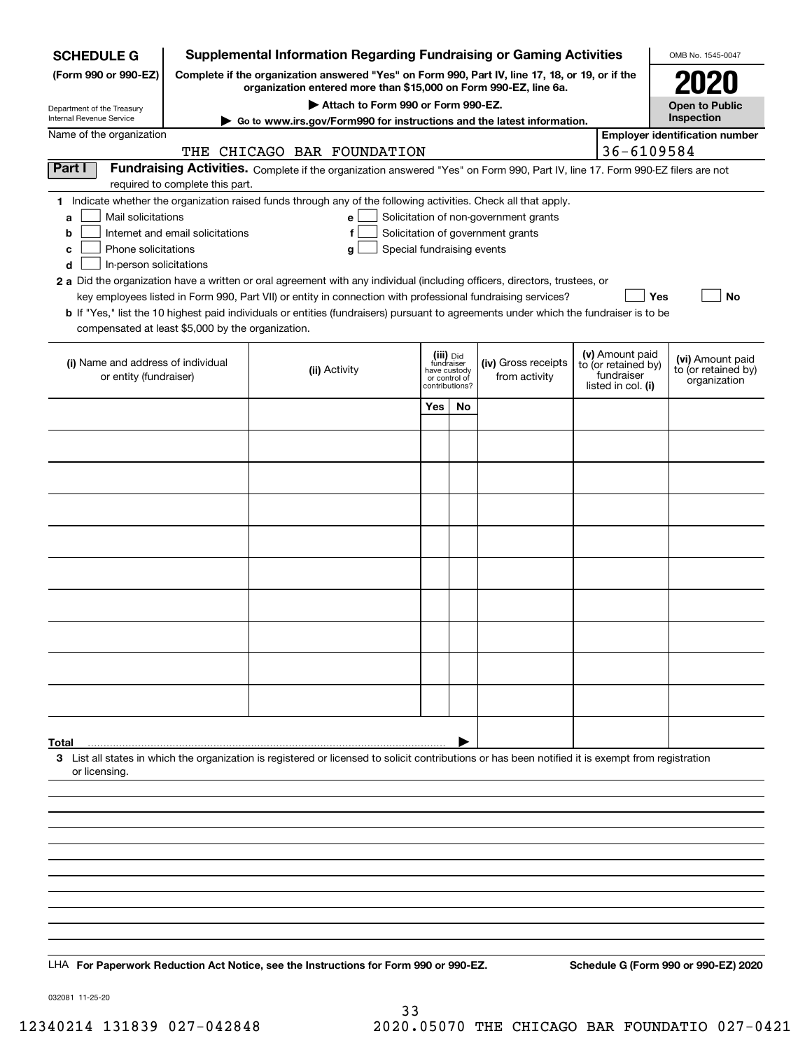| <b>SCHEDULE G</b>                                                                                                                                          | <b>Supplemental Information Regarding Fundraising or Gaming Activities</b><br>OMB No. 1545-0047 |                                                                                                                                                             |                       |                                             |                                                                            |  |                                   |                                       |  |  |  |
|------------------------------------------------------------------------------------------------------------------------------------------------------------|-------------------------------------------------------------------------------------------------|-------------------------------------------------------------------------------------------------------------------------------------------------------------|-----------------------|---------------------------------------------|----------------------------------------------------------------------------|--|-----------------------------------|---------------------------------------|--|--|--|
| (Form 990 or 990-EZ)                                                                                                                                       | Complete if the organization answered "Yes" on Form 990, Part IV, line 17, 18, or 19, or if the |                                                                                                                                                             | 2020                  |                                             |                                                                            |  |                                   |                                       |  |  |  |
|                                                                                                                                                            | organization entered more than \$15,000 on Form 990-EZ, line 6a.                                |                                                                                                                                                             | <b>Open to Public</b> |                                             |                                                                            |  |                                   |                                       |  |  |  |
| Department of the Treasury<br>Internal Revenue Service                                                                                                     |                                                                                                 | Attach to Form 990 or Form 990-EZ.<br>Go to www.irs.gov/Form990 for instructions and the latest information.                                                |                       |                                             |                                                                            |  |                                   | Inspection                            |  |  |  |
| Name of the organization                                                                                                                                   |                                                                                                 |                                                                                                                                                             |                       |                                             |                                                                            |  | 36-6109584                        | <b>Employer identification number</b> |  |  |  |
| Part I                                                                                                                                                     |                                                                                                 | THE CHICAGO BAR FOUNDATION<br>Fundraising Activities. Complete if the organization answered "Yes" on Form 990, Part IV, line 17. Form 990-EZ filers are not |                       |                                             |                                                                            |  |                                   |                                       |  |  |  |
|                                                                                                                                                            | required to complete this part.                                                                 |                                                                                                                                                             |                       |                                             |                                                                            |  |                                   |                                       |  |  |  |
|                                                                                                                                                            |                                                                                                 | 1 Indicate whether the organization raised funds through any of the following activities. Check all that apply.                                             |                       |                                             |                                                                            |  |                                   |                                       |  |  |  |
| Mail solicitations<br>a<br>b                                                                                                                               | Internet and email solicitations                                                                | e <sub>1</sub><br>f                                                                                                                                         |                       |                                             | Solicitation of non-government grants<br>Solicitation of government grants |  |                                   |                                       |  |  |  |
| Phone solicitations<br>с                                                                                                                                   |                                                                                                 | Special fundraising events<br>g                                                                                                                             |                       |                                             |                                                                            |  |                                   |                                       |  |  |  |
| d<br>In-person solicitations<br>2 a Did the organization have a written or oral agreement with any individual (including officers, directors, trustees, or |                                                                                                 |                                                                                                                                                             |                       |                                             |                                                                            |  |                                   |                                       |  |  |  |
|                                                                                                                                                            |                                                                                                 | key employees listed in Form 990, Part VII) or entity in connection with professional fundraising services?                                                 |                       |                                             |                                                                            |  | Yes                               | No                                    |  |  |  |
|                                                                                                                                                            |                                                                                                 | <b>b</b> If "Yes," list the 10 highest paid individuals or entities (fundraisers) pursuant to agreements under which the fundraiser is to be                |                       |                                             |                                                                            |  |                                   |                                       |  |  |  |
| compensated at least \$5,000 by the organization.                                                                                                          |                                                                                                 |                                                                                                                                                             |                       |                                             |                                                                            |  |                                   |                                       |  |  |  |
|                                                                                                                                                            |                                                                                                 |                                                                                                                                                             | (iii) Did             |                                             |                                                                            |  | (v) Amount paid                   | (vi) Amount paid                      |  |  |  |
| (i) Name and address of individual<br>or entity (fundraiser)                                                                                               |                                                                                                 | (ii) Activity                                                                                                                                               |                       | fundraiser<br>have custody<br>or control of | (iv) Gross receipts<br>from activity                                       |  | to (or retained by)<br>fundraiser | to (or retained by)<br>organization   |  |  |  |
|                                                                                                                                                            |                                                                                                 |                                                                                                                                                             |                       | contributions?                              |                                                                            |  | listed in col. (i)                |                                       |  |  |  |
|                                                                                                                                                            |                                                                                                 |                                                                                                                                                             | Yes                   | No                                          |                                                                            |  |                                   |                                       |  |  |  |
|                                                                                                                                                            |                                                                                                 |                                                                                                                                                             |                       |                                             |                                                                            |  |                                   |                                       |  |  |  |
|                                                                                                                                                            |                                                                                                 |                                                                                                                                                             |                       |                                             |                                                                            |  |                                   |                                       |  |  |  |
|                                                                                                                                                            |                                                                                                 |                                                                                                                                                             |                       |                                             |                                                                            |  |                                   |                                       |  |  |  |
|                                                                                                                                                            |                                                                                                 |                                                                                                                                                             |                       |                                             |                                                                            |  |                                   |                                       |  |  |  |
|                                                                                                                                                            |                                                                                                 |                                                                                                                                                             |                       |                                             |                                                                            |  |                                   |                                       |  |  |  |
|                                                                                                                                                            |                                                                                                 |                                                                                                                                                             |                       |                                             |                                                                            |  |                                   |                                       |  |  |  |
|                                                                                                                                                            |                                                                                                 |                                                                                                                                                             |                       |                                             |                                                                            |  |                                   |                                       |  |  |  |
|                                                                                                                                                            |                                                                                                 |                                                                                                                                                             |                       |                                             |                                                                            |  |                                   |                                       |  |  |  |
|                                                                                                                                                            |                                                                                                 |                                                                                                                                                             |                       |                                             |                                                                            |  |                                   |                                       |  |  |  |
|                                                                                                                                                            |                                                                                                 |                                                                                                                                                             |                       |                                             |                                                                            |  |                                   |                                       |  |  |  |
|                                                                                                                                                            |                                                                                                 |                                                                                                                                                             |                       |                                             |                                                                            |  |                                   |                                       |  |  |  |
|                                                                                                                                                            |                                                                                                 |                                                                                                                                                             |                       |                                             |                                                                            |  |                                   |                                       |  |  |  |
|                                                                                                                                                            |                                                                                                 |                                                                                                                                                             |                       |                                             |                                                                            |  |                                   |                                       |  |  |  |
|                                                                                                                                                            |                                                                                                 |                                                                                                                                                             |                       |                                             |                                                                            |  |                                   |                                       |  |  |  |
| Total                                                                                                                                                      |                                                                                                 |                                                                                                                                                             |                       |                                             |                                                                            |  |                                   |                                       |  |  |  |
|                                                                                                                                                            |                                                                                                 | 3 List all states in which the organization is registered or licensed to solicit contributions or has been notified it is exempt from registration          |                       |                                             |                                                                            |  |                                   |                                       |  |  |  |
| or licensing.                                                                                                                                              |                                                                                                 |                                                                                                                                                             |                       |                                             |                                                                            |  |                                   |                                       |  |  |  |
|                                                                                                                                                            |                                                                                                 |                                                                                                                                                             |                       |                                             |                                                                            |  |                                   |                                       |  |  |  |
|                                                                                                                                                            |                                                                                                 |                                                                                                                                                             |                       |                                             |                                                                            |  |                                   |                                       |  |  |  |
|                                                                                                                                                            |                                                                                                 |                                                                                                                                                             |                       |                                             |                                                                            |  |                                   |                                       |  |  |  |
|                                                                                                                                                            |                                                                                                 |                                                                                                                                                             |                       |                                             |                                                                            |  |                                   |                                       |  |  |  |
|                                                                                                                                                            |                                                                                                 |                                                                                                                                                             |                       |                                             |                                                                            |  |                                   |                                       |  |  |  |
|                                                                                                                                                            |                                                                                                 |                                                                                                                                                             |                       |                                             |                                                                            |  |                                   |                                       |  |  |  |
|                                                                                                                                                            |                                                                                                 |                                                                                                                                                             |                       |                                             |                                                                            |  |                                   |                                       |  |  |  |
|                                                                                                                                                            |                                                                                                 |                                                                                                                                                             |                       |                                             |                                                                            |  |                                   |                                       |  |  |  |
|                                                                                                                                                            |                                                                                                 | LHA For Paperwork Reduction Act Notice, see the Instructions for Form 990 or 990-EZ.                                                                        |                       |                                             |                                                                            |  |                                   | Schedule G (Form 990 or 990-EZ) 2020  |  |  |  |

032081 11-25-20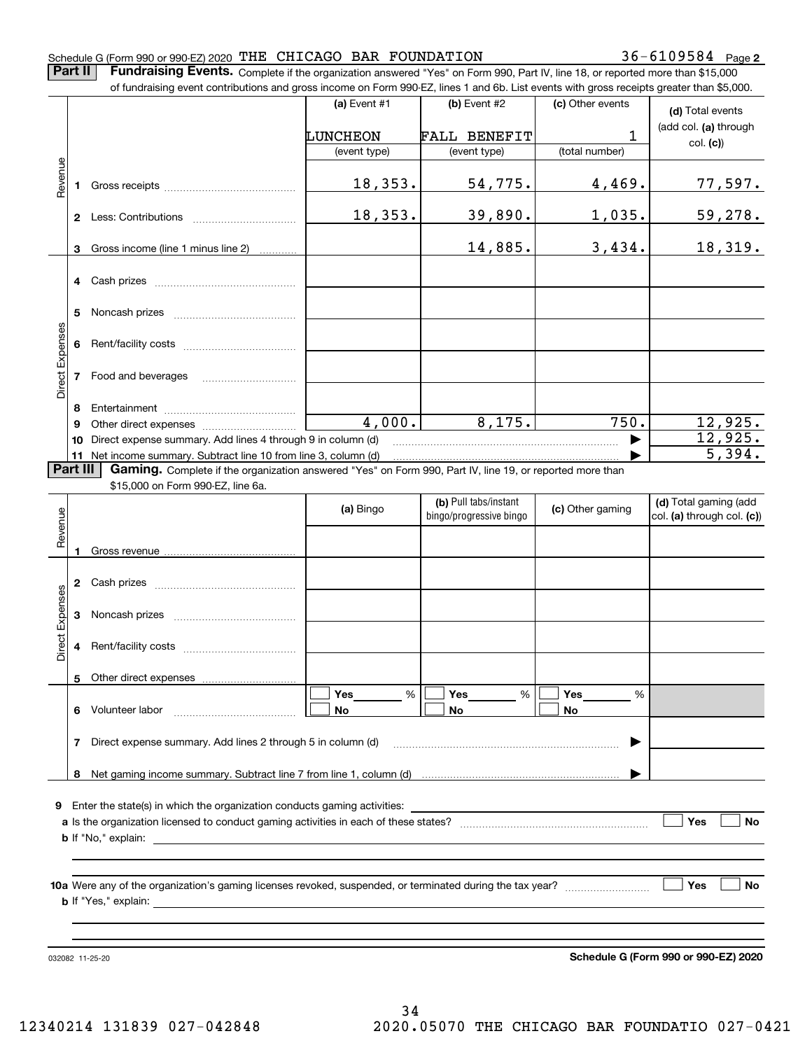#### Schedule G (Form 990 or 990-EZ) 2020 Page THE CHICAGO BAR FOUNDATION 36-6109584

**Part II** | Fundraising Events. Complete if the organization answered "Yes" on Form 990, Part IV, line 18, or reported more than \$15,000

|                 |          | of fundraising event contributions and gross income on Form 990-EZ, lines 1 and 6b. List events with gross receipts greater than \$5,000.                                   |                |                         |                  |                            |  |  |  |
|-----------------|----------|-----------------------------------------------------------------------------------------------------------------------------------------------------------------------------|----------------|-------------------------|------------------|----------------------------|--|--|--|
|                 |          |                                                                                                                                                                             | (a) Event $#1$ | (b) Event #2            | (c) Other events | (d) Total events           |  |  |  |
|                 |          |                                                                                                                                                                             | LUNCHEON       | <b>FALL BENEFIT</b>     | 1                | (add col. (a) through      |  |  |  |
|                 |          |                                                                                                                                                                             | (event type)   | (event type)            | (total number)   | col. (c)                   |  |  |  |
|                 |          |                                                                                                                                                                             |                |                         |                  |                            |  |  |  |
| Revenue         |          |                                                                                                                                                                             | 18,353.        | 54,775.                 | 4,469.           | <u>77,597.</u>             |  |  |  |
|                 |          |                                                                                                                                                                             | 18,353.        | 39,890.                 | 1,035.           | <u>59,278.</u>             |  |  |  |
|                 | 3        | Gross income (line 1 minus line 2)                                                                                                                                          |                | 14,885.                 | 3,434.           | 18,319.                    |  |  |  |
|                 |          |                                                                                                                                                                             |                |                         |                  |                            |  |  |  |
|                 | 5        |                                                                                                                                                                             |                |                         |                  |                            |  |  |  |
|                 |          |                                                                                                                                                                             |                |                         |                  |                            |  |  |  |
| Direct Expenses |          | 7 Food and beverages                                                                                                                                                        |                |                         |                  |                            |  |  |  |
|                 | 8        |                                                                                                                                                                             |                |                         |                  |                            |  |  |  |
|                 | 9        |                                                                                                                                                                             | 4,000.         | 8,175.                  | 750.             | 12,925.                    |  |  |  |
|                 | 10       | Direct expense summary. Add lines 4 through 9 in column (d)                                                                                                                 |                |                         |                  | 12,925.                    |  |  |  |
|                 | Part III | 11 Net income summary. Subtract line 10 from line 3, column (d)<br>Gaming. Complete if the organization answered "Yes" on Form 990, Part IV, line 19, or reported more than |                |                         |                  | 5,394.                     |  |  |  |
|                 |          | \$15,000 on Form 990-EZ, line 6a.                                                                                                                                           |                |                         |                  |                            |  |  |  |
|                 |          |                                                                                                                                                                             | (a) Bingo      | (b) Pull tabs/instant   |                  | (d) Total gaming (add      |  |  |  |
|                 |          |                                                                                                                                                                             |                | bingo/progressive bingo | (c) Other gaming | col. (a) through col. (c)) |  |  |  |
| Revenue         |          |                                                                                                                                                                             |                |                         |                  |                            |  |  |  |
|                 |          |                                                                                                                                                                             |                |                         |                  |                            |  |  |  |
|                 |          |                                                                                                                                                                             |                |                         |                  |                            |  |  |  |
| Expenses        | 3        |                                                                                                                                                                             |                |                         |                  |                            |  |  |  |
| <b>Direct</b>   |          |                                                                                                                                                                             |                |                         |                  |                            |  |  |  |
|                 |          | 5 Other direct expenses                                                                                                                                                     |                |                         |                  |                            |  |  |  |
|                 |          |                                                                                                                                                                             | $\%$<br>Yes    | %<br>Yes                | Yes<br>%         |                            |  |  |  |
|                 |          | 6 Volunteer labor                                                                                                                                                           | No             | No                      | No               |                            |  |  |  |
|                 | 7        | Direct expense summary. Add lines 2 through 5 in column (d)                                                                                                                 |                |                         |                  |                            |  |  |  |
|                 |          |                                                                                                                                                                             |                |                         |                  |                            |  |  |  |
| 9               |          | Enter the state(s) in which the organization conducts gaming activities:                                                                                                    |                |                         |                  |                            |  |  |  |
|                 |          |                                                                                                                                                                             |                |                         |                  | Yes<br>No                  |  |  |  |
|                 |          |                                                                                                                                                                             |                |                         |                  |                            |  |  |  |
|                 |          |                                                                                                                                                                             |                |                         |                  |                            |  |  |  |
|                 |          |                                                                                                                                                                             |                |                         |                  | Yes<br>No                  |  |  |  |
|                 |          |                                                                                                                                                                             |                |                         |                  |                            |  |  |  |
|                 |          |                                                                                                                                                                             |                |                         |                  |                            |  |  |  |
|                 |          |                                                                                                                                                                             |                |                         |                  |                            |  |  |  |
|                 |          |                                                                                                                                                                             |                |                         |                  |                            |  |  |  |

**Schedule G (Form 990 or 990-EZ) 2020**

032082 11-25-20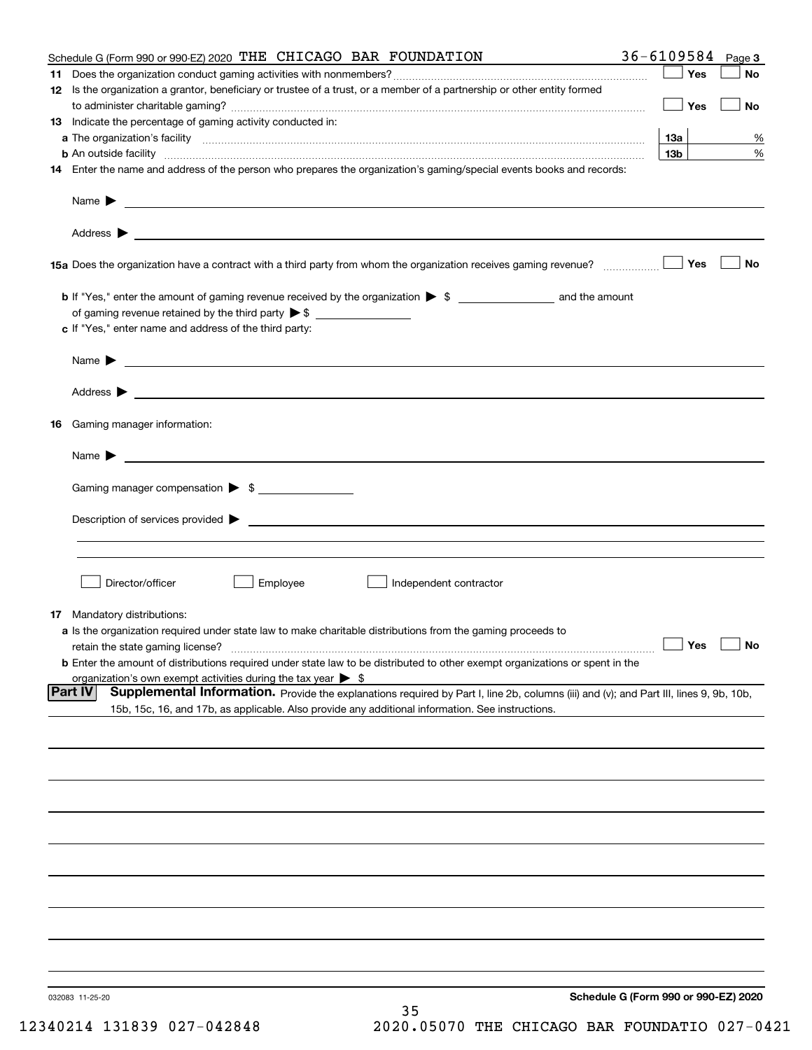| Schedule G (Form 990 or 990-EZ) 2020 THE CHICAGO BAR FOUNDATION                                                                                                                                                     | $36 - 6109584$ Page 3 |           |
|---------------------------------------------------------------------------------------------------------------------------------------------------------------------------------------------------------------------|-----------------------|-----------|
|                                                                                                                                                                                                                     | Yes                   | No        |
| 12 Is the organization a grantor, beneficiary or trustee of a trust, or a member of a partnership or other entity formed                                                                                            |                       |           |
|                                                                                                                                                                                                                     | Yes                   | <b>No</b> |
| 13 Indicate the percentage of gaming activity conducted in:                                                                                                                                                         |                       |           |
|                                                                                                                                                                                                                     | <u>13a</u>            | %         |
| <b>b</b> An outside facility <i>www.communicality www.communicality.communicality www.communicality www.communicality.communicality www.communicality.com</i>                                                       | 13 <sub>b</sub>       | %         |
| 14 Enter the name and address of the person who prepares the organization's gaming/special events books and records:                                                                                                |                       |           |
|                                                                                                                                                                                                                     |                       |           |
|                                                                                                                                                                                                                     |                       |           |
| 15a Does the organization have a contract with a third party from whom the organization receives gaming revenue?                                                                                                    | Yes                   | No        |
| <b>b</b> If "Yes," enter the amount of gaming revenue received by the organization $\triangleright$ \$ ___________________ and the amount                                                                           |                       |           |
|                                                                                                                                                                                                                     |                       |           |
| c If "Yes," enter name and address of the third party:                                                                                                                                                              |                       |           |
|                                                                                                                                                                                                                     |                       |           |
| Name $\blacktriangleright$ $\_\_\_\_\_\_\_\_\_\$                                                                                                                                                                    |                       |           |
|                                                                                                                                                                                                                     |                       |           |
|                                                                                                                                                                                                                     |                       |           |
| 16 Gaming manager information:                                                                                                                                                                                      |                       |           |
| Name $\triangleright$ $\square$                                                                                                                                                                                     |                       |           |
| Gaming manager compensation > \$                                                                                                                                                                                    |                       |           |
|                                                                                                                                                                                                                     |                       |           |
|                                                                                                                                                                                                                     |                       |           |
|                                                                                                                                                                                                                     |                       |           |
|                                                                                                                                                                                                                     |                       |           |
| Director/officer<br>Employee<br>Independent contractor                                                                                                                                                              |                       |           |
|                                                                                                                                                                                                                     |                       |           |
| 17 Mandatory distributions:                                                                                                                                                                                         |                       |           |
| a Is the organization required under state law to make charitable distributions from the gaming proceeds to                                                                                                         |                       |           |
| $\Box$ Yes $\Box$ No<br>retain the state gaming license?                                                                                                                                                            |                       |           |
| <b>b</b> Enter the amount of distributions required under state law to be distributed to other exempt organizations or spent in the<br>organization's own exempt activities during the tax year $\triangleright$ \$ |                       |           |
| <b>Part IV</b><br>Supplemental Information. Provide the explanations required by Part I, line 2b, columns (iii) and (v); and Part III, lines 9, 9b, 10b,                                                            |                       |           |
| 15b, 15c, 16, and 17b, as applicable. Also provide any additional information. See instructions.                                                                                                                    |                       |           |
|                                                                                                                                                                                                                     |                       |           |
|                                                                                                                                                                                                                     |                       |           |
|                                                                                                                                                                                                                     |                       |           |
|                                                                                                                                                                                                                     |                       |           |
|                                                                                                                                                                                                                     |                       |           |
|                                                                                                                                                                                                                     |                       |           |
|                                                                                                                                                                                                                     |                       |           |
|                                                                                                                                                                                                                     |                       |           |
|                                                                                                                                                                                                                     |                       |           |
|                                                                                                                                                                                                                     |                       |           |
|                                                                                                                                                                                                                     |                       |           |
| Schedule G (Form 990 or 990-EZ) 2020<br>032083 11-25-20                                                                                                                                                             |                       |           |
| 35                                                                                                                                                                                                                  |                       |           |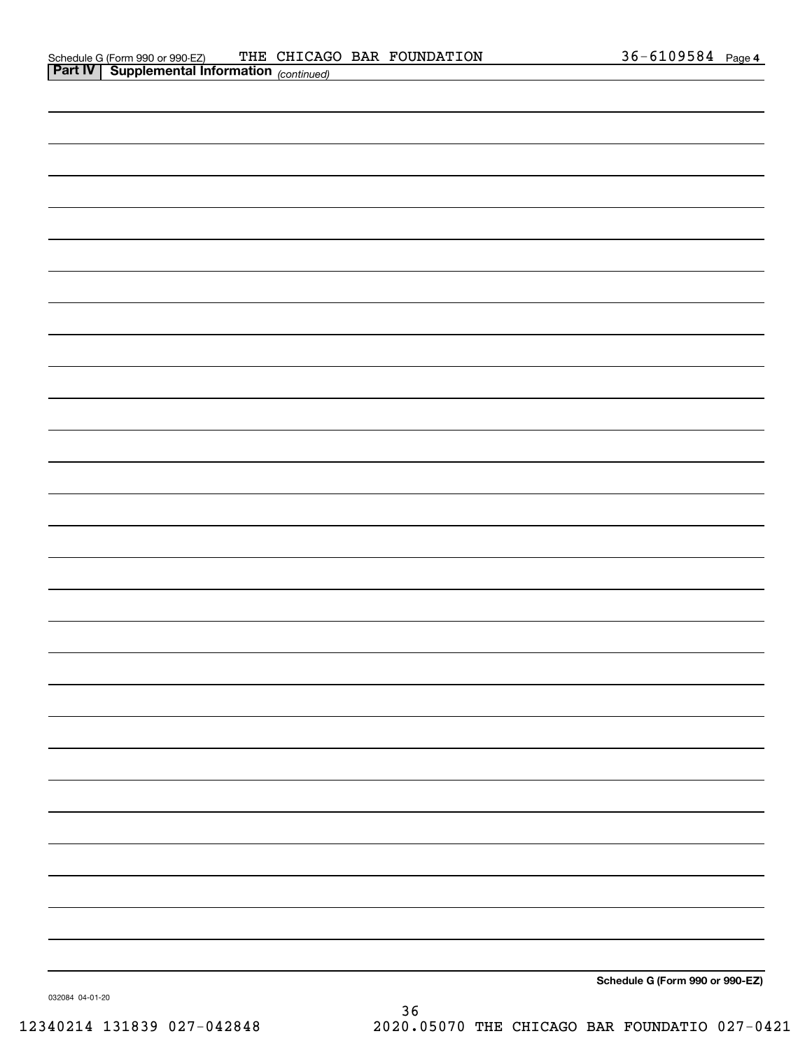| <b>Part IV   Supplemental Information</b> (continued) |  |  |
|-------------------------------------------------------|--|--|
|                                                       |  |  |
|                                                       |  |  |
|                                                       |  |  |
|                                                       |  |  |
|                                                       |  |  |
|                                                       |  |  |
|                                                       |  |  |
|                                                       |  |  |
|                                                       |  |  |
|                                                       |  |  |
|                                                       |  |  |
|                                                       |  |  |
|                                                       |  |  |
|                                                       |  |  |
|                                                       |  |  |
|                                                       |  |  |
|                                                       |  |  |
|                                                       |  |  |
|                                                       |  |  |
|                                                       |  |  |
|                                                       |  |  |
|                                                       |  |  |
|                                                       |  |  |
|                                                       |  |  |
|                                                       |  |  |
|                                                       |  |  |
|                                                       |  |  |
|                                                       |  |  |
|                                                       |  |  |

**Schedule G (Form 990 or 990-EZ)**

032084 04-01-20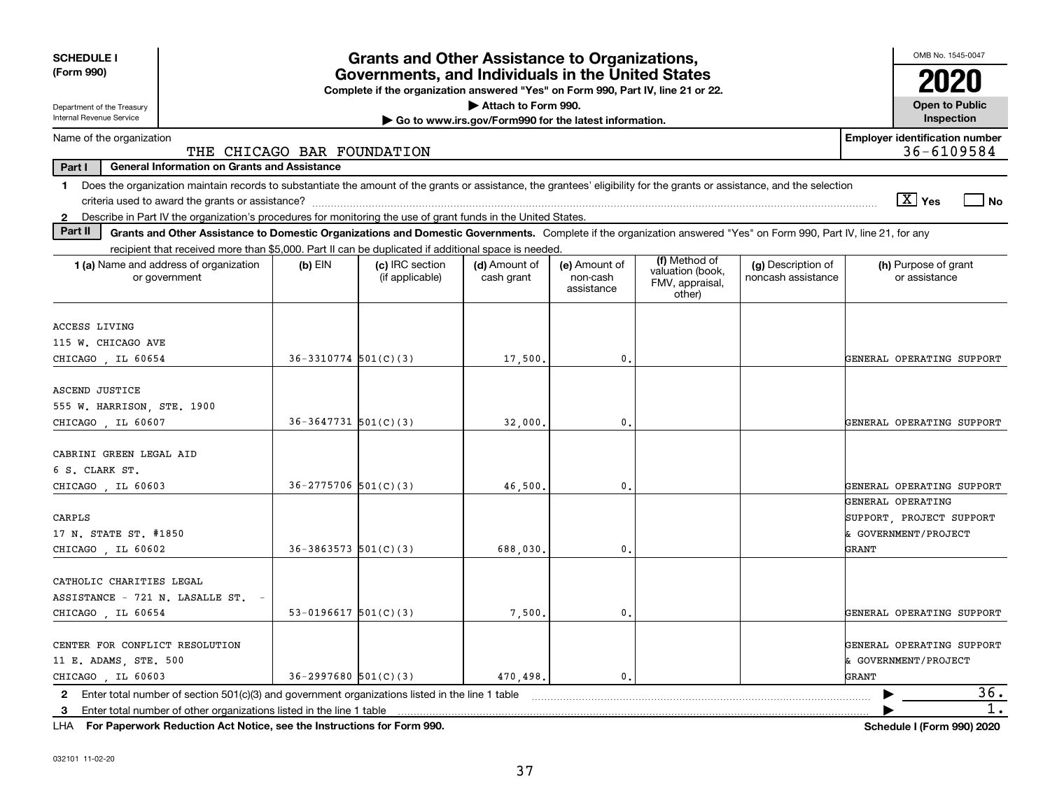| <b>SCHEDULE I</b><br>(Form 990)                                                                                                                                                | <b>Grants and Other Assistance to Organizations,</b><br>Governments, and Individuals in the United States<br>Complete if the organization answered "Yes" on Form 990, Part IV, line 21 or 22. |                                    |                             |                                         |                                                                |                                          |                                       |  |  |  |
|--------------------------------------------------------------------------------------------------------------------------------------------------------------------------------|-----------------------------------------------------------------------------------------------------------------------------------------------------------------------------------------------|------------------------------------|-----------------------------|-----------------------------------------|----------------------------------------------------------------|------------------------------------------|---------------------------------------|--|--|--|
| Department of the Treasury                                                                                                                                                     |                                                                                                                                                                                               |                                    | Attach to Form 990.         |                                         |                                                                |                                          | <b>Open to Public</b>                 |  |  |  |
| Internal Revenue Service                                                                                                                                                       | Inspection<br>Go to www.irs.gov/Form990 for the latest information.                                                                                                                           |                                    |                             |                                         |                                                                |                                          |                                       |  |  |  |
| <b>Employer identification number</b><br>Name of the organization<br>36-6109584<br>THE CHICAGO BAR FOUNDATION                                                                  |                                                                                                                                                                                               |                                    |                             |                                         |                                                                |                                          |                                       |  |  |  |
| <b>General Information on Grants and Assistance</b><br>Part I                                                                                                                  |                                                                                                                                                                                               |                                    |                             |                                         |                                                                |                                          |                                       |  |  |  |
| Does the organization maintain records to substantiate the amount of the grants or assistance, the grantees' eligibility for the grants or assistance, and the selection<br>1. |                                                                                                                                                                                               |                                    |                             |                                         |                                                                |                                          |                                       |  |  |  |
|                                                                                                                                                                                |                                                                                                                                                                                               |                                    |                             |                                         |                                                                |                                          | $\sqrt{X}$ Yes<br>$ $ No              |  |  |  |
| 2 Describe in Part IV the organization's procedures for monitoring the use of grant funds in the United States.                                                                |                                                                                                                                                                                               |                                    |                             |                                         |                                                                |                                          |                                       |  |  |  |
| Part II<br>Grants and Other Assistance to Domestic Organizations and Domestic Governments. Complete if the organization answered "Yes" on Form 990, Part IV, line 21, for any  |                                                                                                                                                                                               |                                    |                             |                                         |                                                                |                                          |                                       |  |  |  |
| recipient that received more than \$5,000. Part II can be duplicated if additional space is needed.                                                                            |                                                                                                                                                                                               |                                    |                             |                                         |                                                                |                                          |                                       |  |  |  |
| 1 (a) Name and address of organization<br>or government                                                                                                                        | $(b)$ EIN                                                                                                                                                                                     | (c) IRC section<br>(if applicable) | (d) Amount of<br>cash grant | (e) Amount of<br>non-cash<br>assistance | (f) Method of<br>valuation (book,<br>FMV, appraisal,<br>other) | (g) Description of<br>noncash assistance | (h) Purpose of grant<br>or assistance |  |  |  |
|                                                                                                                                                                                |                                                                                                                                                                                               |                                    |                             |                                         |                                                                |                                          |                                       |  |  |  |
| ACCESS LIVING                                                                                                                                                                  |                                                                                                                                                                                               |                                    |                             |                                         |                                                                |                                          |                                       |  |  |  |
| 115 W. CHICAGO AVE                                                                                                                                                             |                                                                                                                                                                                               |                                    |                             |                                         |                                                                |                                          |                                       |  |  |  |
| CHICAGO, IL 60654                                                                                                                                                              | $36-3310774$ 501(C)(3)                                                                                                                                                                        |                                    | 17,500.                     | $\mathbf{0}$ .                          |                                                                |                                          | GENERAL OPERATING SUPPORT             |  |  |  |
| ASCEND JUSTICE<br>555 W. HARRISON, STE. 1900                                                                                                                                   |                                                                                                                                                                                               |                                    |                             |                                         |                                                                |                                          |                                       |  |  |  |
| CHICAGO , IL 60607                                                                                                                                                             | $36-3647731$ 501(C)(3)                                                                                                                                                                        |                                    | 32,000                      | 0.                                      |                                                                |                                          | GENERAL OPERATING SUPPORT             |  |  |  |
| CABRINI GREEN LEGAL AID<br>6 S. CLARK ST.<br>CHICAGO, IL 60603                                                                                                                 | $36 - 2775706$ 501(C)(3)                                                                                                                                                                      |                                    | 46,500                      | 0.                                      |                                                                |                                          | GENERAL OPERATING SUPPORT             |  |  |  |
|                                                                                                                                                                                |                                                                                                                                                                                               |                                    |                             |                                         |                                                                |                                          | GENERAL OPERATING                     |  |  |  |
| CARPLS                                                                                                                                                                         |                                                                                                                                                                                               |                                    |                             |                                         |                                                                |                                          | SUPPORT, PROJECT SUPPORT              |  |  |  |
| 17 N. STATE ST. #1850                                                                                                                                                          |                                                                                                                                                                                               |                                    |                             |                                         |                                                                |                                          | & GOVERNMENT/PROJECT                  |  |  |  |
| CHICAGO , IL 60602                                                                                                                                                             | $36 - 3863573$ $501(C)(3)$                                                                                                                                                                    |                                    | 688,030                     | 0.                                      |                                                                |                                          | GRANT                                 |  |  |  |
|                                                                                                                                                                                |                                                                                                                                                                                               |                                    |                             |                                         |                                                                |                                          |                                       |  |  |  |
| CATHOLIC CHARITIES LEGAL<br>ASSISTANCE - 721 N. LASALLE ST. -                                                                                                                  |                                                                                                                                                                                               |                                    |                             |                                         |                                                                |                                          |                                       |  |  |  |
| CHICAGO , IL 60654                                                                                                                                                             | 53-0196617 $501(C)(3)$                                                                                                                                                                        |                                    | 7,500,                      | 0.                                      |                                                                |                                          | GENERAL OPERATING SUPPORT             |  |  |  |
|                                                                                                                                                                                |                                                                                                                                                                                               |                                    |                             |                                         |                                                                |                                          |                                       |  |  |  |
| CENTER FOR CONFLICT RESOLUTION                                                                                                                                                 |                                                                                                                                                                                               |                                    |                             |                                         |                                                                |                                          | GENERAL OPERATING SUPPORT             |  |  |  |
| 11 E. ADAMS, STE. 500                                                                                                                                                          | & GOVERNMENT/PROJECT                                                                                                                                                                          |                                    |                             |                                         |                                                                |                                          |                                       |  |  |  |
| CHICAGO, IL 60603                                                                                                                                                              | $36 - 2997680$ 501(C)(3)                                                                                                                                                                      |                                    | 470,498.                    | $\mathbf{0}$ .                          |                                                                |                                          | GRANT                                 |  |  |  |
| 2 Enter total number of section 501(c)(3) and government organizations listed in the line 1 table                                                                              |                                                                                                                                                                                               |                                    |                             |                                         |                                                                |                                          | 36.                                   |  |  |  |
| Enter total number of other organizations listed in the line 1 table<br>3                                                                                                      |                                                                                                                                                                                               |                                    |                             |                                         |                                                                |                                          | 1.                                    |  |  |  |
|                                                                                                                                                                                |                                                                                                                                                                                               |                                    |                             |                                         |                                                                |                                          |                                       |  |  |  |

**For Paperwork Reduction Act Notice, see the Instructions for Form 990. Schedule I (Form 990) 2020** LHA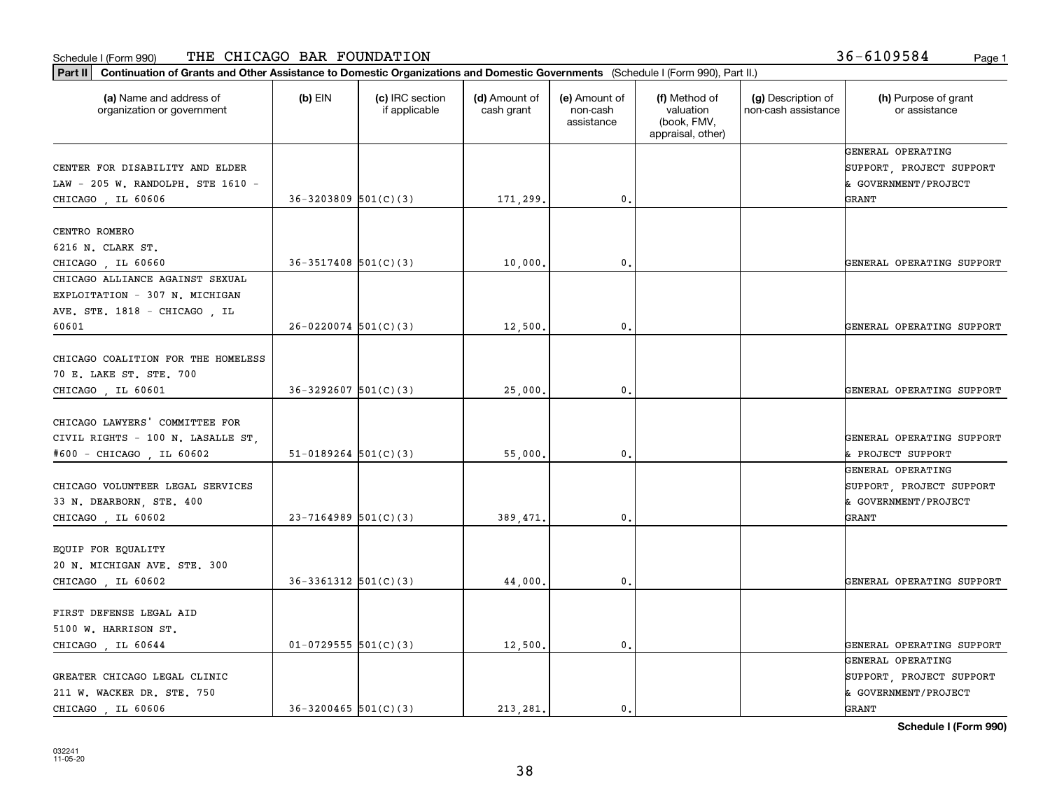#### Schedule I (Form 990) THE CHICAGO BAR FOUNDATION 36-6109584 <sub>Page 1</sub>

**Part II Continuation of Grants and Other Assistance to Domestic Organizations and Domestic Governments**  (Schedule I (Form 990), Part II.)

| (a) Name and address of<br>organization or government                                           | $(b)$ EIN                  | (c) IRC section<br>if applicable | (d) Amount of<br>cash grant | (e) Amount of<br>non-cash<br>assistance | (f) Method of<br>valuation<br>(book, FMV,<br>appraisal, other) | (g) Description of<br>non-cash assistance | (h) Purpose of grant<br>or assistance                                          |
|-------------------------------------------------------------------------------------------------|----------------------------|----------------------------------|-----------------------------|-----------------------------------------|----------------------------------------------------------------|-------------------------------------------|--------------------------------------------------------------------------------|
|                                                                                                 |                            |                                  |                             |                                         |                                                                |                                           | GENERAL OPERATING                                                              |
| CENTER FOR DISABILITY AND ELDER                                                                 |                            |                                  |                             |                                         |                                                                |                                           | SUPPORT, PROJECT SUPPORT                                                       |
| LAW - 205 W. RANDOLPH. STE 1610 -                                                               |                            |                                  |                             |                                         |                                                                |                                           | & GOVERNMENT/PROJECT                                                           |
| CHICAGO, IL 60606                                                                               | $36 - 3203809$ $501(C)(3)$ |                                  | 171,299.                    | 0.                                      |                                                                |                                           | GRANT                                                                          |
| CENTRO ROMERO                                                                                   |                            |                                  |                             |                                         |                                                                |                                           |                                                                                |
| 6216 N. CLARK ST.                                                                               |                            |                                  |                             |                                         |                                                                |                                           |                                                                                |
| CHICAGO, IL 60660                                                                               | $36-3517408$ $501(C)(3)$   |                                  | 10,000                      | $^{\rm 0}$ .                            |                                                                |                                           | GENERAL OPERATING SUPPORT                                                      |
| CHICAGO ALLIANCE AGAINST SEXUAL                                                                 |                            |                                  |                             |                                         |                                                                |                                           |                                                                                |
| EXPLOITATION - 307 N. MICHIGAN                                                                  |                            |                                  |                             |                                         |                                                                |                                           |                                                                                |
| AVE. STE. 1818 - CHICAGO, IL                                                                    |                            |                                  |                             |                                         |                                                                |                                           |                                                                                |
| 60601                                                                                           | $26-0220074$ 501(C)(3)     |                                  | 12,500.                     | 0.                                      |                                                                |                                           | GENERAL OPERATING SUPPORT                                                      |
| CHICAGO COALITION FOR THE HOMELESS<br>70 E. LAKE ST. STE. 700                                   |                            |                                  |                             |                                         |                                                                |                                           |                                                                                |
| CHICAGO, IL 60601                                                                               | $36 - 3292607$ $501(C)(3)$ |                                  | 25,000.                     | 0.                                      |                                                                |                                           | GENERAL OPERATING SUPPORT                                                      |
| CHICAGO LAWYERS' COMMITTEE FOR<br>CIVIL RIGHTS - 100 N. LASALLE ST,<br>#600 - CHICAGO, IL 60602 | $51-0189264$ $501(C)(3)$   |                                  | 55,000                      | $\mathbf{0}$ .                          |                                                                |                                           | GENERAL OPERATING SUPPORT<br>& PROJECT SUPPORT                                 |
| CHICAGO VOLUNTEER LEGAL SERVICES<br>33 N. DEARBORN, STE. 400<br>CHICAGO, IL 60602               | $23 - 7164989$ 501(C)(3)   |                                  | 389,471.                    | 0.                                      |                                                                |                                           | GENERAL OPERATING<br>SUPPORT, PROJECT SUPPORT<br>& GOVERNMENT/PROJECT<br>GRANT |
| EQUIP FOR EQUALITY<br>20 N. MICHIGAN AVE. STE. 300<br>CHICAGO, IL 60602                         | $36-3361312$ $501(C)(3)$   |                                  | 44,000.                     | 0.                                      |                                                                |                                           | GENERAL OPERATING SUPPORT                                                      |
| FIRST DEFENSE LEGAL AID<br>5100 W. HARRISON ST.<br>CHICAGO, IL 60644                            | $01-0729555$ $501(C)(3)$   |                                  | 12,500.                     | $\mathbf{0}$ .                          |                                                                |                                           | GENERAL OPERATING SUPPORT                                                      |
| GREATER CHICAGO LEGAL CLINIC<br>211 W. WACKER DR. STE. 750<br>CHICAGO , IL 60606                | $36-3200465$ $501(C)(3)$   |                                  | 213, 281.                   | 0.                                      |                                                                |                                           | GENERAL OPERATING<br>SUPPORT, PROJECT SUPPORT<br>& GOVERNMENT/PROJECT<br>GRANT |

**Schedule I (Form 990)**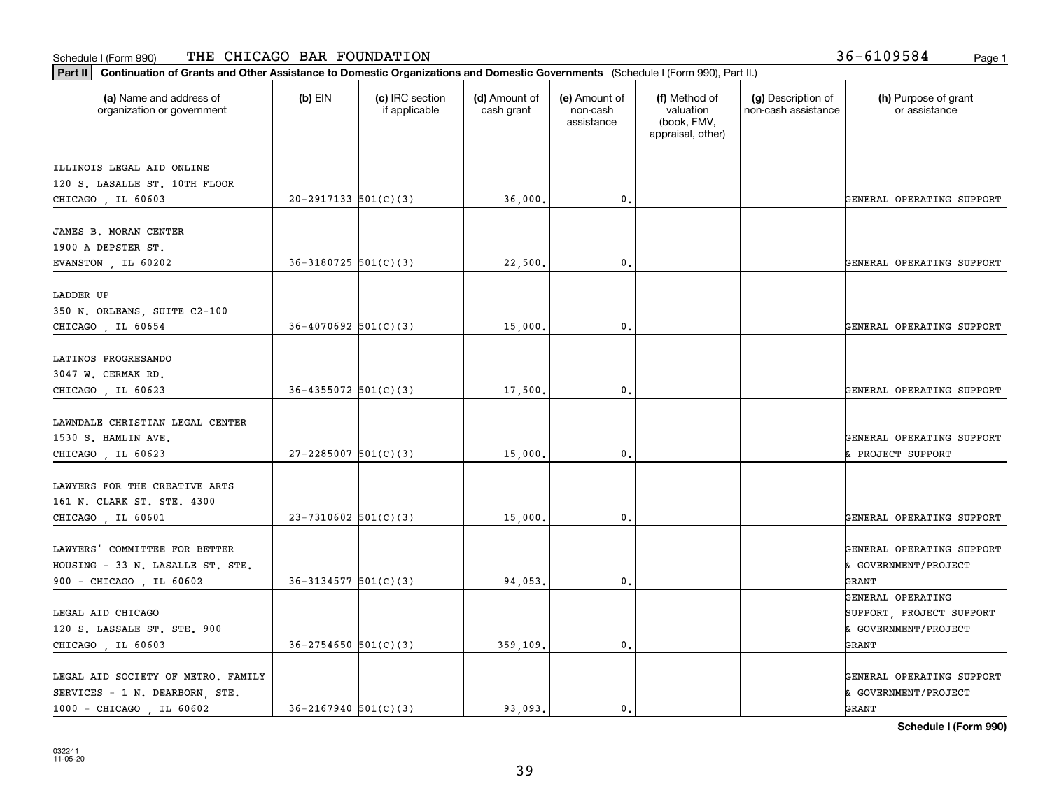#### Schedule I (Form 990) THE CHICAGO BAR FOUNDATION 36-6109584 <sub>Page 1</sub>

| Continuation of Grants and Other Assistance to Domestic Organizations and Domestic Governments (Schedule I (Form 990), Part II.)<br>Part II |                            |                                  |                             |                                         |                                                                |                                           |                                                                       |
|---------------------------------------------------------------------------------------------------------------------------------------------|----------------------------|----------------------------------|-----------------------------|-----------------------------------------|----------------------------------------------------------------|-------------------------------------------|-----------------------------------------------------------------------|
| (a) Name and address of<br>organization or government                                                                                       | $(b)$ EIN                  | (c) IRC section<br>if applicable | (d) Amount of<br>cash grant | (e) Amount of<br>non-cash<br>assistance | (f) Method of<br>valuation<br>(book, FMV,<br>appraisal, other) | (g) Description of<br>non-cash assistance | (h) Purpose of grant<br>or assistance                                 |
| ILLINOIS LEGAL AID ONLINE<br>120 S. LASALLE ST. 10TH FLOOR<br>CHICAGO, IL 60603                                                             | $20-2917133$ $501(C)(3)$   |                                  | 36,000.                     | $\mathbf{0}$ .                          |                                                                |                                           | GENERAL OPERATING SUPPORT                                             |
| JAMES B. MORAN CENTER<br>1900 A DEPSTER ST.<br>EVANSTON, IL 60202                                                                           | $36 - 3180725$ $501(C)(3)$ |                                  | 22,500                      | 0.                                      |                                                                |                                           | GENERAL OPERATING SUPPORT                                             |
| LADDER UP<br>350 N. ORLEANS, SUITE C2-100<br>CHICAGO, IL 60654                                                                              | $36 - 4070692$ 501(C)(3)   |                                  | 15,000                      | $\mathbf{0}$ .                          |                                                                |                                           | GENERAL OPERATING SUPPORT                                             |
| LATINOS PROGRESANDO<br>3047 W. CERMAK RD.<br>CHICAGO, IL 60623                                                                              | $36 - 4355072$ $501(C)(3)$ |                                  | 17,500.                     | $\mathbf{0}$ .                          |                                                                |                                           | GENERAL OPERATING SUPPORT                                             |
| LAWNDALE CHRISTIAN LEGAL CENTER<br>1530 S. HAMLIN AVE.<br>CHICAGO, IL 60623                                                                 | $27 - 2285007$ 501(C)(3)   |                                  | 15,000.                     | $\mathbf{0}$ .                          |                                                                |                                           | GENERAL OPERATING SUPPORT<br>& PROJECT SUPPORT                        |
| LAWYERS FOR THE CREATIVE ARTS<br>161 N. CLARK ST. STE. 4300<br>CHICAGO, IL 60601                                                            | $23 - 7310602$ 501(C)(3)   |                                  | 15,000                      | $\mathfrak o$ .                         |                                                                |                                           | GENERAL OPERATING SUPPORT                                             |
| LAWYERS' COMMITTEE FOR BETTER<br>HOUSING - 33 N. LASALLE ST. STE.<br>900 - CHICAGO, IL 60602                                                | $36 - 3134577$ $501(C)(3)$ |                                  | 94,053.                     | $\mathbf{0}$ .                          |                                                                |                                           | GENERAL OPERATING SUPPORT<br>& GOVERNMENT/PROJECT<br>GRANT            |
| LEGAL AID CHICAGO<br>120 S. LASSALE ST. STE. 900                                                                                            |                            |                                  |                             |                                         |                                                                |                                           | GENERAL OPERATING<br>SUPPORT, PROJECT SUPPORT<br>& GOVERNMENT/PROJECT |

39

LEGAL AID SOCIETY OF METRO. FAMILY GENERAL OPERATING SUPPORT SERVICES - 1 N. DEARBORN, STE.  $\begin{vmatrix} \cdot & \cdot & \cdot \\ \cdot & \cdot & \cdot \\ \cdot & \cdot & \cdot \end{vmatrix}$  (a government/project

CHICAGO , IL 60603  $\begin{vmatrix} 36-2754650 & 501(C)(3) \end{vmatrix}$  359,109. 0. 0.

1000 - CHICAGO , IL 60602 (36-2167940 501(C)(3) (393,093. 0.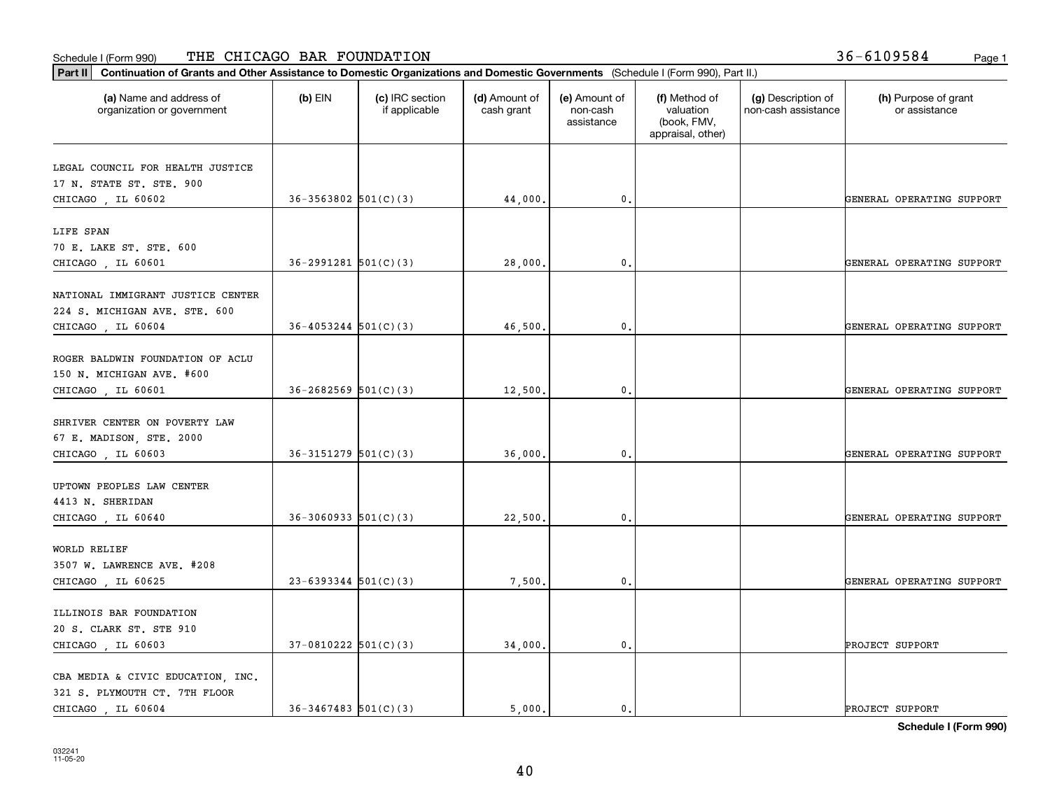#### Schedule I (Form 990) THE CHICAGO BAR FOUNDATION 36-6109584 <sub>Page 1</sub>

**Part II Continuation of Grants and Other Assistance to Domestic Organizations and Domestic Governments**  (Schedule I (Form 990), Part II.)

⊤

| (a) Name and address of<br>organization or government | $(b)$ EIN                  | (c) IRC section<br>if applicable | (d) Amount of<br>cash grant | (e) Amount of<br>non-cash<br>assistance | (f) Method of<br>valuation<br>(book, FMV,<br>appraisal, other) | (g) Description of<br>non-cash assistance | (h) Purpose of grant<br>or assistance |
|-------------------------------------------------------|----------------------------|----------------------------------|-----------------------------|-----------------------------------------|----------------------------------------------------------------|-------------------------------------------|---------------------------------------|
| LEGAL COUNCIL FOR HEALTH JUSTICE                      |                            |                                  |                             |                                         |                                                                |                                           |                                       |
| 17 N. STATE ST. STE. 900                              |                            |                                  |                             |                                         |                                                                |                                           |                                       |
| CHICAGO, IL 60602                                     | $36 - 3563802$ $501(C)(3)$ |                                  | 44,000.                     | 0.                                      |                                                                |                                           | GENERAL OPERATING SUPPORT             |
| LIFE SPAN                                             |                            |                                  |                             |                                         |                                                                |                                           |                                       |
| 70 E. LAKE ST. STE. 600                               |                            |                                  |                             |                                         |                                                                |                                           |                                       |
| CHICAGO, IL 60601                                     | $36 - 2991281$ $501(C)(3)$ |                                  | 28,000.                     | $\mathbf{0}$ .                          |                                                                |                                           | GENERAL OPERATING SUPPORT             |
| NATIONAL IMMIGRANT JUSTICE CENTER                     |                            |                                  |                             |                                         |                                                                |                                           |                                       |
| 224 S. MICHIGAN AVE. STE. 600                         |                            |                                  |                             |                                         |                                                                |                                           |                                       |
| CHICAGO, IL 60604                                     | $36 - 4053244$ $501(C)(3)$ |                                  | 46,500.                     | 0.                                      |                                                                |                                           | GENERAL OPERATING SUPPORT             |
|                                                       |                            |                                  |                             |                                         |                                                                |                                           |                                       |
| ROGER BALDWIN FOUNDATION OF ACLU                      |                            |                                  |                             |                                         |                                                                |                                           |                                       |
| 150 N. MICHIGAN AVE. #600                             |                            |                                  |                             |                                         |                                                                |                                           |                                       |
| CHICAGO, IL 60601                                     | $36 - 2682569$ $501(C)(3)$ |                                  | 12,500.                     | 0.                                      |                                                                |                                           | GENERAL OPERATING SUPPORT             |
|                                                       |                            |                                  |                             |                                         |                                                                |                                           |                                       |
| SHRIVER CENTER ON POVERTY LAW                         |                            |                                  |                             |                                         |                                                                |                                           |                                       |
| 67 E. MADISON, STE. 2000                              |                            |                                  |                             |                                         |                                                                |                                           |                                       |
| CHICAGO, IL 60603                                     | $36-3151279$ $501(C)(3)$   |                                  | 36,000.                     | $\mathbf{0}$ .                          |                                                                |                                           | GENERAL OPERATING SUPPORT             |
|                                                       |                            |                                  |                             |                                         |                                                                |                                           |                                       |
| UPTOWN PEOPLES LAW CENTER                             |                            |                                  |                             |                                         |                                                                |                                           |                                       |
| 4413 N. SHERIDAN                                      |                            |                                  |                             |                                         |                                                                |                                           |                                       |
| CHICAGO, IL 60640                                     | $36-3060933$ $501(C)(3)$   |                                  | 22,500.                     | $\mathbf{0}$ .                          |                                                                |                                           | GENERAL OPERATING SUPPORT             |
|                                                       |                            |                                  |                             |                                         |                                                                |                                           |                                       |
| WORLD RELIEF<br>3507 W. LAWRENCE AVE. #208            |                            |                                  |                             |                                         |                                                                |                                           |                                       |
| CHICAGO, IL 60625                                     | $23-6393344$ $501(C)(3)$   |                                  | 7,500.                      | 0.                                      |                                                                |                                           | GENERAL OPERATING SUPPORT             |
|                                                       |                            |                                  |                             |                                         |                                                                |                                           |                                       |
| ILLINOIS BAR FOUNDATION                               |                            |                                  |                             |                                         |                                                                |                                           |                                       |
| 20 S. CLARK ST. STE 910                               |                            |                                  |                             |                                         |                                                                |                                           |                                       |
| CHICAGO, IL 60603                                     | $37-0810222$ $501(C)(3)$   |                                  | 34,000.                     | $\mathbf{0}$ .                          |                                                                |                                           | PROJECT SUPPORT                       |
|                                                       |                            |                                  |                             |                                         |                                                                |                                           |                                       |
| CBA MEDIA & CIVIC EDUCATION, INC.                     |                            |                                  |                             |                                         |                                                                |                                           |                                       |
| 321 S. PLYMOUTH CT. 7TH FLOOR                         |                            |                                  |                             |                                         |                                                                |                                           |                                       |
| CHICAGO, IL 60604                                     | $36-3467483$ $501(C)(3)$   |                                  | 5,000.                      | 0.                                      |                                                                |                                           | PROJECT SUPPORT                       |

**Schedule I (Form 990)**

Т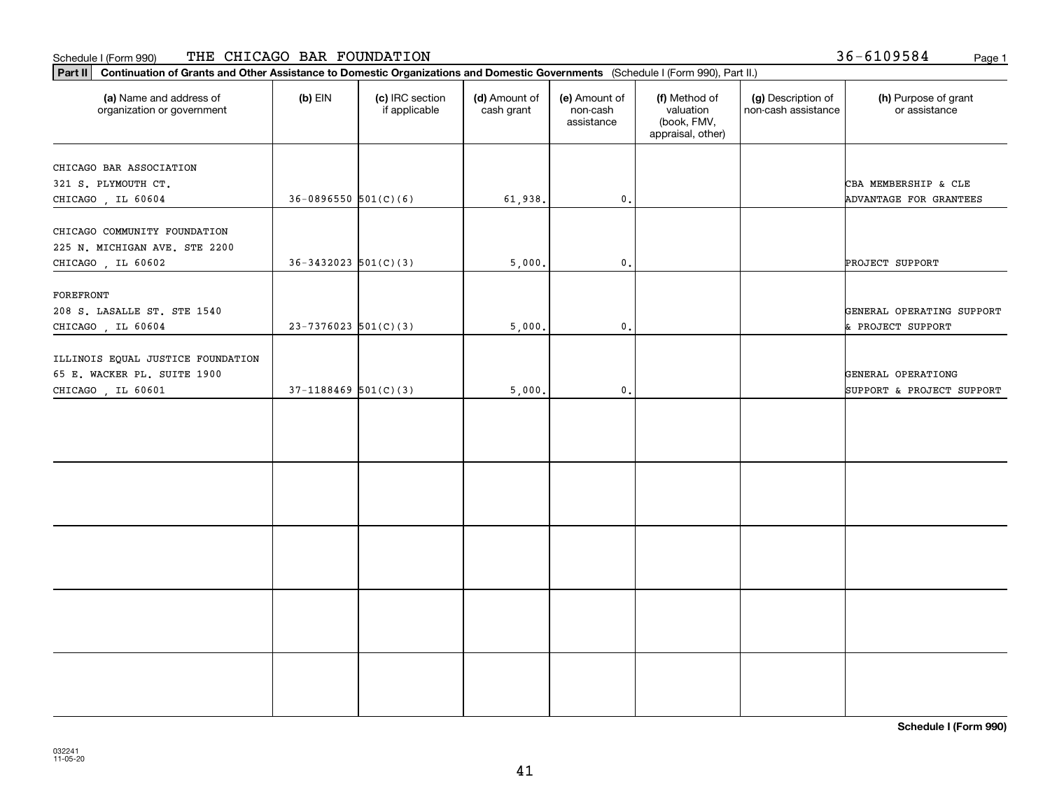#### Schedule I (Form 990) Page 1 THE CHICAGO BAR FOUNDATION

Ι.

**Part II Continuation of Grants and Other Assistance to Domestic Organizations and Domestic Governments**  (Schedule I (Form 990), Part II.)

| (a) Name and address of<br>organization or government                                 | $(b)$ EIN                  | (c) IRC section<br>if applicable | (d) Amount of<br>cash grant | (e) Amount of<br>non-cash<br>assistance | (f) Method of<br>valuation<br>(book, FMV,<br>appraisal, other) | (g) Description of<br>non-cash assistance | (h) Purpose of grant<br>or assistance           |
|---------------------------------------------------------------------------------------|----------------------------|----------------------------------|-----------------------------|-----------------------------------------|----------------------------------------------------------------|-------------------------------------------|-------------------------------------------------|
| CHICAGO BAR ASSOCIATION<br>321 S. PLYMOUTH CT.<br>CHICAGO, IL 60604                   | $36-0896550$ 501(C)(6)     |                                  | 61,938.                     | 0.                                      |                                                                |                                           | CBA MEMBERSHIP & CLE<br>ADVANTAGE FOR GRANTEES  |
| CHICAGO COMMUNITY FOUNDATION<br>225 N. MICHIGAN AVE. STE 2200<br>CHICAGO, IL 60602    | $36 - 3432023$ $501(C)(3)$ |                                  | 5,000.                      | $\mathbf{0}$ .                          |                                                                |                                           | PROJECT SUPPORT                                 |
| FOREFRONT<br>208 S. LASALLE ST. STE 1540<br>CHICAGO, IL 60604                         | $23 - 7376023$ 501(C)(3)   |                                  | 5,000.                      | $\mathfrak o$ .                         |                                                                |                                           | GENERAL OPERATING SUPPORT<br>& PROJECT SUPPORT  |
| ILLINOIS EQUAL JUSTICE FOUNDATION<br>65 E. WACKER PL. SUITE 1900<br>CHICAGO, IL 60601 | $37-1188469$ 501(C)(3)     |                                  | 5,000.                      | $\mathfrak o$ .                         |                                                                |                                           | GENERAL OPERATIONG<br>SUPPORT & PROJECT SUPPORT |
|                                                                                       |                            |                                  |                             |                                         |                                                                |                                           |                                                 |
|                                                                                       |                            |                                  |                             |                                         |                                                                |                                           |                                                 |
|                                                                                       |                            |                                  |                             |                                         |                                                                |                                           |                                                 |
|                                                                                       |                            |                                  |                             |                                         |                                                                |                                           |                                                 |
|                                                                                       |                            |                                  |                             |                                         |                                                                |                                           |                                                 |

 $\mathbf{I}$ 

### 36-6109584

41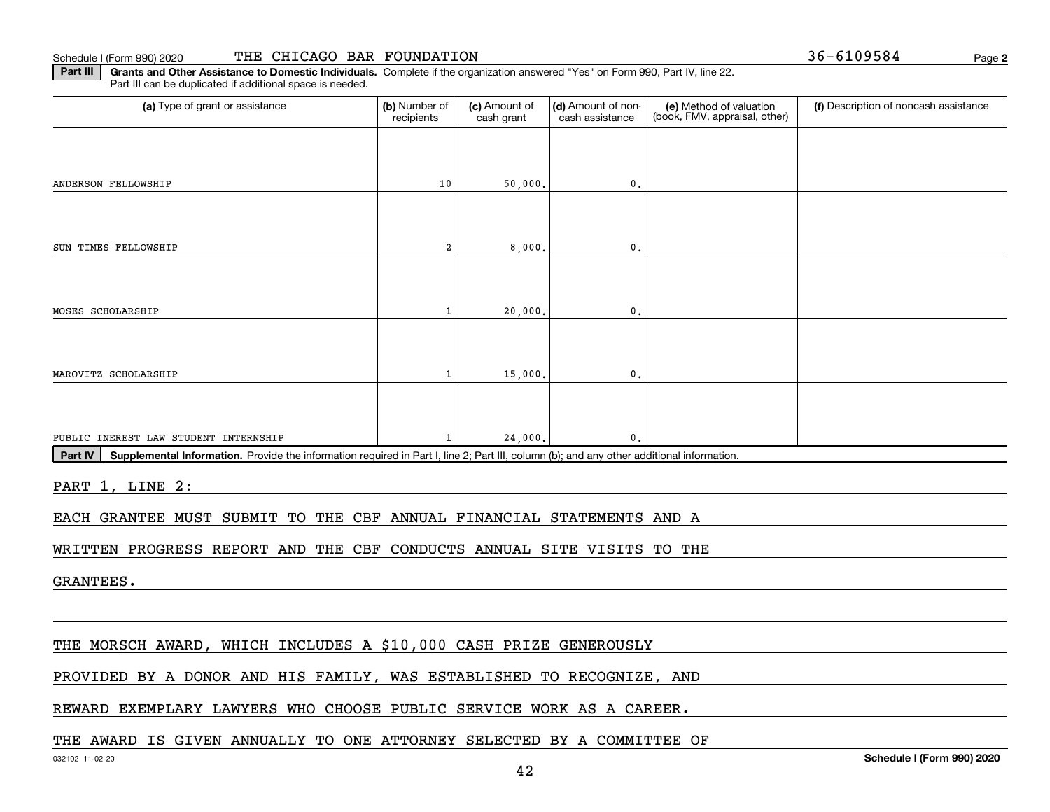Schedule I (Form 990) 2020

| THE CHICAGO BAR FOUNDATION |  |
|----------------------------|--|
|----------------------------|--|

**2** $36 - 6109584$ 

**Part III | Grants and Other Assistance to Domestic Individuals. Complete if the organization answered "Yes" on Form 990, Part IV, line 22.** Part III can be duplicated if additional space is needed.

| (a) Type of grant or assistance                                                                                                                      | (b) Number of<br>recipients | (c) Amount of<br>cash grant | (d) Amount of non-<br>cash assistance | (e) Method of valuation<br>(book, FMV, appraisal, other) | (f) Description of noncash assistance |  |  |  |
|------------------------------------------------------------------------------------------------------------------------------------------------------|-----------------------------|-----------------------------|---------------------------------------|----------------------------------------------------------|---------------------------------------|--|--|--|
|                                                                                                                                                      |                             |                             |                                       |                                                          |                                       |  |  |  |
| ANDERSON FELLOWSHIP                                                                                                                                  | 10                          | 50,000.                     | 0.                                    |                                                          |                                       |  |  |  |
|                                                                                                                                                      |                             |                             |                                       |                                                          |                                       |  |  |  |
| SUN TIMES FELLOWSHIP                                                                                                                                 |                             | 8,000.                      | $\mathbf 0$ .                         |                                                          |                                       |  |  |  |
|                                                                                                                                                      |                             |                             |                                       |                                                          |                                       |  |  |  |
| MOSES SCHOLARSHIP                                                                                                                                    |                             | 20,000.                     | 0.                                    |                                                          |                                       |  |  |  |
|                                                                                                                                                      |                             |                             |                                       |                                                          |                                       |  |  |  |
| MAROVITZ SCHOLARSHIP                                                                                                                                 |                             | 15,000.                     | $\mathbf 0$ .                         |                                                          |                                       |  |  |  |
|                                                                                                                                                      |                             |                             |                                       |                                                          |                                       |  |  |  |
| PUBLIC INEREST LAW STUDENT INTERNSHIP                                                                                                                |                             | 24,000.                     | 0                                     |                                                          |                                       |  |  |  |
| Supplemental Information. Provide the information required in Part I, line 2; Part III, column (b); and any other additional information.<br>Part IV |                             |                             |                                       |                                                          |                                       |  |  |  |

PART 1, LINE 2:

EACH GRANTEE MUST SUBMIT TO THE CBF ANNUAL FINANCIAL STATEMENTS AND A

WRITTEN PROGRESS REPORT AND THE CBF CONDUCTS ANNUAL SITE VISITS TO THE

GRANTEES.

THE MORSCH AWARD, WHICH INCLUDES A \$10,000 CASH PRIZE GENEROUSLY

PROVIDED BY A DONOR AND HIS FAMILY, WAS ESTABLISHED TO RECOGNIZE, AND

REWARD EXEMPLARY LAWYERS WHO CHOOSE PUBLIC SERVICE WORK AS A CAREER.

#### THE AWARD IS GIVEN ANNUALLY TO ONE ATTORNEY SELECTED BY A COMMITTEE OF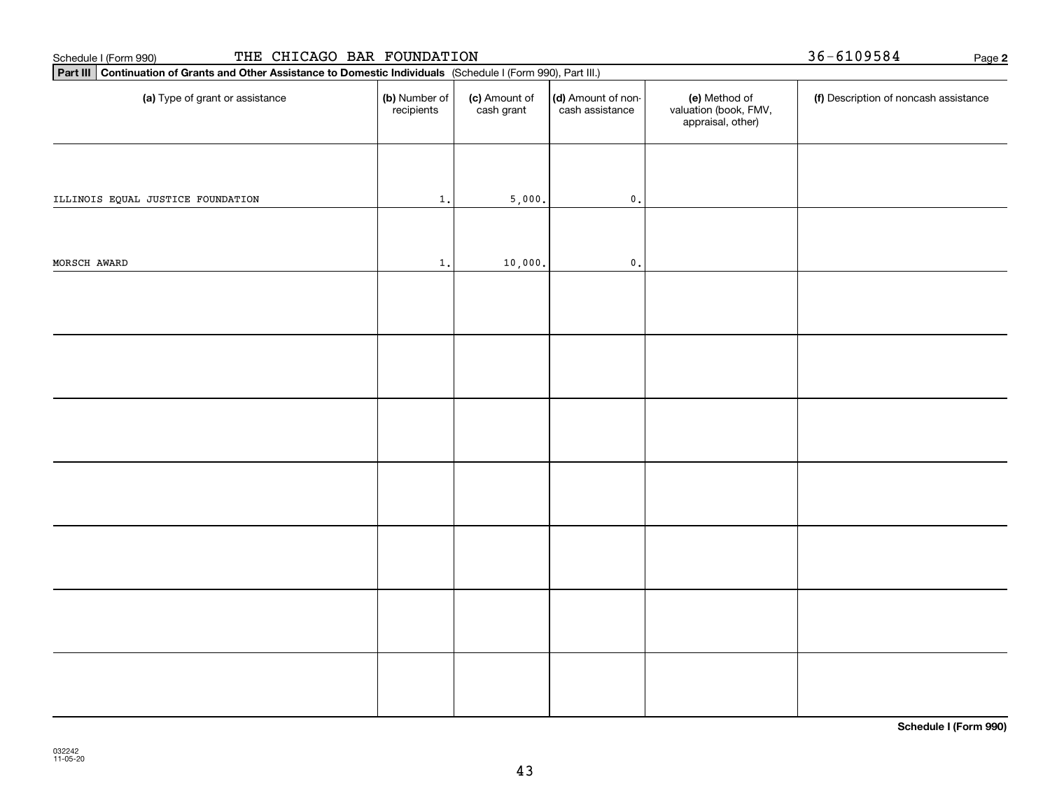| THE CHICAGO BAR FOUNDATION<br>Schedule I (Form 990)                                                             |                             |                                       |                                                             |                                       |            |  |  |  |  |  |
|-----------------------------------------------------------------------------------------------------------------|-----------------------------|---------------------------------------|-------------------------------------------------------------|---------------------------------------|------------|--|--|--|--|--|
| Part III Continuation of Grants and Other Assistance to Domestic Individuals (Schedule I (Form 990), Part III.) |                             |                                       |                                                             |                                       |            |  |  |  |  |  |
| (b) Number of<br>recipients                                                                                     | (c) Amount of<br>cash grant | (d) Amount of non-<br>cash assistance | (e) Method of<br>valuation (book, FMV,<br>appraisal, other) | (f) Description of noncash assistance |            |  |  |  |  |  |
|                                                                                                                 |                             |                                       |                                                             |                                       |            |  |  |  |  |  |
|                                                                                                                 |                             |                                       |                                                             |                                       |            |  |  |  |  |  |
|                                                                                                                 |                             |                                       |                                                             |                                       |            |  |  |  |  |  |
|                                                                                                                 |                             |                                       |                                                             |                                       |            |  |  |  |  |  |
|                                                                                                                 |                             |                                       |                                                             |                                       |            |  |  |  |  |  |
|                                                                                                                 |                             |                                       |                                                             |                                       |            |  |  |  |  |  |
|                                                                                                                 |                             |                                       |                                                             |                                       |            |  |  |  |  |  |
|                                                                                                                 |                             |                                       |                                                             |                                       |            |  |  |  |  |  |
|                                                                                                                 |                             |                                       |                                                             |                                       |            |  |  |  |  |  |
|                                                                                                                 | $1$ .<br>$1$ .              |                                       | 5,000.<br>$\mathbf 0$ .<br>10,000.<br>$\mathbf 0$ .         |                                       | 36-6109584 |  |  |  |  |  |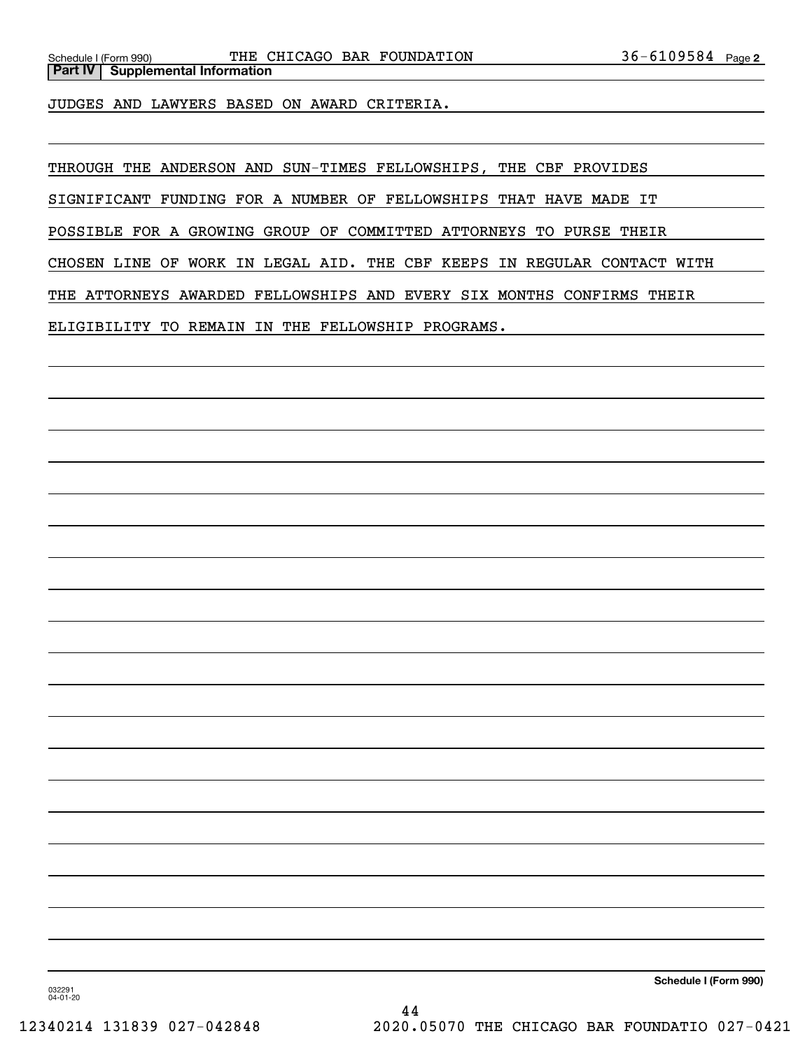JUDGES AND LAWYERS BASED ON AWARD CRITERIA.

THROUGH THE ANDERSON AND SUN-TIMES FELLOWSHIPS, THE CBF PROVIDES

SIGNIFICANT FUNDING FOR A NUMBER OF FELLOWSHIPS THAT HAVE MADE IT

POSSIBLE FOR A GROWING GROUP OF COMMITTED ATTORNEYS TO PURSE THEIR

CHOSEN LINE OF WORK IN LEGAL AID. THE CBF KEEPS IN REGULAR CONTACT WITH

THE ATTORNEYS AWARDED FELLOWSHIPS AND EVERY SIX MONTHS CONFIRMS THEIR

ELIGIBILITY TO REMAIN IN THE FELLOWSHIP PROGRAMS.

**Schedule I (Form 990)**

032291 04-01-20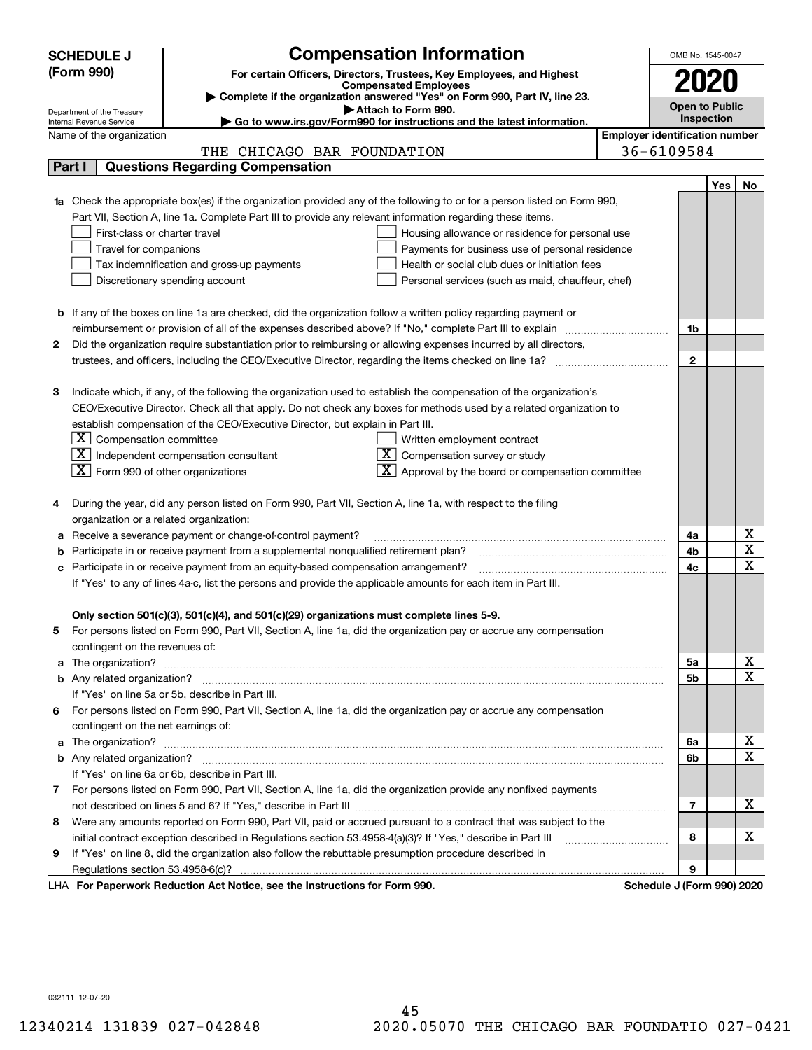|        | <b>Compensation Information</b><br>OMB No. 1545-0047<br><b>SCHEDULE J</b>                                                                               |                                       |                            |     |                                     |  |  |  |  |
|--------|---------------------------------------------------------------------------------------------------------------------------------------------------------|---------------------------------------|----------------------------|-----|-------------------------------------|--|--|--|--|
|        | (Form 990)<br>For certain Officers, Directors, Trustees, Key Employees, and Highest                                                                     |                                       |                            |     |                                     |  |  |  |  |
|        | <b>Compensated Employees</b>                                                                                                                            |                                       |                            |     |                                     |  |  |  |  |
|        | Complete if the organization answered "Yes" on Form 990, Part IV, line 23.                                                                              |                                       | Open to Public             |     |                                     |  |  |  |  |
|        | Attach to Form 990.<br>Department of the Treasury<br>Go to www.irs.gov/Form990 for instructions and the latest information.<br>Internal Revenue Service |                                       | Inspection                 |     |                                     |  |  |  |  |
|        | Name of the organization                                                                                                                                | <b>Employer identification number</b> |                            |     |                                     |  |  |  |  |
|        | THE CHICAGO BAR FOUNDATION                                                                                                                              |                                       | 36-6109584                 |     |                                     |  |  |  |  |
| Part I | <b>Questions Regarding Compensation</b>                                                                                                                 |                                       |                            |     |                                     |  |  |  |  |
|        |                                                                                                                                                         |                                       |                            | Yes | No                                  |  |  |  |  |
|        | 1a Check the appropriate box(es) if the organization provided any of the following to or for a person listed on Form 990,                               |                                       |                            |     |                                     |  |  |  |  |
|        | Part VII, Section A, line 1a. Complete Part III to provide any relevant information regarding these items.                                              |                                       |                            |     |                                     |  |  |  |  |
|        | First-class or charter travel<br>Housing allowance or residence for personal use                                                                        |                                       |                            |     |                                     |  |  |  |  |
|        | Travel for companions<br>Payments for business use of personal residence                                                                                |                                       |                            |     |                                     |  |  |  |  |
|        | Tax indemnification and gross-up payments<br>Health or social club dues or initiation fees                                                              |                                       |                            |     |                                     |  |  |  |  |
|        | Discretionary spending account<br>Personal services (such as maid, chauffeur, chef)                                                                     |                                       |                            |     |                                     |  |  |  |  |
|        |                                                                                                                                                         |                                       |                            |     |                                     |  |  |  |  |
|        | <b>b</b> If any of the boxes on line 1a are checked, did the organization follow a written policy regarding payment or                                  |                                       |                            |     |                                     |  |  |  |  |
|        | reimbursement or provision of all of the expenses described above? If "No," complete Part III to explain                                                |                                       | 1b                         |     |                                     |  |  |  |  |
| 2      | Did the organization require substantiation prior to reimbursing or allowing expenses incurred by all directors,                                        |                                       |                            |     |                                     |  |  |  |  |
|        |                                                                                                                                                         |                                       | $\mathbf{2}$               |     |                                     |  |  |  |  |
|        |                                                                                                                                                         |                                       |                            |     |                                     |  |  |  |  |
| з      | Indicate which, if any, of the following the organization used to establish the compensation of the organization's                                      |                                       |                            |     |                                     |  |  |  |  |
|        | CEO/Executive Director. Check all that apply. Do not check any boxes for methods used by a related organization to                                      |                                       |                            |     |                                     |  |  |  |  |
|        | establish compensation of the CEO/Executive Director, but explain in Part III.                                                                          |                                       |                            |     |                                     |  |  |  |  |
|        | $\lfloor \texttt{X} \rfloor$ Compensation committee<br>Written employment contract                                                                      |                                       |                            |     |                                     |  |  |  |  |
|        | $ \mathbf{X} $ Independent compensation consultant<br>$X \mid$<br>Compensation survey or study                                                          |                                       |                            |     |                                     |  |  |  |  |
|        | $\boxed{\text{X}}$ Form 990 of other organizations<br>Approval by the board or compensation committee                                                   |                                       |                            |     |                                     |  |  |  |  |
|        |                                                                                                                                                         |                                       |                            |     |                                     |  |  |  |  |
|        | During the year, did any person listed on Form 990, Part VII, Section A, line 1a, with respect to the filing                                            |                                       |                            |     |                                     |  |  |  |  |
|        | organization or a related organization:                                                                                                                 |                                       |                            |     |                                     |  |  |  |  |
|        | Receive a severance payment or change-of-control payment?                                                                                               |                                       | 4a                         |     | $\underline{x}$                     |  |  |  |  |
|        | Participate in or receive payment from a supplemental nonqualified retirement plan?                                                                     |                                       | 4b                         |     | $\overline{\mathtt{x}}$             |  |  |  |  |
| с      | Participate in or receive payment from an equity-based compensation arrangement?                                                                        |                                       | 4c                         |     | $\overline{\text{x}}$               |  |  |  |  |
|        | If "Yes" to any of lines 4a-c, list the persons and provide the applicable amounts for each item in Part III.                                           |                                       |                            |     |                                     |  |  |  |  |
|        |                                                                                                                                                         |                                       |                            |     |                                     |  |  |  |  |
|        | Only section 501(c)(3), 501(c)(4), and 501(c)(29) organizations must complete lines 5-9.                                                                |                                       |                            |     |                                     |  |  |  |  |
| 5.     | For persons listed on Form 990, Part VII, Section A, line 1a, did the organization pay or accrue any compensation                                       |                                       |                            |     |                                     |  |  |  |  |
|        | contingent on the revenues of:                                                                                                                          |                                       |                            |     |                                     |  |  |  |  |
|        |                                                                                                                                                         |                                       | 5a                         |     | $\frac{\text{X}}{\text{X}}$         |  |  |  |  |
|        |                                                                                                                                                         |                                       | 5b                         |     |                                     |  |  |  |  |
|        | If "Yes" on line 5a or 5b, describe in Part III.                                                                                                        |                                       |                            |     |                                     |  |  |  |  |
| 6.     | For persons listed on Form 990, Part VII, Section A, line 1a, did the organization pay or accrue any compensation                                       |                                       |                            |     |                                     |  |  |  |  |
|        | contingent on the net earnings of:                                                                                                                      |                                       |                            |     |                                     |  |  |  |  |
|        |                                                                                                                                                         |                                       | 6a                         |     | <u>x</u><br>$\overline{\mathtt{x}}$ |  |  |  |  |
|        |                                                                                                                                                         |                                       | 6b                         |     |                                     |  |  |  |  |
|        | If "Yes" on line 6a or 6b, describe in Part III.                                                                                                        |                                       |                            |     |                                     |  |  |  |  |
|        | 7 For persons listed on Form 990, Part VII, Section A, line 1a, did the organization provide any nonfixed payments                                      |                                       |                            |     |                                     |  |  |  |  |
|        |                                                                                                                                                         |                                       | 7                          |     | x                                   |  |  |  |  |
| 8      | Were any amounts reported on Form 990, Part VII, paid or accrued pursuant to a contract that was subject to the                                         |                                       | 8                          |     | x                                   |  |  |  |  |
|        | initial contract exception described in Regulations section 53.4958-4(a)(3)? If "Yes," describe in Part III                                             |                                       |                            |     |                                     |  |  |  |  |
| 9      | If "Yes" on line 8, did the organization also follow the rebuttable presumption procedure described in                                                  |                                       |                            |     |                                     |  |  |  |  |
|        | Regulations section 53.4958-6(c)?                                                                                                                       |                                       | 9                          |     |                                     |  |  |  |  |
|        | LHA For Paperwork Reduction Act Notice, see the Instructions for Form 990.                                                                              |                                       | Schedule J (Form 990) 2020 |     |                                     |  |  |  |  |

032111 12-07-20

45 12340214 131839 027-042848 2020.05070 THE CHICAGO BAR FOUNDATIO 027-0421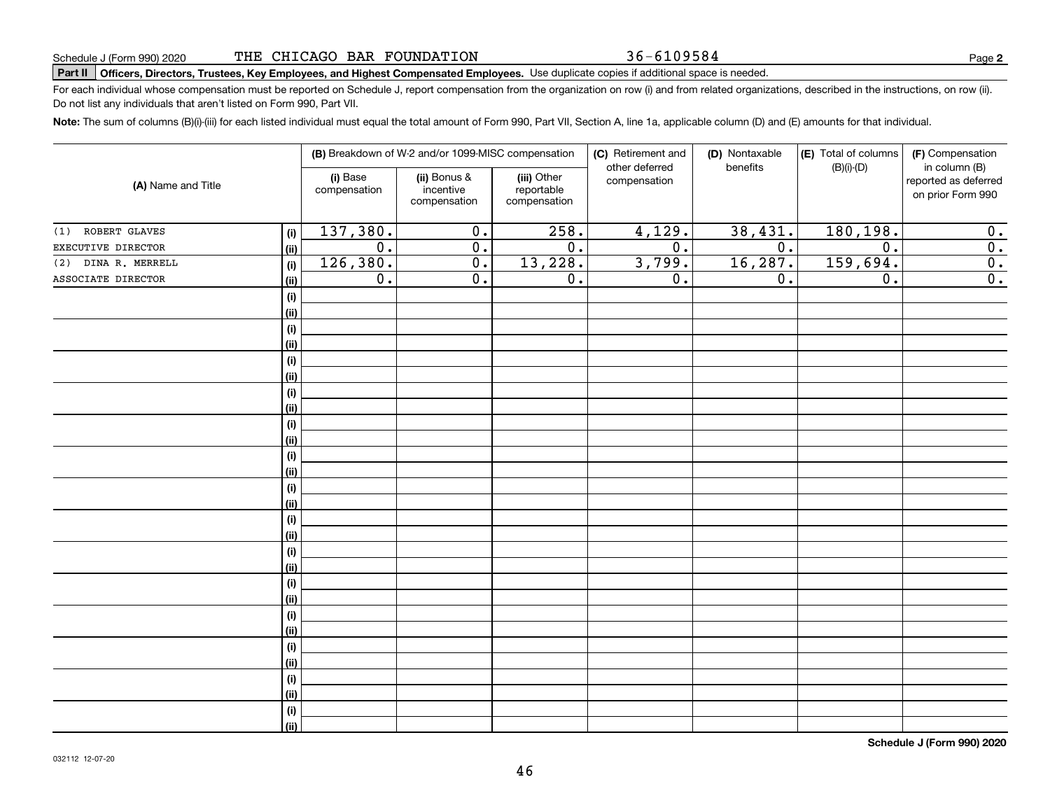36-6109584

**2**

# **Part II Officers, Directors, Trustees, Key Employees, and Highest Compensated Employees.**  Schedule J (Form 990) 2020 Page Use duplicate copies if additional space is needed.

For each individual whose compensation must be reported on Schedule J, report compensation from the organization on row (i) and from related organizations, described in the instructions, on row (ii). Do not list any individuals that aren't listed on Form 990, Part VII.

**Note:**  The sum of columns (B)(i)-(iii) for each listed individual must equal the total amount of Form 990, Part VII, Section A, line 1a, applicable column (D) and (E) amounts for that individual.

|                        |      |                          | (B) Breakdown of W-2 and/or 1099-MISC compensation |                                           | (C) Retirement and<br>other deferred | (D) Nontaxable<br>benefits | (E) Total of columns<br>$(B)(i)-(D)$ | (F) Compensation<br>in column (B)         |
|------------------------|------|--------------------------|----------------------------------------------------|-------------------------------------------|--------------------------------------|----------------------------|--------------------------------------|-------------------------------------------|
| (A) Name and Title     |      | (i) Base<br>compensation | (ii) Bonus &<br>incentive<br>compensation          | (iii) Other<br>reportable<br>compensation | compensation                         |                            |                                      | reported as deferred<br>on prior Form 990 |
| ROBERT GLAVES<br>(1)   | (i)  | 137,380.                 | $\overline{0}$ .                                   | 258.                                      | 4,129.                               | 38,431.                    | 180, 198.                            | 0.                                        |
| EXECUTIVE DIRECTOR     | (ii) | $\overline{0}$ .         | $\overline{0}$ .                                   | $\overline{0}$ .                          | $\overline{0}$ .                     | $\overline{0}$ .           | $\overline{0}$ .                     | $\overline{0}$ .                          |
| DINA R. MERRELL<br>(2) | (i)  | 126,380.                 | $\overline{0}$ .                                   | 13,228.                                   | 3,799.                               | 16, 287.                   | 159,694.                             | $\overline{0}$ .                          |
| ASSOCIATE DIRECTOR     | (ii) | $\overline{0}$ .         | $\overline{0}$ .                                   | $\overline{0}$ .                          | $\overline{0}$ .                     | $\overline{0}$ .           | $\overline{0}$ .                     | $\overline{0}$ .                          |
|                        | (i)  |                          |                                                    |                                           |                                      |                            |                                      |                                           |
|                        | (ii) |                          |                                                    |                                           |                                      |                            |                                      |                                           |
|                        | (i)  |                          |                                                    |                                           |                                      |                            |                                      |                                           |
|                        | (ii) |                          |                                                    |                                           |                                      |                            |                                      |                                           |
|                        | (i)  |                          |                                                    |                                           |                                      |                            |                                      |                                           |
|                        | (ii) |                          |                                                    |                                           |                                      |                            |                                      |                                           |
|                        | (i)  |                          |                                                    |                                           |                                      |                            |                                      |                                           |
|                        | (ii) |                          |                                                    |                                           |                                      |                            |                                      |                                           |
|                        | (i)  |                          |                                                    |                                           |                                      |                            |                                      |                                           |
|                        | (ii) |                          |                                                    |                                           |                                      |                            |                                      |                                           |
|                        | (i)  |                          |                                                    |                                           |                                      |                            |                                      |                                           |
|                        | (ii) |                          |                                                    |                                           |                                      |                            |                                      |                                           |
|                        | (i)  |                          |                                                    |                                           |                                      |                            |                                      |                                           |
|                        | (ii) |                          |                                                    |                                           |                                      |                            |                                      |                                           |
|                        | (i)  |                          |                                                    |                                           |                                      |                            |                                      |                                           |
|                        | (ii) |                          |                                                    |                                           |                                      |                            |                                      |                                           |
|                        | (i)  |                          |                                                    |                                           |                                      |                            |                                      |                                           |
|                        | (ii) |                          |                                                    |                                           |                                      |                            |                                      |                                           |
|                        | (i)  |                          |                                                    |                                           |                                      |                            |                                      |                                           |
|                        | (ii) |                          |                                                    |                                           |                                      |                            |                                      |                                           |
|                        | (i)  |                          |                                                    |                                           |                                      |                            |                                      |                                           |
|                        | (ii) |                          |                                                    |                                           |                                      |                            |                                      |                                           |
|                        | (i)  |                          |                                                    |                                           |                                      |                            |                                      |                                           |
|                        | (ii) |                          |                                                    |                                           |                                      |                            |                                      |                                           |
|                        | (i)  |                          |                                                    |                                           |                                      |                            |                                      |                                           |
|                        | (ii) |                          |                                                    |                                           |                                      |                            |                                      |                                           |
|                        | (i)  |                          |                                                    |                                           |                                      |                            |                                      |                                           |
|                        | (ii) |                          |                                                    |                                           |                                      |                            |                                      |                                           |

**Schedule J (Form 990) 2020**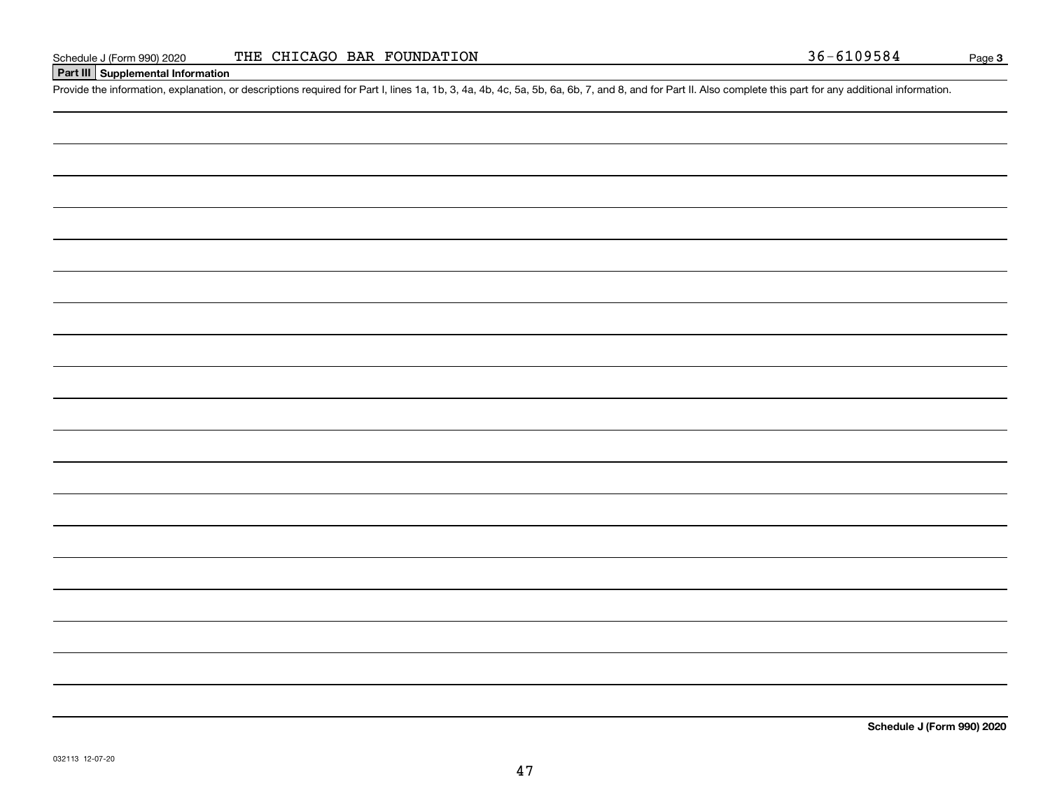#### **Part III Supplemental Information**

Schedule J (Form 990) 2020 THE CHICAGO BAR FOUNDATION 36-6109584<br>Part III Supplemental Information<br>Provide the information, explanation, or descriptions required for Part I, lines 1a, 1b, 3, 4a, 4b, 4c, 5a, 5b, 6a, 6b, 7,

**Schedule J (Form 990) 2020**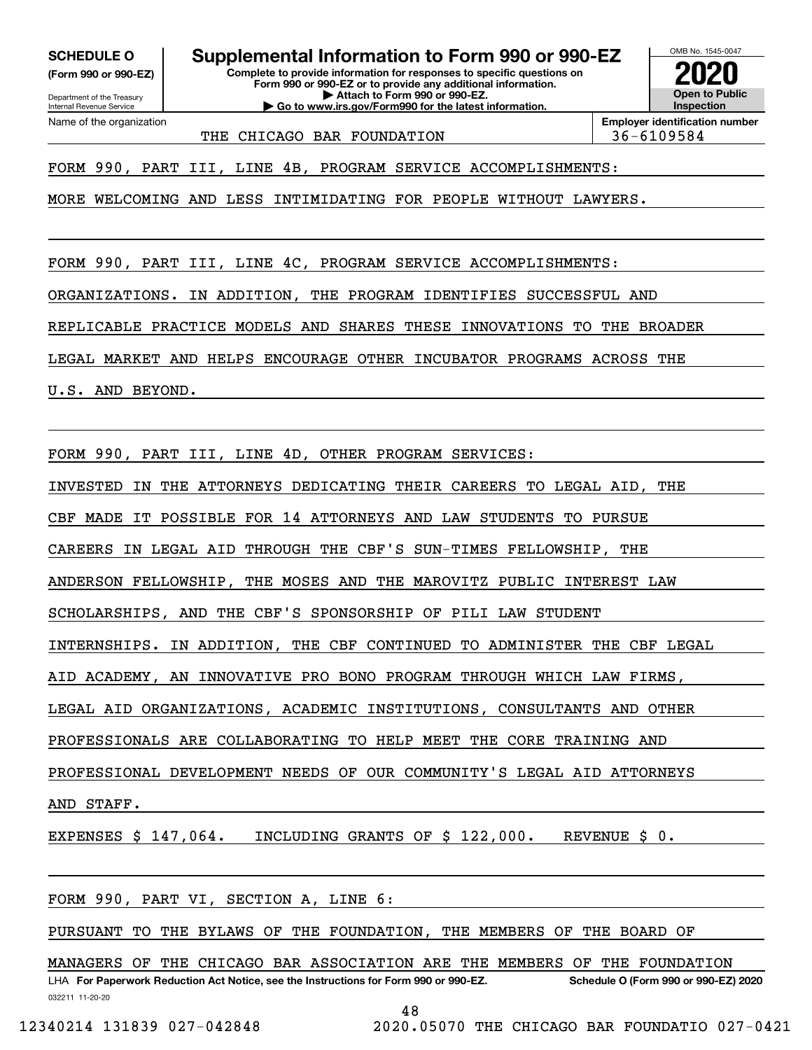**(Form 990 or 990-EZ)**

Department of the Treasury Internal Revenue Service Name of the organization

## **SCHEDULE O Supplemental Information to Form 990 or 990-EZ**

**Complete to provide information for responses to specific questions on Form 990 or 990-EZ or to provide any additional information. | Attach to Form 990 or 990-EZ. | Go to www.irs.gov/Form990 for the latest information.**



THE CHICAGO BAR FOUNDATION 156-6109584

**Employer identification number**

FORM 990, PART III, LINE 4B, PROGRAM SERVICE ACCOMPLISHMENTS:

MORE WELCOMING AND LESS INTIMIDATING FOR PEOPLE WITHOUT LAWYERS.

FORM 990, PART III, LINE 4C, PROGRAM SERVICE ACCOMPLISHMENTS:

ORGANIZATIONS. IN ADDITION, THE PROGRAM IDENTIFIES SUCCESSFUL AND

REPLICABLE PRACTICE MODELS AND SHARES THESE INNOVATIONS TO THE BROADER

LEGAL MARKET AND HELPS ENCOURAGE OTHER INCUBATOR PROGRAMS ACROSS THE

U.S. AND BEYOND.

FORM 990, PART III, LINE 4D, OTHER PROGRAM SERVICES:

INVESTED IN THE ATTORNEYS DEDICATING THEIR CAREERS TO LEGAL AID, THE

CBF MADE IT POSSIBLE FOR 14 ATTORNEYS AND LAW STUDENTS TO PURSUE

CAREERS IN LEGAL AID THROUGH THE CBF'S SUN-TIMES FELLOWSHIP, THE

ANDERSON FELLOWSHIP, THE MOSES AND THE MAROVITZ PUBLIC INTEREST LAW

SCHOLARSHIPS, AND THE CBF'S SPONSORSHIP OF PILI LAW STUDENT

INTERNSHIPS. IN ADDITION, THE CBF CONTINUED TO ADMINISTER THE CBF LEGAL

AID ACADEMY, AN INNOVATIVE PRO BONO PROGRAM THROUGH WHICH LAW FIRMS,

LEGAL AID ORGANIZATIONS, ACADEMIC INSTITUTIONS, CONSULTANTS AND OTHER

PROFESSIONALS ARE COLLABORATING TO HELP MEET THE CORE TRAINING AND

PROFESSIONAL DEVELOPMENT NEEDS OF OUR COMMUNITY'S LEGAL AID ATTORNEYS

AND STAFF.

EXPENSES \$ 147,064. INCLUDING GRANTS OF \$ 122,000. REVENUE \$ 0.

FORM 990, PART VI, SECTION A, LINE 6:

PURSUANT TO THE BYLAWS OF THE FOUNDATION, THE MEMBERS OF THE BOARD OF

032211 11-20-20 LHA For Paperwork Reduction Act Notice, see the Instructions for Form 990 or 990-EZ. Schedule O (Form 990 or 990-EZ) 2020 MANAGERS OF THE CHICAGO BAR ASSOCIATION ARE THE MEMBERS OF THE FOUNDATION

48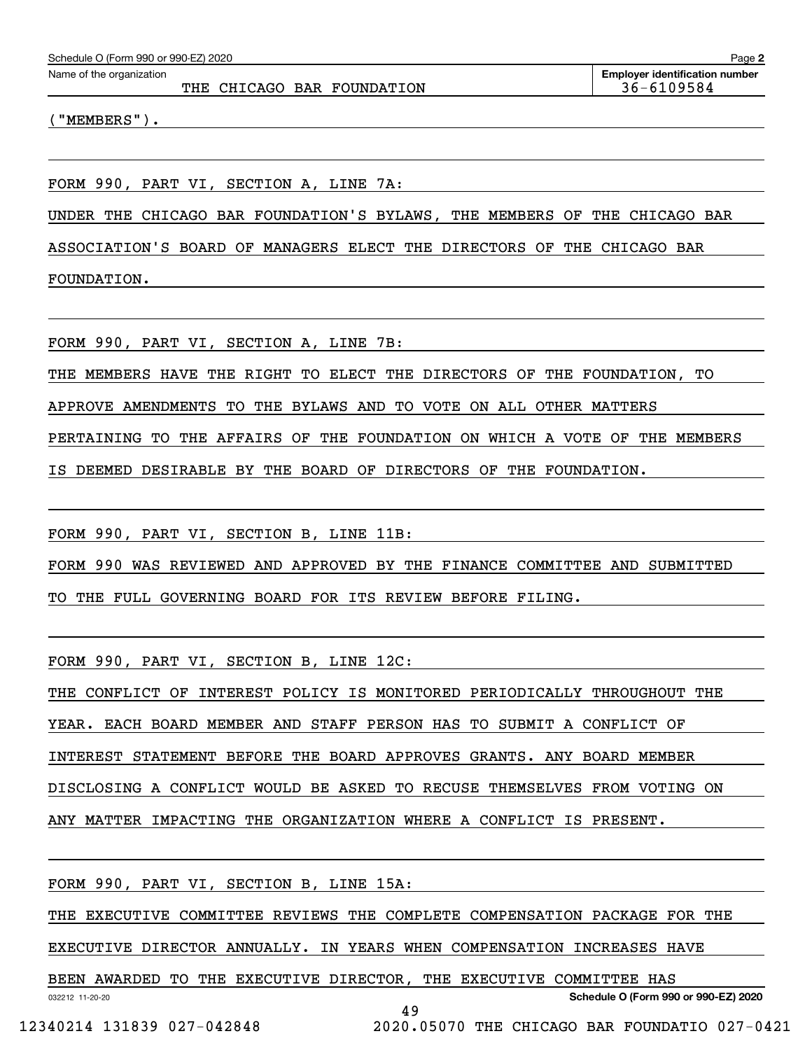THE CHICAGO BAR FOUNDATION 36-6109584

("MEMBERS").

FORM 990, PART VI, SECTION A, LINE 7A:

UNDER THE CHICAGO BAR FOUNDATION'S BYLAWS, THE MEMBERS OF THE CHICAGO BAR

ASSOCIATION'S BOARD OF MANAGERS ELECT THE DIRECTORS OF THE CHICAGO BAR

FOUNDATION.

FORM 990, PART VI, SECTION A, LINE 7B:

THE MEMBERS HAVE THE RIGHT TO ELECT THE DIRECTORS OF THE FOUNDATION, TO

APPROVE AMENDMENTS TO THE BYLAWS AND TO VOTE ON ALL OTHER MATTERS

PERTAINING TO THE AFFAIRS OF THE FOUNDATION ON WHICH A VOTE OF THE MEMBERS

IS DEEMED DESIRABLE BY THE BOARD OF DIRECTORS OF THE FOUNDATION.

FORM 990, PART VI, SECTION B, LINE 11B:

FORM 990 WAS REVIEWED AND APPROVED BY THE FINANCE COMMITTEE AND SUBMITTED

TO THE FULL GOVERNING BOARD FOR ITS REVIEW BEFORE FILING.

FORM 990, PART VI, SECTION B, LINE 12C:

THE CONFLICT OF INTEREST POLICY IS MONITORED PERIODICALLY THROUGHOUT THE

YEAR. EACH BOARD MEMBER AND STAFF PERSON HAS TO SUBMIT A CONFLICT OF

INTEREST STATEMENT BEFORE THE BOARD APPROVES GRANTS. ANY BOARD MEMBER

DISCLOSING A CONFLICT WOULD BE ASKED TO RECUSE THEMSELVES FROM VOTING ON

ANY MATTER IMPACTING THE ORGANIZATION WHERE A CONFLICT IS PRESENT.

FORM 990, PART VI, SECTION B, LINE 15A:

THE EXECUTIVE COMMITTEE REVIEWS THE COMPLETE COMPENSATION PACKAGE FOR THE

EXECUTIVE DIRECTOR ANNUALLY. IN YEARS WHEN COMPENSATION INCREASES HAVE

BEEN AWARDED TO THE EXECUTIVE DIRECTOR, THE EXECUTIVE COMMITTEE HAS

**Schedule O (Form 990 or 990-EZ) 2020**

032212 11-20-20

49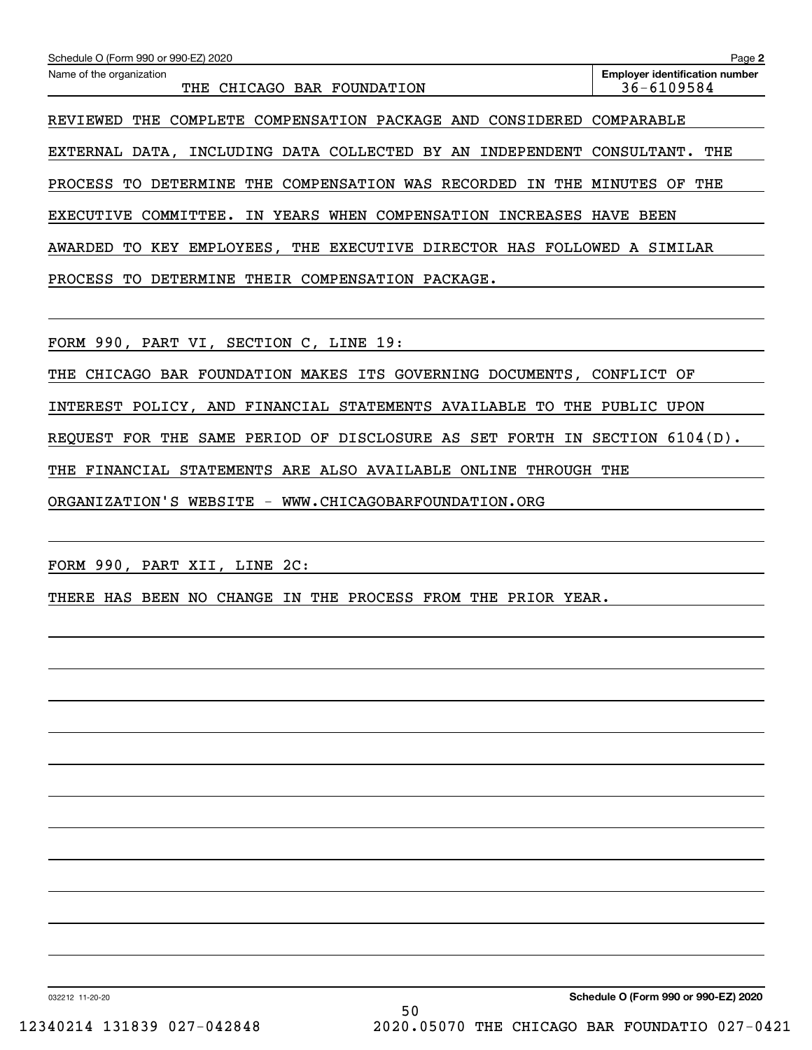| Schedule O (Form 990 or 990-EZ) 2020                                               | Page 2                                              |
|------------------------------------------------------------------------------------|-----------------------------------------------------|
| Name of the organization<br>CHICAGO BAR FOUNDATION<br>THE                          | <b>Employer identification number</b><br>36-6109584 |
| COMPENSATION PACKAGE AND<br>CONSIDERED<br>THE<br>COMPLETE<br>REVIEWED              | COMPARABLE                                          |
| EXTERNAL DATA, INCLUDING DATA COLLECTED BY AN<br>INDEPENDENT                       | THE<br>CONSULTANT.                                  |
| COMPENSATION WAS<br>RECORDED<br>THE<br>PROCESS<br>DETERMINE<br>THE<br>ΙN<br>TО     | THE<br>MINUTES<br>ΟF                                |
| YEARS<br>COMPENSATION<br><b>EXECUTIVE</b><br>COMMITTEE.<br>WHEN<br>INCREASES<br>ΙN | HAVE<br>BEEN                                        |
| THE EXECUTIVE DIRECTOR HAS FOLLOWED<br>TO.<br>KEY<br>EMPLOYEES,<br>AWARDED         | A SIMILAR                                           |
| THEIR COMPENSATION<br>PROCESS TO<br>DETERMINE<br>PACKAGE.                          |                                                     |
|                                                                                    |                                                     |
| FORM 990, PART VI,<br>SECTION C, LINE 19:                                          |                                                     |

THE CHICAGO BAR FOUNDATION MAKES ITS GOVERNING DOCUMENTS, CONFLICT OF INTEREST POLICY, AND FINANCIAL STATEMENTS AVAILABLE TO THE PUBLIC UPON REQUEST FOR THE SAME PERIOD OF DISCLOSURE AS SET FORTH IN SECTION 6104(D). THE FINANCIAL STATEMENTS ARE ALSO AVAILABLE ONLINE THROUGH THE

ORGANIZATION'S WEBSITE - WWW.CHICAGOBARFOUNDATION.ORG

FORM 990, PART XII, LINE 2C:

THERE HAS BEEN NO CHANGE IN THE PROCESS FROM THE PRIOR YEAR.

032212 11-20-20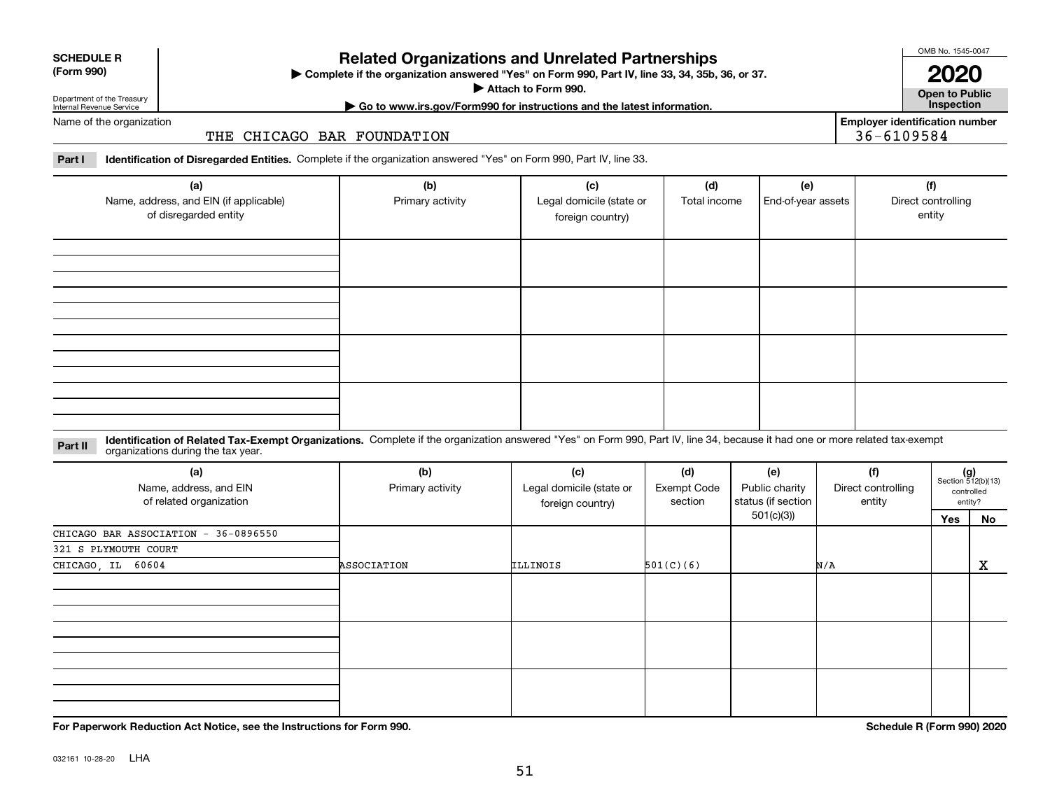| internai<br>.,<br>۰.<br>.,<br>۰. | ľ<br>٢ı |
|----------------------------------|---------|
|                                  |         |

# **Related Organizations and Unrelated Partnerships**

**Complete if the organization answered "Yes" on Form 990, Part IV, line 33, 34, 35b, 36, or 37.** |

**Attach to Form 990.**  |

OMB No. 1545-0047

**Open to Public | Go to www.irs.gov/Form990 for instructions and the latest information. Inspection 2020**

**Employer identification number**

36-6109584

Department of the Treasury Internal Revenue Service Name of the organization

**SCHEDULE R (Form 990)**

THE CHICAGO BAR FOUNDATION

**Part I Identification of Disregarded Entities.**  Complete if the organization answered "Yes" on Form 990, Part IV, line 33.

| (a)<br>Name, address, and EIN (if applicable)<br>of disregarded entity | (b)<br>Primary activity | (c)<br>Legal domicile (state or<br>foreign country) | (d)<br>Total income | (e)<br>End-of-year assets | (f)<br>Direct controlling<br>entity |
|------------------------------------------------------------------------|-------------------------|-----------------------------------------------------|---------------------|---------------------------|-------------------------------------|
|                                                                        |                         |                                                     |                     |                           |                                     |
|                                                                        |                         |                                                     |                     |                           |                                     |
|                                                                        |                         |                                                     |                     |                           |                                     |
|                                                                        |                         |                                                     |                     |                           |                                     |

**Identification of Related Tax-Exempt Organizations.** Complete if the organization answered "Yes" on Form 990, Part IV, line 34, because it had one or more related tax-exempt **Part II** organizations during the tax year.

| (a)<br>Name, address, and EIN<br>of related organization | (b)<br>Primary activity | (c)<br>Legal domicile (state or<br>foreign country) | (d)<br><b>Exempt Code</b><br>section | (e)<br>Public charity<br>status (if section | (f)<br>Direct controlling<br>entity | $(g)$<br>Section 512(b)(13) | controlled<br>entity? |
|----------------------------------------------------------|-------------------------|-----------------------------------------------------|--------------------------------------|---------------------------------------------|-------------------------------------|-----------------------------|-----------------------|
|                                                          |                         |                                                     |                                      | 501(c)(3))                                  |                                     | Yes                         | No                    |
| CHICAGO BAR ASSOCIATION - 36-0896550                     |                         |                                                     |                                      |                                             |                                     |                             |                       |
| 321 S PLYMOUTH COURT                                     |                         |                                                     |                                      |                                             |                                     |                             |                       |
| CHICAGO, IL 60604                                        | ASSOCIATION             | ILLINOIS                                            | 501(C)(6)                            |                                             | N/A                                 |                             | X                     |
|                                                          |                         |                                                     |                                      |                                             |                                     |                             |                       |
|                                                          |                         |                                                     |                                      |                                             |                                     |                             |                       |
|                                                          |                         |                                                     |                                      |                                             |                                     |                             |                       |

**For Paperwork Reduction Act Notice, see the Instructions for Form 990. Schedule R (Form 990) 2020**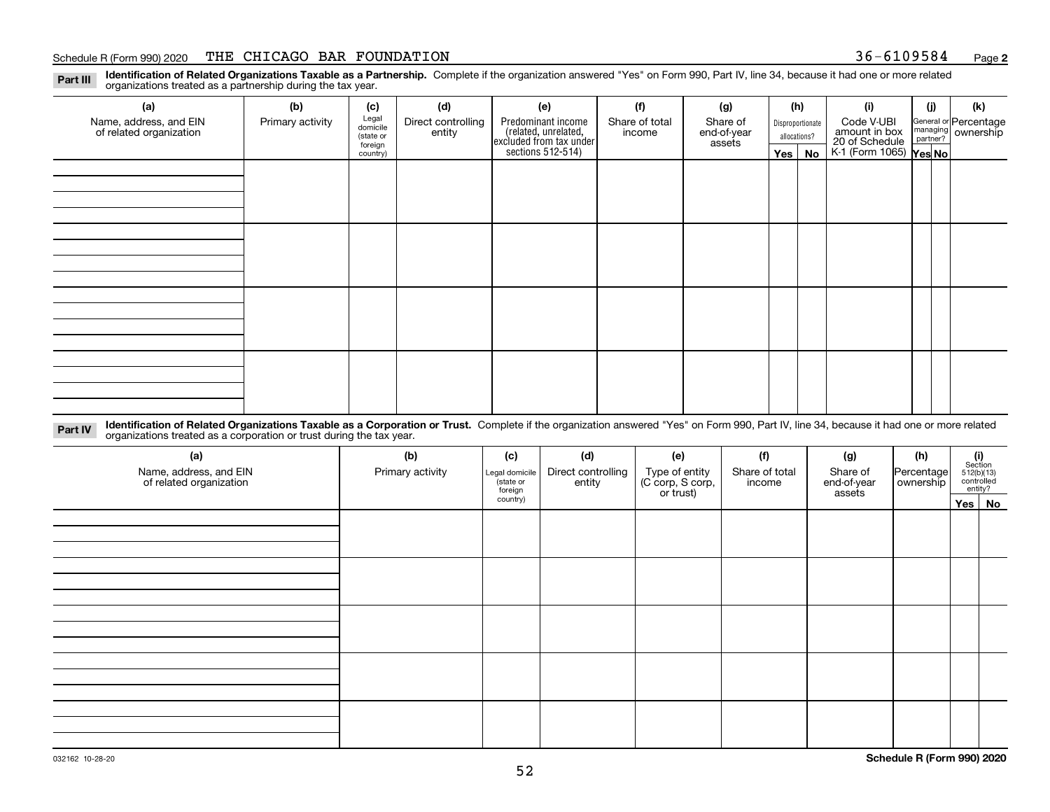#### Schedule R (Form 990) 2020 Page THE CHICAGO BAR FOUNDATION 36-6109584

**2**

**Identification of Related Organizations Taxable as a Partnership.** Complete if the organization answered "Yes" on Form 990, Part IV, line 34, because it had one or more related **Part III** organizations treated as a partnership during the tax year.

| (a)                                               | (b)              | (c)                  | (d)                          | (e)                                                                 | (f)                      | (g)                     |              | (h)                                             | (i)                                      | (j) | (k)                                                       |  |
|---------------------------------------------------|------------------|----------------------|------------------------------|---------------------------------------------------------------------|--------------------------|-------------------------|--------------|-------------------------------------------------|------------------------------------------|-----|-----------------------------------------------------------|--|
| Name, address, and EIN<br>of related organization | Primary activity | Legal<br>domicile    | Direct controlling<br>entity | Predominant income                                                  | Share of total<br>income | Share of<br>end-of-year |              | Code V-UBI<br>Disproportionate<br>amount in box |                                          |     | General or Percentage<br>managing<br>partner?<br>partner? |  |
|                                                   |                  | (state or<br>foreign |                              |                                                                     |                          | assets                  | allocations? |                                                 |                                          |     |                                                           |  |
|                                                   |                  | country)             |                              | related, unrelated,<br>excluded from tax under<br>sections 512-514) |                          |                         | Yes $ $      | No                                              | 20 of Schedule<br>K-1 (Form 1065) Yes No |     |                                                           |  |
|                                                   |                  |                      |                              |                                                                     |                          |                         |              |                                                 |                                          |     |                                                           |  |
|                                                   |                  |                      |                              |                                                                     |                          |                         |              |                                                 |                                          |     |                                                           |  |
|                                                   |                  |                      |                              |                                                                     |                          |                         |              |                                                 |                                          |     |                                                           |  |
|                                                   |                  |                      |                              |                                                                     |                          |                         |              |                                                 |                                          |     |                                                           |  |
|                                                   |                  |                      |                              |                                                                     |                          |                         |              |                                                 |                                          |     |                                                           |  |
|                                                   |                  |                      |                              |                                                                     |                          |                         |              |                                                 |                                          |     |                                                           |  |
|                                                   |                  |                      |                              |                                                                     |                          |                         |              |                                                 |                                          |     |                                                           |  |
|                                                   |                  |                      |                              |                                                                     |                          |                         |              |                                                 |                                          |     |                                                           |  |
|                                                   |                  |                      |                              |                                                                     |                          |                         |              |                                                 |                                          |     |                                                           |  |
|                                                   |                  |                      |                              |                                                                     |                          |                         |              |                                                 |                                          |     |                                                           |  |
|                                                   |                  |                      |                              |                                                                     |                          |                         |              |                                                 |                                          |     |                                                           |  |
|                                                   |                  |                      |                              |                                                                     |                          |                         |              |                                                 |                                          |     |                                                           |  |
|                                                   |                  |                      |                              |                                                                     |                          |                         |              |                                                 |                                          |     |                                                           |  |
|                                                   |                  |                      |                              |                                                                     |                          |                         |              |                                                 |                                          |     |                                                           |  |
|                                                   |                  |                      |                              |                                                                     |                          |                         |              |                                                 |                                          |     |                                                           |  |
|                                                   |                  |                      |                              |                                                                     |                          |                         |              |                                                 |                                          |     |                                                           |  |
|                                                   |                  |                      |                              |                                                                     |                          |                         |              |                                                 |                                          |     |                                                           |  |

**Identification of Related Organizations Taxable as a Corporation or Trust.** Complete if the organization answered "Yes" on Form 990, Part IV, line 34, because it had one or more related **Part IV** organizations treated as a corporation or trust during the tax year.

| (a)<br>Name, address, and EIN<br>of related organization | (b)<br>Primary activity | (c)<br>Legal domicile<br>(state or<br>foreign | (d)<br>Direct controlling<br>entity | (e)<br>Type of entity<br>(C corp, S corp,<br>or trust) | (f)<br>Share of total<br>income | (g)<br>Share of<br>end-of-year<br>assets | (h)<br>Percentage<br>ownership | $\begin{array}{c} \textbf{(i)}\\ \text{Section}\\ 512 \text{(b)} \text{(13)}\\ \text{controlled}\end{array}$ | entity? |
|----------------------------------------------------------|-------------------------|-----------------------------------------------|-------------------------------------|--------------------------------------------------------|---------------------------------|------------------------------------------|--------------------------------|--------------------------------------------------------------------------------------------------------------|---------|
|                                                          |                         | country)                                      |                                     |                                                        |                                 |                                          |                                | Yes No                                                                                                       |         |
|                                                          |                         |                                               |                                     |                                                        |                                 |                                          |                                |                                                                                                              |         |
|                                                          |                         |                                               |                                     |                                                        |                                 |                                          |                                |                                                                                                              |         |
|                                                          |                         |                                               |                                     |                                                        |                                 |                                          |                                |                                                                                                              |         |
|                                                          |                         |                                               |                                     |                                                        |                                 |                                          |                                |                                                                                                              |         |
|                                                          |                         |                                               |                                     |                                                        |                                 |                                          |                                |                                                                                                              |         |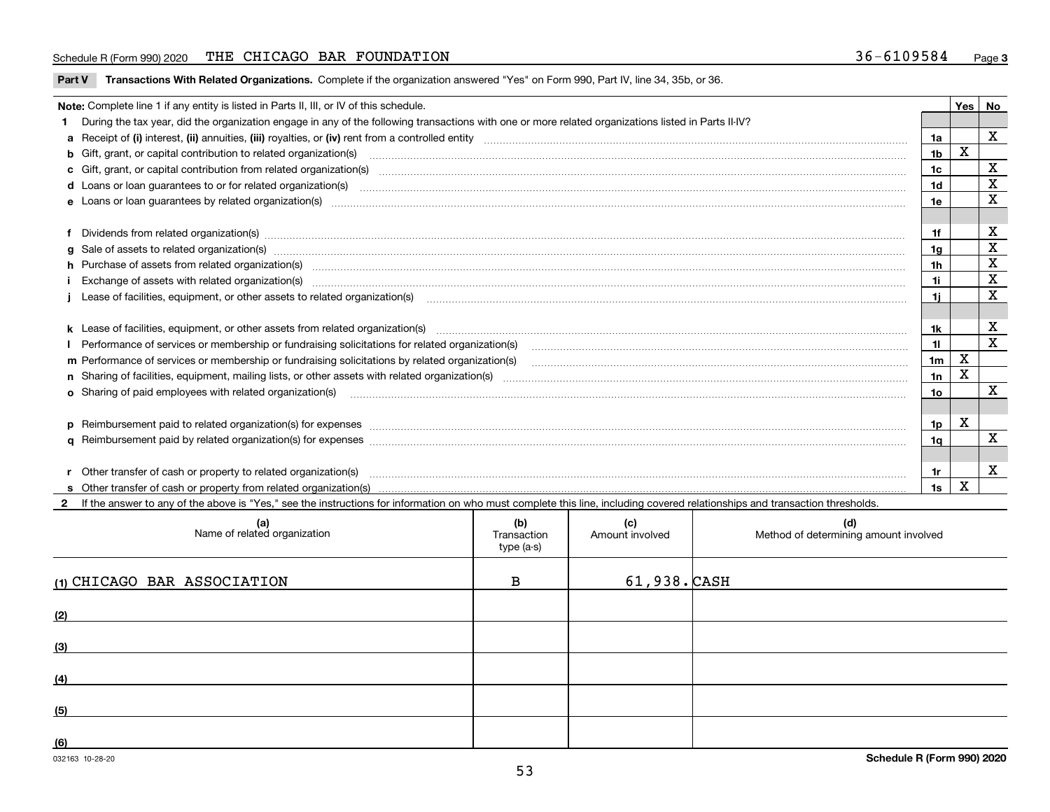#### Schedule R (Form 990) 2020 Page THE CHICAGO BAR FOUNDATION 36-6109584

**Part V** T**ransactions With Related Organizations.** Complete if the organization answered "Yes" on Form 990, Part IV, line 34, 35b, or 36.

| Note: Complete line 1 if any entity is listed in Parts II, III, or IV of this schedule.                                                                                                                                        |                | Yes I | No           |
|--------------------------------------------------------------------------------------------------------------------------------------------------------------------------------------------------------------------------------|----------------|-------|--------------|
| 1 During the tax year, did the organization engage in any of the following transactions with one or more related organizations listed in Parts II-IV?                                                                          |                |       |              |
|                                                                                                                                                                                                                                | 1a             |       | X            |
| b Gift, grant, or capital contribution to related organization(s) material contracts and contribution to related organization(s)                                                                                               | 1 <sub>b</sub> | х     |              |
| c Gift, grant, or capital contribution from related organization(s) material contents and contribution from related organization(s) material contents and content of the content of the content of content of content of the c | 1c             |       | X            |
|                                                                                                                                                                                                                                | 1d             |       | X            |
|                                                                                                                                                                                                                                | 1e             |       | X            |
|                                                                                                                                                                                                                                |                |       |              |
| f Dividends from related organization(s) material contents and content and content of the content of the content of the content of the content of the content of the content of the content of the content of the content of t | 1f             |       | X            |
| g Sale of assets to related organization(s) manufactured assemblances and contract and contract and contract and contract and contract and contract and contract and contract and contract and contract and contract and contr | 1a             |       | X            |
| h Purchase of assets from related organization(s) manufactured and content to content the content of assets from related organization(s)                                                                                       | 1h             |       | X            |
|                                                                                                                                                                                                                                | 1i             |       | $\mathbf X$  |
| Lease of facilities, equipment, or other assets to related organization(s) contained and contained and contained and contained and contained and contained and contained and contained and contained and contained and contain | 1i.            |       | X            |
|                                                                                                                                                                                                                                |                |       |              |
| k Lease of facilities, equipment, or other assets from related organization(s) manufaction content and content to the content of facilities, equipment, or other assets from related organization(s) manufaction content and c | 1k             |       | х            |
|                                                                                                                                                                                                                                | 11             |       | X            |
| m Performance of services or membership or fundraising solicitations by related organization(s)                                                                                                                                | 1 <sub>m</sub> | X     |              |
|                                                                                                                                                                                                                                | 1n             | X     |              |
| <b>o</b> Sharing of paid employees with related organization(s)                                                                                                                                                                | 10             |       | X            |
|                                                                                                                                                                                                                                |                |       |              |
| p Reimbursement paid to related organization(s) for expenses [1111] and the content of the content of the content of the content of the content of the content of the content of the content of the content of the content of  | 1p             | х     |              |
|                                                                                                                                                                                                                                | 1a             |       | X            |
|                                                                                                                                                                                                                                |                |       |              |
| r Other transfer of cash or property to related organization(s)                                                                                                                                                                | 1r             |       | $\mathbf{x}$ |
|                                                                                                                                                                                                                                | 1s             | X     |              |
| 2 If the answer to any of the above is "Yes," see the instructions for information on who must complete this line, including covered relationships and transaction thresholds.                                                 |                |       |              |

| (a)<br>Name of related organization | (b)<br>Transaction<br>type (a-s) | (c)<br>Amount involved | (d)<br>Method of determining amount involved |
|-------------------------------------|----------------------------------|------------------------|----------------------------------------------|
| (1) CHICAGO BAR ASSOCIATION         | $\mathbf{B}$                     | $61,938.$ $CASH$       |                                              |
| (2)                                 |                                  |                        |                                              |
| (3)                                 |                                  |                        |                                              |
| (4)                                 |                                  |                        |                                              |
| (5)                                 |                                  |                        |                                              |
| (6)                                 |                                  |                        |                                              |

 $\overline{\phantom{a}}$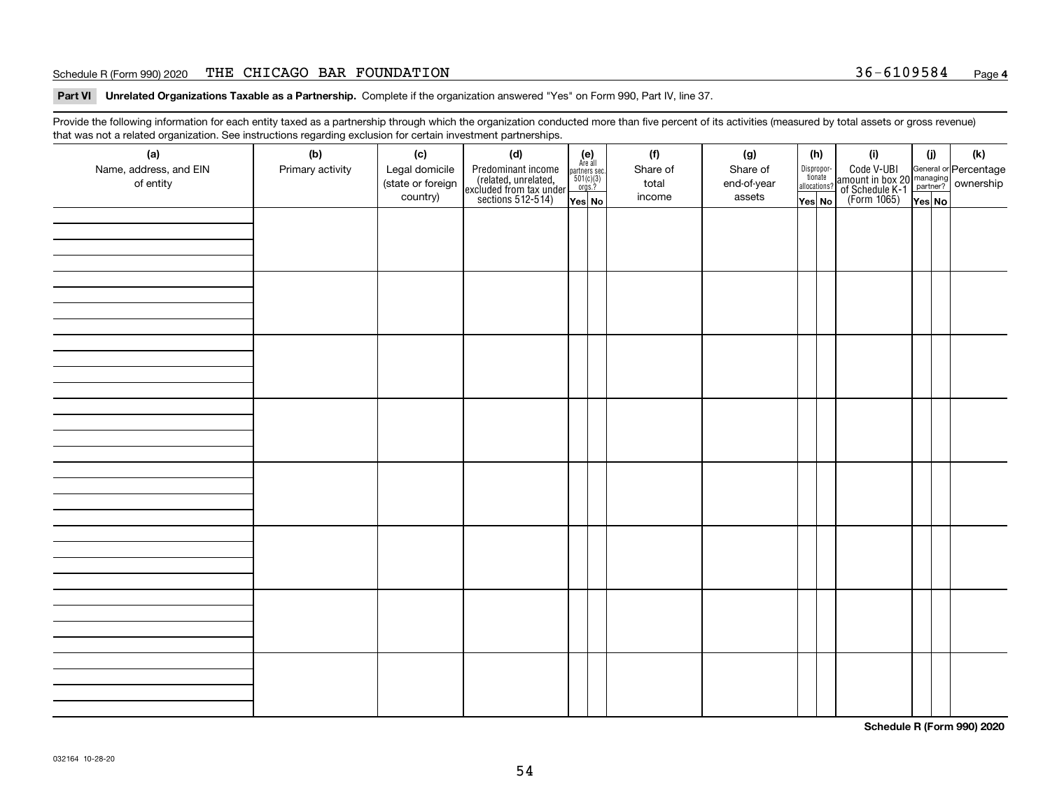#### Schedule R (Form 990) 2020 Page THE CHICAGO BAR FOUNDATION 36-6109584

**Part VI Unrelated Organizations Taxable as a Partnership. Complete if the organization answered "Yes" on Form 990, Part IV, line 37.** 

Provide the following information for each entity taxed as a partnership through which the organization conducted more than five percent of its activities (measured by total assets or gross revenue) that was not a related organization. See instructions regarding exclusion for certain investment partnerships.

| ັ                      | ັ<br>ັ           |                   |                                                                                            |                                                                                               |  |          |             |                                  |  |                                                                                                  |        |  |     |
|------------------------|------------------|-------------------|--------------------------------------------------------------------------------------------|-----------------------------------------------------------------------------------------------|--|----------|-------------|----------------------------------|--|--------------------------------------------------------------------------------------------------|--------|--|-----|
| (a)                    | (b)              | (c)               | (d)                                                                                        | $(e)$<br>Are all                                                                              |  | (f)      | (g)         | (h)                              |  | (i)                                                                                              | (i)    |  | (k) |
| Name, address, and EIN | Primary activity | Legal domicile    | Predominant income<br>(related, unrelated,<br>excluded from tax under<br>sections 512-514) |                                                                                               |  | Share of | Share of    | Disproportionate<br>allocations? |  | Code V-UBI<br>amount in box 20 managing<br>of Schedule K-1<br>(Form 1065)<br>$\overline{Yes}$ No |        |  |     |
| of entity              |                  | (state or foreign |                                                                                            | $\begin{array}{c}\n\text{partners} & \text{sec.} \\ 501(c)(3) & \text{orgs.?} \\ \end{array}$ |  | total    | end-of-year |                                  |  |                                                                                                  |        |  |     |
|                        |                  | country)          |                                                                                            |                                                                                               |  | income   | assets      |                                  |  |                                                                                                  |        |  |     |
|                        |                  |                   |                                                                                            | Yes No                                                                                        |  |          |             | Yes No                           |  |                                                                                                  | Yes No |  |     |
|                        |                  |                   |                                                                                            |                                                                                               |  |          |             |                                  |  |                                                                                                  |        |  |     |
|                        |                  |                   |                                                                                            |                                                                                               |  |          |             |                                  |  |                                                                                                  |        |  |     |
|                        |                  |                   |                                                                                            |                                                                                               |  |          |             |                                  |  |                                                                                                  |        |  |     |
|                        |                  |                   |                                                                                            |                                                                                               |  |          |             |                                  |  |                                                                                                  |        |  |     |
|                        |                  |                   |                                                                                            |                                                                                               |  |          |             |                                  |  |                                                                                                  |        |  |     |
|                        |                  |                   |                                                                                            |                                                                                               |  |          |             |                                  |  |                                                                                                  |        |  |     |
|                        |                  |                   |                                                                                            |                                                                                               |  |          |             |                                  |  |                                                                                                  |        |  |     |
|                        |                  |                   |                                                                                            |                                                                                               |  |          |             |                                  |  |                                                                                                  |        |  |     |
|                        |                  |                   |                                                                                            |                                                                                               |  |          |             |                                  |  |                                                                                                  |        |  |     |
|                        |                  |                   |                                                                                            |                                                                                               |  |          |             |                                  |  |                                                                                                  |        |  |     |
|                        |                  |                   |                                                                                            |                                                                                               |  |          |             |                                  |  |                                                                                                  |        |  |     |
|                        |                  |                   |                                                                                            |                                                                                               |  |          |             |                                  |  |                                                                                                  |        |  |     |
|                        |                  |                   |                                                                                            |                                                                                               |  |          |             |                                  |  |                                                                                                  |        |  |     |
|                        |                  |                   |                                                                                            |                                                                                               |  |          |             |                                  |  |                                                                                                  |        |  |     |
|                        |                  |                   |                                                                                            |                                                                                               |  |          |             |                                  |  |                                                                                                  |        |  |     |
|                        |                  |                   |                                                                                            |                                                                                               |  |          |             |                                  |  |                                                                                                  |        |  |     |
|                        |                  |                   |                                                                                            |                                                                                               |  |          |             |                                  |  |                                                                                                  |        |  |     |
|                        |                  |                   |                                                                                            |                                                                                               |  |          |             |                                  |  |                                                                                                  |        |  |     |
|                        |                  |                   |                                                                                            |                                                                                               |  |          |             |                                  |  |                                                                                                  |        |  |     |
|                        |                  |                   |                                                                                            |                                                                                               |  |          |             |                                  |  |                                                                                                  |        |  |     |
|                        |                  |                   |                                                                                            |                                                                                               |  |          |             |                                  |  |                                                                                                  |        |  |     |
|                        |                  |                   |                                                                                            |                                                                                               |  |          |             |                                  |  |                                                                                                  |        |  |     |
|                        |                  |                   |                                                                                            |                                                                                               |  |          |             |                                  |  |                                                                                                  |        |  |     |
|                        |                  |                   |                                                                                            |                                                                                               |  |          |             |                                  |  |                                                                                                  |        |  |     |
|                        |                  |                   |                                                                                            |                                                                                               |  |          |             |                                  |  |                                                                                                  |        |  |     |
|                        |                  |                   |                                                                                            |                                                                                               |  |          |             |                                  |  |                                                                                                  |        |  |     |
|                        |                  |                   |                                                                                            |                                                                                               |  |          |             |                                  |  |                                                                                                  |        |  |     |
|                        |                  |                   |                                                                                            |                                                                                               |  |          |             |                                  |  |                                                                                                  |        |  |     |
|                        |                  |                   |                                                                                            |                                                                                               |  |          |             |                                  |  |                                                                                                  |        |  |     |
|                        |                  |                   |                                                                                            |                                                                                               |  |          |             |                                  |  |                                                                                                  |        |  |     |
|                        |                  |                   |                                                                                            |                                                                                               |  |          |             |                                  |  |                                                                                                  |        |  |     |
|                        |                  |                   |                                                                                            |                                                                                               |  |          |             |                                  |  |                                                                                                  |        |  |     |
|                        |                  |                   |                                                                                            |                                                                                               |  |          |             |                                  |  |                                                                                                  |        |  |     |
|                        |                  |                   |                                                                                            |                                                                                               |  |          |             |                                  |  |                                                                                                  |        |  |     |
|                        |                  |                   |                                                                                            |                                                                                               |  |          |             |                                  |  |                                                                                                  |        |  |     |
|                        |                  |                   |                                                                                            |                                                                                               |  |          |             |                                  |  |                                                                                                  |        |  |     |
|                        |                  |                   |                                                                                            |                                                                                               |  |          |             |                                  |  |                                                                                                  |        |  |     |
|                        |                  |                   |                                                                                            |                                                                                               |  |          |             |                                  |  |                                                                                                  |        |  |     |
|                        |                  |                   |                                                                                            |                                                                                               |  |          |             |                                  |  |                                                                                                  |        |  |     |
|                        |                  |                   |                                                                                            |                                                                                               |  |          |             |                                  |  |                                                                                                  |        |  |     |
|                        |                  |                   |                                                                                            |                                                                                               |  |          |             |                                  |  |                                                                                                  |        |  |     |
|                        |                  |                   |                                                                                            |                                                                                               |  |          |             |                                  |  |                                                                                                  |        |  |     |
|                        |                  |                   |                                                                                            |                                                                                               |  |          |             |                                  |  |                                                                                                  |        |  |     |

**Schedule R (Form 990) 2020**